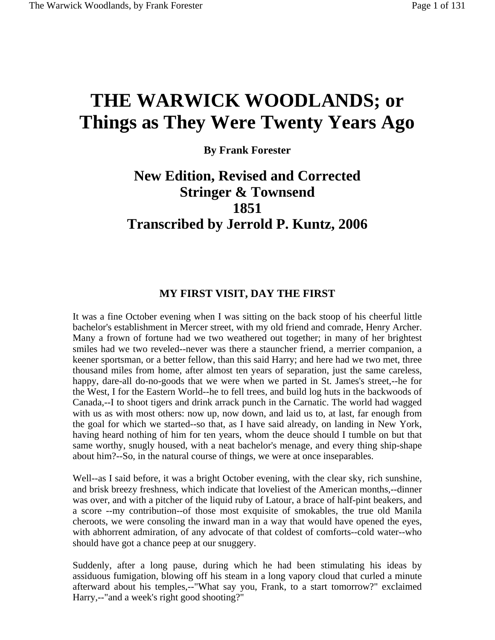# **THE WARWICK WOODLANDS; or Things as They Were Twenty Years Ago**

**By Frank Forester** 

# **New Edition, Revised and Corrected Stringer & Townsend 1851 Transcribed by Jerrold P. Kuntz, 2006**

### **MY FIRST VISIT, DAY THE FIRST**

It was a fine October evening when I was sitting on the back stoop of his cheerful little bachelor's establishment in Mercer street, with my old friend and comrade, Henry Archer. Many a frown of fortune had we two weathered out together; in many of her brightest smiles had we two reveled--never was there a stauncher friend, a merrier companion, a keener sportsman, or a better fellow, than this said Harry; and here had we two met, three thousand miles from home, after almost ten years of separation, just the same careless, happy, dare-all do-no-goods that we were when we parted in St. James's street,--he for the West, I for the Eastern World--he to fell trees, and build log huts in the backwoods of Canada,--I to shoot tigers and drink arrack punch in the Carnatic. The world had wagged with us as with most others: now up, now down, and laid us to, at last, far enough from the goal for which we started--so that, as I have said already, on landing in New York, having heard nothing of him for ten years, whom the deuce should I tumble on but that same worthy, snugly housed, with a neat bachelor's menage, and every thing ship-shape about him?--So, in the natural course of things, we were at once inseparables.

Well--as I said before, it was a bright October evening, with the clear sky, rich sunshine, and brisk breezy freshness, which indicate that loveliest of the American months,--dinner was over, and with a pitcher of the liquid ruby of Latour, a brace of half-pint beakers, and a score --my contribution--of those most exquisite of smokables, the true old Manila cheroots, we were consoling the inward man in a way that would have opened the eyes, with abhorrent admiration, of any advocate of that coldest of comforts--cold water--who should have got a chance peep at our snuggery.

Suddenly, after a long pause, during which he had been stimulating his ideas by assiduous fumigation, blowing off his steam in a long vapory cloud that curled a minute afterward about his temples,--"What say you, Frank, to a start tomorrow?" exclaimed Harry,--"and a week's right good shooting?"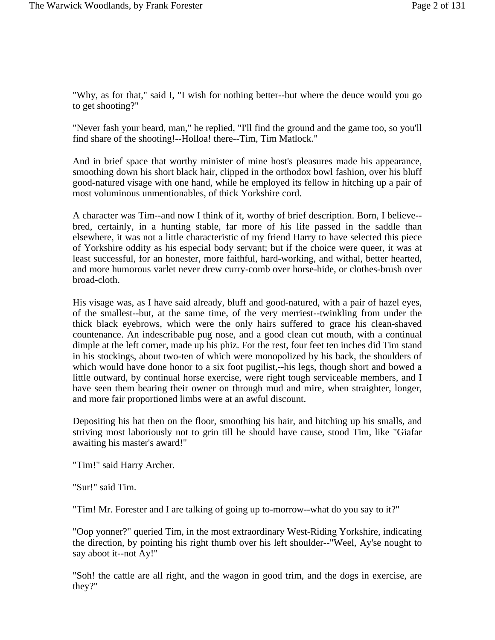"Why, as for that," said I, "I wish for nothing better--but where the deuce would you go to get shooting?"

"Never fash your beard, man," he replied, "I'll find the ground and the game too, so you'll find share of the shooting!--Holloa! there--Tim, Tim Matlock."

And in brief space that worthy minister of mine host's pleasures made his appearance, smoothing down his short black hair, clipped in the orthodox bowl fashion, over his bluff good-natured visage with one hand, while he employed its fellow in hitching up a pair of most voluminous unmentionables, of thick Yorkshire cord.

A character was Tim--and now I think of it, worthy of brief description. Born, I believe- bred, certainly, in a hunting stable, far more of his life passed in the saddle than elsewhere, it was not a little characteristic of my friend Harry to have selected this piece of Yorkshire oddity as his especial body servant; but if the choice were queer, it was at least successful, for an honester, more faithful, hard-working, and withal, better hearted, and more humorous varlet never drew curry-comb over horse-hide, or clothes-brush over broad-cloth.

His visage was, as I have said already, bluff and good-natured, with a pair of hazel eyes, of the smallest--but, at the same time, of the very merriest--twinkling from under the thick black eyebrows, which were the only hairs suffered to grace his clean-shaved countenance. An indescribable pug nose, and a good clean cut mouth, with a continual dimple at the left corner, made up his phiz. For the rest, four feet ten inches did Tim stand in his stockings, about two-ten of which were monopolized by his back, the shoulders of which would have done honor to a six foot pugilist,--his legs, though short and bowed a little outward, by continual horse exercise, were right tough serviceable members, and I have seen them bearing their owner on through mud and mire, when straighter, longer, and more fair proportioned limbs were at an awful discount.

Depositing his hat then on the floor, smoothing his hair, and hitching up his smalls, and striving most laboriously not to grin till he should have cause, stood Tim, like "Giafar awaiting his master's award!"

"Tim!" said Harry Archer.

"Sur!" said Tim.

"Tim! Mr. Forester and I are talking of going up to-morrow--what do you say to it?"

"Oop yonner?" queried Tim, in the most extraordinary West-Riding Yorkshire, indicating the direction, by pointing his right thumb over his left shoulder--"Weel, Ay'se nought to say aboot it--not Ay!"

"Soh! the cattle are all right, and the wagon in good trim, and the dogs in exercise, are they?"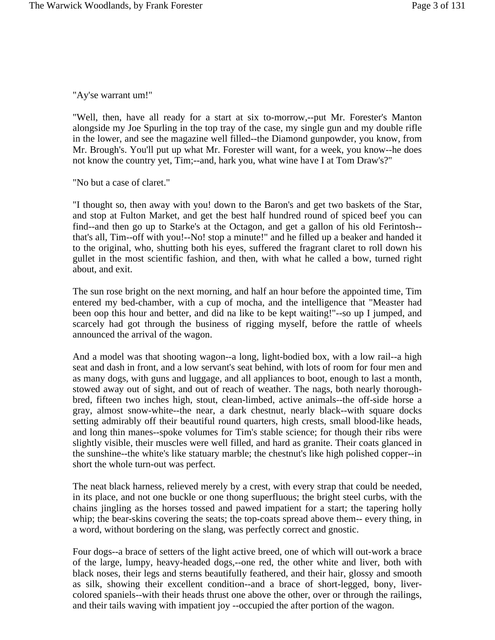"Ay'se warrant um!"

"Well, then, have all ready for a start at six to-morrow,--put Mr. Forester's Manton alongside my Joe Spurling in the top tray of the case, my single gun and my double rifle in the lower, and see the magazine well filled--the Diamond gunpowder, you know, from Mr. Brough's. You'll put up what Mr. Forester will want, for a week, you know--he does not know the country yet, Tim;--and, hark you, what wine have I at Tom Draw's?"

"No but a case of claret."

"I thought so, then away with you! down to the Baron's and get two baskets of the Star, and stop at Fulton Market, and get the best half hundred round of spiced beef you can find--and then go up to Starke's at the Octagon, and get a gallon of his old Ferintosh- that's all, Tim--off with you!--No! stop a minute!" and he filled up a beaker and handed it to the original, who, shutting both his eyes, suffered the fragrant claret to roll down his gullet in the most scientific fashion, and then, with what he called a bow, turned right about, and exit.

The sun rose bright on the next morning, and half an hour before the appointed time, Tim entered my bed-chamber, with a cup of mocha, and the intelligence that "Measter had been oop this hour and better, and did na like to be kept waiting!"--so up I jumped, and scarcely had got through the business of rigging myself, before the rattle of wheels announced the arrival of the wagon.

And a model was that shooting wagon--a long, light-bodied box, with a low rail--a high seat and dash in front, and a low servant's seat behind, with lots of room for four men and as many dogs, with guns and luggage, and all appliances to boot, enough to last a month, stowed away out of sight, and out of reach of weather. The nags, both nearly thoroughbred, fifteen two inches high, stout, clean-limbed, active animals--the off-side horse a gray, almost snow-white--the near, a dark chestnut, nearly black--with square docks setting admirably off their beautiful round quarters, high crests, small blood-like heads, and long thin manes--spoke volumes for Tim's stable science; for though their ribs were slightly visible, their muscles were well filled, and hard as granite. Their coats glanced in the sunshine--the white's like statuary marble; the chestnut's like high polished copper--in short the whole turn-out was perfect.

The neat black harness, relieved merely by a crest, with every strap that could be needed, in its place, and not one buckle or one thong superfluous; the bright steel curbs, with the chains jingling as the horses tossed and pawed impatient for a start; the tapering holly whip; the bear-skins covering the seats; the top-coats spread above them-- every thing, in a word, without bordering on the slang, was perfectly correct and gnostic.

Four dogs--a brace of setters of the light active breed, one of which will out-work a brace of the large, lumpy, heavy-headed dogs,--one red, the other white and liver, both with black noses, their legs and sterns beautifully feathered, and their hair, glossy and smooth as silk, showing their excellent condition--and a brace of short-legged, bony, livercolored spaniels--with their heads thrust one above the other, over or through the railings, and their tails waving with impatient joy --occupied the after portion of the wagon.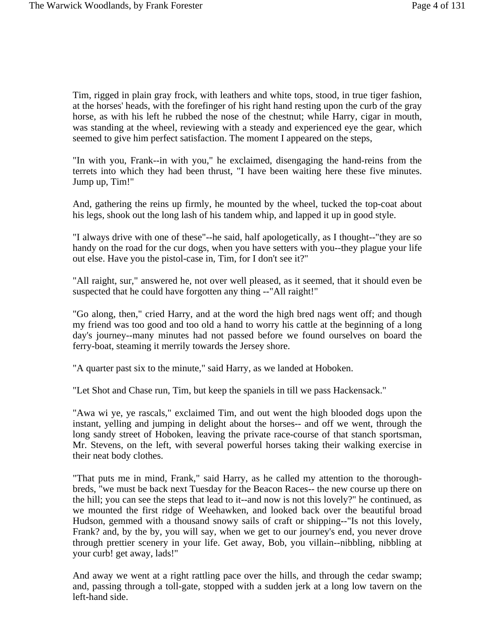Tim, rigged in plain gray frock, with leathers and white tops, stood, in true tiger fashion, at the horses' heads, with the forefinger of his right hand resting upon the curb of the gray horse, as with his left he rubbed the nose of the chestnut; while Harry, cigar in mouth, was standing at the wheel, reviewing with a steady and experienced eye the gear, which seemed to give him perfect satisfaction. The moment I appeared on the steps,

"In with you, Frank--in with you," he exclaimed, disengaging the hand-reins from the terrets into which they had been thrust, "I have been waiting here these five minutes. Jump up, Tim!"

And, gathering the reins up firmly, he mounted by the wheel, tucked the top-coat about his legs, shook out the long lash of his tandem whip, and lapped it up in good style.

"I always drive with one of these"--he said, half apologetically, as I thought--"they are so handy on the road for the cur dogs, when you have setters with you--they plague your life out else. Have you the pistol-case in, Tim, for I don't see it?"

"All raight, sur," answered he, not over well pleased, as it seemed, that it should even be suspected that he could have forgotten any thing --"All raight!"

"Go along, then," cried Harry, and at the word the high bred nags went off; and though my friend was too good and too old a hand to worry his cattle at the beginning of a long day's journey--many minutes had not passed before we found ourselves on board the ferry-boat, steaming it merrily towards the Jersey shore.

"A quarter past six to the minute," said Harry, as we landed at Hoboken.

"Let Shot and Chase run, Tim, but keep the spaniels in till we pass Hackensack."

"Awa wi ye, ye rascals," exclaimed Tim, and out went the high blooded dogs upon the instant, yelling and jumping in delight about the horses-- and off we went, through the long sandy street of Hoboken, leaving the private race-course of that stanch sportsman, Mr. Stevens, on the left, with several powerful horses taking their walking exercise in their neat body clothes.

"That puts me in mind, Frank," said Harry, as he called my attention to the thoroughbreds, "we must be back next Tuesday for the Beacon Races-- the new course up there on the hill; you can see the steps that lead to it--and now is not this lovely?" he continued, as we mounted the first ridge of Weehawken, and looked back over the beautiful broad Hudson, gemmed with a thousand snowy sails of craft or shipping--"Is not this lovely, Frank? and, by the by, you will say, when we get to our journey's end, you never drove through prettier scenery in your life. Get away, Bob, you villain--nibbling, nibbling at your curb! get away, lads!"

And away we went at a right rattling pace over the hills, and through the cedar swamp; and, passing through a toll-gate, stopped with a sudden jerk at a long low tavern on the left-hand side.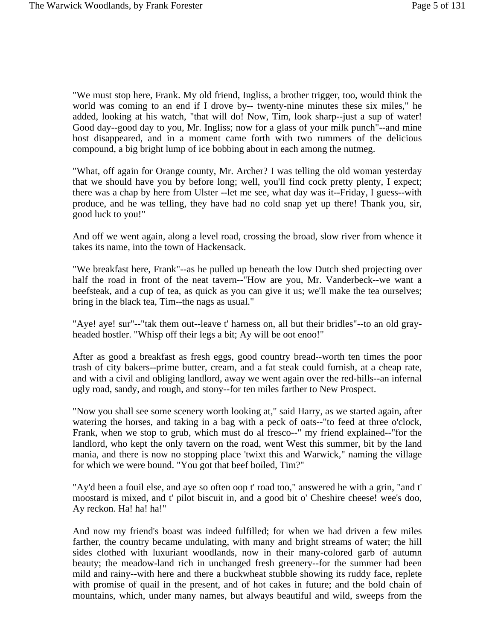"We must stop here, Frank. My old friend, Ingliss, a brother trigger, too, would think the world was coming to an end if I drove by-- twenty-nine minutes these six miles," he added, looking at his watch, "that will do! Now, Tim, look sharp--just a sup of water! Good day--good day to you, Mr. Ingliss; now for a glass of your milk punch"--and mine host disappeared, and in a moment came forth with two rummers of the delicious compound, a big bright lump of ice bobbing about in each among the nutmeg.

"What, off again for Orange county, Mr. Archer? I was telling the old woman yesterday that we should have you by before long; well, you'll find cock pretty plenty, I expect; there was a chap by here from Ulster --let me see, what day was it--Friday, I guess--with produce, and he was telling, they have had no cold snap yet up there! Thank you, sir, good luck to you!"

And off we went again, along a level road, crossing the broad, slow river from whence it takes its name, into the town of Hackensack.

"We breakfast here, Frank"--as he pulled up beneath the low Dutch shed projecting over half the road in front of the neat tavern--"How are you, Mr. Vanderbeck--we want a beefsteak, and a cup of tea, as quick as you can give it us; we'll make the tea ourselves; bring in the black tea, Tim--the nags as usual."

"Aye! aye! sur"--"tak them out--leave t' harness on, all but their bridles"--to an old grayheaded hostler. "Whisp off their legs a bit; Ay will be oot enoo!"

After as good a breakfast as fresh eggs, good country bread--worth ten times the poor trash of city bakers--prime butter, cream, and a fat steak could furnish, at a cheap rate, and with a civil and obliging landlord, away we went again over the red-hills--an infernal ugly road, sandy, and rough, and stony--for ten miles farther to New Prospect.

"Now you shall see some scenery worth looking at," said Harry, as we started again, after watering the horses, and taking in a bag with a peck of oats--"to feed at three o'clock, Frank, when we stop to grub, which must do al fresco--" my friend explained--"for the landlord, who kept the only tavern on the road, went West this summer, bit by the land mania, and there is now no stopping place 'twixt this and Warwick," naming the village for which we were bound. "You got that beef boiled, Tim?"

"Ay'd been a fouil else, and aye so often oop t' road too," answered he with a grin, "and t' moostard is mixed, and t' pilot biscuit in, and a good bit o' Cheshire cheese! wee's doo, Ay reckon. Ha! ha! ha!"

And now my friend's boast was indeed fulfilled; for when we had driven a few miles farther, the country became undulating, with many and bright streams of water; the hill sides clothed with luxuriant woodlands, now in their many-colored garb of autumn beauty; the meadow-land rich in unchanged fresh greenery--for the summer had been mild and rainy--with here and there a buckwheat stubble showing its ruddy face, replete with promise of quail in the present, and of hot cakes in future; and the bold chain of mountains, which, under many names, but always beautiful and wild, sweeps from the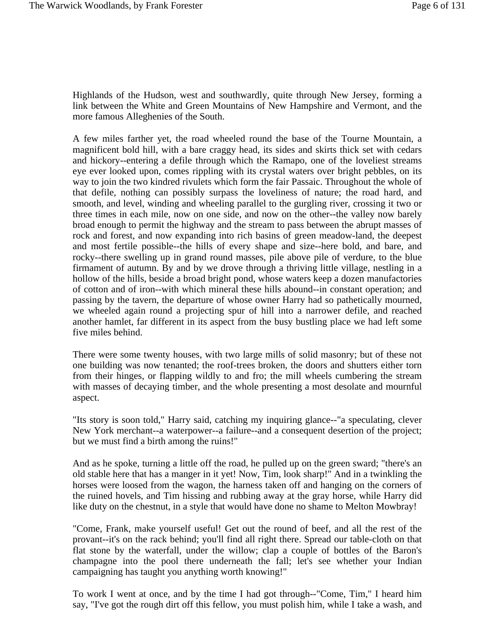Highlands of the Hudson, west and southwardly, quite through New Jersey, forming a link between the White and Green Mountains of New Hampshire and Vermont, and the more famous Alleghenies of the South.

A few miles farther yet, the road wheeled round the base of the Tourne Mountain, a magnificent bold hill, with a bare craggy head, its sides and skirts thick set with cedars and hickory--entering a defile through which the Ramapo, one of the loveliest streams eye ever looked upon, comes rippling with its crystal waters over bright pebbles, on its way to join the two kindred rivulets which form the fair Passaic. Throughout the whole of that defile, nothing can possibly surpass the loveliness of nature; the road hard, and smooth, and level, winding and wheeling parallel to the gurgling river, crossing it two or three times in each mile, now on one side, and now on the other--the valley now barely broad enough to permit the highway and the stream to pass between the abrupt masses of rock and forest, and now expanding into rich basins of green meadow-land, the deepest and most fertile possible--the hills of every shape and size--here bold, and bare, and rocky--there swelling up in grand round masses, pile above pile of verdure, to the blue firmament of autumn. By and by we drove through a thriving little village, nestling in a hollow of the hills, beside a broad bright pond, whose waters keep a dozen manufactories of cotton and of iron--with which mineral these hills abound--in constant operation; and passing by the tavern, the departure of whose owner Harry had so pathetically mourned, we wheeled again round a projecting spur of hill into a narrower defile, and reached another hamlet, far different in its aspect from the busy bustling place we had left some five miles behind.

There were some twenty houses, with two large mills of solid masonry; but of these not one building was now tenanted; the roof-trees broken, the doors and shutters either torn from their hinges, or flapping wildly to and fro; the mill wheels cumbering the stream with masses of decaying timber, and the whole presenting a most desolate and mournful aspect.

"Its story is soon told," Harry said, catching my inquiring glance--"a speculating, clever New York merchant--a waterpower--a failure--and a consequent desertion of the project; but we must find a birth among the ruins!"

And as he spoke, turning a little off the road, he pulled up on the green sward; "there's an old stable here that has a manger in it yet! Now, Tim, look sharp!" And in a twinkling the horses were loosed from the wagon, the harness taken off and hanging on the corners of the ruined hovels, and Tim hissing and rubbing away at the gray horse, while Harry did like duty on the chestnut, in a style that would have done no shame to Melton Mowbray!

"Come, Frank, make yourself useful! Get out the round of beef, and all the rest of the provant--it's on the rack behind; you'll find all right there. Spread our table-cloth on that flat stone by the waterfall, under the willow; clap a couple of bottles of the Baron's champagne into the pool there underneath the fall; let's see whether your Indian campaigning has taught you anything worth knowing!"

To work I went at once, and by the time I had got through--"Come, Tim," I heard him say, "I've got the rough dirt off this fellow, you must polish him, while I take a wash, and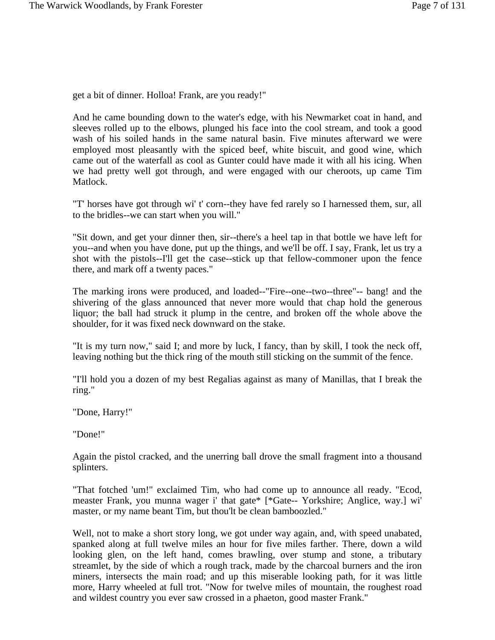get a bit of dinner. Holloa! Frank, are you ready!"

And he came bounding down to the water's edge, with his Newmarket coat in hand, and sleeves rolled up to the elbows, plunged his face into the cool stream, and took a good wash of his soiled hands in the same natural basin. Five minutes afterward we were employed most pleasantly with the spiced beef, white biscuit, and good wine, which came out of the waterfall as cool as Gunter could have made it with all his icing. When we had pretty well got through, and were engaged with our cheroots, up came Tim Matlock.

"T' horses have got through wi' t' corn--they have fed rarely so I harnessed them, sur, all to the bridles--we can start when you will."

"Sit down, and get your dinner then, sir--there's a heel tap in that bottle we have left for you--and when you have done, put up the things, and we'll be off. I say, Frank, let us try a shot with the pistols--I'll get the case--stick up that fellow-commoner upon the fence there, and mark off a twenty paces."

The marking irons were produced, and loaded--"Fire--one--two--three"-- bang! and the shivering of the glass announced that never more would that chap hold the generous liquor; the ball had struck it plump in the centre, and broken off the whole above the shoulder, for it was fixed neck downward on the stake.

"It is my turn now," said I; and more by luck, I fancy, than by skill, I took the neck off, leaving nothing but the thick ring of the mouth still sticking on the summit of the fence.

"I'll hold you a dozen of my best Regalias against as many of Manillas, that I break the ring."

"Done, Harry!"

"Done!"

Again the pistol cracked, and the unerring ball drove the small fragment into a thousand splinters.

"That fotched 'um!" exclaimed Tim, who had come up to announce all ready. "Ecod, measter Frank, you munna wager i' that gate\* [\*Gate-- Yorkshire; Anglice, way.] wi' master, or my name beant Tim, but thou'lt be clean bamboozled."

Well, not to make a short story long, we got under way again, and, with speed unabated, spanked along at full twelve miles an hour for five miles farther. There, down a wild looking glen, on the left hand, comes brawling, over stump and stone, a tributary streamlet, by the side of which a rough track, made by the charcoal burners and the iron miners, intersects the main road; and up this miserable looking path, for it was little more, Harry wheeled at full trot. "Now for twelve miles of mountain, the roughest road and wildest country you ever saw crossed in a phaeton, good master Frank."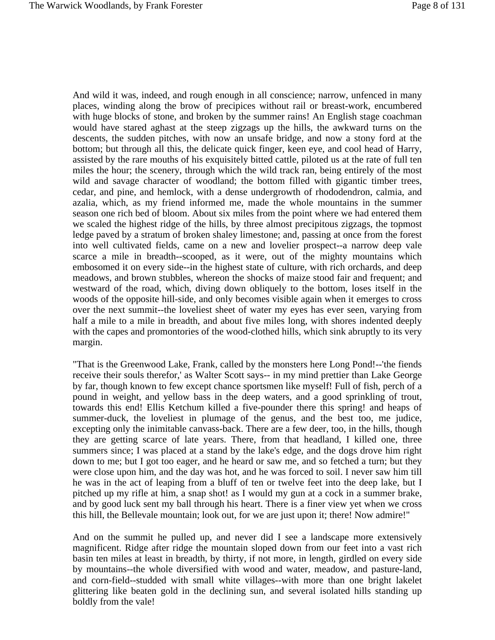And wild it was, indeed, and rough enough in all conscience; narrow, unfenced in many places, winding along the brow of precipices without rail or breast-work, encumbered with huge blocks of stone, and broken by the summer rains! An English stage coachman would have stared aghast at the steep zigzags up the hills, the awkward turns on the descents, the sudden pitches, with now an unsafe bridge, and now a stony ford at the bottom; but through all this, the delicate quick finger, keen eye, and cool head of Harry, assisted by the rare mouths of his exquisitely bitted cattle, piloted us at the rate of full ten miles the hour; the scenery, through which the wild track ran, being entirely of the most wild and savage character of woodland; the bottom filled with gigantic timber trees, cedar, and pine, and hemlock, with a dense undergrowth of rhododendron, calmia, and azalia, which, as my friend informed me, made the whole mountains in the summer season one rich bed of bloom. About six miles from the point where we had entered them we scaled the highest ridge of the hills, by three almost precipitous zigzags, the topmost ledge paved by a stratum of broken shaley limestone; and, passing at once from the forest into well cultivated fields, came on a new and lovelier prospect--a narrow deep vale scarce a mile in breadth--scooped, as it were, out of the mighty mountains which embosomed it on every side--in the highest state of culture, with rich orchards, and deep meadows, and brown stubbles, whereon the shocks of maize stood fair and frequent; and westward of the road, which, diving down obliquely to the bottom, loses itself in the woods of the opposite hill-side, and only becomes visible again when it emerges to cross over the next summit--the loveliest sheet of water my eyes has ever seen, varying from half a mile to a mile in breadth, and about five miles long, with shores indented deeply with the capes and promontories of the wood-clothed hills, which sink abruptly to its very margin.

"That is the Greenwood Lake, Frank, called by the monsters here Long Pond!--'the fiends receive their souls therefor,' as Walter Scott says-- in my mind prettier than Lake George by far, though known to few except chance sportsmen like myself! Full of fish, perch of a pound in weight, and yellow bass in the deep waters, and a good sprinkling of trout, towards this end! Ellis Ketchum killed a five-pounder there this spring! and heaps of summer-duck, the loveliest in plumage of the genus, and the best too, me judice, excepting only the inimitable canvass-back. There are a few deer, too, in the hills, though they are getting scarce of late years. There, from that headland, I killed one, three summers since; I was placed at a stand by the lake's edge, and the dogs drove him right down to me; but I got too eager, and he heard or saw me, and so fetched a turn; but they were close upon him, and the day was hot, and he was forced to soil. I never saw him till he was in the act of leaping from a bluff of ten or twelve feet into the deep lake, but I pitched up my rifle at him, a snap shot! as I would my gun at a cock in a summer brake, and by good luck sent my ball through his heart. There is a finer view yet when we cross this hill, the Bellevale mountain; look out, for we are just upon it; there! Now admire!"

And on the summit he pulled up, and never did I see a landscape more extensively magnificent. Ridge after ridge the mountain sloped down from our feet into a vast rich basin ten miles at least in breadth, by thirty, if not more, in length, girdled on every side by mountains--the whole diversified with wood and water, meadow, and pasture-land, and corn-field--studded with small white villages--with more than one bright lakelet glittering like beaten gold in the declining sun, and several isolated hills standing up boldly from the vale!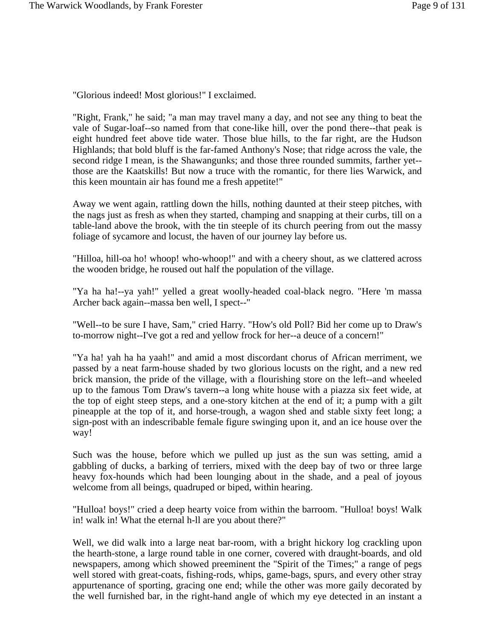"Glorious indeed! Most glorious!" I exclaimed.

"Right, Frank," he said; "a man may travel many a day, and not see any thing to beat the vale of Sugar-loaf--so named from that cone-like hill, over the pond there--that peak is eight hundred feet above tide water. Those blue hills, to the far right, are the Hudson Highlands; that bold bluff is the far-famed Anthony's Nose; that ridge across the vale, the second ridge I mean, is the Shawangunks; and those three rounded summits, farther yet- those are the Kaatskills! But now a truce with the romantic, for there lies Warwick, and this keen mountain air has found me a fresh appetite!"

Away we went again, rattling down the hills, nothing daunted at their steep pitches, with the nags just as fresh as when they started, champing and snapping at their curbs, till on a table-land above the brook, with the tin steeple of its church peering from out the massy foliage of sycamore and locust, the haven of our journey lay before us.

"Hilloa, hill-oa ho! whoop! who-whoop!" and with a cheery shout, as we clattered across the wooden bridge, he roused out half the population of the village.

"Ya ha ha!--ya yah!" yelled a great woolly-headed coal-black negro. "Here 'm massa Archer back again--massa ben well, I spect--"

"Well--to be sure I have, Sam," cried Harry. "How's old Poll? Bid her come up to Draw's to-morrow night--I've got a red and yellow frock for her--a deuce of a concern!"

"Ya ha! yah ha ha yaah!" and amid a most discordant chorus of African merriment, we passed by a neat farm-house shaded by two glorious locusts on the right, and a new red brick mansion, the pride of the village, with a flourishing store on the left--and wheeled up to the famous Tom Draw's tavern--a long white house with a piazza six feet wide, at the top of eight steep steps, and a one-story kitchen at the end of it; a pump with a gilt pineapple at the top of it, and horse-trough, a wagon shed and stable sixty feet long; a sign-post with an indescribable female figure swinging upon it, and an ice house over the way!

Such was the house, before which we pulled up just as the sun was setting, amid a gabbling of ducks, a barking of terriers, mixed with the deep bay of two or three large heavy fox-hounds which had been lounging about in the shade, and a peal of joyous welcome from all beings, quadruped or biped, within hearing.

"Hulloa! boys!" cried a deep hearty voice from within the barroom. "Hulloa! boys! Walk in! walk in! What the eternal h-ll are you about there?"

Well, we did walk into a large neat bar-room, with a bright hickory log crackling upon the hearth-stone, a large round table in one corner, covered with draught-boards, and old newspapers, among which showed preeminent the "Spirit of the Times;" a range of pegs well stored with great-coats, fishing-rods, whips, game-bags, spurs, and every other stray appurtenance of sporting, gracing one end; while the other was more gaily decorated by the well furnished bar, in the right-hand angle of which my eye detected in an instant a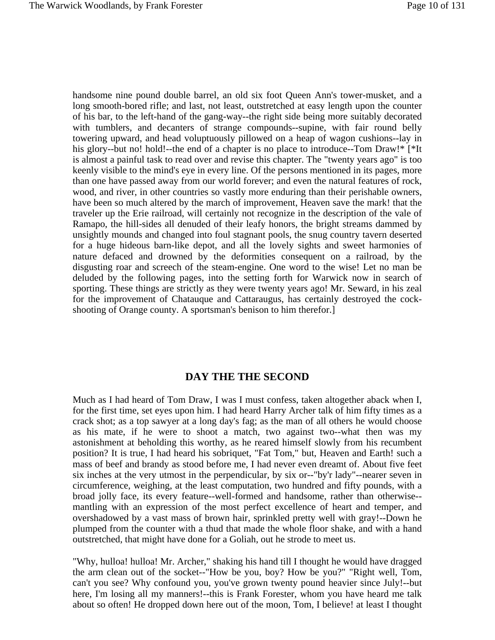handsome nine pound double barrel, an old six foot Queen Ann's tower-musket, and a long smooth-bored rifle; and last, not least, outstretched at easy length upon the counter of his bar, to the left-hand of the gang-way--the right side being more suitably decorated with tumblers, and decanters of strange compounds--supine, with fair round belly towering upward, and head voluptuously pillowed on a heap of wagon cushions--lay in his glory--but no! hold!--the end of a chapter is no place to introduce--Tom Draw!\* [\*It is almost a painful task to read over and revise this chapter. The "twenty years ago" is too keenly visible to the mind's eye in every line. Of the persons mentioned in its pages, more than one have passed away from our world forever; and even the natural features of rock, wood, and river, in other countries so vastly more enduring than their perishable owners, have been so much altered by the march of improvement, Heaven save the mark! that the traveler up the Erie railroad, will certainly not recognize in the description of the vale of Ramapo, the hill-sides all denuded of their leafy honors, the bright streams dammed by unsightly mounds and changed into foul stagnant pools, the snug country tavern deserted for a huge hideous barn-like depot, and all the lovely sights and sweet harmonies of nature defaced and drowned by the deformities consequent on a railroad, by the disgusting roar and screech of the steam-engine. One word to the wise! Let no man be deluded by the following pages, into the setting forth for Warwick now in search of sporting. These things are strictly as they were twenty years ago! Mr. Seward, in his zeal for the improvement of Chatauque and Cattaraugus, has certainly destroyed the cockshooting of Orange county. A sportsman's benison to him therefor.]

## **DAY THE THE SECOND**

Much as I had heard of Tom Draw, I was I must confess, taken altogether aback when I, for the first time, set eyes upon him. I had heard Harry Archer talk of him fifty times as a crack shot; as a top sawyer at a long day's fag; as the man of all others he would choose as his mate, if he were to shoot a match, two against two--what then was my astonishment at beholding this worthy, as he reared himself slowly from his recumbent position? It is true, I had heard his sobriquet, "Fat Tom," but, Heaven and Earth! such a mass of beef and brandy as stood before me, I had never even dreamt of. About five feet six inches at the very utmost in the perpendicular, by six or--"by'r lady"--nearer seven in circumference, weighing, at the least computation, two hundred and fifty pounds, with a broad jolly face, its every feature--well-formed and handsome, rather than otherwise- mantling with an expression of the most perfect excellence of heart and temper, and overshadowed by a vast mass of brown hair, sprinkled pretty well with gray!--Down he plumped from the counter with a thud that made the whole floor shake, and with a hand outstretched, that might have done for a Goliah, out he strode to meet us.

"Why, hulloa! hulloa! Mr. Archer," shaking his hand till I thought he would have dragged the arm clean out of the socket--"How be you, boy? How be you?" "Right well, Tom, can't you see? Why confound you, you've grown twenty pound heavier since July!--but here, I'm losing all my manners!--this is Frank Forester, whom you have heard me talk about so often! He dropped down here out of the moon, Tom, I believe! at least I thought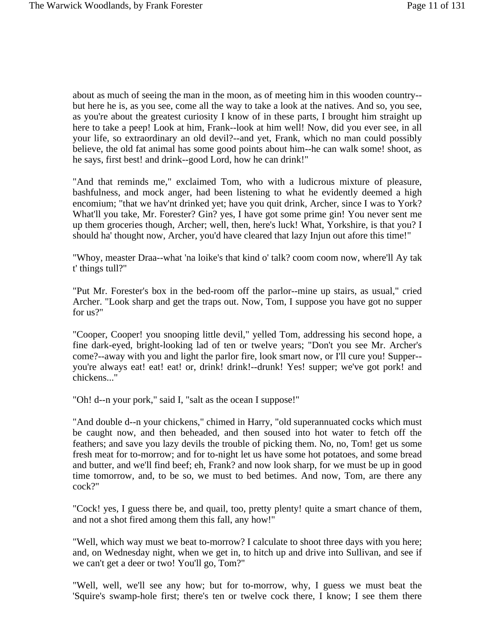about as much of seeing the man in the moon, as of meeting him in this wooden country- but here he is, as you see, come all the way to take a look at the natives. And so, you see, as you're about the greatest curiosity I know of in these parts, I brought him straight up here to take a peep! Look at him, Frank--look at him well! Now, did you ever see, in all your life, so extraordinary an old devil?--and yet, Frank, which no man could possibly believe, the old fat animal has some good points about him--he can walk some! shoot, as he says, first best! and drink--good Lord, how he can drink!"

"And that reminds me," exclaimed Tom, who with a ludicrous mixture of pleasure, bashfulness, and mock anger, had been listening to what he evidently deemed a high encomium; "that we hav'nt drinked yet; have you quit drink, Archer, since I was to York? What'll you take, Mr. Forester? Gin? yes, I have got some prime gin! You never sent me up them groceries though, Archer; well, then, here's luck! What, Yorkshire, is that you? I should ha' thought now, Archer, you'd have cleared that lazy Injun out afore this time!"

"Whoy, measter Draa--what 'na loike's that kind o' talk? coom coom now, where'll Ay tak t' things tull?"

"Put Mr. Forester's box in the bed-room off the parlor--mine up stairs, as usual," cried Archer. "Look sharp and get the traps out. Now, Tom, I suppose you have got no supper for us?"

"Cooper, Cooper! you snooping little devil," yelled Tom, addressing his second hope, a fine dark-eyed, bright-looking lad of ten or twelve years; "Don't you see Mr. Archer's come?--away with you and light the parlor fire, look smart now, or I'll cure you! Supper- you're always eat! eat! eat! or, drink! drink!--drunk! Yes! supper; we've got pork! and chickens..."

"Oh! d--n your pork," said I, "salt as the ocean I suppose!"

"And double d--n your chickens," chimed in Harry, "old superannuated cocks which must be caught now, and then beheaded, and then soused into hot water to fetch off the feathers; and save you lazy devils the trouble of picking them. No, no, Tom! get us some fresh meat for to-morrow; and for to-night let us have some hot potatoes, and some bread and butter, and we'll find beef; eh, Frank? and now look sharp, for we must be up in good time tomorrow, and, to be so, we must to bed betimes. And now, Tom, are there any cock?"

"Cock! yes, I guess there be, and quail, too, pretty plenty! quite a smart chance of them, and not a shot fired among them this fall, any how!"

"Well, which way must we beat to-morrow? I calculate to shoot three days with you here; and, on Wednesday night, when we get in, to hitch up and drive into Sullivan, and see if we can't get a deer or two! You'll go, Tom?"

"Well, well, we'll see any how; but for to-morrow, why, I guess we must beat the 'Squire's swamp-hole first; there's ten or twelve cock there, I know; I see them there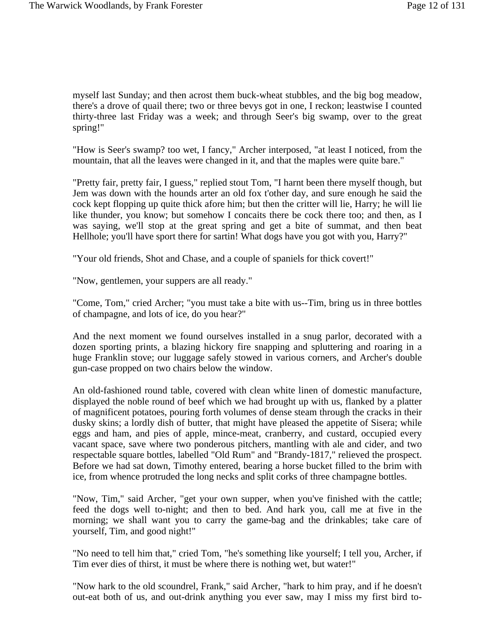myself last Sunday; and then acrost them buck-wheat stubbles, and the big bog meadow, there's a drove of quail there; two or three bevys got in one, I reckon; leastwise I counted thirty-three last Friday was a week; and through Seer's big swamp, over to the great spring!"

"How is Seer's swamp? too wet, I fancy," Archer interposed, "at least I noticed, from the mountain, that all the leaves were changed in it, and that the maples were quite bare."

"Pretty fair, pretty fair, I guess," replied stout Tom, "I harnt been there myself though, but Jem was down with the hounds arter an old fox t'other day, and sure enough he said the cock kept flopping up quite thick afore him; but then the critter will lie, Harry; he will lie like thunder, you know; but somehow I concaits there be cock there too; and then, as I was saying, we'll stop at the great spring and get a bite of summat, and then beat Hellhole; you'll have sport there for sartin! What dogs have you got with you, Harry?"

"Your old friends, Shot and Chase, and a couple of spaniels for thick covert!"

"Now, gentlemen, your suppers are all ready."

"Come, Tom," cried Archer; "you must take a bite with us--Tim, bring us in three bottles of champagne, and lots of ice, do you hear?"

And the next moment we found ourselves installed in a snug parlor, decorated with a dozen sporting prints, a blazing hickory fire snapping and spluttering and roaring in a huge Franklin stove; our luggage safely stowed in various corners, and Archer's double gun-case propped on two chairs below the window.

An old-fashioned round table, covered with clean white linen of domestic manufacture, displayed the noble round of beef which we had brought up with us, flanked by a platter of magnificent potatoes, pouring forth volumes of dense steam through the cracks in their dusky skins; a lordly dish of butter, that might have pleased the appetite of Sisera; while eggs and ham, and pies of apple, mince-meat, cranberry, and custard, occupied every vacant space, save where two ponderous pitchers, mantling with ale and cider, and two respectable square bottles, labelled "Old Rum" and "Brandy-1817," relieved the prospect. Before we had sat down, Timothy entered, bearing a horse bucket filled to the brim with ice, from whence protruded the long necks and split corks of three champagne bottles.

"Now, Tim," said Archer, "get your own supper, when you've finished with the cattle; feed the dogs well to-night; and then to bed. And hark you, call me at five in the morning; we shall want you to carry the game-bag and the drinkables; take care of yourself, Tim, and good night!"

"No need to tell him that," cried Tom, "he's something like yourself; I tell you, Archer, if Tim ever dies of thirst, it must be where there is nothing wet, but water!"

"Now hark to the old scoundrel, Frank," said Archer, "hark to him pray, and if he doesn't out-eat both of us, and out-drink anything you ever saw, may I miss my first bird to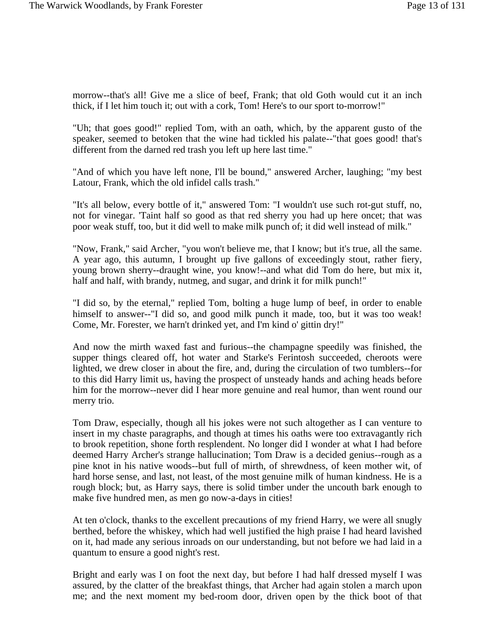morrow--that's all! Give me a slice of beef, Frank; that old Goth would cut it an inch thick, if I let him touch it; out with a cork, Tom! Here's to our sport to-morrow!"

"Uh; that goes good!" replied Tom, with an oath, which, by the apparent gusto of the speaker, seemed to betoken that the wine had tickled his palate--"that goes good! that's different from the darned red trash you left up here last time."

"And of which you have left none, I'll be bound," answered Archer, laughing; "my best Latour, Frank, which the old infidel calls trash."

"It's all below, every bottle of it," answered Tom: "I wouldn't use such rot-gut stuff, no, not for vinegar. 'Taint half so good as that red sherry you had up here oncet; that was poor weak stuff, too, but it did well to make milk punch of; it did well instead of milk."

"Now, Frank," said Archer, "you won't believe me, that I know; but it's true, all the same. A year ago, this autumn, I brought up five gallons of exceedingly stout, rather fiery, young brown sherry--draught wine, you know!--and what did Tom do here, but mix it, half and half, with brandy, nutmeg, and sugar, and drink it for milk punch!"

"I did so, by the eternal," replied Tom, bolting a huge lump of beef, in order to enable himself to answer--"I did so, and good milk punch it made, too, but it was too weak! Come, Mr. Forester, we harn't drinked yet, and I'm kind o' gittin dry!"

And now the mirth waxed fast and furious--the champagne speedily was finished, the supper things cleared off, hot water and Starke's Ferintosh succeeded, cheroots were lighted, we drew closer in about the fire, and, during the circulation of two tumblers--for to this did Harry limit us, having the prospect of unsteady hands and aching heads before him for the morrow--never did I hear more genuine and real humor, than went round our merry trio.

Tom Draw, especially, though all his jokes were not such altogether as I can venture to insert in my chaste paragraphs, and though at times his oaths were too extravagantly rich to brook repetition, shone forth resplendent. No longer did I wonder at what I had before deemed Harry Archer's strange hallucination; Tom Draw is a decided genius--rough as a pine knot in his native woods--but full of mirth, of shrewdness, of keen mother wit, of hard horse sense, and last, not least, of the most genuine milk of human kindness. He is a rough block; but, as Harry says, there is solid timber under the uncouth bark enough to make five hundred men, as men go now-a-days in cities!

At ten o'clock, thanks to the excellent precautions of my friend Harry, we were all snugly berthed, before the whiskey, which had well justified the high praise I had heard lavished on it, had made any serious inroads on our understanding, but not before we had laid in a quantum to ensure a good night's rest.

Bright and early was I on foot the next day, but before I had half dressed myself I was assured, by the clatter of the breakfast things, that Archer had again stolen a march upon me; and the next moment my bed-room door, driven open by the thick boot of that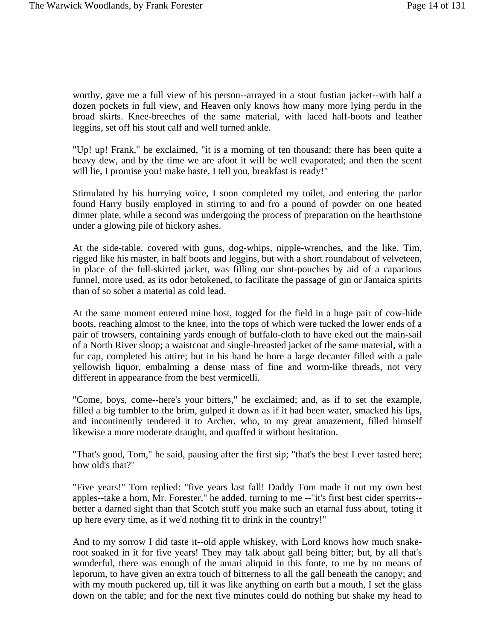worthy, gave me a full view of his person--arrayed in a stout fustian jacket--with half a dozen pockets in full view, and Heaven only knows how many more lying perdu in the broad skirts. Knee-breeches of the same material, with laced half-boots and leather leggins, set off his stout calf and well turned ankle.

"Up! up! Frank," he exclaimed, "it is a morning of ten thousand; there has been quite a heavy dew, and by the time we are afoot it will be well evaporated; and then the scent will lie, I promise you! make haste, I tell you, breakfast is ready!"

Stimulated by his hurrying voice, I soon completed my toilet, and entering the parlor found Harry busily employed in stirring to and fro a pound of powder on one heated dinner plate, while a second was undergoing the process of preparation on the hearthstone under a glowing pile of hickory ashes.

At the side-table, covered with guns, dog-whips, nipple-wrenches, and the like, Tim, rigged like his master, in half boots and leggins, but with a short roundabout of velveteen, in place of the full-skirted jacket, was filling our shot-pouches by aid of a capacious funnel, more used, as its odor betokened, to facilitate the passage of gin or Jamaica spirits than of so sober a material as cold lead.

At the same moment entered mine host, togged for the field in a huge pair of cow-hide boots, reaching almost to the knee, into the tops of which were tucked the lower ends of a pair of trowsers, containing yards enough of buffalo-cloth to have eked out the main-sail of a North River sloop; a waistcoat and single-breasted jacket of the same material, with a fur cap, completed his attire; but in his hand he bore a large decanter filled with a pale yellowish liquor, embalming a dense mass of fine and worm-like threads, not very different in appearance from the best vermicelli.

"Come, boys, come--here's your bitters," he exclaimed; and, as if to set the example, filled a big tumbler to the brim, gulped it down as if it had been water, smacked his lips, and incontinently tendered it to Archer, who, to my great amazement, filled himself likewise a more moderate draught, and quaffed it without hesitation.

"That's good, Tom," he said, pausing after the first sip; "that's the best I ever tasted here; how old's that?"

"Five years!" Tom replied: "five years last fall! Daddy Tom made it out my own best apples--take a horn, Mr. Forester," he added, turning to me --"it's first best cider sperrits- better a darned sight than that Scotch stuff you make such an etarnal fuss about, toting it up here every time, as if we'd nothing fit to drink in the country!"

And to my sorrow I did taste it--old apple whiskey, with Lord knows how much snakeroot soaked in it for five years! They may talk about gall being bitter; but, by all that's wonderful, there was enough of the amari aliquid in this fonte, to me by no means of leporum, to have given an extra touch of bitterness to all the gall beneath the canopy; and with my mouth puckered up, till it was like anything on earth but a mouth, I set the glass down on the table; and for the next five minutes could do nothing but shake my head to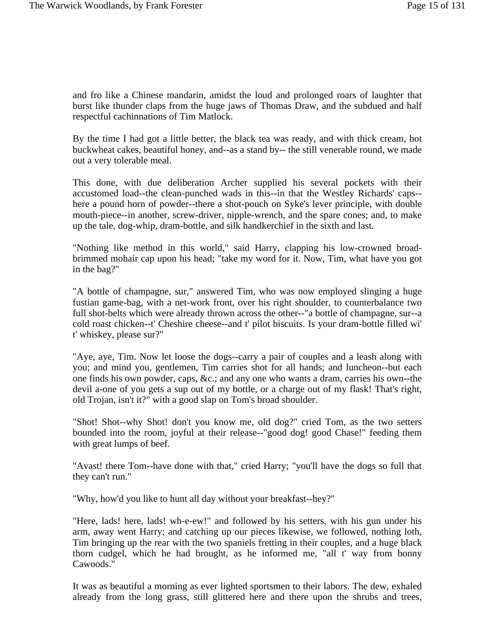and fro like a Chinese mandarin, amidst the loud and prolonged roars of laughter that burst like thunder claps from the huge jaws of Thomas Draw, and the subdued and half respectful cachinnations of Tim Matlock.

By the time I had got a little better, the black tea was ready, and with thick cream, hot buckwheat cakes, beautiful honey, and--as a stand by-- the still venerable round, we made out a very tolerable meal.

This done, with due deliberation Archer supplied his several pockets with their accustomed load--the clean-punched wads in this--in that the Westley Richards' caps- here a pound horn of powder--there a shot-pouch on Syke's lever principle, with double mouth-piece--in another, screw-driver, nipple-wrench, and the spare cones; and, to make up the tale, dog-whip, dram-bottle, and silk handkerchief in the sixth and last.

"Nothing like method in this world," said Harry, clapping his low-crowned broadbrimmed mohair cap upon his head; "take my word for it. Now, Tim, what have you got in the bag?"

"A bottle of champagne, sur," answered Tim, who was now employed slinging a huge fustian game-bag, with a net-work front, over his right shoulder, to counterbalance two full shot-belts which were already thrown across the other--"a bottle of champagne, sur--a cold roast chicken--t' Cheshire cheese--and t' pilot biscuits. Is your dram-bottle filled wi' t' whiskey, please sur?"

"Aye, aye, Tim. Now let loose the dogs--carry a pair of couples and a leash along with you; and mind you, gentlemen, Tim carries shot for all hands; and luncheon--but each one finds his own powder, caps, &c.; and any one who wants a dram, carries his own--the devil a-one of you gets a sup out of my bottle, or a charge out of my flask! That's right, old Trojan, isn't it?" with a good slap on Tom's broad shoulder.

"Shot! Shot--why Shot! don't you know me, old dog?" cried Tom, as the two setters bounded into the room, joyful at their release--"good dog! good Chase!" feeding them with great lumps of beef.

"Avast! there Tom--have done with that," cried Harry; "you'll have the dogs so full that they can't run."

"Why, how'd you like to hunt all day without your breakfast--hey?"

"Here, lads! here, lads! wh-e-ew!" and followed by his setters, with his gun under his arm, away went Harry; and catching up our pieces likewise, we followed, nothing loth, Tim bringing up the rear with the two spaniels fretting in their couples, and a huge black thorn cudgel, which he had brought, as he informed me, "all t' way from bonny Cawoods."

It was as beautiful a morning as ever lighted sportsmen to their labors. The dew, exhaled already from the long grass, still glittered here and there upon the shrubs and trees,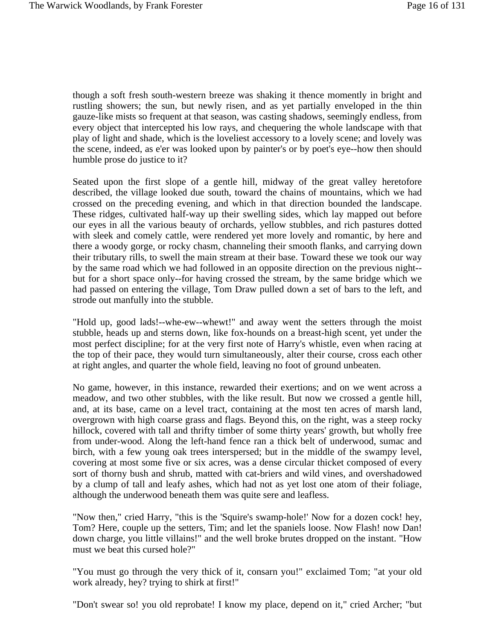though a soft fresh south-western breeze was shaking it thence momently in bright and rustling showers; the sun, but newly risen, and as yet partially enveloped in the thin gauze-like mists so frequent at that season, was casting shadows, seemingly endless, from every object that intercepted his low rays, and chequering the whole landscape with that play of light and shade, which is the loveliest accessory to a lovely scene; and lovely was the scene, indeed, as e'er was looked upon by painter's or by poet's eye--how then should humble prose do justice to it?

Seated upon the first slope of a gentle hill, midway of the great valley heretofore described, the village looked due south, toward the chains of mountains, which we had crossed on the preceding evening, and which in that direction bounded the landscape. These ridges, cultivated half-way up their swelling sides, which lay mapped out before our eyes in all the various beauty of orchards, yellow stubbles, and rich pastures dotted with sleek and comely cattle, were rendered yet more lovely and romantic, by here and there a woody gorge, or rocky chasm, channeling their smooth flanks, and carrying down their tributary rills, to swell the main stream at their base. Toward these we took our way by the same road which we had followed in an opposite direction on the previous night- but for a short space only--for having crossed the stream, by the same bridge which we had passed on entering the village, Tom Draw pulled down a set of bars to the left, and strode out manfully into the stubble.

"Hold up, good lads!--whe-ew--whewt!" and away went the setters through the moist stubble, heads up and sterns down, like fox-hounds on a breast-high scent, yet under the most perfect discipline; for at the very first note of Harry's whistle, even when racing at the top of their pace, they would turn simultaneously, alter their course, cross each other at right angles, and quarter the whole field, leaving no foot of ground unbeaten.

No game, however, in this instance, rewarded their exertions; and on we went across a meadow, and two other stubbles, with the like result. But now we crossed a gentle hill, and, at its base, came on a level tract, containing at the most ten acres of marsh land, overgrown with high coarse grass and flags. Beyond this, on the right, was a steep rocky hillock, covered with tall and thrifty timber of some thirty years' growth, but wholly free from under-wood. Along the left-hand fence ran a thick belt of underwood, sumac and birch, with a few young oak trees interspersed; but in the middle of the swampy level, covering at most some five or six acres, was a dense circular thicket composed of every sort of thorny bush and shrub, matted with cat-briers and wild vines, and overshadowed by a clump of tall and leafy ashes, which had not as yet lost one atom of their foliage, although the underwood beneath them was quite sere and leafless.

"Now then," cried Harry, "this is the 'Squire's swamp-hole!' Now for a dozen cock! hey, Tom? Here, couple up the setters, Tim; and let the spaniels loose. Now Flash! now Dan! down charge, you little villains!" and the well broke brutes dropped on the instant. "How must we beat this cursed hole?"

"You must go through the very thick of it, consarn you!" exclaimed Tom; "at your old work already, hey? trying to shirk at first!"

"Don't swear so! you old reprobate! I know my place, depend on it," cried Archer; "but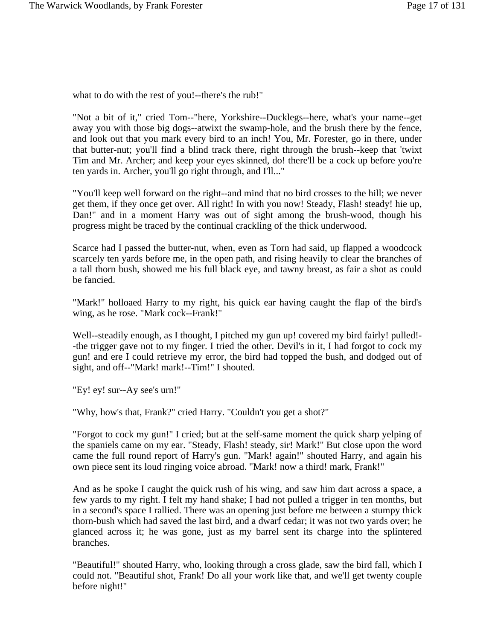what to do with the rest of you!--there's the rub!"

"Not a bit of it," cried Tom--"here, Yorkshire--Ducklegs--here, what's your name--get away you with those big dogs--atwixt the swamp-hole, and the brush there by the fence, and look out that you mark every bird to an inch! You, Mr. Forester, go in there, under that butter-nut; you'll find a blind track there, right through the brush--keep that 'twixt Tim and Mr. Archer; and keep your eyes skinned, do! there'll be a cock up before you're ten yards in. Archer, you'll go right through, and I'll..."

"You'll keep well forward on the right--and mind that no bird crosses to the hill; we never get them, if they once get over. All right! In with you now! Steady, Flash! steady! hie up, Dan!" and in a moment Harry was out of sight among the brush-wood, though his progress might be traced by the continual crackling of the thick underwood.

Scarce had I passed the butter-nut, when, even as Torn had said, up flapped a woodcock scarcely ten yards before me, in the open path, and rising heavily to clear the branches of a tall thorn bush, showed me his full black eye, and tawny breast, as fair a shot as could be fancied.

"Mark!" holloaed Harry to my right, his quick ear having caught the flap of the bird's wing, as he rose. "Mark cock--Frank!"

Well--steadily enough, as I thought, I pitched my gun up! covered my bird fairly! pulled!- -the trigger gave not to my finger. I tried the other. Devil's in it, I had forgot to cock my gun! and ere I could retrieve my error, the bird had topped the bush, and dodged out of sight, and off--"Mark! mark!--Tim!" I shouted.

"Ey! ey! sur--Ay see's urn!"

"Why, how's that, Frank?" cried Harry. "Couldn't you get a shot?"

"Forgot to cock my gun!" I cried; but at the self-same moment the quick sharp yelping of the spaniels came on my ear. "Steady, Flash! steady, sir! Mark!" But close upon the word came the full round report of Harry's gun. "Mark! again!" shouted Harry, and again his own piece sent its loud ringing voice abroad. "Mark! now a third! mark, Frank!"

And as he spoke I caught the quick rush of his wing, and saw him dart across a space, a few yards to my right. I felt my hand shake; I had not pulled a trigger in ten months, but in a second's space I rallied. There was an opening just before me between a stumpy thick thorn-bush which had saved the last bird, and a dwarf cedar; it was not two yards over; he glanced across it; he was gone, just as my barrel sent its charge into the splintered branches.

"Beautiful!" shouted Harry, who, looking through a cross glade, saw the bird fall, which I could not. "Beautiful shot, Frank! Do all your work like that, and we'll get twenty couple before night!"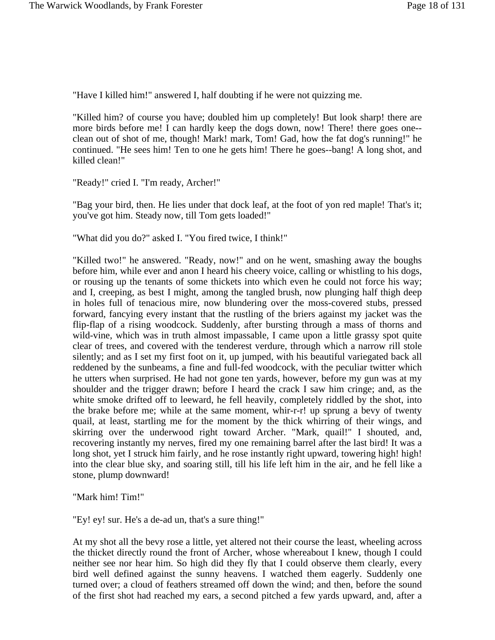"Have I killed him!" answered I, half doubting if he were not quizzing me.

"Killed him? of course you have; doubled him up completely! But look sharp! there are more birds before me! I can hardly keep the dogs down, now! There! there goes one- clean out of shot of me, though! Mark! mark, Tom! Gad, how the fat dog's running!" he continued. "He sees him! Ten to one he gets him! There he goes--bang! A long shot, and killed clean!"

"Ready!" cried I. "I'm ready, Archer!"

"Bag your bird, then. He lies under that dock leaf, at the foot of yon red maple! That's it; you've got him. Steady now, till Tom gets loaded!"

"What did you do?" asked I. "You fired twice, I think!"

"Killed two!" he answered. "Ready, now!" and on he went, smashing away the boughs before him, while ever and anon I heard his cheery voice, calling or whistling to his dogs, or rousing up the tenants of some thickets into which even he could not force his way; and I, creeping, as best I might, among the tangled brush, now plunging half thigh deep in holes full of tenacious mire, now blundering over the moss-covered stubs, pressed forward, fancying every instant that the rustling of the briers against my jacket was the flip-flap of a rising woodcock. Suddenly, after bursting through a mass of thorns and wild-vine, which was in truth almost impassable, I came upon a little grassy spot quite clear of trees, and covered with the tenderest verdure, through which a narrow rill stole silently; and as I set my first foot on it, up jumped, with his beautiful variegated back all reddened by the sunbeams, a fine and full-fed woodcock, with the peculiar twitter which he utters when surprised. He had not gone ten yards, however, before my gun was at my shoulder and the trigger drawn; before I heard the crack I saw him cringe; and, as the white smoke drifted off to leeward, he fell heavily, completely riddled by the shot, into the brake before me; while at the same moment, whir-r-r! up sprung a bevy of twenty quail, at least, startling me for the moment by the thick whirring of their wings, and skirring over the underwood right toward Archer. "Mark, quail!" I shouted, and, recovering instantly my nerves, fired my one remaining barrel after the last bird! It was a long shot, yet I struck him fairly, and he rose instantly right upward, towering high! high! into the clear blue sky, and soaring still, till his life left him in the air, and he fell like a stone, plump downward!

"Mark him! Tim!"

"Ey! ey! sur. He's a de-ad un, that's a sure thing!"

At my shot all the bevy rose a little, yet altered not their course the least, wheeling across the thicket directly round the front of Archer, whose whereabout I knew, though I could neither see nor hear him. So high did they fly that I could observe them clearly, every bird well defined against the sunny heavens. I watched them eagerly. Suddenly one turned over; a cloud of feathers streamed off down the wind; and then, before the sound of the first shot had reached my ears, a second pitched a few yards upward, and, after a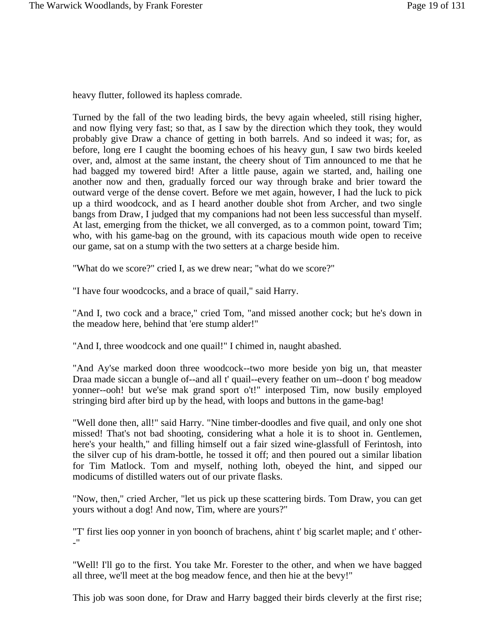heavy flutter, followed its hapless comrade.

Turned by the fall of the two leading birds, the bevy again wheeled, still rising higher, and now flying very fast; so that, as I saw by the direction which they took, they would probably give Draw a chance of getting in both barrels. And so indeed it was; for, as before, long ere I caught the booming echoes of his heavy gun, I saw two birds keeled over, and, almost at the same instant, the cheery shout of Tim announced to me that he had bagged my towered bird! After a little pause, again we started, and, hailing one another now and then, gradually forced our way through brake and brier toward the outward verge of the dense covert. Before we met again, however, I had the luck to pick up a third woodcock, and as I heard another double shot from Archer, and two single bangs from Draw, I judged that my companions had not been less successful than myself. At last, emerging from the thicket, we all converged, as to a common point, toward Tim; who, with his game-bag on the ground, with its capacious mouth wide open to receive our game, sat on a stump with the two setters at a charge beside him.

"What do we score?" cried I, as we drew near; "what do we score?"

"I have four woodcocks, and a brace of quail," said Harry.

"And I, two cock and a brace," cried Tom, "and missed another cock; but he's down in the meadow here, behind that 'ere stump alder!"

"And I, three woodcock and one quail!" I chimed in, naught abashed.

"And Ay'se marked doon three woodcock--two more beside yon big un, that measter Draa made siccan a bungle of--and all t' quail--every feather on um--doon t' bog meadow yonner--ooh! but we'se mak grand sport o't!" interposed Tim, now busily employed stringing bird after bird up by the head, with loops and buttons in the game-bag!

"Well done then, all!" said Harry. "Nine timber-doodles and five quail, and only one shot missed! That's not bad shooting, considering what a hole it is to shoot in. Gentlemen, here's your health," and filling himself out a fair sized wine-glassfull of Ferintosh, into the silver cup of his dram-bottle, he tossed it off; and then poured out a similar libation for Tim Matlock. Tom and myself, nothing loth, obeyed the hint, and sipped our modicums of distilled waters out of our private flasks.

"Now, then," cried Archer, "let us pick up these scattering birds. Tom Draw, you can get yours without a dog! And now, Tim, where are yours?"

"T' first lies oop yonner in yon boonch of brachens, ahint t' big scarlet maple; and t' other- -"

"Well! I'll go to the first. You take Mr. Forester to the other, and when we have bagged all three, we'll meet at the bog meadow fence, and then hie at the bevy!"

This job was soon done, for Draw and Harry bagged their birds cleverly at the first rise;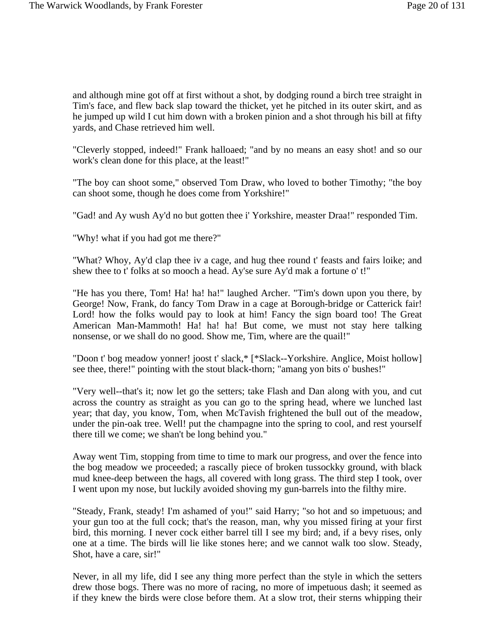and although mine got off at first without a shot, by dodging round a birch tree straight in Tim's face, and flew back slap toward the thicket, yet he pitched in its outer skirt, and as he jumped up wild I cut him down with a broken pinion and a shot through his bill at fifty yards, and Chase retrieved him well.

"Cleverly stopped, indeed!" Frank halloaed; "and by no means an easy shot! and so our work's clean done for this place, at the least!"

"The boy can shoot some," observed Tom Draw, who loved to bother Timothy; "the boy can shoot some, though he does come from Yorkshire!"

"Gad! and Ay wush Ay'd no but gotten thee i' Yorkshire, measter Draa!" responded Tim.

"Why! what if you had got me there?"

"What? Whoy, Ay'd clap thee iv a cage, and hug thee round t' feasts and fairs loike; and shew thee to t' folks at so mooch a head. Ay'se sure Ay'd mak a fortune o' t!"

"He has you there, Tom! Ha! ha! ha!" laughed Archer. "Tim's down upon you there, by George! Now, Frank, do fancy Tom Draw in a cage at Borough-bridge or Catterick fair! Lord! how the folks would pay to look at him! Fancy the sign board too! The Great American Man-Mammoth! Ha! ha! ha! But come, we must not stay here talking nonsense, or we shall do no good. Show me, Tim, where are the quail!"

"Doon t' bog meadow yonner! joost t' slack,\* [\*Slack--Yorkshire. Anglice, Moist hollow] see thee, there!" pointing with the stout black-thorn; "amang yon bits o' bushes!"

"Very well--that's it; now let go the setters; take Flash and Dan along with you, and cut across the country as straight as you can go to the spring head, where we lunched last year; that day, you know, Tom, when McTavish frightened the bull out of the meadow, under the pin-oak tree. Well! put the champagne into the spring to cool, and rest yourself there till we come; we shan't be long behind you."

Away went Tim, stopping from time to time to mark our progress, and over the fence into the bog meadow we proceeded; a rascally piece of broken tussockky ground, with black mud knee-deep between the hags, all covered with long grass. The third step I took, over I went upon my nose, but luckily avoided shoving my gun-barrels into the filthy mire.

"Steady, Frank, steady! I'm ashamed of you!" said Harry; "so hot and so impetuous; and your gun too at the full cock; that's the reason, man, why you missed firing at your first bird, this morning. I never cock either barrel till I see my bird; and, if a bevy rises, only one at a time. The birds will lie like stones here; and we cannot walk too slow. Steady, Shot, have a care, sir!"

Never, in all my life, did I see any thing more perfect than the style in which the setters drew those bogs. There was no more of racing, no more of impetuous dash; it seemed as if they knew the birds were close before them. At a slow trot, their sterns whipping their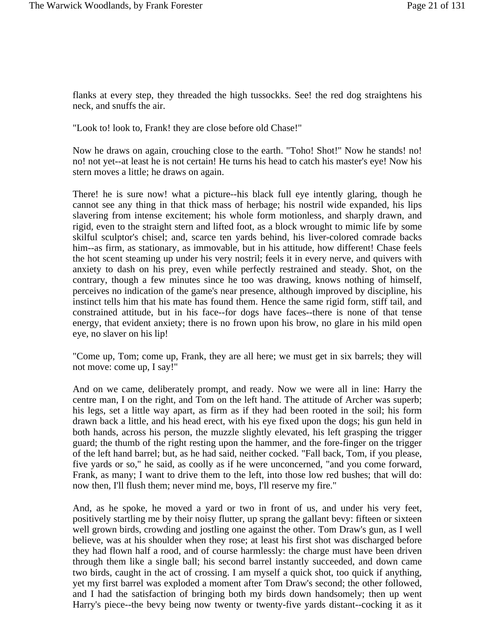flanks at every step, they threaded the high tussockks. See! the red dog straightens his neck, and snuffs the air.

"Look to! look to, Frank! they are close before old Chase!"

Now he draws on again, crouching close to the earth. "Toho! Shot!" Now he stands! no! no! not yet--at least he is not certain! He turns his head to catch his master's eye! Now his stern moves a little; he draws on again.

There! he is sure now! what a picture--his black full eye intently glaring, though he cannot see any thing in that thick mass of herbage; his nostril wide expanded, his lips slavering from intense excitement; his whole form motionless, and sharply drawn, and rigid, even to the straight stern and lifted foot, as a block wrought to mimic life by some skilful sculptor's chisel; and, scarce ten yards behind, his liver-colored comrade backs him--as firm, as stationary, as immovable, but in his attitude, how different! Chase feels the hot scent steaming up under his very nostril; feels it in every nerve, and quivers with anxiety to dash on his prey, even while perfectly restrained and steady. Shot, on the contrary, though a few minutes since he too was drawing, knows nothing of himself, perceives no indication of the game's near presence, although improved by discipline, his instinct tells him that his mate has found them. Hence the same rigid form, stiff tail, and constrained attitude, but in his face--for dogs have faces--there is none of that tense energy, that evident anxiety; there is no frown upon his brow, no glare in his mild open eye, no slaver on his lip!

"Come up, Tom; come up, Frank, they are all here; we must get in six barrels; they will not move: come up, I say!"

And on we came, deliberately prompt, and ready. Now we were all in line: Harry the centre man, I on the right, and Tom on the left hand. The attitude of Archer was superb; his legs, set a little way apart, as firm as if they had been rooted in the soil; his form drawn back a little, and his head erect, with his eye fixed upon the dogs; his gun held in both hands, across his person, the muzzle slightly elevated, his left grasping the trigger guard; the thumb of the right resting upon the hammer, and the fore-finger on the trigger of the left hand barrel; but, as he had said, neither cocked. "Fall back, Tom, if you please, five yards or so," he said, as coolly as if he were unconcerned, "and you come forward, Frank, as many; I want to drive them to the left, into those low red bushes; that will do: now then, I'll flush them; never mind me, boys, I'll reserve my fire."

And, as he spoke, he moved a yard or two in front of us, and under his very feet, positively startling me by their noisy flutter, up sprang the gallant bevy: fifteen or sixteen well grown birds, crowding and jostling one against the other. Tom Draw's gun, as I well believe, was at his shoulder when they rose; at least his first shot was discharged before they had flown half a rood, and of course harmlessly: the charge must have been driven through them like a single ball; his second barrel instantly succeeded, and down came two birds, caught in the act of crossing. I am myself a quick shot, too quick if anything, yet my first barrel was exploded a moment after Tom Draw's second; the other followed, and I had the satisfaction of bringing both my birds down handsomely; then up went Harry's piece--the bevy being now twenty or twenty-five yards distant--cocking it as it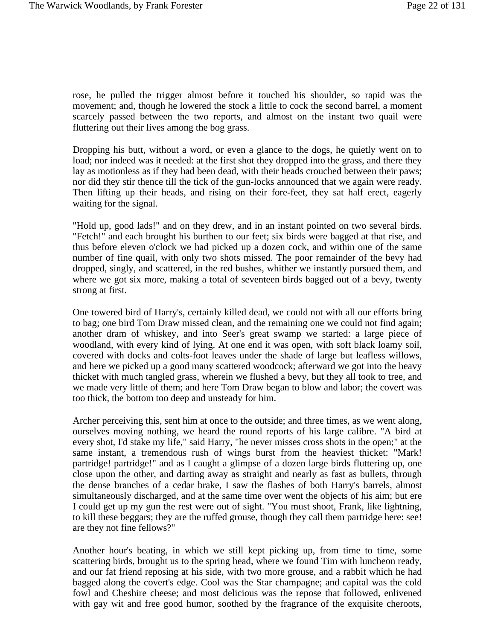rose, he pulled the trigger almost before it touched his shoulder, so rapid was the movement; and, though he lowered the stock a little to cock the second barrel, a moment scarcely passed between the two reports, and almost on the instant two quail were fluttering out their lives among the bog grass.

Dropping his butt, without a word, or even a glance to the dogs, he quietly went on to load; nor indeed was it needed: at the first shot they dropped into the grass, and there they lay as motionless as if they had been dead, with their heads crouched between their paws; nor did they stir thence till the tick of the gun-locks announced that we again were ready. Then lifting up their heads, and rising on their fore-feet, they sat half erect, eagerly waiting for the signal.

"Hold up, good lads!" and on they drew, and in an instant pointed on two several birds. "Fetch!" and each brought his burthen to our feet; six birds were bagged at that rise, and thus before eleven o'clock we had picked up a dozen cock, and within one of the same number of fine quail, with only two shots missed. The poor remainder of the bevy had dropped, singly, and scattered, in the red bushes, whither we instantly pursued them, and where we got six more, making a total of seventeen birds bagged out of a bevy, twenty strong at first.

One towered bird of Harry's, certainly killed dead, we could not with all our efforts bring to bag; one bird Tom Draw missed clean, and the remaining one we could not find again; another dram of whiskey, and into Seer's great swamp we started: a large piece of woodland, with every kind of lying. At one end it was open, with soft black loamy soil, covered with docks and colts-foot leaves under the shade of large but leafless willows, and here we picked up a good many scattered woodcock; afterward we got into the heavy thicket with much tangled grass, wherein we flushed a bevy, but they all took to tree, and we made very little of them; and here Tom Draw began to blow and labor; the covert was too thick, the bottom too deep and unsteady for him.

Archer perceiving this, sent him at once to the outside; and three times, as we went along, ourselves moving nothing, we heard the round reports of his large calibre. "A bird at every shot, I'd stake my life," said Harry, "he never misses cross shots in the open;" at the same instant, a tremendous rush of wings burst from the heaviest thicket: "Mark! partridge! partridge!" and as I caught a glimpse of a dozen large birds fluttering up, one close upon the other, and darting away as straight and nearly as fast as bullets, through the dense branches of a cedar brake, I saw the flashes of both Harry's barrels, almost simultaneously discharged, and at the same time over went the objects of his aim; but ere I could get up my gun the rest were out of sight. "You must shoot, Frank, like lightning, to kill these beggars; they are the ruffed grouse, though they call them partridge here: see! are they not fine fellows?"

Another hour's beating, in which we still kept picking up, from time to time, some scattering birds, brought us to the spring head, where we found Tim with luncheon ready, and our fat friend reposing at his side, with two more grouse, and a rabbit which he had bagged along the covert's edge. Cool was the Star champagne; and capital was the cold fowl and Cheshire cheese; and most delicious was the repose that followed, enlivened with gay wit and free good humor, soothed by the fragrance of the exquisite cheroots,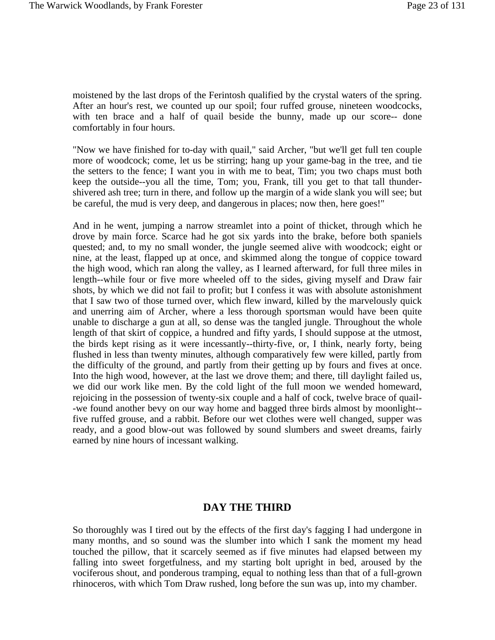moistened by the last drops of the Ferintosh qualified by the crystal waters of the spring. After an hour's rest, we counted up our spoil; four ruffed grouse, nineteen woodcocks, with ten brace and a half of quail beside the bunny, made up our score-- done comfortably in four hours.

"Now we have finished for to-day with quail," said Archer, "but we'll get full ten couple more of woodcock; come, let us be stirring; hang up your game-bag in the tree, and tie the setters to the fence; I want you in with me to beat, Tim; you two chaps must both keep the outside--you all the time, Tom; you, Frank, till you get to that tall thundershivered ash tree; turn in there, and follow up the margin of a wide slank you will see; but be careful, the mud is very deep, and dangerous in places; now then, here goes!"

And in he went, jumping a narrow streamlet into a point of thicket, through which he drove by main force. Scarce had he got six yards into the brake, before both spaniels quested; and, to my no small wonder, the jungle seemed alive with woodcock; eight or nine, at the least, flapped up at once, and skimmed along the tongue of coppice toward the high wood, which ran along the valley, as I learned afterward, for full three miles in length--while four or five more wheeled off to the sides, giving myself and Draw fair shots, by which we did not fail to profit; but I confess it was with absolute astonishment that I saw two of those turned over, which flew inward, killed by the marvelously quick and unerring aim of Archer, where a less thorough sportsman would have been quite unable to discharge a gun at all, so dense was the tangled jungle. Throughout the whole length of that skirt of coppice, a hundred and fifty yards, I should suppose at the utmost, the birds kept rising as it were incessantly--thirty-five, or, I think, nearly forty, being flushed in less than twenty minutes, although comparatively few were killed, partly from the difficulty of the ground, and partly from their getting up by fours and fives at once. Into the high wood, however, at the last we drove them; and there, till daylight failed us, we did our work like men. By the cold light of the full moon we wended homeward, rejoicing in the possession of twenty-six couple and a half of cock, twelve brace of quail- -we found another bevy on our way home and bagged three birds almost by moonlight- five ruffed grouse, and a rabbit. Before our wet clothes were well changed, supper was ready, and a good blow-out was followed by sound slumbers and sweet dreams, fairly earned by nine hours of incessant walking.

#### **DAY THE THIRD**

So thoroughly was I tired out by the effects of the first day's fagging I had undergone in many months, and so sound was the slumber into which I sank the moment my head touched the pillow, that it scarcely seemed as if five minutes had elapsed between my falling into sweet forgetfulness, and my starting bolt upright in bed, aroused by the vociferous shout, and ponderous tramping, equal to nothing less than that of a full-grown rhinoceros, with which Tom Draw rushed, long before the sun was up, into my chamber.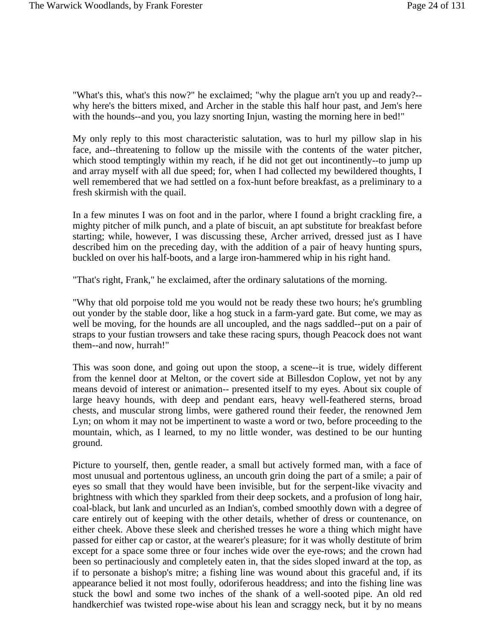"What's this, what's this now?" he exclaimed; "why the plague arn't you up and ready?- why here's the bitters mixed, and Archer in the stable this half hour past, and Jem's here with the hounds--and you, you lazy snorting Injun, wasting the morning here in bed!"

My only reply to this most characteristic salutation, was to hurl my pillow slap in his face, and--threatening to follow up the missile with the contents of the water pitcher, which stood temptingly within my reach, if he did not get out incontinently-to jump up and array myself with all due speed; for, when I had collected my bewildered thoughts, I well remembered that we had settled on a fox-hunt before breakfast, as a preliminary to a fresh skirmish with the quail.

In a few minutes I was on foot and in the parlor, where I found a bright crackling fire, a mighty pitcher of milk punch, and a plate of biscuit, an apt substitute for breakfast before starting; while, however, I was discussing these, Archer arrived, dressed just as I have described him on the preceding day, with the addition of a pair of heavy hunting spurs, buckled on over his half-boots, and a large iron-hammered whip in his right hand.

"That's right, Frank," he exclaimed, after the ordinary salutations of the morning.

"Why that old porpoise told me you would not be ready these two hours; he's grumbling out yonder by the stable door, like a hog stuck in a farm-yard gate. But come, we may as well be moving, for the hounds are all uncoupled, and the nags saddled--put on a pair of straps to your fustian trowsers and take these racing spurs, though Peacock does not want them--and now, hurrah!"

This was soon done, and going out upon the stoop, a scene--it is true, widely different from the kennel door at Melton, or the covert side at Billesdon Coplow, yet not by any means devoid of interest or animation-- presented itself to my eyes. About six couple of large heavy hounds, with deep and pendant ears, heavy well-feathered sterns, broad chests, and muscular strong limbs, were gathered round their feeder, the renowned Jem Lyn; on whom it may not be impertinent to waste a word or two, before proceeding to the mountain, which, as I learned, to my no little wonder, was destined to be our hunting ground.

Picture to yourself, then, gentle reader, a small but actively formed man, with a face of most unusual and portentous ugliness, an uncouth grin doing the part of a smile; a pair of eyes so small that they would have been invisible, but for the serpent-like vivacity and brightness with which they sparkled from their deep sockets, and a profusion of long hair, coal-black, but lank and uncurled as an Indian's, combed smoothly down with a degree of care entirely out of keeping with the other details, whether of dress or countenance, on either cheek. Above these sleek and cherished tresses he wore a thing which might have passed for either cap or castor, at the wearer's pleasure; for it was wholly destitute of brim except for a space some three or four inches wide over the eye-rows; and the crown had been so pertinaciously and completely eaten in, that the sides sloped inward at the top, as if to personate a bishop's mitre; a fishing line was wound about this graceful and, if its appearance belied it not most foully, odoriferous headdress; and into the fishing line was stuck the bowl and some two inches of the shank of a well-sooted pipe. An old red handkerchief was twisted rope-wise about his lean and scraggy neck, but it by no means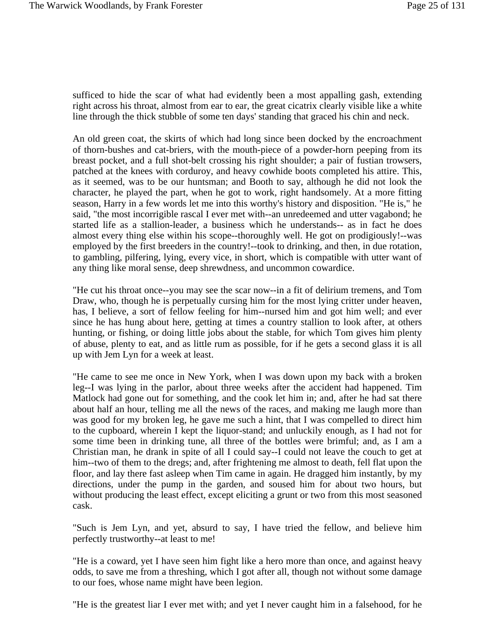sufficed to hide the scar of what had evidently been a most appalling gash, extending right across his throat, almost from ear to ear, the great cicatrix clearly visible like a white line through the thick stubble of some ten days' standing that graced his chin and neck.

An old green coat, the skirts of which had long since been docked by the encroachment of thorn-bushes and cat-briers, with the mouth-piece of a powder-horn peeping from its breast pocket, and a full shot-belt crossing his right shoulder; a pair of fustian trowsers, patched at the knees with corduroy, and heavy cowhide boots completed his attire. This, as it seemed, was to be our huntsman; and Booth to say, although he did not look the character, he played the part, when he got to work, right handsomely. At a more fitting season, Harry in a few words let me into this worthy's history and disposition. "He is," he said, "the most incorrigible rascal I ever met with--an unredeemed and utter vagabond; he started life as a stallion-leader, a business which he understands-- as in fact he does almost every thing else within his scope--thoroughly well. He got on prodigiously!--was employed by the first breeders in the country!--took to drinking, and then, in due rotation, to gambling, pilfering, lying, every vice, in short, which is compatible with utter want of any thing like moral sense, deep shrewdness, and uncommon cowardice.

"He cut his throat once--you may see the scar now--in a fit of delirium tremens, and Tom Draw, who, though he is perpetually cursing him for the most lying critter under heaven, has, I believe, a sort of fellow feeling for him--nursed him and got him well; and ever since he has hung about here, getting at times a country stallion to look after, at others hunting, or fishing, or doing little jobs about the stable, for which Tom gives him plenty of abuse, plenty to eat, and as little rum as possible, for if he gets a second glass it is all up with Jem Lyn for a week at least.

"He came to see me once in New York, when I was down upon my back with a broken leg--I was lying in the parlor, about three weeks after the accident had happened. Tim Matlock had gone out for something, and the cook let him in; and, after he had sat there about half an hour, telling me all the news of the races, and making me laugh more than was good for my broken leg, he gave me such a hint, that I was compelled to direct him to the cupboard, wherein I kept the liquor-stand; and unluckily enough, as I had not for some time been in drinking tune, all three of the bottles were brimful; and, as I am a Christian man, he drank in spite of all I could say--I could not leave the couch to get at him--two of them to the dregs; and, after frightening me almost to death, fell flat upon the floor, and lay there fast asleep when Tim came in again. He dragged him instantly, by my directions, under the pump in the garden, and soused him for about two hours, but without producing the least effect, except eliciting a grunt or two from this most seasoned cask.

"Such is Jem Lyn, and yet, absurd to say, I have tried the fellow, and believe him perfectly trustworthy--at least to me!

"He is a coward, yet I have seen him fight like a hero more than once, and against heavy odds, to save me from a threshing, which I got after all, though not without some damage to our foes, whose name might have been legion.

"He is the greatest liar I ever met with; and yet I never caught him in a falsehood, for he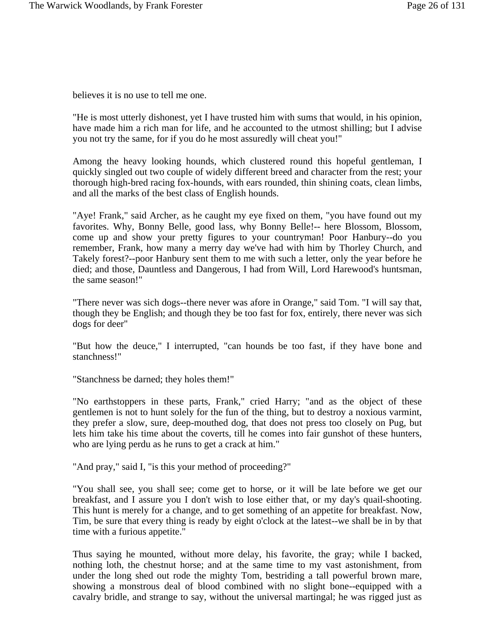believes it is no use to tell me one.

"He is most utterly dishonest, yet I have trusted him with sums that would, in his opinion, have made him a rich man for life, and he accounted to the utmost shilling; but I advise you not try the same, for if you do he most assuredly will cheat you!"

Among the heavy looking hounds, which clustered round this hopeful gentleman, I quickly singled out two couple of widely different breed and character from the rest; your thorough high-bred racing fox-hounds, with ears rounded, thin shining coats, clean limbs, and all the marks of the best class of English hounds.

"Aye! Frank," said Archer, as he caught my eye fixed on them, "you have found out my favorites. Why, Bonny Belle, good lass, why Bonny Belle!-- here Blossom, Blossom, come up and show your pretty figures to your countryman! Poor Hanbury--do you remember, Frank, how many a merry day we've had with him by Thorley Church, and Takely forest?--poor Hanbury sent them to me with such a letter, only the year before he died; and those, Dauntless and Dangerous, I had from Will, Lord Harewood's huntsman, the same season!"

"There never was sich dogs--there never was afore in Orange," said Tom. "I will say that, though they be English; and though they be too fast for fox, entirely, there never was sich dogs for deer"

"But how the deuce," I interrupted, "can hounds be too fast, if they have bone and stanchness!"

"Stanchness be darned; they holes them!"

"No earthstoppers in these parts, Frank," cried Harry; "and as the object of these gentlemen is not to hunt solely for the fun of the thing, but to destroy a noxious varmint, they prefer a slow, sure, deep-mouthed dog, that does not press too closely on Pug, but lets him take his time about the coverts, till he comes into fair gunshot of these hunters, who are lying perdu as he runs to get a crack at him."

"And pray," said I, "is this your method of proceeding?"

"You shall see, you shall see; come get to horse, or it will be late before we get our breakfast, and I assure you I don't wish to lose either that, or my day's quail-shooting. This hunt is merely for a change, and to get something of an appetite for breakfast. Now, Tim, be sure that every thing is ready by eight o'clock at the latest--we shall be in by that time with a furious appetite."

Thus saying he mounted, without more delay, his favorite, the gray; while I backed, nothing loth, the chestnut horse; and at the same time to my vast astonishment, from under the long shed out rode the mighty Tom, bestriding a tall powerful brown mare, showing a monstrous deal of blood combined with no slight bone--equipped with a cavalry bridle, and strange to say, without the universal martingal; he was rigged just as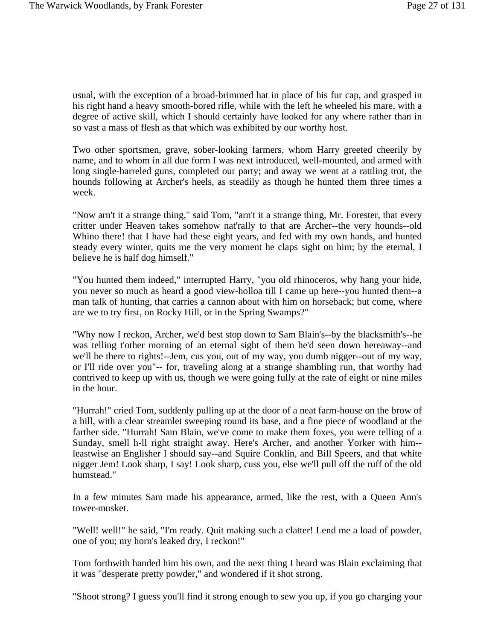usual, with the exception of a broad-brimmed hat in place of his fur cap, and grasped in his right hand a heavy smooth-bored rifle, while with the left he wheeled his mare, with a degree of active skill, which I should certainly have looked for any where rather than in so vast a mass of flesh as that which was exhibited by our worthy host.

Two other sportsmen, grave, sober-looking farmers, whom Harry greeted cheerily by name, and to whom in all due form I was next introduced, well-mounted, and armed with long single-barreled guns, completed our party; and away we went at a rattling trot, the hounds following at Archer's heels, as steadily as though he hunted them three times a week.

"Now arn't it a strange thing," said Tom, "arn't it a strange thing, Mr. Forester, that every critter under Heaven takes somehow nat'rally to that are Archer--the very hounds--old Whino there! that I have had these eight years, and fed with my own hands, and hunted steady every winter, quits me the very moment he claps sight on him; by the eternal, I believe he is half dog himself."

"You hunted them indeed," interrupted Harry, "you old rhinoceros, why hang your hide, you never so much as heard a good view-holloa till I came up here--you hunted them--a man talk of hunting, that carries a cannon about with him on horseback; but come, where are we to try first, on Rocky Hill, or in the Spring Swamps?"

"Why now I reckon, Archer, we'd best stop down to Sam Blain's--by the blacksmith's--he was telling t'other morning of an eternal sight of them he'd seen down hereaway--and we'll be there to rights!--Jem, cus you, out of my way, you dumb nigger--out of my way, or I'll ride over you"-- for, traveling along at a strange shambling run, that worthy had contrived to keep up with us, though we were going fully at the rate of eight or nine miles in the hour.

"Hurrah!" cried Tom, suddenly pulling up at the door of a neat farm-house on the brow of a hill, with a clear streamlet sweeping round its base, and a fine piece of woodland at the farther side. "Hurrah! Sam Blain, we've come to make them foxes, you were telling of a Sunday, smell h-ll right straight away. Here's Archer, and another Yorker with him- leastwise an Englisher I should say--and Squire Conklin, and Bill Speers, and that white nigger Jem! Look sharp, I say! Look sharp, cuss you, else we'll pull off the ruff of the old humstead."

In a few minutes Sam made his appearance, armed, like the rest, with a Queen Ann's tower-musket.

"Well! well!" he said, "I'm ready. Quit making such a clatter! Lend me a load of powder, one of you; my horn's leaked dry, I reckon!"

Tom forthwith handed him his own, and the next thing I heard was Blain exclaiming that it was "desperate pretty powder," and wondered if it shot strong.

"Shoot strong? I guess you'll find it strong enough to sew you up, if you go charging your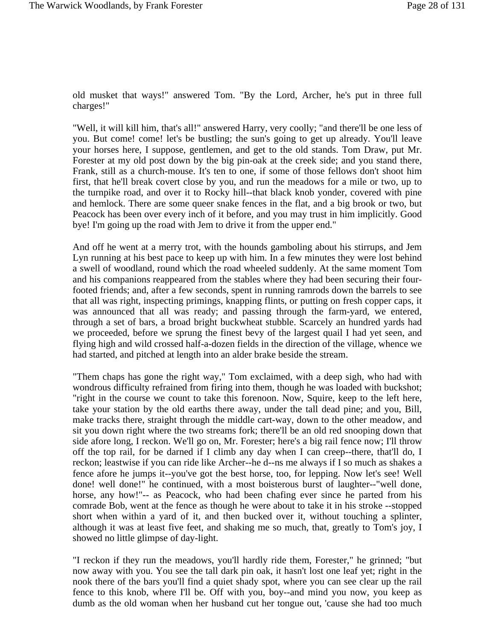old musket that ways!" answered Tom. "By the Lord, Archer, he's put in three full charges!"

"Well, it will kill him, that's all!" answered Harry, very coolly; "and there'll be one less of you. But come! come! let's be bustling; the sun's going to get up already. You'll leave your horses here, I suppose, gentlemen, and get to the old stands. Tom Draw, put Mr. Forester at my old post down by the big pin-oak at the creek side; and you stand there, Frank, still as a church-mouse. It's ten to one, if some of those fellows don't shoot him first, that he'll break covert close by you, and run the meadows for a mile or two, up to the turnpike road, and over it to Rocky hill--that black knob yonder, covered with pine and hemlock. There are some queer snake fences in the flat, and a big brook or two, but Peacock has been over every inch of it before, and you may trust in him implicitly. Good bye! I'm going up the road with Jem to drive it from the upper end."

And off he went at a merry trot, with the hounds gamboling about his stirrups, and Jem Lyn running at his best pace to keep up with him. In a few minutes they were lost behind a swell of woodland, round which the road wheeled suddenly. At the same moment Tom and his companions reappeared from the stables where they had been securing their fourfooted friends; and, after a few seconds, spent in running ramrods down the barrels to see that all was right, inspecting primings, knapping flints, or putting on fresh copper caps, it was announced that all was ready; and passing through the farm-yard, we entered, through a set of bars, a broad bright buckwheat stubble. Scarcely an hundred yards had we proceeded, before we sprung the finest bevy of the largest quail I had yet seen, and flying high and wild crossed half-a-dozen fields in the direction of the village, whence we had started, and pitched at length into an alder brake beside the stream.

"Them chaps has gone the right way," Tom exclaimed, with a deep sigh, who had with wondrous difficulty refrained from firing into them, though he was loaded with buckshot; "right in the course we count to take this forenoon. Now, Squire, keep to the left here, take your station by the old earths there away, under the tall dead pine; and you, Bill, make tracks there, straight through the middle cart-way, down to the other meadow, and sit you down right where the two streams fork; there'll be an old red snooping down that side afore long, I reckon. We'll go on, Mr. Forester; here's a big rail fence now; I'll throw off the top rail, for be darned if I climb any day when I can creep--there, that'll do, I reckon; leastwise if you can ride like Archer--he d--ns me always if I so much as shakes a fence afore he jumps it--you've got the best horse, too, for lepping. Now let's see! Well done! well done!" he continued, with a most boisterous burst of laughter--"well done, horse, any how!"-- as Peacock, who had been chafing ever since he parted from his comrade Bob, went at the fence as though he were about to take it in his stroke --stopped short when within a yard of it, and then bucked over it, without touching a splinter, although it was at least five feet, and shaking me so much, that, greatly to Tom's joy, I showed no little glimpse of day-light.

"I reckon if they run the meadows, you'll hardly ride them, Forester," he grinned; "but now away with you. You see the tall dark pin oak, it hasn't lost one leaf yet; right in the nook there of the bars you'll find a quiet shady spot, where you can see clear up the rail fence to this knob, where I'll be. Off with you, boy--and mind you now, you keep as dumb as the old woman when her husband cut her tongue out, 'cause she had too much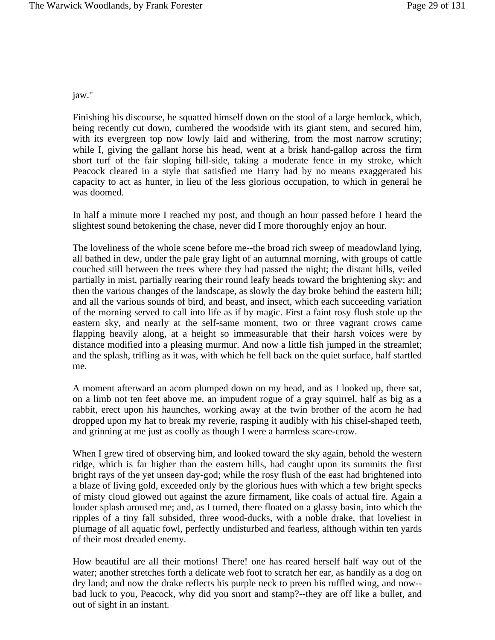#### jaw."

Finishing his discourse, he squatted himself down on the stool of a large hemlock, which, being recently cut down, cumbered the woodside with its giant stem, and secured him, with its evergreen top now lowly laid and withering, from the most narrow scrutiny; while I, giving the gallant horse his head, went at a brisk hand-gallop across the firm short turf of the fair sloping hill-side, taking a moderate fence in my stroke, which Peacock cleared in a style that satisfied me Harry had by no means exaggerated his capacity to act as hunter, in lieu of the less glorious occupation, to which in general he was doomed.

In half a minute more I reached my post, and though an hour passed before I heard the slightest sound betokening the chase, never did I more thoroughly enjoy an hour.

The loveliness of the whole scene before me--the broad rich sweep of meadowland lying, all bathed in dew, under the pale gray light of an autumnal morning, with groups of cattle couched still between the trees where they had passed the night; the distant hills, veiled partially in mist, partially rearing their round leafy heads toward the brightening sky; and then the various changes of the landscape, as slowly the day broke behind the eastern hill; and all the various sounds of bird, and beast, and insect, which each succeeding variation of the morning served to call into life as if by magic. First a faint rosy flush stole up the eastern sky, and nearly at the self-same moment, two or three vagrant crows came flapping heavily along, at a height so immeasurable that their harsh voices were by distance modified into a pleasing murmur. And now a little fish jumped in the streamlet; and the splash, trifling as it was, with which he fell back on the quiet surface, half startled me.

A moment afterward an acorn plumped down on my head, and as I looked up, there sat, on a limb not ten feet above me, an impudent rogue of a gray squirrel, half as big as a rabbit, erect upon his haunches, working away at the twin brother of the acorn he had dropped upon my hat to break my reverie, rasping it audibly with his chisel-shaped teeth, and grinning at me just as coolly as though I were a harmless scare-crow.

When I grew tired of observing him, and looked toward the sky again, behold the western ridge, which is far higher than the eastern hills, had caught upon its summits the first bright rays of the yet unseen day-god; while the rosy flush of the east had brightened into a blaze of living gold, exceeded only by the glorious hues with which a few bright specks of misty cloud glowed out against the azure firmament, like coals of actual fire. Again a louder splash aroused me; and, as I turned, there floated on a glassy basin, into which the ripples of a tiny fall subsided, three wood-ducks, with a noble drake, that loveliest in plumage of all aquatic fowl, perfectly undisturbed and fearless, although within ten yards of their most dreaded enemy.

How beautiful are all their motions! There! one has reared herself half way out of the water; another stretches forth a delicate web foot to scratch her ear, as handily as a dog on dry land; and now the drake reflects his purple neck to preen his ruffled wing, and now- bad luck to you, Peacock, why did you snort and stamp?--they are off like a bullet, and out of sight in an instant.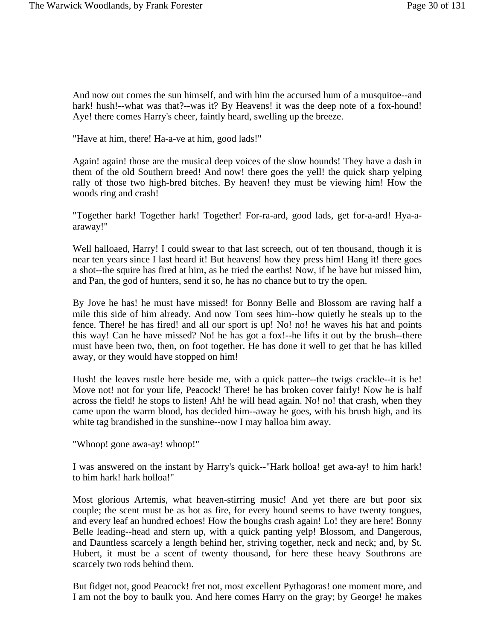And now out comes the sun himself, and with him the accursed hum of a musquitoe--and hark! hush!--what was that?--was it? By Heavens! it was the deep note of a fox-hound! Aye! there comes Harry's cheer, faintly heard, swelling up the breeze.

"Have at him, there! Ha-a-ve at him, good lads!"

Again! again! those are the musical deep voices of the slow hounds! They have a dash in them of the old Southern breed! And now! there goes the yell! the quick sharp yelping rally of those two high-bred bitches. By heaven! they must be viewing him! How the woods ring and crash!

"Together hark! Together hark! Together! For-ra-ard, good lads, get for-a-ard! Hya-aaraway!"

Well halloaed, Harry! I could swear to that last screech, out of ten thousand, though it is near ten years since I last heard it! But heavens! how they press him! Hang it! there goes a shot--the squire has fired at him, as he tried the earths! Now, if he have but missed him, and Pan, the god of hunters, send it so, he has no chance but to try the open.

By Jove he has! he must have missed! for Bonny Belle and Blossom are raving half a mile this side of him already. And now Tom sees him--how quietly he steals up to the fence. There! he has fired! and all our sport is up! No! no! he waves his hat and points this way! Can he have missed? No! he has got a fox!--he lifts it out by the brush--there must have been two, then, on foot together. He has done it well to get that he has killed away, or they would have stopped on him!

Hush! the leaves rustle here beside me, with a quick patter--the twigs crackle--it is he! Move not! not for your life, Peacock! There! he has broken cover fairly! Now he is half across the field! he stops to listen! Ah! he will head again. No! no! that crash, when they came upon the warm blood, has decided him--away he goes, with his brush high, and its white tag brandished in the sunshine--now I may halloa him away.

"Whoop! gone awa-ay! whoop!"

I was answered on the instant by Harry's quick--"Hark holloa! get awa-ay! to him hark! to him hark! hark holloa!"

Most glorious Artemis, what heaven-stirring music! And yet there are but poor six couple; the scent must be as hot as fire, for every hound seems to have twenty tongues, and every leaf an hundred echoes! How the boughs crash again! Lo! they are here! Bonny Belle leading--head and stern up, with a quick panting yelp! Blossom, and Dangerous, and Dauntless scarcely a length behind her, striving together, neck and neck; and, by St. Hubert, it must be a scent of twenty thousand, for here these heavy Southrons are scarcely two rods behind them.

But fidget not, good Peacock! fret not, most excellent Pythagoras! one moment more, and I am not the boy to baulk you. And here comes Harry on the gray; by George! he makes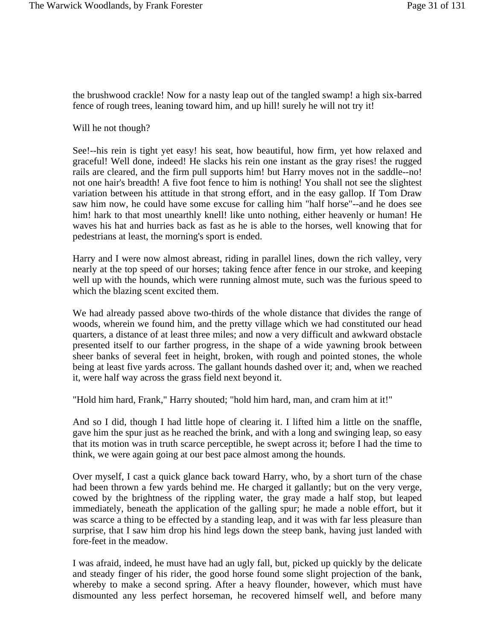the brushwood crackle! Now for a nasty leap out of the tangled swamp! a high six-barred fence of rough trees, leaning toward him, and up hill! surely he will not try it!

Will he not though?

See!--his rein is tight yet easy! his seat, how beautiful, how firm, yet how relaxed and graceful! Well done, indeed! He slacks his rein one instant as the gray rises! the rugged rails are cleared, and the firm pull supports him! but Harry moves not in the saddle--no! not one hair's breadth! A five foot fence to him is nothing! You shall not see the slightest variation between his attitude in that strong effort, and in the easy gallop. If Tom Draw saw him now, he could have some excuse for calling him "half horse"--and he does see him! hark to that most unearthly knell! like unto nothing, either heavenly or human! He waves his hat and hurries back as fast as he is able to the horses, well knowing that for pedestrians at least, the morning's sport is ended.

Harry and I were now almost abreast, riding in parallel lines, down the rich valley, very nearly at the top speed of our horses; taking fence after fence in our stroke, and keeping well up with the hounds, which were running almost mute, such was the furious speed to which the blazing scent excited them.

We had already passed above two-thirds of the whole distance that divides the range of woods, wherein we found him, and the pretty village which we had constituted our head quarters, a distance of at least three miles; and now a very difficult and awkward obstacle presented itself to our farther progress, in the shape of a wide yawning brook between sheer banks of several feet in height, broken, with rough and pointed stones, the whole being at least five yards across. The gallant hounds dashed over it; and, when we reached it, were half way across the grass field next beyond it.

"Hold him hard, Frank," Harry shouted; "hold him hard, man, and cram him at it!"

And so I did, though I had little hope of clearing it. I lifted him a little on the snaffle, gave him the spur just as he reached the brink, and with a long and swinging leap, so easy that its motion was in truth scarce perceptible, he swept across it; before I had the time to think, we were again going at our best pace almost among the hounds.

Over myself, I cast a quick glance back toward Harry, who, by a short turn of the chase had been thrown a few yards behind me. He charged it gallantly; but on the very verge, cowed by the brightness of the rippling water, the gray made a half stop, but leaped immediately, beneath the application of the galling spur; he made a noble effort, but it was scarce a thing to be effected by a standing leap, and it was with far less pleasure than surprise, that I saw him drop his hind legs down the steep bank, having just landed with fore-feet in the meadow.

I was afraid, indeed, he must have had an ugly fall, but, picked up quickly by the delicate and steady finger of his rider, the good horse found some slight projection of the bank, whereby to make a second spring. After a heavy flounder, however, which must have dismounted any less perfect horseman, he recovered himself well, and before many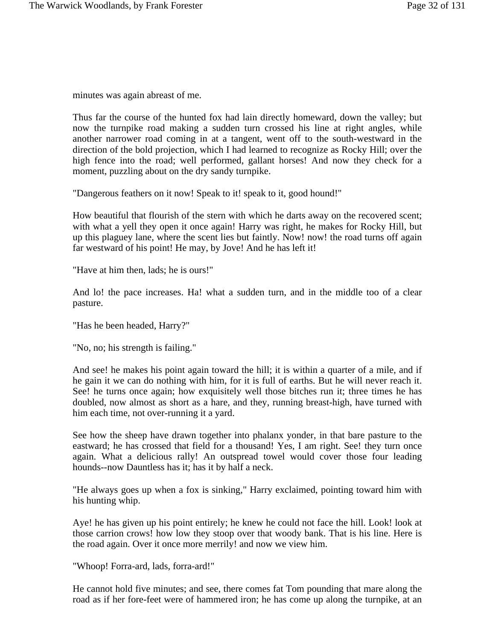minutes was again abreast of me.

Thus far the course of the hunted fox had lain directly homeward, down the valley; but now the turnpike road making a sudden turn crossed his line at right angles, while another narrower road coming in at a tangent, went off to the south-westward in the direction of the bold projection, which I had learned to recognize as Rocky Hill; over the high fence into the road; well performed, gallant horses! And now they check for a moment, puzzling about on the dry sandy turnpike.

"Dangerous feathers on it now! Speak to it! speak to it, good hound!"

How beautiful that flourish of the stern with which he darts away on the recovered scent; with what a yell they open it once again! Harry was right, he makes for Rocky Hill, but up this plaguey lane, where the scent lies but faintly. Now! now! the road turns off again far westward of his point! He may, by Jove! And he has left it!

"Have at him then, lads; he is ours!"

And lo! the pace increases. Ha! what a sudden turn, and in the middle too of a clear pasture.

"Has he been headed, Harry?"

"No, no; his strength is failing."

And see! he makes his point again toward the hill; it is within a quarter of a mile, and if he gain it we can do nothing with him, for it is full of earths. But he will never reach it. See! he turns once again; how exquisitely well those bitches run it; three times he has doubled, now almost as short as a hare, and they, running breast-high, have turned with him each time, not over-running it a yard.

See how the sheep have drawn together into phalanx yonder, in that bare pasture to the eastward; he has crossed that field for a thousand! Yes, I am right. See! they turn once again. What a delicious rally! An outspread towel would cover those four leading hounds--now Dauntless has it; has it by half a neck.

"He always goes up when a fox is sinking," Harry exclaimed, pointing toward him with his hunting whip.

Aye! he has given up his point entirely; he knew he could not face the hill. Look! look at those carrion crows! how low they stoop over that woody bank. That is his line. Here is the road again. Over it once more merrily! and now we view him.

"Whoop! Forra-ard, lads, forra-ard!"

He cannot hold five minutes; and see, there comes fat Tom pounding that mare along the road as if her fore-feet were of hammered iron; he has come up along the turnpike, at an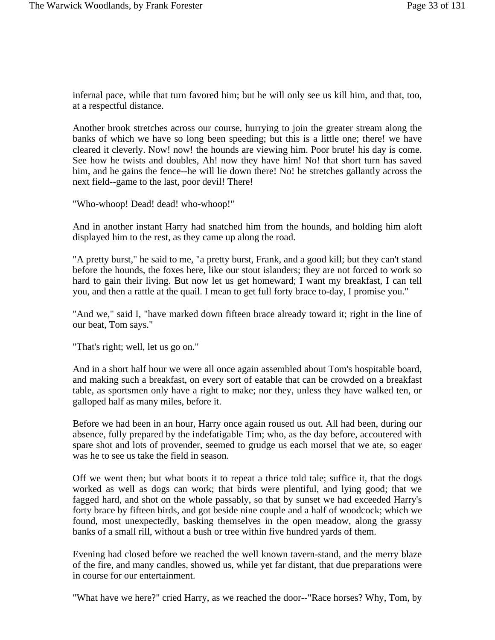infernal pace, while that turn favored him; but he will only see us kill him, and that, too, at a respectful distance.

Another brook stretches across our course, hurrying to join the greater stream along the banks of which we have so long been speeding; but this is a little one; there! we have cleared it cleverly. Now! now! the hounds are viewing him. Poor brute! his day is come. See how he twists and doubles, Ah! now they have him! No! that short turn has saved him, and he gains the fence--he will lie down there! No! he stretches gallantly across the next field--game to the last, poor devil! There!

"Who-whoop! Dead! dead! who-whoop!"

And in another instant Harry had snatched him from the hounds, and holding him aloft displayed him to the rest, as they came up along the road.

"A pretty burst," he said to me, "a pretty burst, Frank, and a good kill; but they can't stand before the hounds, the foxes here, like our stout islanders; they are not forced to work so hard to gain their living. But now let us get homeward; I want my breakfast, I can tell you, and then a rattle at the quail. I mean to get full forty brace to-day, I promise you."

"And we," said I, "have marked down fifteen brace already toward it; right in the line of our beat, Tom says."

"That's right; well, let us go on."

And in a short half hour we were all once again assembled about Tom's hospitable board, and making such a breakfast, on every sort of eatable that can be crowded on a breakfast table, as sportsmen only have a right to make; nor they, unless they have walked ten, or galloped half as many miles, before it.

Before we had been in an hour, Harry once again roused us out. All had been, during our absence, fully prepared by the indefatigable Tim; who, as the day before, accoutered with spare shot and lots of provender, seemed to grudge us each morsel that we ate, so eager was he to see us take the field in season.

Off we went then; but what boots it to repeat a thrice told tale; suffice it, that the dogs worked as well as dogs can work; that birds were plentiful, and lying good; that we fagged hard, and shot on the whole passably, so that by sunset we had exceeded Harry's forty brace by fifteen birds, and got beside nine couple and a half of woodcock; which we found, most unexpectedly, basking themselves in the open meadow, along the grassy banks of a small rill, without a bush or tree within five hundred yards of them.

Evening had closed before we reached the well known tavern-stand, and the merry blaze of the fire, and many candles, showed us, while yet far distant, that due preparations were in course for our entertainment.

"What have we here?" cried Harry, as we reached the door--"Race horses? Why, Tom, by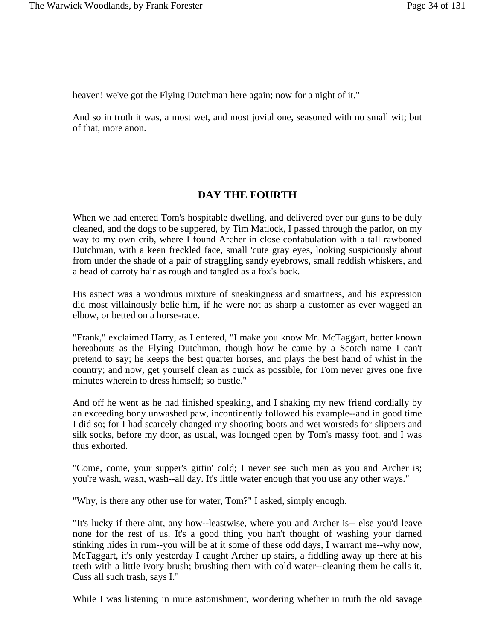heaven! we've got the Flying Dutchman here again; now for a night of it."

And so in truth it was, a most wet, and most jovial one, seasoned with no small wit; but of that, more anon.

# **DAY THE FOURTH**

When we had entered Tom's hospitable dwelling, and delivered over our guns to be duly cleaned, and the dogs to be suppered, by Tim Matlock, I passed through the parlor, on my way to my own crib, where I found Archer in close confabulation with a tall rawboned Dutchman, with a keen freckled face, small 'cute gray eyes, looking suspiciously about from under the shade of a pair of straggling sandy eyebrows, small reddish whiskers, and a head of carroty hair as rough and tangled as a fox's back.

His aspect was a wondrous mixture of sneakingness and smartness, and his expression did most villainously belie him, if he were not as sharp a customer as ever wagged an elbow, or betted on a horse-race.

"Frank," exclaimed Harry, as I entered, "I make you know Mr. McTaggart, better known hereabouts as the Flying Dutchman, though how he came by a Scotch name I can't pretend to say; he keeps the best quarter horses, and plays the best hand of whist in the country; and now, get yourself clean as quick as possible, for Tom never gives one five minutes wherein to dress himself; so bustle."

And off he went as he had finished speaking, and I shaking my new friend cordially by an exceeding bony unwashed paw, incontinently followed his example--and in good time I did so; for I had scarcely changed my shooting boots and wet worsteds for slippers and silk socks, before my door, as usual, was lounged open by Tom's massy foot, and I was thus exhorted.

"Come, come, your supper's gittin' cold; I never see such men as you and Archer is; you're wash, wash, wash--all day. It's little water enough that you use any other ways."

"Why, is there any other use for water, Tom?" I asked, simply enough.

"It's lucky if there aint, any how--leastwise, where you and Archer is-- else you'd leave none for the rest of us. It's a good thing you han't thought of washing your darned stinking hides in rum--you will be at it some of these odd days, I warrant me--why now, McTaggart, it's only yesterday I caught Archer up stairs, a fiddling away up there at his teeth with a little ivory brush; brushing them with cold water--cleaning them he calls it. Cuss all such trash, says I."

While I was listening in mute astonishment, wondering whether in truth the old savage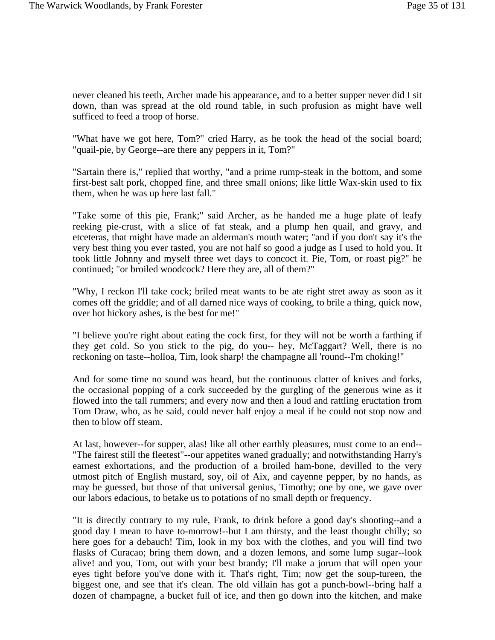never cleaned his teeth, Archer made his appearance, and to a better supper never did I sit down, than was spread at the old round table, in such profusion as might have well sufficed to feed a troop of horse.

"What have we got here, Tom?" cried Harry, as he took the head of the social board; "quail-pie, by George--are there any peppers in it, Tom?"

"Sartain there is," replied that worthy, "and a prime rump-steak in the bottom, and some first-best salt pork, chopped fine, and three small onions; like little Wax-skin used to fix them, when he was up here last fall."

"Take some of this pie, Frank;" said Archer, as he handed me a huge plate of leafy reeking pie-crust, with a slice of fat steak, and a plump hen quail, and gravy, and etceteras, that might have made an alderman's mouth water; "and if you don't say it's the very best thing you ever tasted, you are not half so good a judge as I used to hold you. It took little Johnny and myself three wet days to concoct it. Pie, Tom, or roast pig?" he continued; "or broiled woodcock? Here they are, all of them?"

"Why, I reckon I'll take cock; briled meat wants to be ate right stret away as soon as it comes off the griddle; and of all darned nice ways of cooking, to brile a thing, quick now, over hot hickory ashes, is the best for me!"

"I believe you're right about eating the cock first, for they will not be worth a farthing if they get cold. So you stick to the pig, do you-- hey, McTaggart? Well, there is no reckoning on taste--holloa, Tim, look sharp! the champagne all 'round--I'm choking!"

And for some time no sound was heard, but the continuous clatter of knives and forks, the occasional popping of a cork succeeded by the gurgling of the generous wine as it flowed into the tall rummers; and every now and then a loud and rattling eructation from Tom Draw, who, as he said, could never half enjoy a meal if he could not stop now and then to blow off steam.

At last, however--for supper, alas! like all other earthly pleasures, must come to an end-- "The fairest still the fleetest"--our appetites waned gradually; and notwithstanding Harry's earnest exhortations, and the production of a broiled ham-bone, devilled to the very utmost pitch of English mustard, soy, oil of Aix, and cayenne pepper, by no hands, as may be guessed, but those of that universal genius, Timothy; one by one, we gave over our labors edacious, to betake us to potations of no small depth or frequency.

"It is directly contrary to my rule, Frank, to drink before a good day's shooting--and a good day I mean to have to-morrow!--but I am thirsty, and the least thought chilly; so here goes for a debauch! Tim, look in my box with the clothes, and you will find two flasks of Curacao; bring them down, and a dozen lemons, and some lump sugar--look alive! and you, Tom, out with your best brandy; I'll make a jorum that will open your eyes tight before you've done with it. That's right, Tim; now get the soup-tureen, the biggest one, and see that it's clean. The old villain has got a punch-bowl--bring half a dozen of champagne, a bucket full of ice, and then go down into the kitchen, and make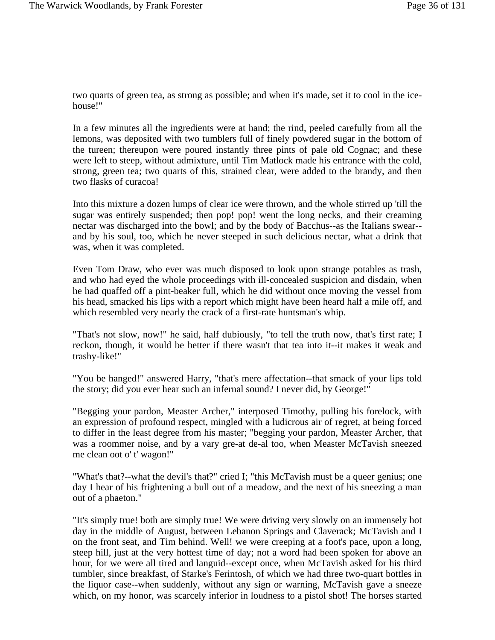two quarts of green tea, as strong as possible; and when it's made, set it to cool in the icehouse!"

In a few minutes all the ingredients were at hand; the rind, peeled carefully from all the lemons, was deposited with two tumblers full of finely powdered sugar in the bottom of the tureen; thereupon were poured instantly three pints of pale old Cognac; and these were left to steep, without admixture, until Tim Matlock made his entrance with the cold, strong, green tea; two quarts of this, strained clear, were added to the brandy, and then two flasks of curacoa!

Into this mixture a dozen lumps of clear ice were thrown, and the whole stirred up 'till the sugar was entirely suspended; then pop! pop! went the long necks, and their creaming nectar was discharged into the bowl; and by the body of Bacchus--as the Italians swear- and by his soul, too, which he never steeped in such delicious nectar, what a drink that was, when it was completed.

Even Tom Draw, who ever was much disposed to look upon strange potables as trash, and who had eyed the whole proceedings with ill-concealed suspicion and disdain, when he had quaffed off a pint-beaker full, which he did without once moving the vessel from his head, smacked his lips with a report which might have been heard half a mile off, and which resembled very nearly the crack of a first-rate huntsman's whip.

"That's not slow, now!" he said, half dubiously, "to tell the truth now, that's first rate; I reckon, though, it would be better if there wasn't that tea into it--it makes it weak and trashy-like!"

"You be hanged!" answered Harry, "that's mere affectation--that smack of your lips told the story; did you ever hear such an infernal sound? I never did, by George!"

"Begging your pardon, Measter Archer," interposed Timothy, pulling his forelock, with an expression of profound respect, mingled with a ludicrous air of regret, at being forced to differ in the least degree from his master; "begging your pardon, Measter Archer, that was a roommer noise, and by a vary gre-at de-al too, when Measter McTavish sneezed me clean oot o' t' wagon!"

"What's that?--what the devil's that?" cried I; "this McTavish must be a queer genius; one day I hear of his frightening a bull out of a meadow, and the next of his sneezing a man out of a phaeton."

"It's simply true! both are simply true! We were driving very slowly on an immensely hot day in the middle of August, between Lebanon Springs and Claverack; McTavish and I on the front seat, and Tim behind. Well! we were creeping at a foot's pace, upon a long, steep hill, just at the very hottest time of day; not a word had been spoken for above an hour, for we were all tired and languid--except once, when McTavish asked for his third tumbler, since breakfast, of Starke's Ferintosh, of which we had three two-quart bottles in the liquor case--when suddenly, without any sign or warning, McTavish gave a sneeze which, on my honor, was scarcely inferior in loudness to a pistol shot! The horses started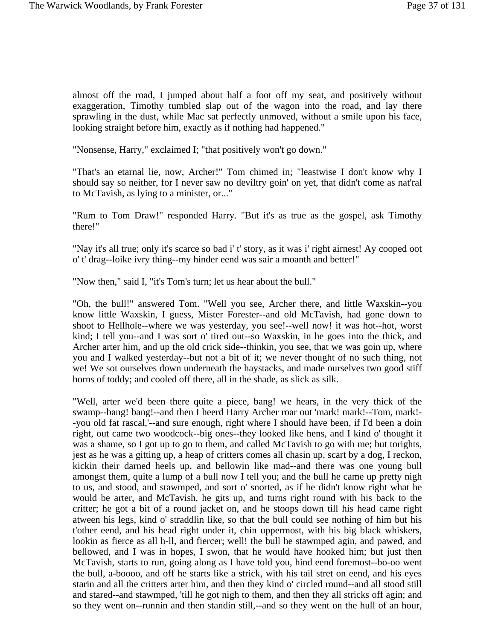almost off the road, I jumped about half a foot off my seat, and positively without exaggeration, Timothy tumbled slap out of the wagon into the road, and lay there sprawling in the dust, while Mac sat perfectly unmoved, without a smile upon his face, looking straight before him, exactly as if nothing had happened."

"Nonsense, Harry," exclaimed I; "that positively won't go down."

"That's an etarnal lie, now, Archer!" Tom chimed in; "leastwise I don't know why I should say so neither, for I never saw no deviltry goin' on yet, that didn't come as nat'ral to McTavish, as lying to a minister, or..."

"Rum to Tom Draw!" responded Harry. "But it's as true as the gospel, ask Timothy there!"

"Nay it's all true; only it's scarce so bad i' t' story, as it was i' right airnest! Ay cooped oot o' t' drag--loike ivry thing--my hinder eend was sair a moanth and better!"

"Now then," said I, "it's Tom's turn; let us hear about the bull."

"Oh, the bull!" answered Tom. "Well you see, Archer there, and little Waxskin--you know little Waxskin, I guess, Mister Forester--and old McTavish, had gone down to shoot to Hellhole--where we was yesterday, you see!--well now! it was hot--hot, worst kind; I tell you--and I was sort o' tired out--so Waxskin, in he goes into the thick, and Archer arter him, and up the old crick side--thinkin, you see, that we was goin up, where you and I walked yesterday--but not a bit of it; we never thought of no such thing, not we! We sot ourselves down underneath the haystacks, and made ourselves two good stiff horns of toddy; and cooled off there, all in the shade, as slick as silk.

"Well, arter we'd been there quite a piece, bang! we hears, in the very thick of the swamp--bang! bang!--and then I heerd Harry Archer roar out 'mark! mark!--Tom, mark!--you old fat rascal,'--and sure enough, right where I should have been, if I'd been a doin right, out came two woodcock--big ones--they looked like hens, and I kind o' thought it was a shame, so I got up to go to them, and called McTavish to go with me; but torights, jest as he was a gitting up, a heap of critters comes all chasin up, scart by a dog, I reckon, kickin their darned heels up, and bellowin like mad--and there was one young bull amongst them, quite a lump of a bull now I tell you; and the bull he came up pretty nigh to us, and stood, and stawmped, and sort o' snorted, as if he didn't know right what he would be arter, and McTavish, he gits up, and turns right round with his back to the critter; he got a bit of a round jacket on, and he stoops down till his head came right atween his legs, kind o' straddlin like, so that the bull could see nothing of him but his t'other eend, and his head right under it, chin uppermost, with his big black whiskers, lookin as fierce as all h-ll, and fiercer; well! the bull he stawmped agin, and pawed, and bellowed, and I was in hopes, I swon, that he would have hooked him; but just then McTavish, starts to run, going along as I have told you, hind eend foremost--bo-oo went the bull, a-boooo, and off he starts like a strick, with his tail stret on eend, and his eyes starin and all the critters arter him, and then they kind o' circled round--and all stood still and stared--and stawmped, 'till he got nigh to them, and then they all stricks off agin; and so they went on--runnin and then standin still,--and so they went on the hull of an hour,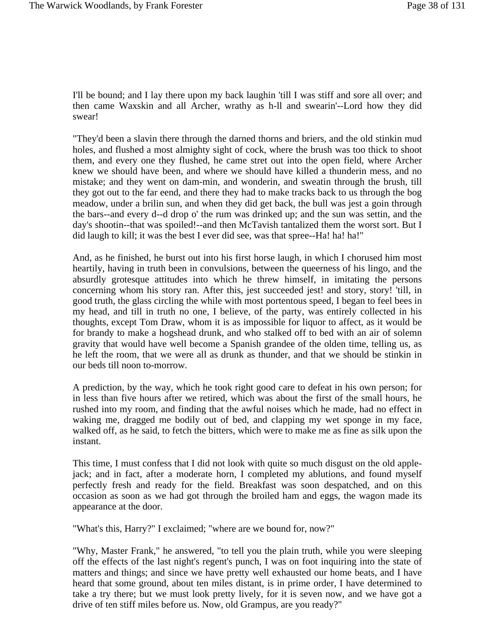I'll be bound; and I lay there upon my back laughin 'till I was stiff and sore all over; and then came Waxskin and all Archer, wrathy as h-ll and swearin'--Lord how they did swear!

"They'd been a slavin there through the darned thorns and briers, and the old stinkin mud holes, and flushed a most almighty sight of cock, where the brush was too thick to shoot them, and every one they flushed, he came stret out into the open field, where Archer knew we should have been, and where we should have killed a thunderin mess, and no mistake; and they went on dam-min, and wonderin, and sweatin through the brush, till they got out to the far eend, and there they had to make tracks back to us through the bog meadow, under a brilin sun, and when they did get back, the bull was jest a goin through the bars--and every d--d drop o' the rum was drinked up; and the sun was settin, and the day's shootin--that was spoiled!--and then McTavish tantalized them the worst sort. But I did laugh to kill; it was the best I ever did see, was that spree--Ha! ha! ha!"

And, as he finished, he burst out into his first horse laugh, in which I chorused him most heartily, having in truth been in convulsions, between the queerness of his lingo, and the absurdly grotesque attitudes into which he threw himself, in imitating the persons concerning whom his story ran. After this, jest succeeded jest! and story, story! 'till, in good truth, the glass circling the while with most portentous speed, I began to feel bees in my head, and till in truth no one, I believe, of the party, was entirely collected in his thoughts, except Tom Draw, whom it is as impossible for liquor to affect, as it would be for brandy to make a hogshead drunk, and who stalked off to bed with an air of solemn gravity that would have well become a Spanish grandee of the olden time, telling us, as he left the room, that we were all as drunk as thunder, and that we should be stinkin in our beds till noon to-morrow.

A prediction, by the way, which he took right good care to defeat in his own person; for in less than five hours after we retired, which was about the first of the small hours, he rushed into my room, and finding that the awful noises which he made, had no effect in waking me, dragged me bodily out of bed, and clapping my wet sponge in my face, walked off, as he said, to fetch the bitters, which were to make me as fine as silk upon the instant.

This time, I must confess that I did not look with quite so much disgust on the old applejack; and in fact, after a moderate horn, I completed my ablutions, and found myself perfectly fresh and ready for the field. Breakfast was soon despatched, and on this occasion as soon as we had got through the broiled ham and eggs, the wagon made its appearance at the door.

"What's this, Harry?" I exclaimed; "where are we bound for, now?"

"Why, Master Frank," he answered, "to tell you the plain truth, while you were sleeping off the effects of the last night's regent's punch, I was on foot inquiring into the state of matters and things; and since we have pretty well exhausted our home beats, and I have heard that some ground, about ten miles distant, is in prime order, I have determined to take a try there; but we must look pretty lively, for it is seven now, and we have got a drive of ten stiff miles before us. Now, old Grampus, are you ready?"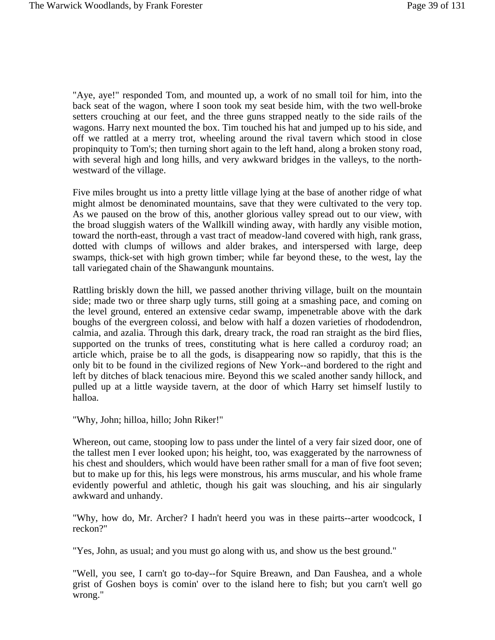"Aye, aye!" responded Tom, and mounted up, a work of no small toil for him, into the back seat of the wagon, where I soon took my seat beside him, with the two well-broke setters crouching at our feet, and the three guns strapped neatly to the side rails of the wagons. Harry next mounted the box. Tim touched his hat and jumped up to his side, and off we rattled at a merry trot, wheeling around the rival tavern which stood in close propinquity to Tom's; then turning short again to the left hand, along a broken stony road, with several high and long hills, and very awkward bridges in the valleys, to the northwestward of the village.

Five miles brought us into a pretty little village lying at the base of another ridge of what might almost be denominated mountains, save that they were cultivated to the very top. As we paused on the brow of this, another glorious valley spread out to our view, with the broad sluggish waters of the Wallkill winding away, with hardly any visible motion, toward the north-east, through a vast tract of meadow-land covered with high, rank grass, dotted with clumps of willows and alder brakes, and interspersed with large, deep swamps, thick-set with high grown timber; while far beyond these, to the west, lay the tall variegated chain of the Shawangunk mountains.

Rattling briskly down the hill, we passed another thriving village, built on the mountain side; made two or three sharp ugly turns, still going at a smashing pace, and coming on the level ground, entered an extensive cedar swamp, impenetrable above with the dark boughs of the evergreen colossi, and below with half a dozen varieties of rhododendron, calmia, and azalia. Through this dark, dreary track, the road ran straight as the bird flies, supported on the trunks of trees, constituting what is here called a corduroy road; an article which, praise be to all the gods, is disappearing now so rapidly, that this is the only bit to be found in the civilized regions of New York--and bordered to the right and left by ditches of black tenacious mire. Beyond this we scaled another sandy hillock, and pulled up at a little wayside tavern, at the door of which Harry set himself lustily to halloa.

"Why, John; hilloa, hillo; John Riker!"

Whereon, out came, stooping low to pass under the lintel of a very fair sized door, one of the tallest men I ever looked upon; his height, too, was exaggerated by the narrowness of his chest and shoulders, which would have been rather small for a man of five foot seven; but to make up for this, his legs were monstrous, his arms muscular, and his whole frame evidently powerful and athletic, though his gait was slouching, and his air singularly awkward and unhandy.

"Why, how do, Mr. Archer? I hadn't heerd you was in these pairts--arter woodcock, I reckon?"

"Yes, John, as usual; and you must go along with us, and show us the best ground."

"Well, you see, I carn't go to-day--for Squire Breawn, and Dan Faushea, and a whole grist of Goshen boys is comin' over to the island here to fish; but you carn't well go wrong."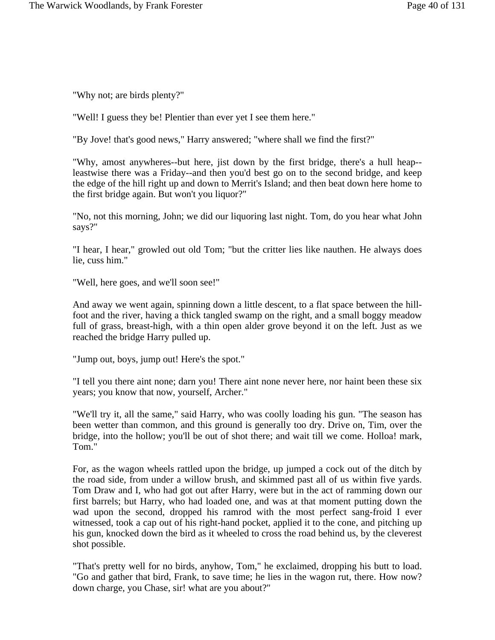"Why not; are birds plenty?"

"Well! I guess they be! Plentier than ever yet I see them here."

"By Jove! that's good news," Harry answered; "where shall we find the first?"

"Why, amost anywheres--but here, jist down by the first bridge, there's a hull heap- leastwise there was a Friday--and then you'd best go on to the second bridge, and keep the edge of the hill right up and down to Merrit's Island; and then beat down here home to the first bridge again. But won't you liquor?"

"No, not this morning, John; we did our liquoring last night. Tom, do you hear what John says?"

"I hear, I hear," growled out old Tom; "but the critter lies like nauthen. He always does lie, cuss him."

"Well, here goes, and we'll soon see!"

And away we went again, spinning down a little descent, to a flat space between the hillfoot and the river, having a thick tangled swamp on the right, and a small boggy meadow full of grass, breast-high, with a thin open alder grove beyond it on the left. Just as we reached the bridge Harry pulled up.

"Jump out, boys, jump out! Here's the spot."

"I tell you there aint none; darn you! There aint none never here, nor haint been these six years; you know that now, yourself, Archer."

"We'll try it, all the same," said Harry, who was coolly loading his gun. "The season has been wetter than common, and this ground is generally too dry. Drive on, Tim, over the bridge, into the hollow; you'll be out of shot there; and wait till we come. Holloa! mark, Tom."

For, as the wagon wheels rattled upon the bridge, up jumped a cock out of the ditch by the road side, from under a willow brush, and skimmed past all of us within five yards. Tom Draw and I, who had got out after Harry, were but in the act of ramming down our first barrels; but Harry, who had loaded one, and was at that moment putting down the wad upon the second, dropped his ramrod with the most perfect sang-froid I ever witnessed, took a cap out of his right-hand pocket, applied it to the cone, and pitching up his gun, knocked down the bird as it wheeled to cross the road behind us, by the cleverest shot possible.

"That's pretty well for no birds, anyhow, Tom," he exclaimed, dropping his butt to load. "Go and gather that bird, Frank, to save time; he lies in the wagon rut, there. How now? down charge, you Chase, sir! what are you about?"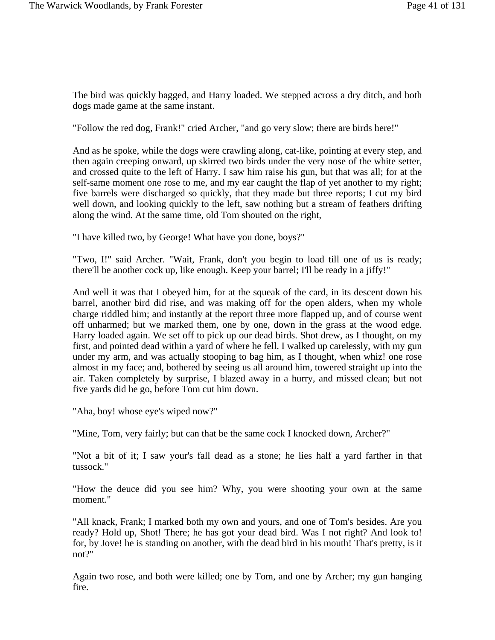The bird was quickly bagged, and Harry loaded. We stepped across a dry ditch, and both dogs made game at the same instant.

"Follow the red dog, Frank!" cried Archer, "and go very slow; there are birds here!"

And as he spoke, while the dogs were crawling along, cat-like, pointing at every step, and then again creeping onward, up skirred two birds under the very nose of the white setter, and crossed quite to the left of Harry. I saw him raise his gun, but that was all; for at the self-same moment one rose to me, and my ear caught the flap of yet another to my right; five barrels were discharged so quickly, that they made but three reports; I cut my bird well down, and looking quickly to the left, saw nothing but a stream of feathers drifting along the wind. At the same time, old Tom shouted on the right,

"I have killed two, by George! What have you done, boys?"

"Two, I!" said Archer. "Wait, Frank, don't you begin to load till one of us is ready; there'll be another cock up, like enough. Keep your barrel; I'll be ready in a jiffy!"

And well it was that I obeyed him, for at the squeak of the card, in its descent down his barrel, another bird did rise, and was making off for the open alders, when my whole charge riddled him; and instantly at the report three more flapped up, and of course went off unharmed; but we marked them, one by one, down in the grass at the wood edge. Harry loaded again. We set off to pick up our dead birds. Shot drew, as I thought, on my first, and pointed dead within a yard of where he fell. I walked up carelessly, with my gun under my arm, and was actually stooping to bag him, as I thought, when whiz! one rose almost in my face; and, bothered by seeing us all around him, towered straight up into the air. Taken completely by surprise, I blazed away in a hurry, and missed clean; but not five yards did he go, before Tom cut him down.

"Aha, boy! whose eye's wiped now?"

"Mine, Tom, very fairly; but can that be the same cock I knocked down, Archer?"

"Not a bit of it; I saw your's fall dead as a stone; he lies half a yard farther in that tussock."

"How the deuce did you see him? Why, you were shooting your own at the same moment."

"All knack, Frank; I marked both my own and yours, and one of Tom's besides. Are you ready? Hold up, Shot! There; he has got your dead bird. Was I not right? And look to! for, by Jove! he is standing on another, with the dead bird in his mouth! That's pretty, is it not?"

Again two rose, and both were killed; one by Tom, and one by Archer; my gun hanging fire.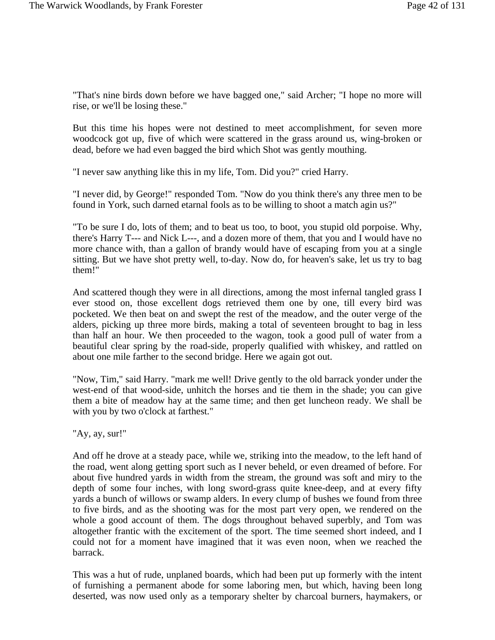"That's nine birds down before we have bagged one," said Archer; "I hope no more will rise, or we'll be losing these."

But this time his hopes were not destined to meet accomplishment, for seven more woodcock got up, five of which were scattered in the grass around us, wing-broken or dead, before we had even bagged the bird which Shot was gently mouthing.

"I never saw anything like this in my life, Tom. Did you?" cried Harry.

"I never did, by George!" responded Tom. "Now do you think there's any three men to be found in York, such darned etarnal fools as to be willing to shoot a match agin us?"

"To be sure I do, lots of them; and to beat us too, to boot, you stupid old porpoise. Why, there's Harry T--- and Nick L---, and a dozen more of them, that you and I would have no more chance with, than a gallon of brandy would have of escaping from you at a single sitting. But we have shot pretty well, to-day. Now do, for heaven's sake, let us try to bag them!"

And scattered though they were in all directions, among the most infernal tangled grass I ever stood on, those excellent dogs retrieved them one by one, till every bird was pocketed. We then beat on and swept the rest of the meadow, and the outer verge of the alders, picking up three more birds, making a total of seventeen brought to bag in less than half an hour. We then proceeded to the wagon, took a good pull of water from a beautiful clear spring by the road-side, properly qualified with whiskey, and rattled on about one mile farther to the second bridge. Here we again got out.

"Now, Tim," said Harry. "mark me well! Drive gently to the old barrack yonder under the west-end of that wood-side, unhitch the horses and tie them in the shade; you can give them a bite of meadow hay at the same time; and then get luncheon ready. We shall be with you by two o'clock at farthest."

"Ay, ay, sur!"

And off he drove at a steady pace, while we, striking into the meadow, to the left hand of the road, went along getting sport such as I never beheld, or even dreamed of before. For about five hundred yards in width from the stream, the ground was soft and miry to the depth of some four inches, with long sword-grass quite knee-deep, and at every fifty yards a bunch of willows or swamp alders. In every clump of bushes we found from three to five birds, and as the shooting was for the most part very open, we rendered on the whole a good account of them. The dogs throughout behaved superbly, and Tom was altogether frantic with the excitement of the sport. The time seemed short indeed, and I could not for a moment have imagined that it was even noon, when we reached the barrack.

This was a hut of rude, unplaned boards, which had been put up formerly with the intent of furnishing a permanent abode for some laboring men, but which, having been long deserted, was now used only as a temporary shelter by charcoal burners, haymakers, or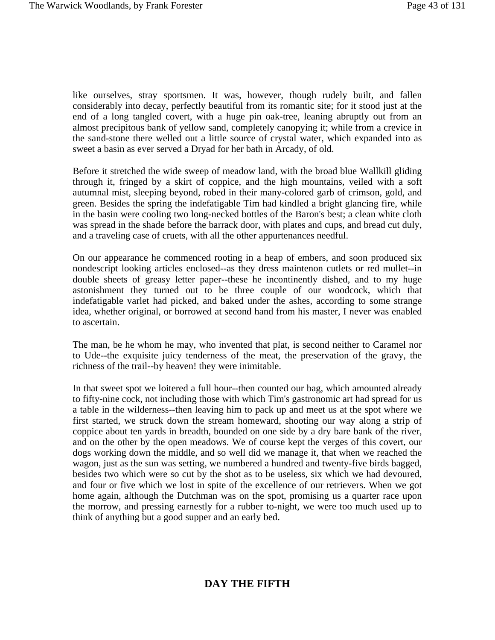like ourselves, stray sportsmen. It was, however, though rudely built, and fallen considerably into decay, perfectly beautiful from its romantic site; for it stood just at the end of a long tangled covert, with a huge pin oak-tree, leaning abruptly out from an almost precipitous bank of yellow sand, completely canopying it; while from a crevice in the sand-stone there welled out a little source of crystal water, which expanded into as sweet a basin as ever served a Dryad for her bath in Arcady, of old.

Before it stretched the wide sweep of meadow land, with the broad blue Wallkill gliding through it, fringed by a skirt of coppice, and the high mountains, veiled with a soft autumnal mist, sleeping beyond, robed in their many-colored garb of crimson, gold, and green. Besides the spring the indefatigable Tim had kindled a bright glancing fire, while in the basin were cooling two long-necked bottles of the Baron's best; a clean white cloth was spread in the shade before the barrack door, with plates and cups, and bread cut duly, and a traveling case of cruets, with all the other appurtenances needful.

On our appearance he commenced rooting in a heap of embers, and soon produced six nondescript looking articles enclosed--as they dress maintenon cutlets or red mullet--in double sheets of greasy letter paper--these he incontinently dished, and to my huge astonishment they turned out to be three couple of our woodcock, which that indefatigable varlet had picked, and baked under the ashes, according to some strange idea, whether original, or borrowed at second hand from his master, I never was enabled to ascertain.

The man, be he whom he may, who invented that plat, is second neither to Caramel nor to Ude--the exquisite juicy tenderness of the meat, the preservation of the gravy, the richness of the trail--by heaven! they were inimitable.

In that sweet spot we loitered a full hour--then counted our bag, which amounted already to fifty-nine cock, not including those with which Tim's gastronomic art had spread for us a table in the wilderness--then leaving him to pack up and meet us at the spot where we first started, we struck down the stream homeward, shooting our way along a strip of coppice about ten yards in breadth, bounded on one side by a dry bare bank of the river, and on the other by the open meadows. We of course kept the verges of this covert, our dogs working down the middle, and so well did we manage it, that when we reached the wagon, just as the sun was setting, we numbered a hundred and twenty-five birds bagged, besides two which were so cut by the shot as to be useless, six which we had devoured, and four or five which we lost in spite of the excellence of our retrievers. When we got home again, although the Dutchman was on the spot, promising us a quarter race upon the morrow, and pressing earnestly for a rubber to-night, we were too much used up to think of anything but a good supper and an early bed.

## **DAY THE FIFTH**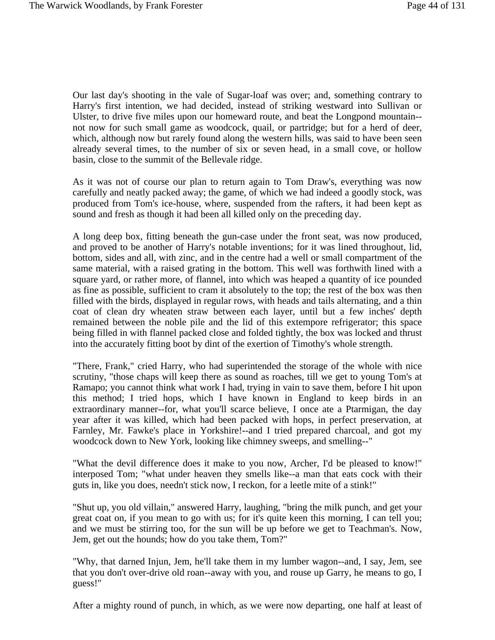Our last day's shooting in the vale of Sugar-loaf was over; and, something contrary to Harry's first intention, we had decided, instead of striking westward into Sullivan or Ulster, to drive five miles upon our homeward route, and beat the Longpond mountain- not now for such small game as woodcock, quail, or partridge; but for a herd of deer, which, although now but rarely found along the western hills, was said to have been seen already several times, to the number of six or seven head, in a small cove, or hollow basin, close to the summit of the Bellevale ridge.

As it was not of course our plan to return again to Tom Draw's, everything was now carefully and neatly packed away; the game, of which we had indeed a goodly stock, was produced from Tom's ice-house, where, suspended from the rafters, it had been kept as sound and fresh as though it had been all killed only on the preceding day.

A long deep box, fitting beneath the gun-case under the front seat, was now produced, and proved to be another of Harry's notable inventions; for it was lined throughout, lid, bottom, sides and all, with zinc, and in the centre had a well or small compartment of the same material, with a raised grating in the bottom. This well was forthwith lined with a square yard, or rather more, of flannel, into which was heaped a quantity of ice pounded as fine as possible, sufficient to cram it absolutely to the top; the rest of the box was then filled with the birds, displayed in regular rows, with heads and tails alternating, and a thin coat of clean dry wheaten straw between each layer, until but a few inches' depth remained between the noble pile and the lid of this extempore refrigerator; this space being filled in with flannel packed close and folded tightly, the box was locked and thrust into the accurately fitting boot by dint of the exertion of Timothy's whole strength.

"There, Frank," cried Harry, who had superintended the storage of the whole with nice scrutiny, "those chaps will keep there as sound as roaches, till we get to young Tom's at Ramapo; you cannot think what work I had, trying in vain to save them, before I hit upon this method; I tried hops, which I have known in England to keep birds in an extraordinary manner--for, what you'll scarce believe, I once ate a Ptarmigan, the day year after it was killed, which had been packed with hops, in perfect preservation, at Farnley, Mr. Fawke's place in Yorkshire!--and I tried prepared charcoal, and got my woodcock down to New York, looking like chimney sweeps, and smelling--"

"What the devil difference does it make to you now, Archer, I'd be pleased to know!" interposed Tom; "what under heaven they smells like--a man that eats cock with their guts in, like you does, needn't stick now, I reckon, for a leetle mite of a stink!"

"Shut up, you old villain," answered Harry, laughing, "bring the milk punch, and get your great coat on, if you mean to go with us; for it's quite keen this morning, I can tell you; and we must be stirring too, for the sun will be up before we get to Teachman's. Now, Jem, get out the hounds; how do you take them, Tom?"

"Why, that darned Injun, Jem, he'll take them in my lumber wagon--and, I say, Jem, see that you don't over-drive old roan--away with you, and rouse up Garry, he means to go, I guess!"

After a mighty round of punch, in which, as we were now departing, one half at least of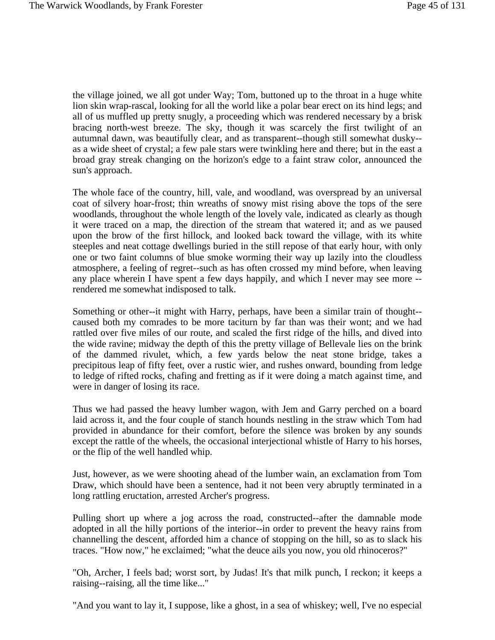the village joined, we all got under Way; Tom, buttoned up to the throat in a huge white lion skin wrap-rascal, looking for all the world like a polar bear erect on its hind legs; and all of us muffled up pretty snugly, a proceeding which was rendered necessary by a brisk bracing north-west breeze. The sky, though it was scarcely the first twilight of an autumnal dawn, was beautifully clear, and as transparent--though still somewhat dusky- as a wide sheet of crystal; a few pale stars were twinkling here and there; but in the east a broad gray streak changing on the horizon's edge to a faint straw color, announced the sun's approach.

The whole face of the country, hill, vale, and woodland, was overspread by an universal coat of silvery hoar-frost; thin wreaths of snowy mist rising above the tops of the sere woodlands, throughout the whole length of the lovely vale, indicated as clearly as though it were traced on a map, the direction of the stream that watered it; and as we paused upon the brow of the first hillock, and looked back toward the village, with its white steeples and neat cottage dwellings buried in the still repose of that early hour, with only one or two faint columns of blue smoke worming their way up lazily into the cloudless atmosphere, a feeling of regret--such as has often crossed my mind before, when leaving any place wherein I have spent a few days happily, and which I never may see more - rendered me somewhat indisposed to talk.

Something or other--it might with Harry, perhaps, have been a similar train of thought- caused both my comrades to be more taciturn by far than was their wont; and we had rattled over five miles of our route, and scaled the first ridge of the hills, and dived into the wide ravine; midway the depth of this the pretty village of Bellevale lies on the brink of the dammed rivulet, which, a few yards below the neat stone bridge, takes a precipitous leap of fifty feet, over a rustic wier, and rushes onward, bounding from ledge to ledge of rifted rocks, chafing and fretting as if it were doing a match against time, and were in danger of losing its race.

Thus we had passed the heavy lumber wagon, with Jem and Garry perched on a board laid across it, and the four couple of stanch hounds nestling in the straw which Tom had provided in abundance for their comfort, before the silence was broken by any sounds except the rattle of the wheels, the occasional interjectional whistle of Harry to his horses, or the flip of the well handled whip.

Just, however, as we were shooting ahead of the lumber wain, an exclamation from Tom Draw, which should have been a sentence, had it not been very abruptly terminated in a long rattling eructation, arrested Archer's progress.

Pulling short up where a jog across the road, constructed--after the damnable mode adopted in all the hilly portions of the interior--in order to prevent the heavy rains from channelling the descent, afforded him a chance of stopping on the hill, so as to slack his traces. "How now," he exclaimed; "what the deuce ails you now, you old rhinoceros?"

"Oh, Archer, I feels bad; worst sort, by Judas! It's that milk punch, I reckon; it keeps a raising--raising, all the time like..."

"And you want to lay it, I suppose, like a ghost, in a sea of whiskey; well, I've no especial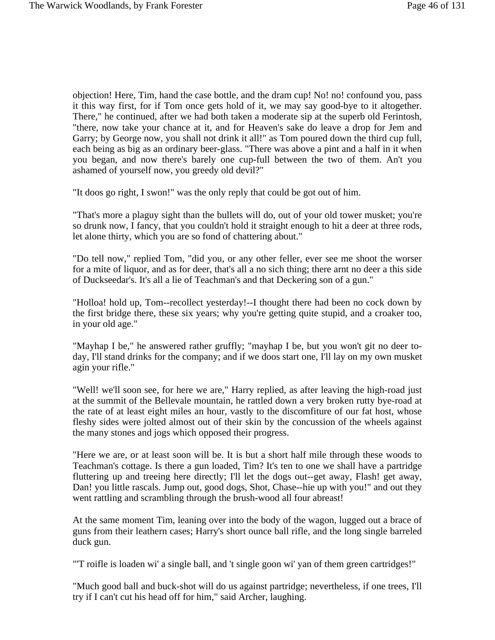objection! Here, Tim, hand the case bottle, and the dram cup! No! no! confound you, pass it this way first, for if Tom once gets hold of it, we may say good-bye to it altogether. There," he continued, after we had both taken a moderate sip at the superb old Ferintosh, "there, now take your chance at it, and for Heaven's sake do leave a drop for Jem and Garry; by George now, you shall not drink it all!" as Tom poured down the third cup full, each being as big as an ordinary beer-glass. "There was above a pint and a half in it when you began, and now there's barely one cup-full between the two of them. An't you ashamed of yourself now, you greedy old devil?"

"It doos go right, I swon!" was the only reply that could be got out of him.

"That's more a plaguy sight than the bullets will do, out of your old tower musket; you're so drunk now, I fancy, that you couldn't hold it straight enough to hit a deer at three rods, let alone thirty, which you are so fond of chattering about."

"Do tell now," replied Tom, "did you, or any other feller, ever see me shoot the worser for a mite of liquor, and as for deer, that's all a no sich thing; there arnt no deer a this side of Duckseedar's. It's all a lie of Teachman's and that Deckering son of a gun."

"Holloa! hold up, Tom--recollect yesterday!--I thought there had been no cock down by the first bridge there, these six years; why you're getting quite stupid, and a croaker too, in your old age."

"Mayhap I be," he answered rather gruffly; "mayhap I be, but you won't git no deer today, I'll stand drinks for the company; and if we doos start one, I'll lay on my own musket agin your rifle."

"Well! we'll soon see, for here we are," Harry replied, as after leaving the high-road just at the summit of the Bellevale mountain, he rattled down a very broken rutty bye-road at the rate of at least eight miles an hour, vastly to the discomfiture of our fat host, whose fleshy sides were jolted almost out of their skin by the concussion of the wheels against the many stones and jogs which opposed their progress.

"Here we are, or at least soon will be. It is but a short half mile through these woods to Teachman's cottage. Is there a gun loaded, Tim? It's ten to one we shall have a partridge fluttering up and treeing here directly; I'll let the dogs out--get away, Flash! get away, Dan! you little rascals. Jump out, good dogs, Shot, Chase--hie up with you!" and out they went rattling and scrambling through the brush-wood all four abreast!

At the same moment Tim, leaning over into the body of the wagon, lugged out a brace of guns from their leathern cases; Harry's short ounce ball rifle, and the long single barreled duck gun.

"'T roifle is loaden wi' a single ball, and 't single goon wi' yan of them green cartridges!"

"Much good ball and buck-shot will do us against partridge; nevertheless, if one trees, I'll try if I can't cut his head off for him," said Archer, laughing.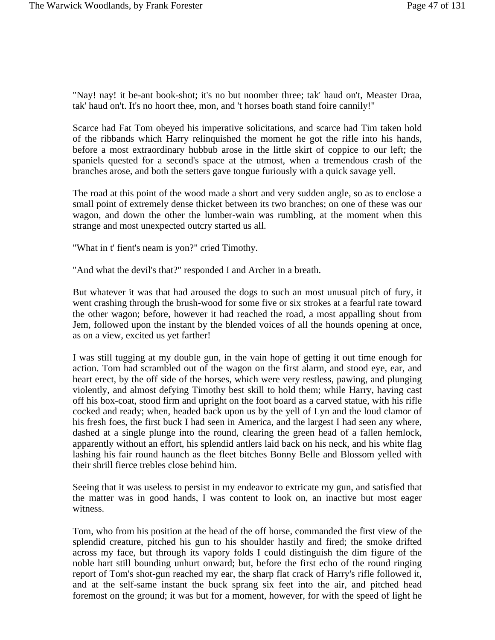"Nay! nay! it be-ant book-shot; it's no but noomber three; tak' haud on't, Measter Draa, tak' haud on't. It's no hoort thee, mon, and 't horses boath stand foire cannily!"

Scarce had Fat Tom obeyed his imperative solicitations, and scarce had Tim taken hold of the ribbands which Harry relinquished the moment he got the rifle into his hands, before a most extraordinary hubbub arose in the little skirt of coppice to our left; the spaniels quested for a second's space at the utmost, when a tremendous crash of the branches arose, and both the setters gave tongue furiously with a quick savage yell.

The road at this point of the wood made a short and very sudden angle, so as to enclose a small point of extremely dense thicket between its two branches; on one of these was our wagon, and down the other the lumber-wain was rumbling, at the moment when this strange and most unexpected outcry started us all.

"What in t' fient's neam is yon?" cried Timothy.

"And what the devil's that?" responded I and Archer in a breath.

But whatever it was that had aroused the dogs to such an most unusual pitch of fury, it went crashing through the brush-wood for some five or six strokes at a fearful rate toward the other wagon; before, however it had reached the road, a most appalling shout from Jem, followed upon the instant by the blended voices of all the hounds opening at once, as on a view, excited us yet farther!

I was still tugging at my double gun, in the vain hope of getting it out time enough for action. Tom had scrambled out of the wagon on the first alarm, and stood eye, ear, and heart erect, by the off side of the horses, which were very restless, pawing, and plunging violently, and almost defying Timothy best skill to hold them; while Harry, having cast off his box-coat, stood firm and upright on the foot board as a carved statue, with his rifle cocked and ready; when, headed back upon us by the yell of Lyn and the loud clamor of his fresh foes, the first buck I had seen in America, and the largest I had seen any where, dashed at a single plunge into the round, clearing the green head of a fallen hemlock, apparently without an effort, his splendid antlers laid back on his neck, and his white flag lashing his fair round haunch as the fleet bitches Bonny Belle and Blossom yelled with their shrill fierce trebles close behind him.

Seeing that it was useless to persist in my endeavor to extricate my gun, and satisfied that the matter was in good hands, I was content to look on, an inactive but most eager witness.

Tom, who from his position at the head of the off horse, commanded the first view of the splendid creature, pitched his gun to his shoulder hastily and fired; the smoke drifted across my face, but through its vapory folds I could distinguish the dim figure of the noble hart still bounding unhurt onward; but, before the first echo of the round ringing report of Tom's shot-gun reached my ear, the sharp flat crack of Harry's rifle followed it, and at the self-same instant the buck sprang six feet into the air, and pitched head foremost on the ground; it was but for a moment, however, for with the speed of light he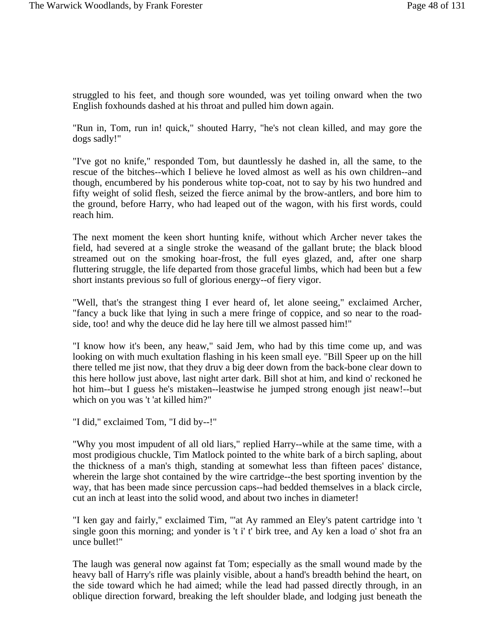struggled to his feet, and though sore wounded, was yet toiling onward when the two English foxhounds dashed at his throat and pulled him down again.

"Run in, Tom, run in! quick," shouted Harry, "he's not clean killed, and may gore the dogs sadly!"

"I've got no knife," responded Tom, but dauntlessly he dashed in, all the same, to the rescue of the bitches--which I believe he loved almost as well as his own children--and though, encumbered by his ponderous white top-coat, not to say by his two hundred and fifty weight of solid flesh, seized the fierce animal by the brow-antlers, and bore him to the ground, before Harry, who had leaped out of the wagon, with his first words, could reach him.

The next moment the keen short hunting knife, without which Archer never takes the field, had severed at a single stroke the weasand of the gallant brute; the black blood streamed out on the smoking hoar-frost, the full eyes glazed, and, after one sharp fluttering struggle, the life departed from those graceful limbs, which had been but a few short instants previous so full of glorious energy--of fiery vigor.

"Well, that's the strangest thing I ever heard of, let alone seeing," exclaimed Archer, "fancy a buck like that lying in such a mere fringe of coppice, and so near to the roadside, too! and why the deuce did he lay here till we almost passed him!"

"I know how it's been, any heaw," said Jem, who had by this time come up, and was looking on with much exultation flashing in his keen small eye. "Bill Speer up on the hill there telled me jist now, that they druv a big deer down from the back-bone clear down to this here hollow just above, last night arter dark. Bill shot at him, and kind o' reckoned he hot him--but I guess he's mistaken--leastwise he jumped strong enough jist neaw!--but which on you was 't 'at killed him?"

"I did," exclaimed Tom, "I did by--!"

"Why you most impudent of all old liars," replied Harry--while at the same time, with a most prodigious chuckle, Tim Matlock pointed to the white bark of a birch sapling, about the thickness of a man's thigh, standing at somewhat less than fifteen paces' distance, wherein the large shot contained by the wire cartridge--the best sporting invention by the way, that has been made since percussion caps--had bedded themselves in a black circle, cut an inch at least into the solid wood, and about two inches in diameter!

"I ken gay and fairly," exclaimed Tim, "'at Ay rammed an Eley's patent cartridge into 't single goon this morning; and yonder is 't i' t' birk tree, and Ay ken a load o' shot fra an unce bullet!"

The laugh was general now against fat Tom; especially as the small wound made by the heavy ball of Harry's rifle was plainly visible, about a hand's breadth behind the heart, on the side toward which he had aimed; while the lead had passed directly through, in an oblique direction forward, breaking the left shoulder blade, and lodging just beneath the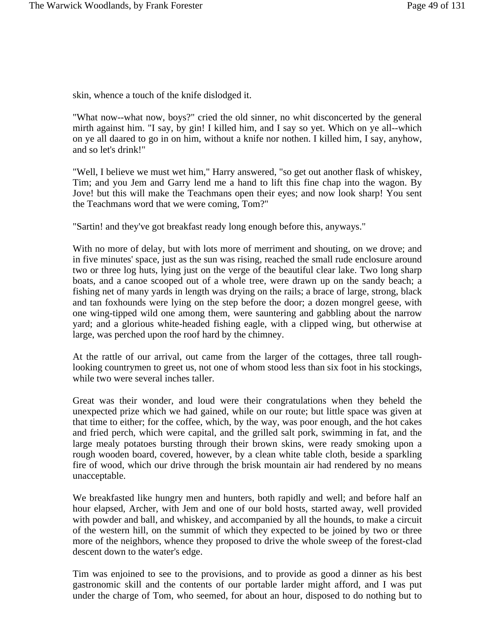skin, whence a touch of the knife dislodged it.

"What now--what now, boys?" cried the old sinner, no whit disconcerted by the general mirth against him. "I say, by gin! I killed him, and I say so yet. Which on ye all--which on ye all daared to go in on him, without a knife nor nothen. I killed him, I say, anyhow, and so let's drink!"

"Well, I believe we must wet him," Harry answered, "so get out another flask of whiskey, Tim; and you Jem and Garry lend me a hand to lift this fine chap into the wagon. By Jove! but this will make the Teachmans open their eyes; and now look sharp! You sent the Teachmans word that we were coming, Tom?"

"Sartin! and they've got breakfast ready long enough before this, anyways."

With no more of delay, but with lots more of merriment and shouting, on we drove; and in five minutes' space, just as the sun was rising, reached the small rude enclosure around two or three log huts, lying just on the verge of the beautiful clear lake. Two long sharp boats, and a canoe scooped out of a whole tree, were drawn up on the sandy beach; a fishing net of many yards in length was drying on the rails; a brace of large, strong, black and tan foxhounds were lying on the step before the door; a dozen mongrel geese, with one wing-tipped wild one among them, were sauntering and gabbling about the narrow yard; and a glorious white-headed fishing eagle, with a clipped wing, but otherwise at large, was perched upon the roof hard by the chimney.

At the rattle of our arrival, out came from the larger of the cottages, three tall roughlooking countrymen to greet us, not one of whom stood less than six foot in his stockings, while two were several inches taller.

Great was their wonder, and loud were their congratulations when they beheld the unexpected prize which we had gained, while on our route; but little space was given at that time to either; for the coffee, which, by the way, was poor enough, and the hot cakes and fried perch, which were capital, and the grilled salt pork, swimming in fat, and the large mealy potatoes bursting through their brown skins, were ready smoking upon a rough wooden board, covered, however, by a clean white table cloth, beside a sparkling fire of wood, which our drive through the brisk mountain air had rendered by no means unacceptable.

We breakfasted like hungry men and hunters, both rapidly and well; and before half an hour elapsed, Archer, with Jem and one of our bold hosts, started away, well provided with powder and ball, and whiskey, and accompanied by all the hounds, to make a circuit of the western hill, on the summit of which they expected to be joined by two or three more of the neighbors, whence they proposed to drive the whole sweep of the forest-clad descent down to the water's edge.

Tim was enjoined to see to the provisions, and to provide as good a dinner as his best gastronomic skill and the contents of our portable larder might afford, and I was put under the charge of Tom, who seemed, for about an hour, disposed to do nothing but to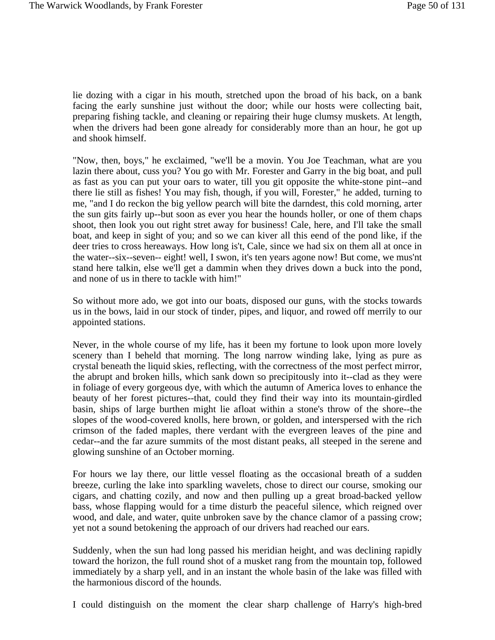lie dozing with a cigar in his mouth, stretched upon the broad of his back, on a bank facing the early sunshine just without the door; while our hosts were collecting bait, preparing fishing tackle, and cleaning or repairing their huge clumsy muskets. At length, when the drivers had been gone already for considerably more than an hour, he got up and shook himself.

"Now, then, boys," he exclaimed, "we'll be a movin. You Joe Teachman, what are you lazin there about, cuss you? You go with Mr. Forester and Garry in the big boat, and pull as fast as you can put your oars to water, till you git opposite the white-stone pint--and there lie still as fishes! You may fish, though, if you will, Forester," he added, turning to me, "and I do reckon the big yellow pearch will bite the darndest, this cold morning, arter the sun gits fairly up--but soon as ever you hear the hounds holler, or one of them chaps shoot, then look you out right stret away for business! Cale, here, and I'll take the small boat, and keep in sight of you; and so we can kiver all this eend of the pond like, if the deer tries to cross hereaways. How long is't, Cale, since we had six on them all at once in the water--six--seven-- eight! well, I swon, it's ten years agone now! But come, we mus'nt stand here talkin, else we'll get a dammin when they drives down a buck into the pond, and none of us in there to tackle with him!"

So without more ado, we got into our boats, disposed our guns, with the stocks towards us in the bows, laid in our stock of tinder, pipes, and liquor, and rowed off merrily to our appointed stations.

Never, in the whole course of my life, has it been my fortune to look upon more lovely scenery than I beheld that morning. The long narrow winding lake, lying as pure as crystal beneath the liquid skies, reflecting, with the correctness of the most perfect mirror, the abrupt and broken hills, which sank down so precipitously into it--clad as they were in foliage of every gorgeous dye, with which the autumn of America loves to enhance the beauty of her forest pictures--that, could they find their way into its mountain-girdled basin, ships of large burthen might lie afloat within a stone's throw of the shore--the slopes of the wood-covered knolls, here brown, or golden, and interspersed with the rich crimson of the faded maples, there verdant with the evergreen leaves of the pine and cedar--and the far azure summits of the most distant peaks, all steeped in the serene and glowing sunshine of an October morning.

For hours we lay there, our little vessel floating as the occasional breath of a sudden breeze, curling the lake into sparkling wavelets, chose to direct our course, smoking our cigars, and chatting cozily, and now and then pulling up a great broad-backed yellow bass, whose flapping would for a time disturb the peaceful silence, which reigned over wood, and dale, and water, quite unbroken save by the chance clamor of a passing crow; yet not a sound betokening the approach of our drivers had reached our ears.

Suddenly, when the sun had long passed his meridian height, and was declining rapidly toward the horizon, the full round shot of a musket rang from the mountain top, followed immediately by a sharp yell, and in an instant the whole basin of the lake was filled with the harmonious discord of the hounds.

I could distinguish on the moment the clear sharp challenge of Harry's high-bred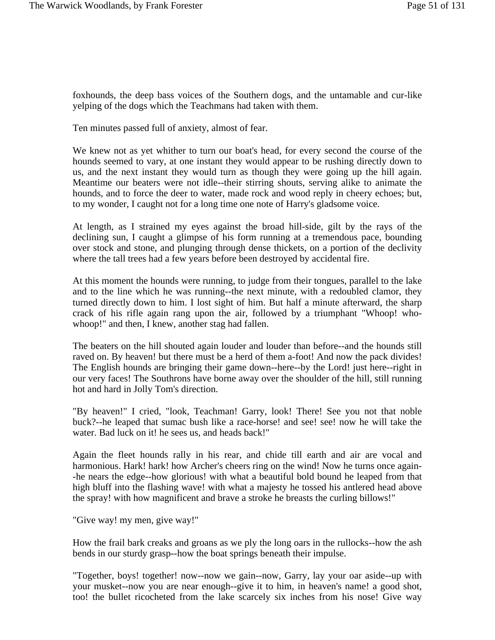foxhounds, the deep bass voices of the Southern dogs, and the untamable and cur-like yelping of the dogs which the Teachmans had taken with them.

Ten minutes passed full of anxiety, almost of fear.

We knew not as yet whither to turn our boat's head, for every second the course of the hounds seemed to vary, at one instant they would appear to be rushing directly down to us, and the next instant they would turn as though they were going up the hill again. Meantime our beaters were not idle--their stirring shouts, serving alike to animate the hounds, and to force the deer to water, made rock and wood reply in cheery echoes; but, to my wonder, I caught not for a long time one note of Harry's gladsome voice.

At length, as I strained my eyes against the broad hill-side, gilt by the rays of the declining sun, I caught a glimpse of his form running at a tremendous pace, bounding over stock and stone, and plunging through dense thickets, on a portion of the declivity where the tall trees had a few years before been destroyed by accidental fire.

At this moment the hounds were running, to judge from their tongues, parallel to the lake and to the line which he was running--the next minute, with a redoubled clamor, they turned directly down to him. I lost sight of him. But half a minute afterward, the sharp crack of his rifle again rang upon the air, followed by a triumphant "Whoop! whowhoop!" and then, I knew, another stag had fallen.

The beaters on the hill shouted again louder and louder than before--and the hounds still raved on. By heaven! but there must be a herd of them a-foot! And now the pack divides! The English hounds are bringing their game down--here--by the Lord! just here--right in our very faces! The Southrons have borne away over the shoulder of the hill, still running hot and hard in Jolly Tom's direction.

"By heaven!" I cried, "look, Teachman! Garry, look! There! See you not that noble buck?--he leaped that sumac bush like a race-horse! and see! see! now he will take the water. Bad luck on it! he sees us, and heads back!"

Again the fleet hounds rally in his rear, and chide till earth and air are vocal and harmonious. Hark! hark! how Archer's cheers ring on the wind! Now he turns once again--he nears the edge--how glorious! with what a beautiful bold bound he leaped from that high bluff into the flashing wave! with what a majesty he tossed his antlered head above the spray! with how magnificent and brave a stroke he breasts the curling billows!"

"Give way! my men, give way!"

How the frail bark creaks and groans as we ply the long oars in the rullocks--how the ash bends in our sturdy grasp--how the boat springs beneath their impulse.

"Together, boys! together! now--now we gain--now, Garry, lay your oar aside--up with your musket--now you are near enough--give it to him, in heaven's name! a good shot, too! the bullet ricocheted from the lake scarcely six inches from his nose! Give way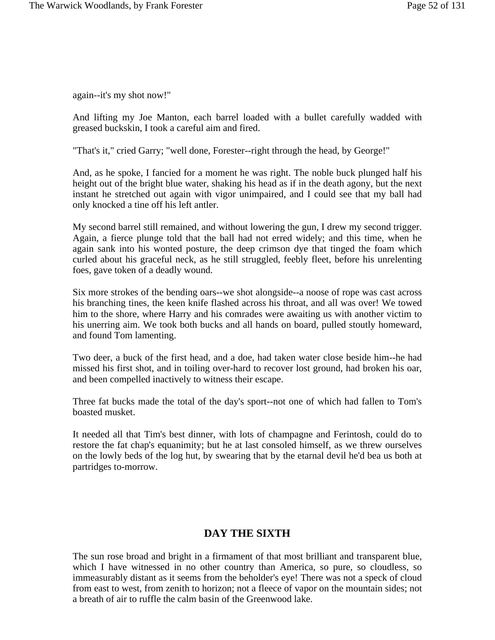again--it's my shot now!"

And lifting my Joe Manton, each barrel loaded with a bullet carefully wadded with greased buckskin, I took a careful aim and fired.

"That's it," cried Garry; "well done, Forester--right through the head, by George!"

And, as he spoke, I fancied for a moment he was right. The noble buck plunged half his height out of the bright blue water, shaking his head as if in the death agony, but the next instant he stretched out again with vigor unimpaired, and I could see that my ball had only knocked a tine off his left antler.

My second barrel still remained, and without lowering the gun, I drew my second trigger. Again, a fierce plunge told that the ball had not erred widely; and this time, when he again sank into his wonted posture, the deep crimson dye that tinged the foam which curled about his graceful neck, as he still struggled, feebly fleet, before his unrelenting foes, gave token of a deadly wound.

Six more strokes of the bending oars--we shot alongside--a noose of rope was cast across his branching tines, the keen knife flashed across his throat, and all was over! We towed him to the shore, where Harry and his comrades were awaiting us with another victim to his unerring aim. We took both bucks and all hands on board, pulled stoutly homeward, and found Tom lamenting.

Two deer, a buck of the first head, and a doe, had taken water close beside him--he had missed his first shot, and in toiling over-hard to recover lost ground, had broken his oar, and been compelled inactively to witness their escape.

Three fat bucks made the total of the day's sport--not one of which had fallen to Tom's boasted musket.

It needed all that Tim's best dinner, with lots of champagne and Ferintosh, could do to restore the fat chap's equanimity; but he at last consoled himself, as we threw ourselves on the lowly beds of the log hut, by swearing that by the etarnal devil he'd bea us both at partridges to-morrow.

# **DAY THE SIXTH**

The sun rose broad and bright in a firmament of that most brilliant and transparent blue, which I have witnessed in no other country than America, so pure, so cloudless, so immeasurably distant as it seems from the beholder's eye! There was not a speck of cloud from east to west, from zenith to horizon; not a fleece of vapor on the mountain sides; not a breath of air to ruffle the calm basin of the Greenwood lake.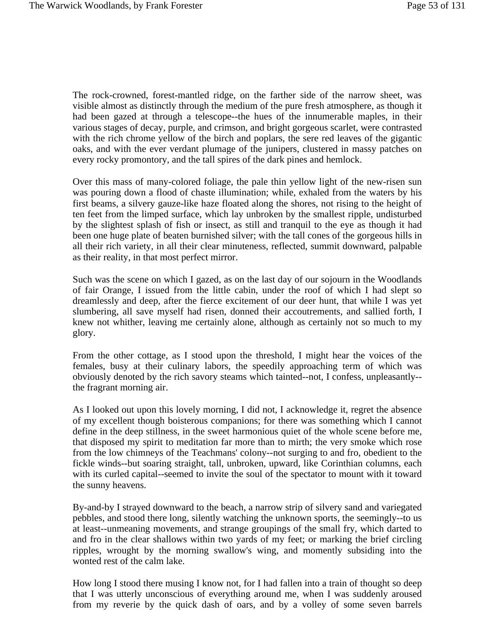The rock-crowned, forest-mantled ridge, on the farther side of the narrow sheet, was visible almost as distinctly through the medium of the pure fresh atmosphere, as though it had been gazed at through a telescope--the hues of the innumerable maples, in their various stages of decay, purple, and crimson, and bright gorgeous scarlet, were contrasted with the rich chrome yellow of the birch and poplars, the sere red leaves of the gigantic oaks, and with the ever verdant plumage of the junipers, clustered in massy patches on every rocky promontory, and the tall spires of the dark pines and hemlock.

Over this mass of many-colored foliage, the pale thin yellow light of the new-risen sun was pouring down a flood of chaste illumination; while, exhaled from the waters by his first beams, a silvery gauze-like haze floated along the shores, not rising to the height of ten feet from the limped surface, which lay unbroken by the smallest ripple, undisturbed by the slightest splash of fish or insect, as still and tranquil to the eye as though it had been one huge plate of beaten burnished silver; with the tall cones of the gorgeous hills in all their rich variety, in all their clear minuteness, reflected, summit downward, palpable as their reality, in that most perfect mirror.

Such was the scene on which I gazed, as on the last day of our sojourn in the Woodlands of fair Orange, I issued from the little cabin, under the roof of which I had slept so dreamlessly and deep, after the fierce excitement of our deer hunt, that while I was yet slumbering, all save myself had risen, donned their accoutrements, and sallied forth, I knew not whither, leaving me certainly alone, although as certainly not so much to my glory.

From the other cottage, as I stood upon the threshold, I might hear the voices of the females, busy at their culinary labors, the speedily approaching term of which was obviously denoted by the rich savory steams which tainted--not, I confess, unpleasantly- the fragrant morning air.

As I looked out upon this lovely morning, I did not, I acknowledge it, regret the absence of my excellent though boisterous companions; for there was something which I cannot define in the deep stillness, in the sweet harmonious quiet of the whole scene before me, that disposed my spirit to meditation far more than to mirth; the very smoke which rose from the low chimneys of the Teachmans' colony--not surging to and fro, obedient to the fickle winds--but soaring straight, tall, unbroken, upward, like Corinthian columns, each with its curled capital--seemed to invite the soul of the spectator to mount with it toward the sunny heavens.

By-and-by I strayed downward to the beach, a narrow strip of silvery sand and variegated pebbles, and stood there long, silently watching the unknown sports, the seemingly--to us at least--unmeaning movements, and strange groupings of the small fry, which darted to and fro in the clear shallows within two yards of my feet; or marking the brief circling ripples, wrought by the morning swallow's wing, and momently subsiding into the wonted rest of the calm lake.

How long I stood there musing I know not, for I had fallen into a train of thought so deep that I was utterly unconscious of everything around me, when I was suddenly aroused from my reverie by the quick dash of oars, and by a volley of some seven barrels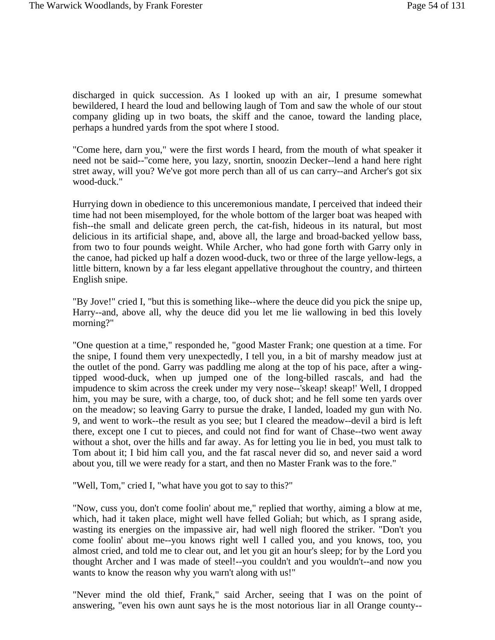discharged in quick succession. As I looked up with an air, I presume somewhat bewildered, I heard the loud and bellowing laugh of Tom and saw the whole of our stout company gliding up in two boats, the skiff and the canoe, toward the landing place, perhaps a hundred yards from the spot where I stood.

"Come here, darn you," were the first words I heard, from the mouth of what speaker it need not be said--"come here, you lazy, snortin, snoozin Decker--lend a hand here right stret away, will you? We've got more perch than all of us can carry--and Archer's got six wood-duck."

Hurrying down in obedience to this unceremonious mandate, I perceived that indeed their time had not been misemployed, for the whole bottom of the larger boat was heaped with fish--the small and delicate green perch, the cat-fish, hideous in its natural, but most delicious in its artificial shape, and, above all, the large and broad-backed yellow bass, from two to four pounds weight. While Archer, who had gone forth with Garry only in the canoe, had picked up half a dozen wood-duck, two or three of the large yellow-legs, a little bittern, known by a far less elegant appellative throughout the country, and thirteen English snipe.

"By Jove!" cried I, "but this is something like--where the deuce did you pick the snipe up, Harry--and, above all, why the deuce did you let me lie wallowing in bed this lovely morning?"

"One question at a time," responded he, "good Master Frank; one question at a time. For the snipe, I found them very unexpectedly, I tell you, in a bit of marshy meadow just at the outlet of the pond. Garry was paddling me along at the top of his pace, after a wingtipped wood-duck, when up jumped one of the long-billed rascals, and had the impudence to skim across the creek under my very nose--'skeap! skeap!' Well, I dropped him, you may be sure, with a charge, too, of duck shot; and he fell some ten yards over on the meadow; so leaving Garry to pursue the drake, I landed, loaded my gun with No. 9, and went to work--the result as you see; but I cleared the meadow--devil a bird is left there, except one I cut to pieces, and could not find for want of Chase--two went away without a shot, over the hills and far away. As for letting you lie in bed, you must talk to Tom about it; I bid him call you, and the fat rascal never did so, and never said a word about you, till we were ready for a start, and then no Master Frank was to the fore."

"Well, Tom," cried I, "what have you got to say to this?"

"Now, cuss you, don't come foolin' about me," replied that worthy, aiming a blow at me, which, had it taken place, might well have felled Goliah; but which, as I sprang aside, wasting its energies on the impassive air, had well nigh floored the striker. "Don't you come foolin' about me--you knows right well I called you, and you knows, too, you almost cried, and told me to clear out, and let you git an hour's sleep; for by the Lord you thought Archer and I was made of steel!--you couldn't and you wouldn't--and now you wants to know the reason why you warn't along with us!"

"Never mind the old thief, Frank," said Archer, seeing that I was on the point of answering, "even his own aunt says he is the most notorious liar in all Orange county--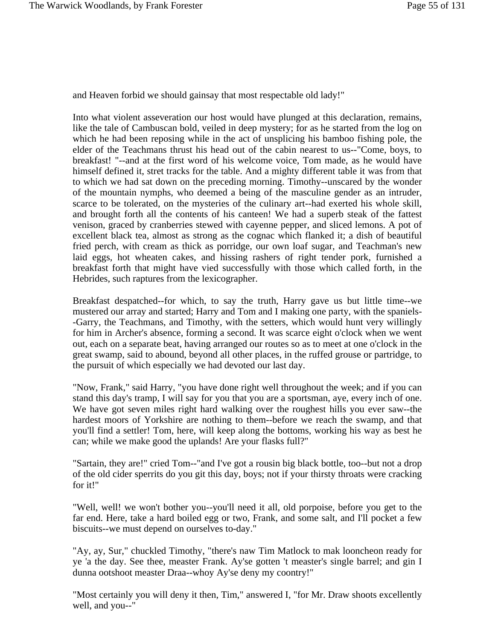and Heaven forbid we should gainsay that most respectable old lady!"

Into what violent asseveration our host would have plunged at this declaration, remains, like the tale of Cambuscan bold, veiled in deep mystery; for as he started from the log on which he had been reposing while in the act of unsplicing his bamboo fishing pole, the elder of the Teachmans thrust his head out of the cabin nearest to us--"Come, boys, to breakfast! "--and at the first word of his welcome voice, Tom made, as he would have himself defined it, stret tracks for the table. And a mighty different table it was from that to which we had sat down on the preceding morning. Timothy--unscared by the wonder of the mountain nymphs, who deemed a being of the masculine gender as an intruder, scarce to be tolerated, on the mysteries of the culinary art--had exerted his whole skill, and brought forth all the contents of his canteen! We had a superb steak of the fattest venison, graced by cranberries stewed with cayenne pepper, and sliced lemons. A pot of excellent black tea, almost as strong as the cognac which flanked it; a dish of beautiful fried perch, with cream as thick as porridge, our own loaf sugar, and Teachman's new laid eggs, hot wheaten cakes, and hissing rashers of right tender pork, furnished a breakfast forth that might have vied successfully with those which called forth, in the Hebrides, such raptures from the lexicographer.

Breakfast despatched--for which, to say the truth, Harry gave us but little time--we mustered our array and started; Harry and Tom and I making one party, with the spaniels- -Garry, the Teachmans, and Timothy, with the setters, which would hunt very willingly for him in Archer's absence, forming a second. It was scarce eight o'clock when we went out, each on a separate beat, having arranged our routes so as to meet at one o'clock in the great swamp, said to abound, beyond all other places, in the ruffed grouse or partridge, to the pursuit of which especially we had devoted our last day.

"Now, Frank," said Harry, "you have done right well throughout the week; and if you can stand this day's tramp, I will say for you that you are a sportsman, aye, every inch of one. We have got seven miles right hard walking over the roughest hills you ever saw--the hardest moors of Yorkshire are nothing to them--before we reach the swamp, and that you'll find a settler! Tom, here, will keep along the bottoms, working his way as best he can; while we make good the uplands! Are your flasks full?"

"Sartain, they are!" cried Tom--"and I've got a rousin big black bottle, too--but not a drop of the old cider sperrits do you git this day, boys; not if your thirsty throats were cracking for it!"

"Well, well! we won't bother you--you'll need it all, old porpoise, before you get to the far end. Here, take a hard boiled egg or two, Frank, and some salt, and I'll pocket a few biscuits--we must depend on ourselves to-day."

"Ay, ay, Sur," chuckled Timothy, "there's naw Tim Matlock to mak looncheon ready for ye 'a the day. See thee, measter Frank. Ay'se gotten 't measter's single barrel; and gin I dunna ootshoot measter Draa--whoy Ay'se deny my coontry!"

"Most certainly you will deny it then, Tim," answered I, "for Mr. Draw shoots excellently well, and you--"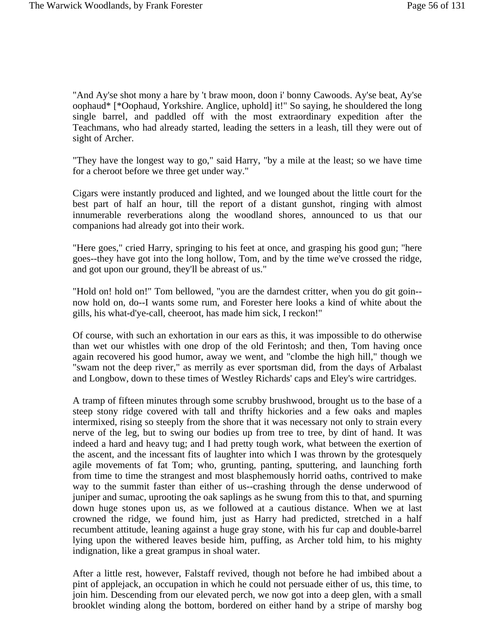"And Ay'se shot mony a hare by 't braw moon, doon i' bonny Cawoods. Ay'se beat, Ay'se oophaud\* [\*Oophaud, Yorkshire. Anglice, uphold] it!" So saying, he shouldered the long single barrel, and paddled off with the most extraordinary expedition after the Teachmans, who had already started, leading the setters in a leash, till they were out of sight of Archer.

"They have the longest way to go," said Harry, "by a mile at the least; so we have time for a cheroot before we three get under way."

Cigars were instantly produced and lighted, and we lounged about the little court for the best part of half an hour, till the report of a distant gunshot, ringing with almost innumerable reverberations along the woodland shores, announced to us that our companions had already got into their work.

"Here goes," cried Harry, springing to his feet at once, and grasping his good gun; "here goes--they have got into the long hollow, Tom, and by the time we've crossed the ridge, and got upon our ground, they'll be abreast of us."

"Hold on! hold on!" Tom bellowed, "you are the darndest critter, when you do git goin- now hold on, do--I wants some rum, and Forester here looks a kind of white about the gills, his what-d'ye-call, cheeroot, has made him sick, I reckon!"

Of course, with such an exhortation in our ears as this, it was impossible to do otherwise than wet our whistles with one drop of the old Ferintosh; and then, Tom having once again recovered his good humor, away we went, and "clombe the high hill," though we "swam not the deep river," as merrily as ever sportsman did, from the days of Arbalast and Longbow, down to these times of Westley Richards' caps and Eley's wire cartridges.

A tramp of fifteen minutes through some scrubby brushwood, brought us to the base of a steep stony ridge covered with tall and thrifty hickories and a few oaks and maples intermixed, rising so steeply from the shore that it was necessary not only to strain every nerve of the leg, but to swing our bodies up from tree to tree, by dint of hand. It was indeed a hard and heavy tug; and I had pretty tough work, what between the exertion of the ascent, and the incessant fits of laughter into which I was thrown by the grotesquely agile movements of fat Tom; who, grunting, panting, sputtering, and launching forth from time to time the strangest and most blasphemously horrid oaths, contrived to make way to the summit faster than either of us--crashing through the dense underwood of juniper and sumac, uprooting the oak saplings as he swung from this to that, and spurning down huge stones upon us, as we followed at a cautious distance. When we at last crowned the ridge, we found him, just as Harry had predicted, stretched in a half recumbent attitude, leaning against a huge gray stone, with his fur cap and double-barrel lying upon the withered leaves beside him, puffing, as Archer told him, to his mighty indignation, like a great grampus in shoal water.

After a little rest, however, Falstaff revived, though not before he had imbibed about a pint of applejack, an occupation in which he could not persuade either of us, this time, to join him. Descending from our elevated perch, we now got into a deep glen, with a small brooklet winding along the bottom, bordered on either hand by a stripe of marshy bog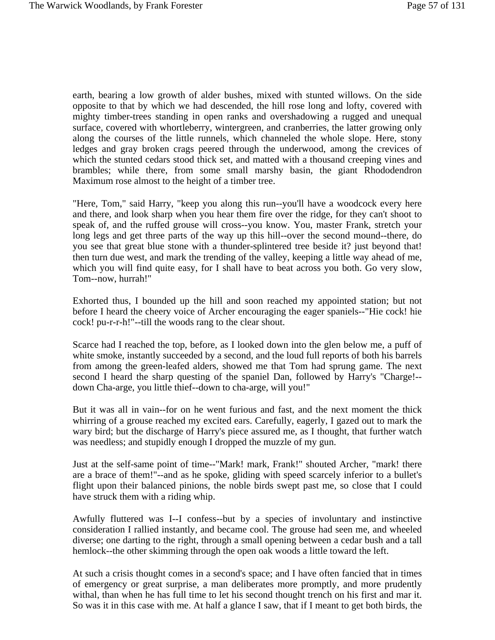earth, bearing a low growth of alder bushes, mixed with stunted willows. On the side opposite to that by which we had descended, the hill rose long and lofty, covered with mighty timber-trees standing in open ranks and overshadowing a rugged and unequal surface, covered with whortleberry, wintergreen, and cranberries, the latter growing only along the courses of the little runnels, which channeled the whole slope. Here, stony ledges and gray broken crags peered through the underwood, among the crevices of which the stunted cedars stood thick set, and matted with a thousand creeping vines and brambles; while there, from some small marshy basin, the giant Rhododendron Maximum rose almost to the height of a timber tree.

"Here, Tom," said Harry, "keep you along this run--you'll have a woodcock every here and there, and look sharp when you hear them fire over the ridge, for they can't shoot to speak of, and the ruffed grouse will cross--you know. You, master Frank, stretch your long legs and get three parts of the way up this hill--over the second mound--there, do you see that great blue stone with a thunder-splintered tree beside it? just beyond that! then turn due west, and mark the trending of the valley, keeping a little way ahead of me, which you will find quite easy, for I shall have to beat across you both. Go very slow, Tom--now, hurrah!"

Exhorted thus, I bounded up the hill and soon reached my appointed station; but not before I heard the cheery voice of Archer encouraging the eager spaniels--"Hie cock! hie cock! pu-r-r-h!"--till the woods rang to the clear shout.

Scarce had I reached the top, before, as I looked down into the glen below me, a puff of white smoke, instantly succeeded by a second, and the loud full reports of both his barrels from among the green-leafed alders, showed me that Tom had sprung game. The next second I heard the sharp questing of the spaniel Dan, followed by Harry's "Charge!- down Cha-arge, you little thief--down to cha-arge, will you!"

But it was all in vain--for on he went furious and fast, and the next moment the thick whirring of a grouse reached my excited ears. Carefully, eagerly, I gazed out to mark the wary bird; but the discharge of Harry's piece assured me, as I thought, that further watch was needless; and stupidly enough I dropped the muzzle of my gun.

Just at the self-same point of time--"Mark! mark, Frank!" shouted Archer, "mark! there are a brace of them!"--and as he spoke, gliding with speed scarcely inferior to a bullet's flight upon their balanced pinions, the noble birds swept past me, so close that I could have struck them with a riding whip.

Awfully fluttered was I--I confess--but by a species of involuntary and instinctive consideration I rallied instantly, and became cool. The grouse had seen me, and wheeled diverse; one darting to the right, through a small opening between a cedar bush and a tall hemlock--the other skimming through the open oak woods a little toward the left.

At such a crisis thought comes in a second's space; and I have often fancied that in times of emergency or great surprise, a man deliberates more promptly, and more prudently withal, than when he has full time to let his second thought trench on his first and mar it. So was it in this case with me. At half a glance I saw, that if I meant to get both birds, the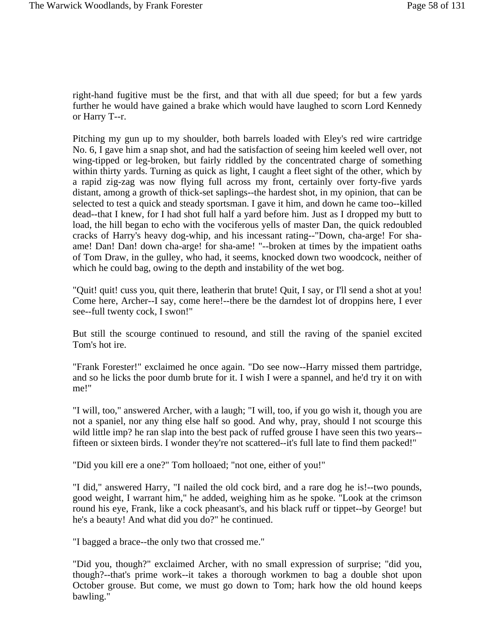right-hand fugitive must be the first, and that with all due speed; for but a few yards further he would have gained a brake which would have laughed to scorn Lord Kennedy or Harry T--r.

Pitching my gun up to my shoulder, both barrels loaded with Eley's red wire cartridge No. 6, I gave him a snap shot, and had the satisfaction of seeing him keeled well over, not wing-tipped or leg-broken, but fairly riddled by the concentrated charge of something within thirty yards. Turning as quick as light, I caught a fleet sight of the other, which by a rapid zig-zag was now flying full across my front, certainly over forty-five yards distant, among a growth of thick-set saplings--the hardest shot, in my opinion, that can be selected to test a quick and steady sportsman. I gave it him, and down he came too--killed dead--that I knew, for I had shot full half a yard before him. Just as I dropped my butt to load, the hill began to echo with the vociferous yells of master Dan, the quick redoubled cracks of Harry's heavy dog-whip, and his incessant rating--"Down, cha-arge! For shaame! Dan! Dan! down cha-arge! for sha-ame! "--broken at times by the impatient oaths of Tom Draw, in the gulley, who had, it seems, knocked down two woodcock, neither of which he could bag, owing to the depth and instability of the wet bog.

"Quit! quit! cuss you, quit there, leatherin that brute! Quit, I say, or I'll send a shot at you! Come here, Archer--I say, come here!--there be the darndest lot of droppins here, I ever see--full twenty cock, I swon!"

But still the scourge continued to resound, and still the raving of the spaniel excited Tom's hot ire.

"Frank Forester!" exclaimed he once again. "Do see now--Harry missed them partridge, and so he licks the poor dumb brute for it. I wish I were a spannel, and he'd try it on with me!"

"I will, too," answered Archer, with a laugh; "I will, too, if you go wish it, though you are not a spaniel, nor any thing else half so good. And why, pray, should I not scourge this wild little imp? he ran slap into the best pack of ruffed grouse I have seen this two years-fifteen or sixteen birds. I wonder they're not scattered--it's full late to find them packed!"

"Did you kill ere a one?" Tom holloaed; "not one, either of you!"

"I did," answered Harry, "I nailed the old cock bird, and a rare dog he is!--two pounds, good weight, I warrant him," he added, weighing him as he spoke. "Look at the crimson round his eye, Frank, like a cock pheasant's, and his black ruff or tippet--by George! but he's a beauty! And what did you do?" he continued.

"I bagged a brace--the only two that crossed me."

"Did you, though?" exclaimed Archer, with no small expression of surprise; "did you, though?--that's prime work--it takes a thorough workmen to bag a double shot upon October grouse. But come, we must go down to Tom; hark how the old hound keeps bawling."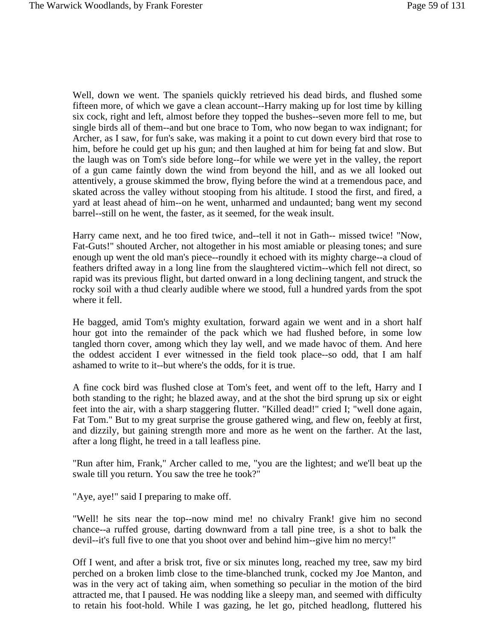Well, down we went. The spaniels quickly retrieved his dead birds, and flushed some fifteen more, of which we gave a clean account--Harry making up for lost time by killing six cock, right and left, almost before they topped the bushes--seven more fell to me, but single birds all of them--and but one brace to Tom, who now began to wax indignant; for Archer, as I saw, for fun's sake, was making it a point to cut down every bird that rose to him, before he could get up his gun; and then laughed at him for being fat and slow. But the laugh was on Tom's side before long--for while we were yet in the valley, the report of a gun came faintly down the wind from beyond the hill, and as we all looked out attentively, a grouse skimmed the brow, flying before the wind at a tremendous pace, and skated across the valley without stooping from his altitude. I stood the first, and fired, a yard at least ahead of him--on he went, unharmed and undaunted; bang went my second barrel--still on he went, the faster, as it seemed, for the weak insult.

Harry came next, and he too fired twice, and--tell it not in Gath-- missed twice! "Now, Fat-Guts!" shouted Archer, not altogether in his most amiable or pleasing tones; and sure enough up went the old man's piece--roundly it echoed with its mighty charge--a cloud of feathers drifted away in a long line from the slaughtered victim--which fell not direct, so rapid was its previous flight, but darted onward in a long declining tangent, and struck the rocky soil with a thud clearly audible where we stood, full a hundred yards from the spot where it fell.

He bagged, amid Tom's mighty exultation, forward again we went and in a short half hour got into the remainder of the pack which we had flushed before, in some low tangled thorn cover, among which they lay well, and we made havoc of them. And here the oddest accident I ever witnessed in the field took place--so odd, that I am half ashamed to write to it--but where's the odds, for it is true.

A fine cock bird was flushed close at Tom's feet, and went off to the left, Harry and I both standing to the right; he blazed away, and at the shot the bird sprung up six or eight feet into the air, with a sharp staggering flutter. "Killed dead!" cried I; "well done again, Fat Tom." But to my great surprise the grouse gathered wing, and flew on, feebly at first, and dizzily, but gaining strength more and more as he went on the farther. At the last, after a long flight, he treed in a tall leafless pine.

"Run after him, Frank," Archer called to me, "you are the lightest; and we'll beat up the swale till you return. You saw the tree he took?"

"Aye, aye!" said I preparing to make off.

"Well! he sits near the top--now mind me! no chivalry Frank! give him no second chance--a ruffed grouse, darting downward from a tall pine tree, is a shot to balk the devil--it's full five to one that you shoot over and behind him--give him no mercy!"

Off I went, and after a brisk trot, five or six minutes long, reached my tree, saw my bird perched on a broken limb close to the time-blanched trunk, cocked my Joe Manton, and was in the very act of taking aim, when something so peculiar in the motion of the bird attracted me, that I paused. He was nodding like a sleepy man, and seemed with difficulty to retain his foot-hold. While I was gazing, he let go, pitched headlong, fluttered his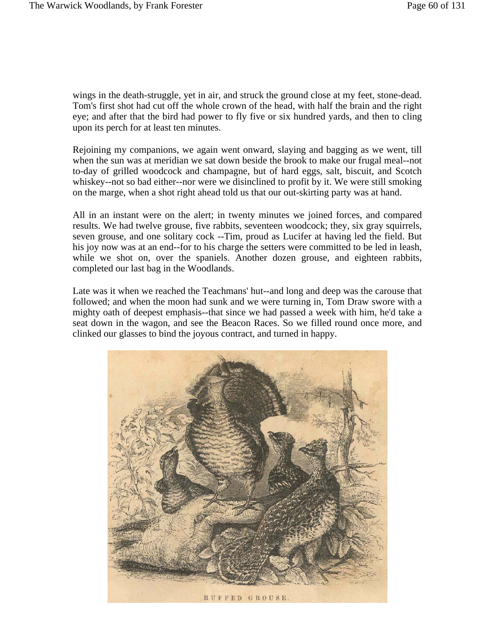wings in the death-struggle, yet in air, and struck the ground close at my feet, stone-dead. Tom's first shot had cut off the whole crown of the head, with half the brain and the right eye; and after that the bird had power to fly five or six hundred yards, and then to cling upon its perch for at least ten minutes.

Rejoining my companions, we again went onward, slaying and bagging as we went, till when the sun was at meridian we sat down beside the brook to make our frugal meal--not to-day of grilled woodcock and champagne, but of hard eggs, salt, biscuit, and Scotch whiskey--not so bad either--nor were we disinclined to profit by it. We were still smoking on the marge, when a shot right ahead told us that our out-skirting party was at hand.

All in an instant were on the alert; in twenty minutes we joined forces, and compared results. We had twelve grouse, five rabbits, seventeen woodcock; they, six gray squirrels, seven grouse, and one solitary cock --Tim, proud as Lucifer at having led the field. But his joy now was at an end--for to his charge the setters were committed to be led in leash, while we shot on, over the spaniels. Another dozen grouse, and eighteen rabbits, completed our last bag in the Woodlands.

Late was it when we reached the Teachmans' hut--and long and deep was the carouse that followed; and when the moon had sunk and we were turning in, Tom Draw swore with a mighty oath of deepest emphasis--that since we had passed a week with him, he'd take a seat down in the wagon, and see the Beacon Races. So we filled round once more, and clinked our glasses to bind the joyous contract, and turned in happy.

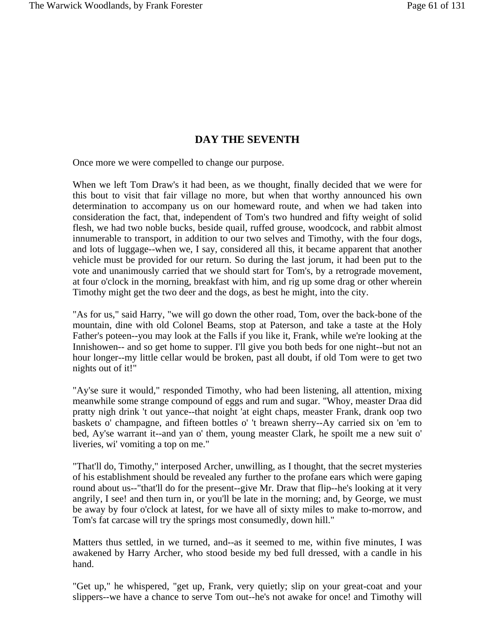#### **DAY THE SEVENTH**

Once more we were compelled to change our purpose.

When we left Tom Draw's it had been, as we thought, finally decided that we were for this bout to visit that fair village no more, but when that worthy announced his own determination to accompany us on our homeward route, and when we had taken into consideration the fact, that, independent of Tom's two hundred and fifty weight of solid flesh, we had two noble bucks, beside quail, ruffed grouse, woodcock, and rabbit almost innumerable to transport, in addition to our two selves and Timothy, with the four dogs, and lots of luggage--when we, I say, considered all this, it became apparent that another vehicle must be provided for our return. So during the last jorum, it had been put to the vote and unanimously carried that we should start for Tom's, by a retrograde movement, at four o'clock in the morning, breakfast with him, and rig up some drag or other wherein Timothy might get the two deer and the dogs, as best he might, into the city.

"As for us," said Harry, "we will go down the other road, Tom, over the back-bone of the mountain, dine with old Colonel Beams, stop at Paterson, and take a taste at the Holy Father's poteen--you may look at the Falls if you like it, Frank, while we're looking at the Innishowen-- and so get home to supper. I'll give you both beds for one night--but not an hour longer--my little cellar would be broken, past all doubt, if old Tom were to get two nights out of it!"

"Ay'se sure it would," responded Timothy, who had been listening, all attention, mixing meanwhile some strange compound of eggs and rum and sugar. "Whoy, measter Draa did pratty nigh drink 't out yance--that noight 'at eight chaps, measter Frank, drank oop two baskets o' champagne, and fifteen bottles o' 't breawn sherry--Ay carried six on 'em to bed, Ay'se warrant it--and yan o' them, young measter Clark, he spoilt me a new suit o' liveries, wi' vomiting a top on me."

"That'll do, Timothy," interposed Archer, unwilling, as I thought, that the secret mysteries of his establishment should be revealed any further to the profane ears which were gaping round about us--"that'll do for the present--give Mr. Draw that flip--he's looking at it very angrily, I see! and then turn in, or you'll be late in the morning; and, by George, we must be away by four o'clock at latest, for we have all of sixty miles to make to-morrow, and Tom's fat carcase will try the springs most consumedly, down hill."

Matters thus settled, in we turned, and--as it seemed to me, within five minutes, I was awakened by Harry Archer, who stood beside my bed full dressed, with a candle in his hand.

"Get up," he whispered, "get up, Frank, very quietly; slip on your great-coat and your slippers--we have a chance to serve Tom out--he's not awake for once! and Timothy will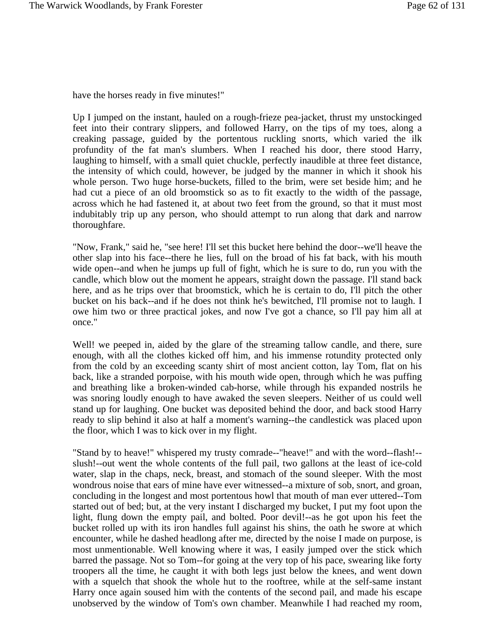have the horses ready in five minutes!"

Up I jumped on the instant, hauled on a rough-frieze pea-jacket, thrust my unstockinged feet into their contrary slippers, and followed Harry, on the tips of my toes, along a creaking passage, guided by the portentous ruckling snorts, which varied the ilk profundity of the fat man's slumbers. When I reached his door, there stood Harry, laughing to himself, with a small quiet chuckle, perfectly inaudible at three feet distance, the intensity of which could, however, be judged by the manner in which it shook his whole person. Two huge horse-buckets, filled to the brim, were set beside him; and he had cut a piece of an old broomstick so as to fit exactly to the width of the passage, across which he had fastened it, at about two feet from the ground, so that it must most indubitably trip up any person, who should attempt to run along that dark and narrow thoroughfare.

"Now, Frank," said he, "see here! I'll set this bucket here behind the door--we'll heave the other slap into his face--there he lies, full on the broad of his fat back, with his mouth wide open--and when he jumps up full of fight, which he is sure to do, run you with the candle, which blow out the moment he appears, straight down the passage. I'll stand back here, and as he trips over that broomstick, which he is certain to do, I'll pitch the other bucket on his back--and if he does not think he's bewitched, I'll promise not to laugh. I owe him two or three practical jokes, and now I've got a chance, so I'll pay him all at once."

Well! we peeped in, aided by the glare of the streaming tallow candle, and there, sure enough, with all the clothes kicked off him, and his immense rotundity protected only from the cold by an exceeding scanty shirt of most ancient cotton, lay Tom, flat on his back, like a stranded porpoise, with his mouth wide open, through which he was puffing and breathing like a broken-winded cab-horse, while through his expanded nostrils he was snoring loudly enough to have awaked the seven sleepers. Neither of us could well stand up for laughing. One bucket was deposited behind the door, and back stood Harry ready to slip behind it also at half a moment's warning--the candlestick was placed upon the floor, which I was to kick over in my flight.

"Stand by to heave!" whispered my trusty comrade--"heave!" and with the word--flash!- slush!--out went the whole contents of the full pail, two gallons at the least of ice-cold water, slap in the chaps, neck, breast, and stomach of the sound sleeper. With the most wondrous noise that ears of mine have ever witnessed--a mixture of sob, snort, and groan, concluding in the longest and most portentous howl that mouth of man ever uttered--Tom started out of bed; but, at the very instant I discharged my bucket, I put my foot upon the light, flung down the empty pail, and bolted. Poor devil!--as he got upon his feet the bucket rolled up with its iron handles full against his shins, the oath he swore at which encounter, while he dashed headlong after me, directed by the noise I made on purpose, is most unmentionable. Well knowing where it was, I easily jumped over the stick which barred the passage. Not so Tom--for going at the very top of his pace, swearing like forty troopers all the time, he caught it with both legs just below the knees, and went down with a squelch that shook the whole hut to the rooftree, while at the self-same instant Harry once again soused him with the contents of the second pail, and made his escape unobserved by the window of Tom's own chamber. Meanwhile I had reached my room,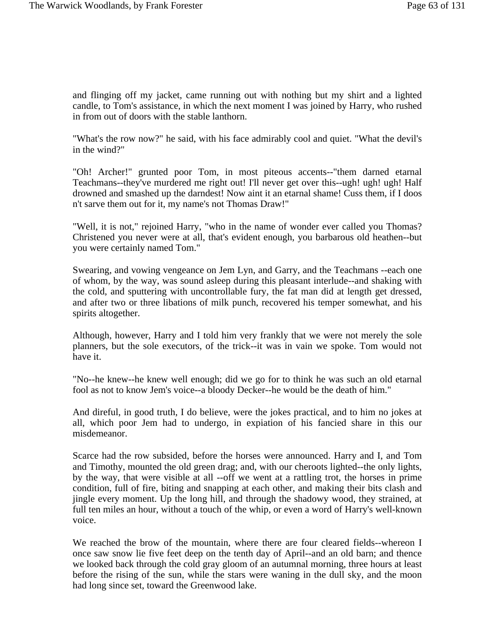and flinging off my jacket, came running out with nothing but my shirt and a lighted candle, to Tom's assistance, in which the next moment I was joined by Harry, who rushed in from out of doors with the stable lanthorn.

"What's the row now?" he said, with his face admirably cool and quiet. "What the devil's in the wind?"

"Oh! Archer!" grunted poor Tom, in most piteous accents--"them darned etarnal Teachmans--they've murdered me right out! I'll never get over this--ugh! ugh! ugh! Half drowned and smashed up the darndest! Now aint it an etarnal shame! Cuss them, if I doos n't sarve them out for it, my name's not Thomas Draw!"

"Well, it is not," rejoined Harry, "who in the name of wonder ever called you Thomas? Christened you never were at all, that's evident enough, you barbarous old heathen--but you were certainly named Tom."

Swearing, and vowing vengeance on Jem Lyn, and Garry, and the Teachmans --each one of whom, by the way, was sound asleep during this pleasant interlude--and shaking with the cold, and sputtering with uncontrollable fury, the fat man did at length get dressed, and after two or three libations of milk punch, recovered his temper somewhat, and his spirits altogether.

Although, however, Harry and I told him very frankly that we were not merely the sole planners, but the sole executors, of the trick--it was in vain we spoke. Tom would not have it.

"No--he knew--he knew well enough; did we go for to think he was such an old etarnal fool as not to know Jem's voice--a bloody Decker--he would be the death of him."

And direful, in good truth, I do believe, were the jokes practical, and to him no jokes at all, which poor Jem had to undergo, in expiation of his fancied share in this our misdemeanor.

Scarce had the row subsided, before the horses were announced. Harry and I, and Tom and Timothy, mounted the old green drag; and, with our cheroots lighted--the only lights, by the way, that were visible at all --off we went at a rattling trot, the horses in prime condition, full of fire, biting and snapping at each other, and making their bits clash and jingle every moment. Up the long hill, and through the shadowy wood, they strained, at full ten miles an hour, without a touch of the whip, or even a word of Harry's well-known voice.

We reached the brow of the mountain, where there are four cleared fields--whereon I once saw snow lie five feet deep on the tenth day of April--and an old barn; and thence we looked back through the cold gray gloom of an autumnal morning, three hours at least before the rising of the sun, while the stars were waning in the dull sky, and the moon had long since set, toward the Greenwood lake.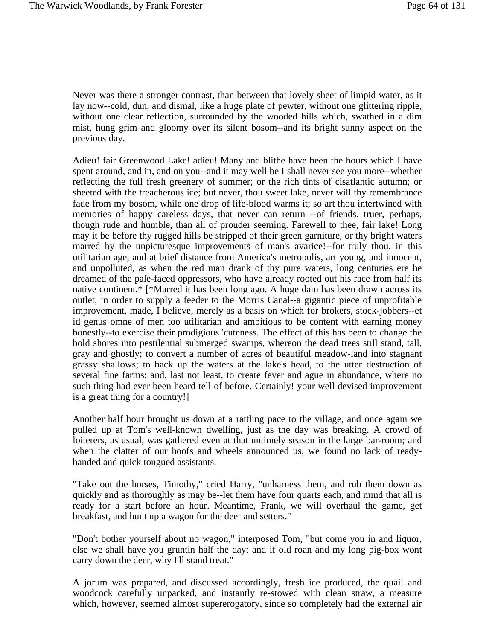Never was there a stronger contrast, than between that lovely sheet of limpid water, as it lay now--cold, dun, and dismal, like a huge plate of pewter, without one glittering ripple, without one clear reflection, surrounded by the wooded hills which, swathed in a dim mist, hung grim and gloomy over its silent bosom--and its bright sunny aspect on the previous day.

Adieu! fair Greenwood Lake! adieu! Many and blithe have been the hours which I have spent around, and in, and on you--and it may well be I shall never see you more--whether reflecting the full fresh greenery of summer; or the rich tints of cisatlantic autumn; or sheeted with the treacherous ice; but never, thou sweet lake, never will thy remembrance fade from my bosom, while one drop of life-blood warms it; so art thou intertwined with memories of happy careless days, that never can return --of friends, truer, perhaps, though rude and humble, than all of prouder seeming. Farewell to thee, fair lake! Long may it be before thy rugged hills be stripped of their green garniture, or thy bright waters marred by the unpicturesque improvements of man's avarice!--for truly thou, in this utilitarian age, and at brief distance from America's metropolis, art young, and innocent, and unpolluted, as when the red man drank of thy pure waters, long centuries ere he dreamed of the pale-faced oppressors, who have already rooted out his race from half its native continent.\* [\*Marred it has been long ago. A huge dam has been drawn across its outlet, in order to supply a feeder to the Morris Canal--a gigantic piece of unprofitable improvement, made, I believe, merely as a basis on which for brokers, stock-jobbers--et id genus omne of men too utilitarian and ambitious to be content with earning money honestly--to exercise their prodigious 'cuteness. The effect of this has been to change the bold shores into pestilential submerged swamps, whereon the dead trees still stand, tall, gray and ghostly; to convert a number of acres of beautiful meadow-land into stagnant grassy shallows; to back up the waters at the lake's head, to the utter destruction of several fine farms; and, last not least, to create fever and ague in abundance, where no such thing had ever been heard tell of before. Certainly! your well devised improvement is a great thing for a country!]

Another half hour brought us down at a rattling pace to the village, and once again we pulled up at Tom's well-known dwelling, just as the day was breaking. A crowd of loiterers, as usual, was gathered even at that untimely season in the large bar-room; and when the clatter of our hoofs and wheels announced us, we found no lack of readyhanded and quick tongued assistants.

"Take out the horses, Timothy," cried Harry, "unharness them, and rub them down as quickly and as thoroughly as may be--let them have four quarts each, and mind that all is ready for a start before an hour. Meantime, Frank, we will overhaul the game, get breakfast, and hunt up a wagon for the deer and setters."

"Don't bother yourself about no wagon," interposed Tom, "but come you in and liquor, else we shall have you gruntin half the day; and if old roan and my long pig-box wont carry down the deer, why I'll stand treat."

A jorum was prepared, and discussed accordingly, fresh ice produced, the quail and woodcock carefully unpacked, and instantly re-stowed with clean straw, a measure which, however, seemed almost supererogatory, since so completely had the external air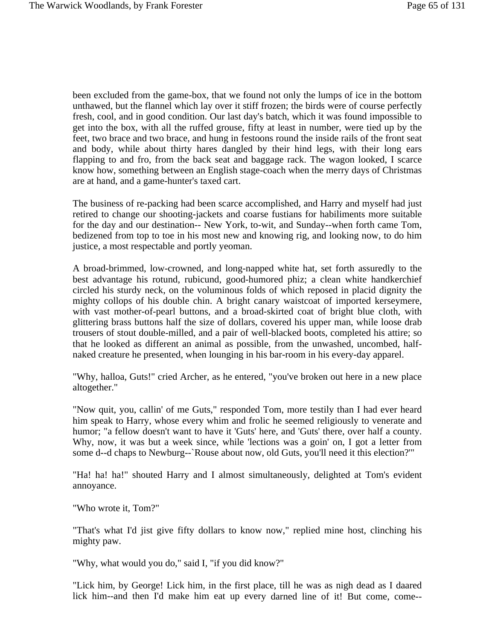been excluded from the game-box, that we found not only the lumps of ice in the bottom unthawed, but the flannel which lay over it stiff frozen; the birds were of course perfectly fresh, cool, and in good condition. Our last day's batch, which it was found impossible to get into the box, with all the ruffed grouse, fifty at least in number, were tied up by the feet, two brace and two brace, and hung in festoons round the inside rails of the front seat and body, while about thirty hares dangled by their hind legs, with their long ears flapping to and fro, from the back seat and baggage rack. The wagon looked, I scarce know how, something between an English stage-coach when the merry days of Christmas are at hand, and a game-hunter's taxed cart.

The business of re-packing had been scarce accomplished, and Harry and myself had just retired to change our shooting-jackets and coarse fustians for habiliments more suitable for the day and our destination-- New York, to-wit, and Sunday--when forth came Tom, bedizened from top to toe in his most new and knowing rig, and looking now, to do him justice, a most respectable and portly yeoman.

A broad-brimmed, low-crowned, and long-napped white hat, set forth assuredly to the best advantage his rotund, rubicund, good-humored phiz; a clean white handkerchief circled his sturdy neck, on the voluminous folds of which reposed in placid dignity the mighty collops of his double chin. A bright canary waistcoat of imported kerseymere, with vast mother-of-pearl buttons, and a broad-skirted coat of bright blue cloth, with glittering brass buttons half the size of dollars, covered his upper man, while loose drab trousers of stout double-milled, and a pair of well-blacked boots, completed his attire; so that he looked as different an animal as possible, from the unwashed, uncombed, halfnaked creature he presented, when lounging in his bar-room in his every-day apparel.

"Why, halloa, Guts!" cried Archer, as he entered, "you've broken out here in a new place altogether."

"Now quit, you, callin' of me Guts," responded Tom, more testily than I had ever heard him speak to Harry, whose every whim and frolic he seemed religiously to venerate and humor; "a fellow doesn't want to have it 'Guts' here, and 'Guts' there, over half a county. Why, now, it was but a week since, while 'lections was a goin' on, I got a letter from some d--d chaps to Newburg--`Rouse about now, old Guts, you'll need it this election?'"

"Ha! ha! ha!" shouted Harry and I almost simultaneously, delighted at Tom's evident annoyance.

"Who wrote it, Tom?"

"That's what I'd jist give fifty dollars to know now," replied mine host, clinching his mighty paw.

"Why, what would you do," said I, "if you did know?"

"Lick him, by George! Lick him, in the first place, till he was as nigh dead as I daared lick him--and then I'd make him eat up every darned line of it! But come, come--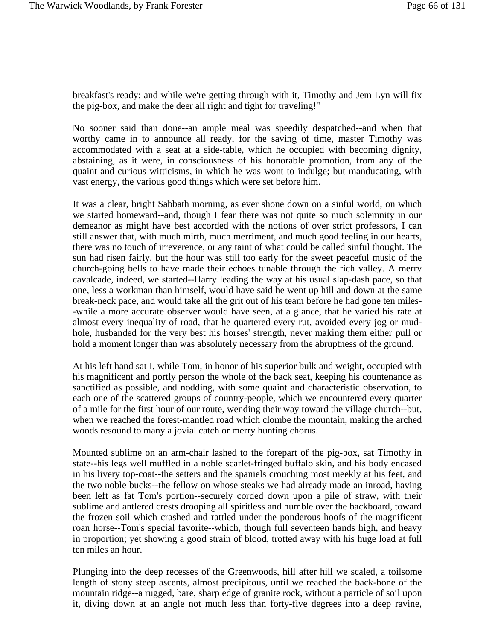breakfast's ready; and while we're getting through with it, Timothy and Jem Lyn will fix the pig-box, and make the deer all right and tight for traveling!"

No sooner said than done--an ample meal was speedily despatched--and when that worthy came in to announce all ready, for the saving of time, master Timothy was accommodated with a seat at a side-table, which he occupied with becoming dignity, abstaining, as it were, in consciousness of his honorable promotion, from any of the quaint and curious witticisms, in which he was wont to indulge; but manducating, with vast energy, the various good things which were set before him.

It was a clear, bright Sabbath morning, as ever shone down on a sinful world, on which we started homeward--and, though I fear there was not quite so much solemnity in our demeanor as might have best accorded with the notions of over strict professors, I can still answer that, with much mirth, much merriment, and much good feeling in our hearts, there was no touch of irreverence, or any taint of what could be called sinful thought. The sun had risen fairly, but the hour was still too early for the sweet peaceful music of the church-going bells to have made their echoes tunable through the rich valley. A merry cavalcade, indeed, we started--Harry leading the way at his usual slap-dash pace, so that one, less a workman than himself, would have said he went up hill and down at the same break-neck pace, and would take all the grit out of his team before he had gone ten miles- -while a more accurate observer would have seen, at a glance, that he varied his rate at almost every inequality of road, that he quartered every rut, avoided every jog or mudhole, husbanded for the very best his horses' strength, never making them either pull or hold a moment longer than was absolutely necessary from the abruptness of the ground.

At his left hand sat I, while Tom, in honor of his superior bulk and weight, occupied with his magnificent and portly person the whole of the back seat, keeping his countenance as sanctified as possible, and nodding, with some quaint and characteristic observation, to each one of the scattered groups of country-people, which we encountered every quarter of a mile for the first hour of our route, wending their way toward the village church--but, when we reached the forest-mantled road which clombe the mountain, making the arched woods resound to many a jovial catch or merry hunting chorus.

Mounted sublime on an arm-chair lashed to the forepart of the pig-box, sat Timothy in state--his legs well muffled in a noble scarlet-fringed buffalo skin, and his body encased in his livery top-coat--the setters and the spaniels crouching most meekly at his feet, and the two noble bucks--the fellow on whose steaks we had already made an inroad, having been left as fat Tom's portion--securely corded down upon a pile of straw, with their sublime and antlered crests drooping all spiritless and humble over the backboard, toward the frozen soil which crashed and rattled under the ponderous hoofs of the magnificent roan horse--Tom's special favorite--which, though full seventeen hands high, and heavy in proportion; yet showing a good strain of blood, trotted away with his huge load at full ten miles an hour.

Plunging into the deep recesses of the Greenwoods, hill after hill we scaled, a toilsome length of stony steep ascents, almost precipitous, until we reached the back-bone of the mountain ridge--a rugged, bare, sharp edge of granite rock, without a particle of soil upon it, diving down at an angle not much less than forty-five degrees into a deep ravine,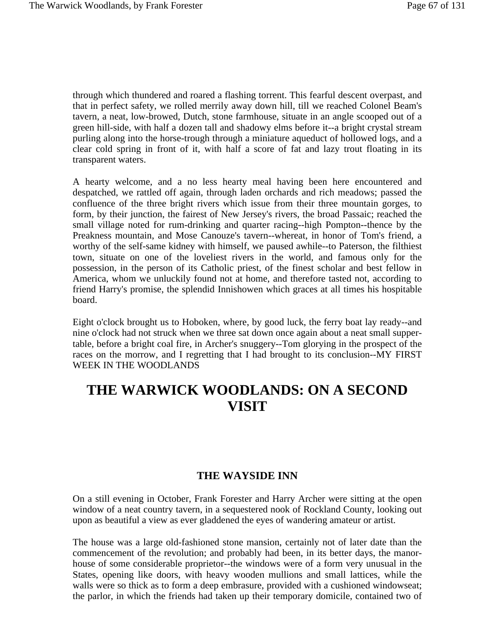through which thundered and roared a flashing torrent. This fearful descent overpast, and that in perfect safety, we rolled merrily away down hill, till we reached Colonel Beam's tavern, a neat, low-browed, Dutch, stone farmhouse, situate in an angle scooped out of a green hill-side, with half a dozen tall and shadowy elms before it--a bright crystal stream purling along into the horse-trough through a miniature aqueduct of hollowed logs, and a clear cold spring in front of it, with half a score of fat and lazy trout floating in its transparent waters.

A hearty welcome, and a no less hearty meal having been here encountered and despatched, we rattled off again, through laden orchards and rich meadows; passed the confluence of the three bright rivers which issue from their three mountain gorges, to form, by their junction, the fairest of New Jersey's rivers, the broad Passaic; reached the small village noted for rum-drinking and quarter racing--high Pompton--thence by the Preakness mountain, and Mose Canouze's tavern--whereat, in honor of Tom's friend, a worthy of the self-same kidney with himself, we paused awhile--to Paterson, the filthiest town, situate on one of the loveliest rivers in the world, and famous only for the possession, in the person of its Catholic priest, of the finest scholar and best fellow in America, whom we unluckily found not at home, and therefore tasted not, according to friend Harry's promise, the splendid Innishowen which graces at all times his hospitable board.

Eight o'clock brought us to Hoboken, where, by good luck, the ferry boat lay ready--and nine o'clock had not struck when we three sat down once again about a neat small suppertable, before a bright coal fire, in Archer's snuggery--Tom glorying in the prospect of the races on the morrow, and I regretting that I had brought to its conclusion--MY FIRST WEEK IN THE WOODLANDS

# **THE WARWICK WOODLANDS: ON A SECOND VISIT**

## **THE WAYSIDE INN**

On a still evening in October, Frank Forester and Harry Archer were sitting at the open window of a neat country tavern, in a sequestered nook of Rockland County, looking out upon as beautiful a view as ever gladdened the eyes of wandering amateur or artist.

The house was a large old-fashioned stone mansion, certainly not of later date than the commencement of the revolution; and probably had been, in its better days, the manorhouse of some considerable proprietor--the windows were of a form very unusual in the States, opening like doors, with heavy wooden mullions and small lattices, while the walls were so thick as to form a deep embrasure, provided with a cushioned windowseat; the parlor, in which the friends had taken up their temporary domicile, contained two of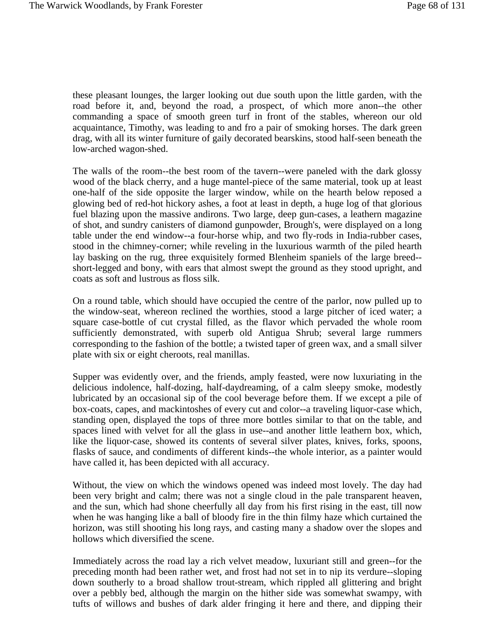these pleasant lounges, the larger looking out due south upon the little garden, with the road before it, and, beyond the road, a prospect, of which more anon--the other commanding a space of smooth green turf in front of the stables, whereon our old acquaintance, Timothy, was leading to and fro a pair of smoking horses. The dark green drag, with all its winter furniture of gaily decorated bearskins, stood half-seen beneath the low-arched wagon-shed.

The walls of the room--the best room of the tavern--were paneled with the dark glossy wood of the black cherry, and a huge mantel-piece of the same material, took up at least one-half of the side opposite the larger window, while on the hearth below reposed a glowing bed of red-hot hickory ashes, a foot at least in depth, a huge log of that glorious fuel blazing upon the massive andirons. Two large, deep gun-cases, a leathern magazine of shot, and sundry canisters of diamond gunpowder, Brough's, were displayed on a long table under the end window--a four-horse whip, and two fly-rods in India-rubber cases, stood in the chimney-corner; while reveling in the luxurious warmth of the piled hearth lay basking on the rug, three exquisitely formed Blenheim spaniels of the large breed- short-legged and bony, with ears that almost swept the ground as they stood upright, and coats as soft and lustrous as floss silk.

On a round table, which should have occupied the centre of the parlor, now pulled up to the window-seat, whereon reclined the worthies, stood a large pitcher of iced water; a square case-bottle of cut crystal filled, as the flavor which pervaded the whole room sufficiently demonstrated, with superb old Antigua Shrub; several large rummers corresponding to the fashion of the bottle; a twisted taper of green wax, and a small silver plate with six or eight cheroots, real manillas.

Supper was evidently over, and the friends, amply feasted, were now luxuriating in the delicious indolence, half-dozing, half-daydreaming, of a calm sleepy smoke, modestly lubricated by an occasional sip of the cool beverage before them. If we except a pile of box-coats, capes, and mackintoshes of every cut and color--a traveling liquor-case which, standing open, displayed the tops of three more bottles similar to that on the table, and spaces lined with velvet for all the glass in use--and another little leathern box, which, like the liquor-case, showed its contents of several silver plates, knives, forks, spoons, flasks of sauce, and condiments of different kinds--the whole interior, as a painter would have called it, has been depicted with all accuracy.

Without, the view on which the windows opened was indeed most lovely. The day had been very bright and calm; there was not a single cloud in the pale transparent heaven, and the sun, which had shone cheerfully all day from his first rising in the east, till now when he was hanging like a ball of bloody fire in the thin filmy haze which curtained the horizon, was still shooting his long rays, and casting many a shadow over the slopes and hollows which diversified the scene.

Immediately across the road lay a rich velvet meadow, luxuriant still and green--for the preceding month had been rather wet, and frost had not set in to nip its verdure--sloping down southerly to a broad shallow trout-stream, which rippled all glittering and bright over a pebbly bed, although the margin on the hither side was somewhat swampy, with tufts of willows and bushes of dark alder fringing it here and there, and dipping their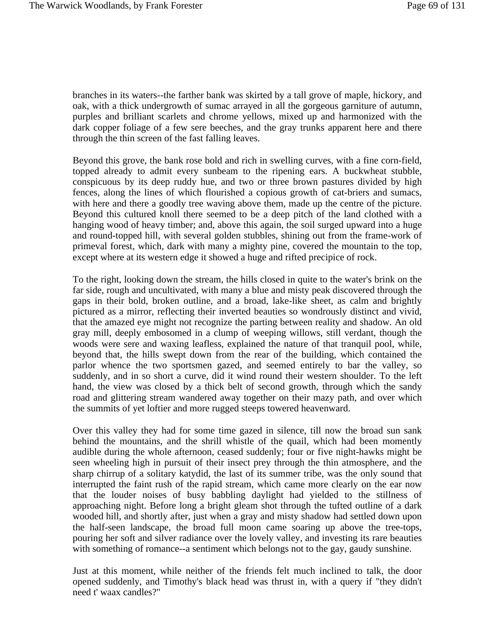branches in its waters--the farther bank was skirted by a tall grove of maple, hickory, and oak, with a thick undergrowth of sumac arrayed in all the gorgeous garniture of autumn, purples and brilliant scarlets and chrome yellows, mixed up and harmonized with the dark copper foliage of a few sere beeches, and the gray trunks apparent here and there through the thin screen of the fast falling leaves.

Beyond this grove, the bank rose bold and rich in swelling curves, with a fine corn-field, topped already to admit every sunbeam to the ripening ears. A buckwheat stubble, conspicuous by its deep ruddy hue, and two or three brown pastures divided by high fences, along the lines of which flourished a copious growth of cat-briers and sumacs, with here and there a goodly tree waving above them, made up the centre of the picture. Beyond this cultured knoll there seemed to be a deep pitch of the land clothed with a hanging wood of heavy timber; and, above this again, the soil surged upward into a huge and round-topped hill, with several golden stubbles, shining out from the frame-work of primeval forest, which, dark with many a mighty pine, covered the mountain to the top, except where at its western edge it showed a huge and rifted precipice of rock.

To the right, looking down the stream, the hills closed in quite to the water's brink on the far side, rough and uncultivated, with many a blue and misty peak discovered through the gaps in their bold, broken outline, and a broad, lake-like sheet, as calm and brightly pictured as a mirror, reflecting their inverted beauties so wondrously distinct and vivid, that the amazed eye might not recognize the parting between reality and shadow. An old gray mill, deeply embosomed in a clump of weeping willows, still verdant, though the woods were sere and waxing leafless, explained the nature of that tranquil pool, while, beyond that, the hills swept down from the rear of the building, which contained the parlor whence the two sportsmen gazed, and seemed entirely to bar the valley, so suddenly, and in so short a curve, did it wind round their western shoulder. To the left hand, the view was closed by a thick belt of second growth, through which the sandy road and glittering stream wandered away together on their mazy path, and over which the summits of yet loftier and more rugged steeps towered heavenward.

Over this valley they had for some time gazed in silence, till now the broad sun sank behind the mountains, and the shrill whistle of the quail, which had been momently audible during the whole afternoon, ceased suddenly; four or five night-hawks might be seen wheeling high in pursuit of their insect prey through the thin atmosphere, and the sharp chirrup of a solitary katydid, the last of its summer tribe, was the only sound that interrupted the faint rush of the rapid stream, which came more clearly on the ear now that the louder noises of busy babbling daylight had yielded to the stillness of approaching night. Before long a bright gleam shot through the tufted outline of a dark wooded hill, and shortly after, just when a gray and misty shadow had settled down upon the half-seen landscape, the broad full moon came soaring up above the tree-tops, pouring her soft and silver radiance over the lovely valley, and investing its rare beauties with something of romance--a sentiment which belongs not to the gay, gaudy sunshine.

Just at this moment, while neither of the friends felt much inclined to talk, the door opened suddenly, and Timothy's black head was thrust in, with a query if "they didn't need t' waax candles?"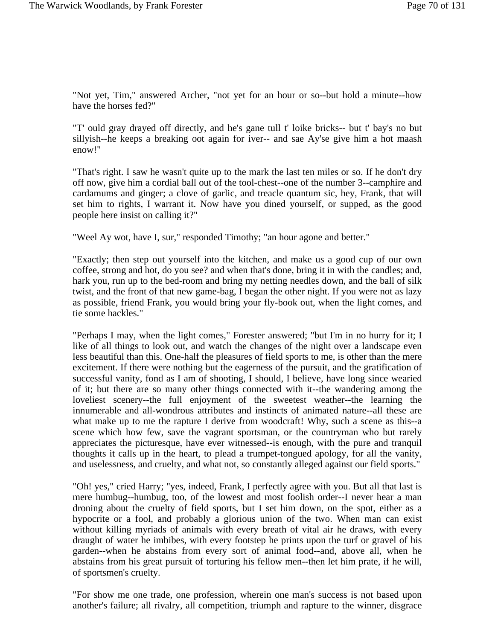"Not yet, Tim," answered Archer, "not yet for an hour or so--but hold a minute--how have the horses fed?"

"T' ould gray drayed off directly, and he's gane tull t' loike bricks-- but t' bay's no but sillyish--he keeps a breaking oot again for iver-- and sae Ay'se give him a hot maash enow!"

"That's right. I saw he wasn't quite up to the mark the last ten miles or so. If he don't dry off now, give him a cordial ball out of the tool-chest--one of the number 3--camphire and cardamums and ginger; a clove of garlic, and treacle quantum sic, hey, Frank, that will set him to rights, I warrant it. Now have you dined yourself, or supped, as the good people here insist on calling it?"

"Weel Ay wot, have I, sur," responded Timothy; "an hour agone and better."

"Exactly; then step out yourself into the kitchen, and make us a good cup of our own coffee, strong and hot, do you see? and when that's done, bring it in with the candles; and, hark you, run up to the bed-room and bring my netting needles down, and the ball of silk twist, and the front of that new game-bag, I began the other night. If you were not as lazy as possible, friend Frank, you would bring your fly-book out, when the light comes, and tie some hackles."

"Perhaps I may, when the light comes," Forester answered; "but I'm in no hurry for it; I like of all things to look out, and watch the changes of the night over a landscape even less beautiful than this. One-half the pleasures of field sports to me, is other than the mere excitement. If there were nothing but the eagerness of the pursuit, and the gratification of successful vanity, fond as I am of shooting, I should, I believe, have long since wearied of it; but there are so many other things connected with it--the wandering among the loveliest scenery--the full enjoyment of the sweetest weather--the learning the innumerable and all-wondrous attributes and instincts of animated nature--all these are what make up to me the rapture I derive from woodcraft! Why, such a scene as this--a scene which how few, save the vagrant sportsman, or the countryman who but rarely appreciates the picturesque, have ever witnessed--is enough, with the pure and tranquil thoughts it calls up in the heart, to plead a trumpet-tongued apology, for all the vanity, and uselessness, and cruelty, and what not, so constantly alleged against our field sports."

"Oh! yes," cried Harry; "yes, indeed, Frank, I perfectly agree with you. But all that last is mere humbug--humbug, too, of the lowest and most foolish order--I never hear a man droning about the cruelty of field sports, but I set him down, on the spot, either as a hypocrite or a fool, and probably a glorious union of the two. When man can exist without killing myriads of animals with every breath of vital air he draws, with every draught of water he imbibes, with every footstep he prints upon the turf or gravel of his garden--when he abstains from every sort of animal food--and, above all, when he abstains from his great pursuit of torturing his fellow men--then let him prate, if he will, of sportsmen's cruelty.

"For show me one trade, one profession, wherein one man's success is not based upon another's failure; all rivalry, all competition, triumph and rapture to the winner, disgrace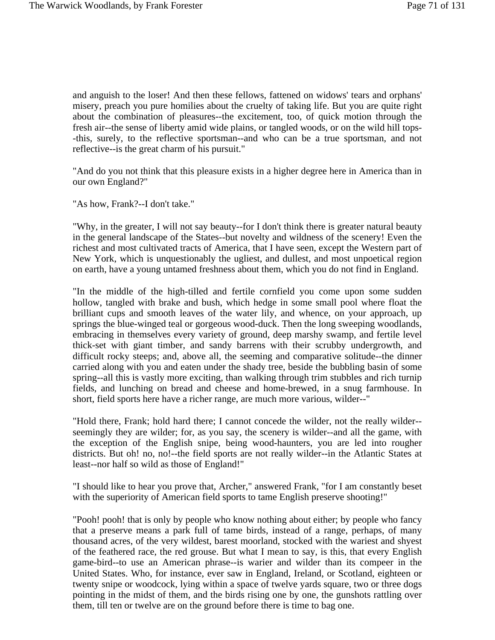and anguish to the loser! And then these fellows, fattened on widows' tears and orphans' misery, preach you pure homilies about the cruelty of taking life. But you are quite right about the combination of pleasures--the excitement, too, of quick motion through the fresh air--the sense of liberty amid wide plains, or tangled woods, or on the wild hill tops- -this, surely, to the reflective sportsman--and who can be a true sportsman, and not reflective--is the great charm of his pursuit."

"And do you not think that this pleasure exists in a higher degree here in America than in our own England?"

"As how, Frank?--I don't take."

"Why, in the greater, I will not say beauty--for I don't think there is greater natural beauty in the general landscape of the States--but novelty and wildness of the scenery! Even the richest and most cultivated tracts of America, that I have seen, except the Western part of New York, which is unquestionably the ugliest, and dullest, and most unpoetical region on earth, have a young untamed freshness about them, which you do not find in England.

"In the middle of the high-tilled and fertile cornfield you come upon some sudden hollow, tangled with brake and bush, which hedge in some small pool where float the brilliant cups and smooth leaves of the water lily, and whence, on your approach, up springs the blue-winged teal or gorgeous wood-duck. Then the long sweeping woodlands, embracing in themselves every variety of ground, deep marshy swamp, and fertile level thick-set with giant timber, and sandy barrens with their scrubby undergrowth, and difficult rocky steeps; and, above all, the seeming and comparative solitude--the dinner carried along with you and eaten under the shady tree, beside the bubbling basin of some spring--all this is vastly more exciting, than walking through trim stubbles and rich turnip fields, and lunching on bread and cheese and home-brewed, in a snug farmhouse. In short, field sports here have a richer range, are much more various, wilder--"

"Hold there, Frank; hold hard there; I cannot concede the wilder, not the really wilder- seemingly they are wilder; for, as you say, the scenery is wilder--and all the game, with the exception of the English snipe, being wood-haunters, you are led into rougher districts. But oh! no, no!--the field sports are not really wilder--in the Atlantic States at least--nor half so wild as those of England!"

"I should like to hear you prove that, Archer," answered Frank, "for I am constantly beset with the superiority of American field sports to tame English preserve shooting!"

"Pooh! pooh! that is only by people who know nothing about either; by people who fancy that a preserve means a park full of tame birds, instead of a range, perhaps, of many thousand acres, of the very wildest, barest moorland, stocked with the wariest and shyest of the feathered race, the red grouse. But what I mean to say, is this, that every English game-bird--to use an American phrase--is warier and wilder than its compeer in the United States. Who, for instance, ever saw in England, Ireland, or Scotland, eighteen or twenty snipe or woodcock, lying within a space of twelve yards square, two or three dogs pointing in the midst of them, and the birds rising one by one, the gunshots rattling over them, till ten or twelve are on the ground before there is time to bag one.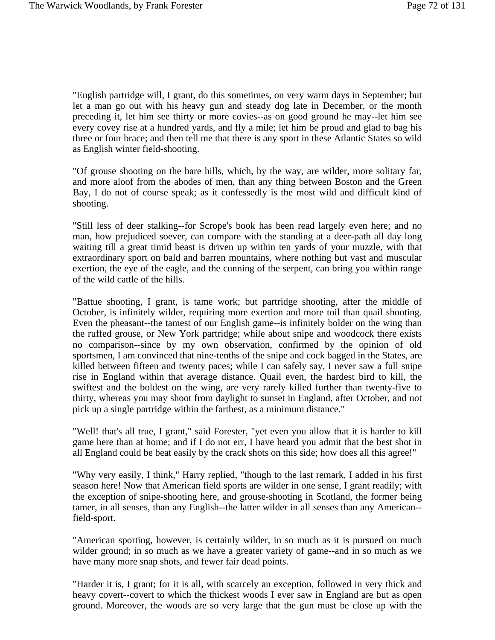"English partridge will, I grant, do this sometimes, on very warm days in September; but let a man go out with his heavy gun and steady dog late in December, or the month preceding it, let him see thirty or more covies--as on good ground he may--let him see every covey rise at a hundred yards, and fly a mile; let him be proud and glad to bag his three or four brace; and then tell me that there is any sport in these Atlantic States so wild as English winter field-shooting.

"Of grouse shooting on the bare hills, which, by the way, are wilder, more solitary far, and more aloof from the abodes of men, than any thing between Boston and the Green Bay, I do not of course speak; as it confessedly is the most wild and difficult kind of shooting.

"Still less of deer stalking--for Scrope's book has been read largely even here; and no man, how prejudiced soever, can compare with the standing at a deer-path all day long waiting till a great timid beast is driven up within ten yards of your muzzle, with that extraordinary sport on bald and barren mountains, where nothing but vast and muscular exertion, the eye of the eagle, and the cunning of the serpent, can bring you within range of the wild cattle of the hills.

"Battue shooting, I grant, is tame work; but partridge shooting, after the middle of October, is infinitely wilder, requiring more exertion and more toil than quail shooting. Even the pheasant--the tamest of our English game--is infinitely bolder on the wing than the ruffed grouse, or New York partridge; while about snipe and woodcock there exists no comparison--since by my own observation, confirmed by the opinion of old sportsmen, I am convinced that nine-tenths of the snipe and cock bagged in the States, are killed between fifteen and twenty paces; while I can safely say, I never saw a full snipe rise in England within that average distance. Quail even, the hardest bird to kill, the swiftest and the boldest on the wing, are very rarely killed further than twenty-five to thirty, whereas you may shoot from daylight to sunset in England, after October, and not pick up a single partridge within the farthest, as a minimum distance."

"Well! that's all true, I grant," said Forester, "yet even you allow that it is harder to kill game here than at home; and if I do not err, I have heard you admit that the best shot in all England could be beat easily by the crack shots on this side; how does all this agree!"

"Why very easily, I think," Harry replied, "though to the last remark, I added in his first season here! Now that American field sports are wilder in one sense, I grant readily; with the exception of snipe-shooting here, and grouse-shooting in Scotland, the former being tamer, in all senses, than any English--the latter wilder in all senses than any American- field-sport.

"American sporting, however, is certainly wilder, in so much as it is pursued on much wilder ground; in so much as we have a greater variety of game--and in so much as we have many more snap shots, and fewer fair dead points.

"Harder it is, I grant; for it is all, with scarcely an exception, followed in very thick and heavy covert--covert to which the thickest woods I ever saw in England are but as open ground. Moreover, the woods are so very large that the gun must be close up with the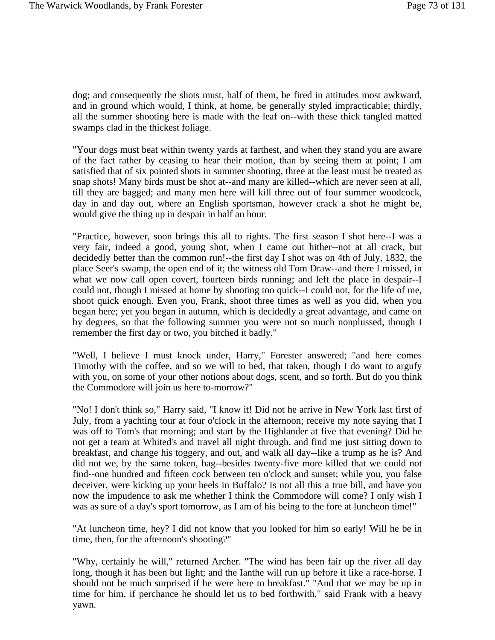dog; and consequently the shots must, half of them, be fired in attitudes most awkward, and in ground which would, I think, at home, be generally styled impracticable; thirdly, all the summer shooting here is made with the leaf on--with these thick tangled matted swamps clad in the thickest foliage.

"Your dogs must beat within twenty yards at farthest, and when they stand you are aware of the fact rather by ceasing to hear their motion, than by seeing them at point; I am satisfied that of six pointed shots in summer shooting, three at the least must be treated as snap shots! Many birds must be shot at--and many are killed--which are never seen at all, till they are bagged; and many men here will kill three out of four summer woodcock, day in and day out, where an English sportsman, however crack a shot he might be, would give the thing up in despair in half an hour.

"Practice, however, soon brings this all to rights. The first season I shot here--I was a very fair, indeed a good, young shot, when I came out hither--not at all crack, but decidedly better than the common run!--the first day I shot was on 4th of July, 1832, the place Seer's swamp, the open end of it; the witness old Tom Draw--and there I missed, in what we now call open covert, fourteen birds running; and left the place in despair--I could not, though I missed at home by shooting too quick--I could not, for the life of me, shoot quick enough. Even you, Frank, shoot three times as well as you did, when you began here; yet you began in autumn, which is decidedly a great advantage, and came on by degrees, so that the following summer you were not so much nonplussed, though I remember the first day or two, you bitched it badly."

"Well, I believe I must knock under, Harry," Forester answered; "and here comes Timothy with the coffee, and so we will to bed, that taken, though I do want to argufy with you, on some of your other notions about dogs, scent, and so forth. But do you think the Commodore will join us here to-morrow?"

"No! I don't think so," Harry said, "I know it! Did not he arrive in New York last first of July, from a yachting tour at four o'clock in the afternoon; receive my note saying that I was off to Tom's that morning; and start by the Highlander at five that evening? Did he not get a team at Whited's and travel all night through, and find me just sitting down to breakfast, and change his toggery, and out, and walk all day--like a trump as he is? And did not we, by the same token, bag--besides twenty-five more killed that we could not find--one hundred and fifteen cock between ten o'clock and sunset; while you, you false deceiver, were kicking up your heels in Buffalo? Is not all this a true bill, and have you now the impudence to ask me whether I think the Commodore will come? I only wish I was as sure of a day's sport tomorrow, as I am of his being to the fore at luncheon time!"

"At luncheon time, hey? I did not know that you looked for him so early! Will he be in time, then, for the afternoon's shooting?"

"Why, certainly he will," returned Archer. "The wind has been fair up the river all day long, though it has been but light; and the Ianthe will run up before it like a race-horse. I should not be much surprised if he were here to breakfast." "And that we may be up in time for him, if perchance he should let us to bed forthwith," said Frank with a heavy yawn.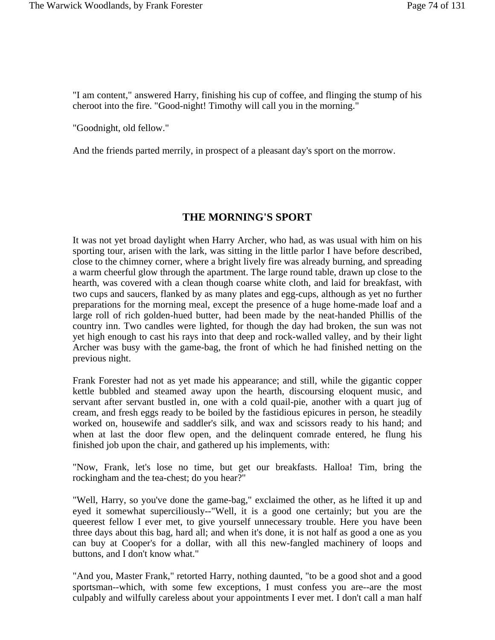"I am content," answered Harry, finishing his cup of coffee, and flinging the stump of his cheroot into the fire. "Good-night! Timothy will call you in the morning."

"Goodnight, old fellow."

And the friends parted merrily, in prospect of a pleasant day's sport on the morrow.

## **THE MORNING'S SPORT**

It was not yet broad daylight when Harry Archer, who had, as was usual with him on his sporting tour, arisen with the lark, was sitting in the little parlor I have before described, close to the chimney corner, where a bright lively fire was already burning, and spreading a warm cheerful glow through the apartment. The large round table, drawn up close to the hearth, was covered with a clean though coarse white cloth, and laid for breakfast, with two cups and saucers, flanked by as many plates and egg-cups, although as yet no further preparations for the morning meal, except the presence of a huge home-made loaf and a large roll of rich golden-hued butter, had been made by the neat-handed Phillis of the country inn. Two candles were lighted, for though the day had broken, the sun was not yet high enough to cast his rays into that deep and rock-walled valley, and by their light Archer was busy with the game-bag, the front of which he had finished netting on the previous night.

Frank Forester had not as yet made his appearance; and still, while the gigantic copper kettle bubbled and steamed away upon the hearth, discoursing eloquent music, and servant after servant bustled in, one with a cold quail-pie, another with a quart jug of cream, and fresh eggs ready to be boiled by the fastidious epicures in person, he steadily worked on, housewife and saddler's silk, and wax and scissors ready to his hand; and when at last the door flew open, and the delinquent comrade entered, he flung his finished job upon the chair, and gathered up his implements, with:

"Now, Frank, let's lose no time, but get our breakfasts. Halloa! Tim, bring the rockingham and the tea-chest; do you hear?"

"Well, Harry, so you've done the game-bag," exclaimed the other, as he lifted it up and eyed it somewhat superciliously--"Well, it is a good one certainly; but you are the queerest fellow I ever met, to give yourself unnecessary trouble. Here you have been three days about this bag, hard all; and when it's done, it is not half as good a one as you can buy at Cooper's for a dollar, with all this new-fangled machinery of loops and buttons, and I don't know what."

"And you, Master Frank," retorted Harry, nothing daunted, "to be a good shot and a good sportsman--which, with some few exceptions, I must confess you are--are the most culpably and wilfully careless about your appointments I ever met. I don't call a man half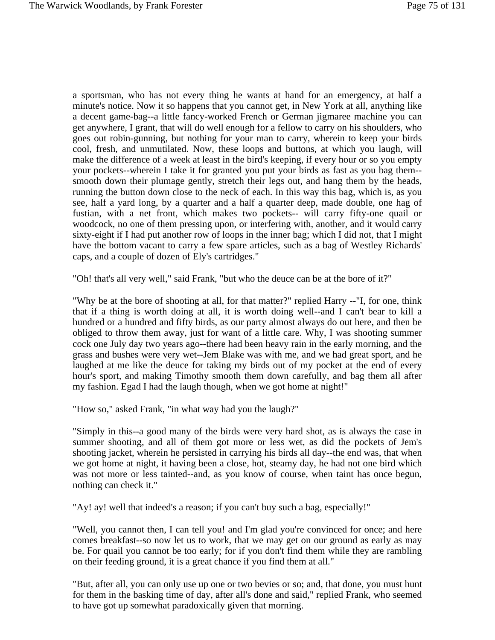a sportsman, who has not every thing he wants at hand for an emergency, at half a minute's notice. Now it so happens that you cannot get, in New York at all, anything like a decent game-bag--a little fancy-worked French or German jigmaree machine you can get anywhere, I grant, that will do well enough for a fellow to carry on his shoulders, who goes out robin-gunning, but nothing for your man to carry, wherein to keep your birds cool, fresh, and unmutilated. Now, these loops and buttons, at which you laugh, will make the difference of a week at least in the bird's keeping, if every hour or so you empty your pockets--wherein I take it for granted you put your birds as fast as you bag them- smooth down their plumage gently, stretch their legs out, and hang them by the heads, running the button down close to the neck of each. In this way this bag, which is, as you see, half a yard long, by a quarter and a half a quarter deep, made double, one hag of fustian, with a net front, which makes two pockets-- will carry fifty-one quail or woodcock, no one of them pressing upon, or interfering with, another, and it would carry sixty-eight if I had put another row of loops in the inner bag; which I did not, that I might have the bottom vacant to carry a few spare articles, such as a bag of Westley Richards' caps, and a couple of dozen of Ely's cartridges."

"Oh! that's all very well," said Frank, "but who the deuce can be at the bore of it?"

"Why be at the bore of shooting at all, for that matter?" replied Harry --"I, for one, think that if a thing is worth doing at all, it is worth doing well--and I can't bear to kill a hundred or a hundred and fifty birds, as our party almost always do out here, and then be obliged to throw them away, just for want of a little care. Why, I was shooting summer cock one July day two years ago--there had been heavy rain in the early morning, and the grass and bushes were very wet--Jem Blake was with me, and we had great sport, and he laughed at me like the deuce for taking my birds out of my pocket at the end of every hour's sport, and making Timothy smooth them down carefully, and bag them all after my fashion. Egad I had the laugh though, when we got home at night!"

"How so," asked Frank, "in what way had you the laugh?"

"Simply in this--a good many of the birds were very hard shot, as is always the case in summer shooting, and all of them got more or less wet, as did the pockets of Jem's shooting jacket, wherein he persisted in carrying his birds all day--the end was, that when we got home at night, it having been a close, hot, steamy day, he had not one bird which was not more or less tainted--and, as you know of course, when taint has once begun, nothing can check it."

"Ay! ay! well that indeed's a reason; if you can't buy such a bag, especially!"

"Well, you cannot then, I can tell you! and I'm glad you're convinced for once; and here comes breakfast--so now let us to work, that we may get on our ground as early as may be. For quail you cannot be too early; for if you don't find them while they are rambling on their feeding ground, it is a great chance if you find them at all."

"But, after all, you can only use up one or two bevies or so; and, that done, you must hunt for them in the basking time of day, after all's done and said," replied Frank, who seemed to have got up somewhat paradoxically given that morning.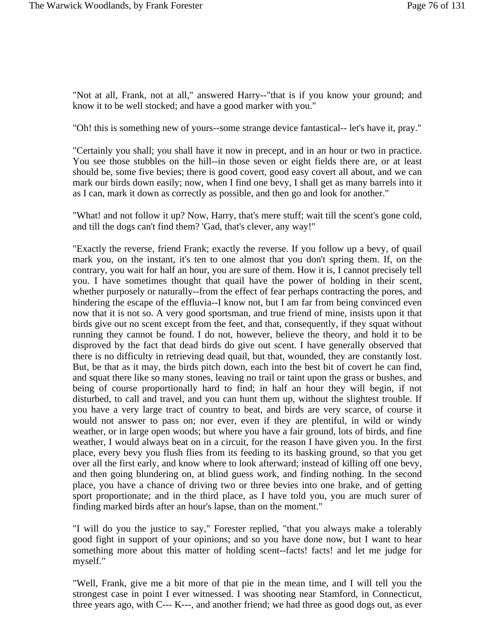"Not at all, Frank, not at all," answered Harry--"that is if you know your ground; and know it to be well stocked; and have a good marker with you."

"Oh! this is something new of yours--some strange device fantastical-- let's have it, pray."

"Certainly you shall; you shall have it now in precept, and in an hour or two in practice. You see those stubbles on the hill--in those seven or eight fields there are, or at least should be, some five bevies; there is good covert, good easy covert all about, and we can mark our birds down easily; now, when I find one bevy, I shall get as many barrels into it as I can, mark it down as correctly as possible, and then go and look for another."

"What! and not follow it up? Now, Harry, that's mere stuff; wait till the scent's gone cold, and till the dogs can't find them? 'Gad, that's clever, any way!"

"Exactly the reverse, friend Frank; exactly the reverse. If you follow up a bevy, of quail mark you, on the instant, it's ten to one almost that you don't spring them. If, on the contrary, you wait for half an hour, you are sure of them. How it is, I cannot precisely tell you. I have sometimes thought that quail have the power of holding in their scent, whether purposely or naturally--from the effect of fear perhaps contracting the pores, and hindering the escape of the effluvia--I know not, but I am far from being convinced even now that it is not so. A very good sportsman, and true friend of mine, insists upon it that birds give out no scent except from the feet, and that, consequently, if they squat without running they cannot be found. I do not, however, believe the theory, and hold it to be disproved by the fact that dead birds do give out scent. I have generally observed that there is no difficulty in retrieving dead quail, but that, wounded, they are constantly lost. But, be that as it may, the birds pitch down, each into the best bit of covert he can find, and squat there like so many stones, leaving no trail or taint upon the grass or bushes, and being of course proportionally hard to find; in half an hour they will begin, if not disturbed, to call and travel, and you can hunt them up, without the slightest trouble. If you have a very large tract of country to beat, and birds are very scarce, of course it would not answer to pass on; nor ever, even if they are plentiful, in wild or windy weather, or in large open woods; but where you have a fair ground, lots of birds, and fine weather, I would always beat on in a circuit, for the reason I have given you. In the first place, every bevy you flush flies from its feeding to its basking ground, so that you get over all the first early, and know where to look afterward; instead of killing off one bevy, and then going blundering on, at blind guess work, and finding nothing. In the second place, you have a chance of driving two or three bevies into one brake, and of getting sport proportionate; and in the third place, as I have told you, you are much surer of finding marked birds after an hour's lapse, than on the moment."

"I will do you the justice to say," Forester replied, "that you always make a tolerably good fight in support of your opinions; and so you have done now, but I want to hear something more about this matter of holding scent--facts! facts! and let me judge for myself."

"Well, Frank, give me a bit more of that pie in the mean time, and I will tell you the strongest case in point I ever witnessed. I was shooting near Stamford, in Connecticut, three years ago, with C--- K---, and another friend; we had three as good dogs out, as ever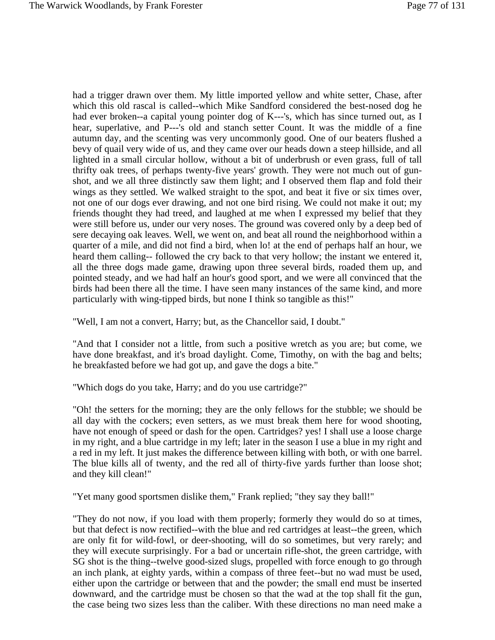had a trigger drawn over them. My little imported yellow and white setter, Chase, after which this old rascal is called--which Mike Sandford considered the best-nosed dog he had ever broken--a capital young pointer dog of K---'s, which has since turned out, as I hear, superlative, and P---'s old and stanch setter Count. It was the middle of a fine autumn day, and the scenting was very uncommonly good. One of our beaters flushed a bevy of quail very wide of us, and they came over our heads down a steep hillside, and all lighted in a small circular hollow, without a bit of underbrush or even grass, full of tall thrifty oak trees, of perhaps twenty-five years' growth. They were not much out of gunshot, and we all three distinctly saw them light; and I observed them flap and fold their wings as they settled. We walked straight to the spot, and beat it five or six times over, not one of our dogs ever drawing, and not one bird rising. We could not make it out; my friends thought they had treed, and laughed at me when I expressed my belief that they were still before us, under our very noses. The ground was covered only by a deep bed of sere decaying oak leaves. Well, we went on, and beat all round the neighborhood within a quarter of a mile, and did not find a bird, when lo! at the end of perhaps half an hour, we heard them calling-- followed the cry back to that very hollow; the instant we entered it, all the three dogs made game, drawing upon three several birds, roaded them up, and pointed steady, and we had half an hour's good sport, and we were all convinced that the birds had been there all the time. I have seen many instances of the same kind, and more particularly with wing-tipped birds, but none I think so tangible as this!"

"Well, I am not a convert, Harry; but, as the Chancellor said, I doubt."

"And that I consider not a little, from such a positive wretch as you are; but come, we have done breakfast, and it's broad daylight. Come, Timothy, on with the bag and belts; he breakfasted before we had got up, and gave the dogs a bite."

"Which dogs do you take, Harry; and do you use cartridge?"

"Oh! the setters for the morning; they are the only fellows for the stubble; we should be all day with the cockers; even setters, as we must break them here for wood shooting, have not enough of speed or dash for the open. Cartridges? yes! I shall use a loose charge in my right, and a blue cartridge in my left; later in the season I use a blue in my right and a red in my left. It just makes the difference between killing with both, or with one barrel. The blue kills all of twenty, and the red all of thirty-five yards further than loose shot; and they kill clean!"

"Yet many good sportsmen dislike them," Frank replied; "they say they ball!"

"They do not now, if you load with them properly; formerly they would do so at times, but that defect is now rectified--with the blue and red cartridges at least--the green, which are only fit for wild-fowl, or deer-shooting, will do so sometimes, but very rarely; and they will execute surprisingly. For a bad or uncertain rifle-shot, the green cartridge, with SG shot is the thing--twelve good-sized slugs, propelled with force enough to go through an inch plank, at eighty yards, within a compass of three feet--but no wad must be used, either upon the cartridge or between that and the powder; the small end must be inserted downward, and the cartridge must be chosen so that the wad at the top shall fit the gun, the case being two sizes less than the caliber. With these directions no man need make a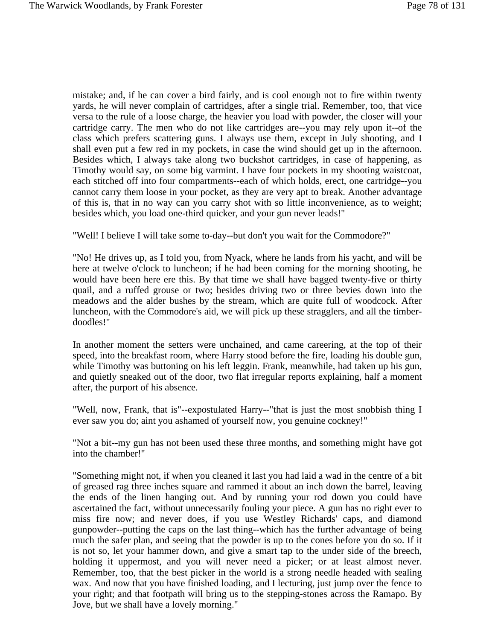mistake; and, if he can cover a bird fairly, and is cool enough not to fire within twenty yards, he will never complain of cartridges, after a single trial. Remember, too, that vice versa to the rule of a loose charge, the heavier you load with powder, the closer will your cartridge carry. The men who do not like cartridges are--you may rely upon it--of the class which prefers scattering guns. I always use them, except in July shooting, and I shall even put a few red in my pockets, in case the wind should get up in the afternoon. Besides which, I always take along two buckshot cartridges, in case of happening, as Timothy would say, on some big varmint. I have four pockets in my shooting waistcoat, each stitched off into four compartments--each of which holds, erect, one cartridge--you cannot carry them loose in your pocket, as they are very apt to break. Another advantage of this is, that in no way can you carry shot with so little inconvenience, as to weight; besides which, you load one-third quicker, and your gun never leads!"

"Well! I believe I will take some to-day--but don't you wait for the Commodore?"

"No! He drives up, as I told you, from Nyack, where he lands from his yacht, and will be here at twelve o'clock to luncheon; if he had been coming for the morning shooting, he would have been here ere this. By that time we shall have bagged twenty-five or thirty quail, and a ruffed grouse or two; besides driving two or three bevies down into the meadows and the alder bushes by the stream, which are quite full of woodcock. After luncheon, with the Commodore's aid, we will pick up these stragglers, and all the timberdoodles!"

In another moment the setters were unchained, and came careering, at the top of their speed, into the breakfast room, where Harry stood before the fire, loading his double gun, while Timothy was buttoning on his left leggin. Frank, meanwhile, had taken up his gun, and quietly sneaked out of the door, two flat irregular reports explaining, half a moment after, the purport of his absence.

"Well, now, Frank, that is"--expostulated Harry--"that is just the most snobbish thing I ever saw you do; aint you ashamed of yourself now, you genuine cockney!"

"Not a bit--my gun has not been used these three months, and something might have got into the chamber!"

"Something might not, if when you cleaned it last you had laid a wad in the centre of a bit of greased rag three inches square and rammed it about an inch down the barrel, leaving the ends of the linen hanging out. And by running your rod down you could have ascertained the fact, without unnecessarily fouling your piece. A gun has no right ever to miss fire now; and never does, if you use Westley Richards' caps, and diamond gunpowder--putting the caps on the last thing--which has the further advantage of being much the safer plan, and seeing that the powder is up to the cones before you do so. If it is not so, let your hammer down, and give a smart tap to the under side of the breech, holding it uppermost, and you will never need a picker; or at least almost never. Remember, too, that the best picker in the world is a strong needle headed with sealing wax. And now that you have finished loading, and I lecturing, just jump over the fence to your right; and that footpath will bring us to the stepping-stones across the Ramapo. By Jove, but we shall have a lovely morning."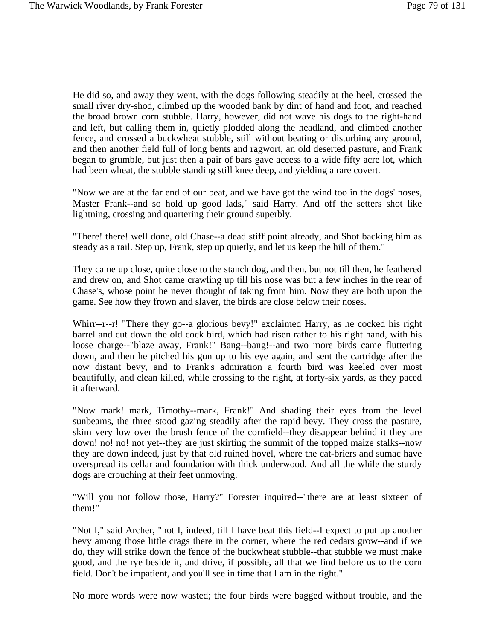He did so, and away they went, with the dogs following steadily at the heel, crossed the small river dry-shod, climbed up the wooded bank by dint of hand and foot, and reached the broad brown corn stubble. Harry, however, did not wave his dogs to the right-hand and left, but calling them in, quietly plodded along the headland, and climbed another fence, and crossed a buckwheat stubble, still without beating or disturbing any ground, and then another field full of long bents and ragwort, an old deserted pasture, and Frank began to grumble, but just then a pair of bars gave access to a wide fifty acre lot, which had been wheat, the stubble standing still knee deep, and yielding a rare covert.

"Now we are at the far end of our beat, and we have got the wind too in the dogs' noses, Master Frank--and so hold up good lads," said Harry. And off the setters shot like lightning, crossing and quartering their ground superbly.

"There! there! well done, old Chase--a dead stiff point already, and Shot backing him as steady as a rail. Step up, Frank, step up quietly, and let us keep the hill of them."

They came up close, quite close to the stanch dog, and then, but not till then, he feathered and drew on, and Shot came crawling up till his nose was but a few inches in the rear of Chase's, whose point he never thought of taking from him. Now they are both upon the game. See how they frown and slaver, the birds are close below their noses.

Whirr--r--r! "There they go--a glorious bevy!" exclaimed Harry, as he cocked his right barrel and cut down the old cock bird, which had risen rather to his right hand, with his loose charge--"blaze away, Frank!" Bang--bang!--and two more birds came fluttering down, and then he pitched his gun up to his eye again, and sent the cartridge after the now distant bevy, and to Frank's admiration a fourth bird was keeled over most beautifully, and clean killed, while crossing to the right, at forty-six yards, as they paced it afterward.

"Now mark! mark, Timothy--mark, Frank!" And shading their eyes from the level sunbeams, the three stood gazing steadily after the rapid bevy. They cross the pasture, skim very low over the brush fence of the cornfield--they disappear behind it they are down! no! no! not yet--they are just skirting the summit of the topped maize stalks--now they are down indeed, just by that old ruined hovel, where the cat-briers and sumac have overspread its cellar and foundation with thick underwood. And all the while the sturdy dogs are crouching at their feet unmoving.

"Will you not follow those, Harry?" Forester inquired--"there are at least sixteen of them!"

"Not I," said Archer, "not I, indeed, till I have beat this field--I expect to put up another bevy among those little crags there in the corner, where the red cedars grow--and if we do, they will strike down the fence of the buckwheat stubble--that stubble we must make good, and the rye beside it, and drive, if possible, all that we find before us to the corn field. Don't be impatient, and you'll see in time that I am in the right."

No more words were now wasted; the four birds were bagged without trouble, and the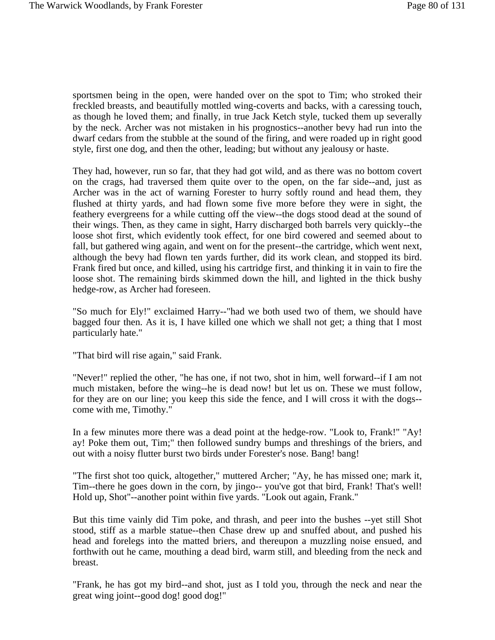sportsmen being in the open, were handed over on the spot to Tim; who stroked their freckled breasts, and beautifully mottled wing-coverts and backs, with a caressing touch, as though he loved them; and finally, in true Jack Ketch style, tucked them up severally by the neck. Archer was not mistaken in his prognostics--another bevy had run into the dwarf cedars from the stubble at the sound of the firing, and were roaded up in right good style, first one dog, and then the other, leading; but without any jealousy or haste.

They had, however, run so far, that they had got wild, and as there was no bottom covert on the crags, had traversed them quite over to the open, on the far side--and, just as Archer was in the act of warning Forester to hurry softly round and head them, they flushed at thirty yards, and had flown some five more before they were in sight, the feathery evergreens for a while cutting off the view--the dogs stood dead at the sound of their wings. Then, as they came in sight, Harry discharged both barrels very quickly--the loose shot first, which evidently took effect, for one bird cowered and seemed about to fall, but gathered wing again, and went on for the present--the cartridge, which went next, although the bevy had flown ten yards further, did its work clean, and stopped its bird. Frank fired but once, and killed, using his cartridge first, and thinking it in vain to fire the loose shot. The remaining birds skimmed down the hill, and lighted in the thick bushy hedge-row, as Archer had foreseen.

"So much for Ely!" exclaimed Harry--"had we both used two of them, we should have bagged four then. As it is, I have killed one which we shall not get; a thing that I most particularly hate."

"That bird will rise again," said Frank.

"Never!" replied the other, "he has one, if not two, shot in him, well forward--if I am not much mistaken, before the wing--he is dead now! but let us on. These we must follow, for they are on our line; you keep this side the fence, and I will cross it with the dogs- come with me, Timothy."

In a few minutes more there was a dead point at the hedge-row. "Look to, Frank!" "Ay! ay! Poke them out, Tim;" then followed sundry bumps and threshings of the briers, and out with a noisy flutter burst two birds under Forester's nose. Bang! bang!

"The first shot too quick, altogether," muttered Archer; "Ay, he has missed one; mark it, Tim--there he goes down in the corn, by jingo-- you've got that bird, Frank! That's well! Hold up, Shot"--another point within five yards. "Look out again, Frank."

But this time vainly did Tim poke, and thrash, and peer into the bushes --yet still Shot stood, stiff as a marble statue--then Chase drew up and snuffed about, and pushed his head and forelegs into the matted briers, and thereupon a muzzling noise ensued, and forthwith out he came, mouthing a dead bird, warm still, and bleeding from the neck and breast.

"Frank, he has got my bird--and shot, just as I told you, through the neck and near the great wing joint--good dog! good dog!"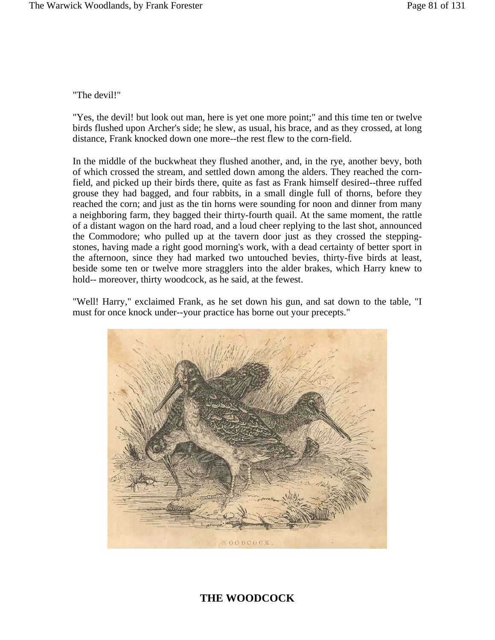"The devil!"

"Yes, the devil! but look out man, here is yet one more point;" and this time ten or twelve birds flushed upon Archer's side; he slew, as usual, his brace, and as they crossed, at long distance, Frank knocked down one more--the rest flew to the corn-field.

In the middle of the buckwheat they flushed another, and, in the rye, another bevy, both of which crossed the stream, and settled down among the alders. They reached the cornfield, and picked up their birds there, quite as fast as Frank himself desired--three ruffed grouse they had bagged, and four rabbits, in a small dingle full of thorns, before they reached the corn; and just as the tin horns were sounding for noon and dinner from many a neighboring farm, they bagged their thirty-fourth quail. At the same moment, the rattle of a distant wagon on the hard road, and a loud cheer replying to the last shot, announced the Commodore; who pulled up at the tavern door just as they crossed the steppingstones, having made a right good morning's work, with a dead certainty of better sport in the afternoon, since they had marked two untouched bevies, thirty-five birds at least, beside some ten or twelve more stragglers into the alder brakes, which Harry knew to hold-- moreover, thirty woodcock, as he said, at the fewest.

"Well! Harry," exclaimed Frank, as he set down his gun, and sat down to the table, "I must for once knock under--your practice has borne out your precepts."



## **THE WOODCOCK**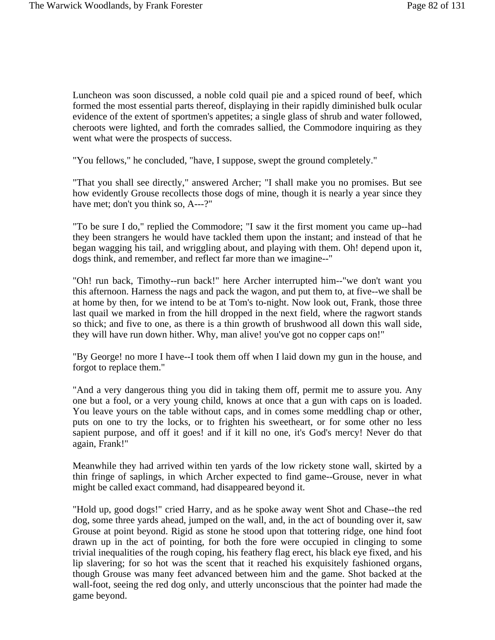Luncheon was soon discussed, a noble cold quail pie and a spiced round of beef, which formed the most essential parts thereof, displaying in their rapidly diminished bulk ocular evidence of the extent of sportmen's appetites; a single glass of shrub and water followed, cheroots were lighted, and forth the comrades sallied, the Commodore inquiring as they went what were the prospects of success.

"You fellows," he concluded, "have, I suppose, swept the ground completely."

"That you shall see directly," answered Archer; "I shall make you no promises. But see how evidently Grouse recollects those dogs of mine, though it is nearly a year since they have met; don't you think so, A---?"

"To be sure I do," replied the Commodore; "I saw it the first moment you came up--had they been strangers he would have tackled them upon the instant; and instead of that he began wagging his tail, and wriggling about, and playing with them. Oh! depend upon it, dogs think, and remember, and reflect far more than we imagine--"

"Oh! run back, Timothy--run back!" here Archer interrupted him--"we don't want you this afternoon. Harness the nags and pack the wagon, and put them to, at five--we shall be at home by then, for we intend to be at Tom's to-night. Now look out, Frank, those three last quail we marked in from the hill dropped in the next field, where the ragwort stands so thick; and five to one, as there is a thin growth of brushwood all down this wall side, they will have run down hither. Why, man alive! you've got no copper caps on!"

"By George! no more I have--I took them off when I laid down my gun in the house, and forgot to replace them."

"And a very dangerous thing you did in taking them off, permit me to assure you. Any one but a fool, or a very young child, knows at once that a gun with caps on is loaded. You leave yours on the table without caps, and in comes some meddling chap or other, puts on one to try the locks, or to frighten his sweetheart, or for some other no less sapient purpose, and off it goes! and if it kill no one, it's God's mercy! Never do that again, Frank!"

Meanwhile they had arrived within ten yards of the low rickety stone wall, skirted by a thin fringe of saplings, in which Archer expected to find game--Grouse, never in what might be called exact command, had disappeared beyond it.

"Hold up, good dogs!" cried Harry, and as he spoke away went Shot and Chase--the red dog, some three yards ahead, jumped on the wall, and, in the act of bounding over it, saw Grouse at point beyond. Rigid as stone he stood upon that tottering ridge, one hind foot drawn up in the act of pointing, for both the fore were occupied in clinging to some trivial inequalities of the rough coping, his feathery flag erect, his black eye fixed, and his lip slavering; for so hot was the scent that it reached his exquisitely fashioned organs, though Grouse was many feet advanced between him and the game. Shot backed at the wall-foot, seeing the red dog only, and utterly unconscious that the pointer had made the game beyond.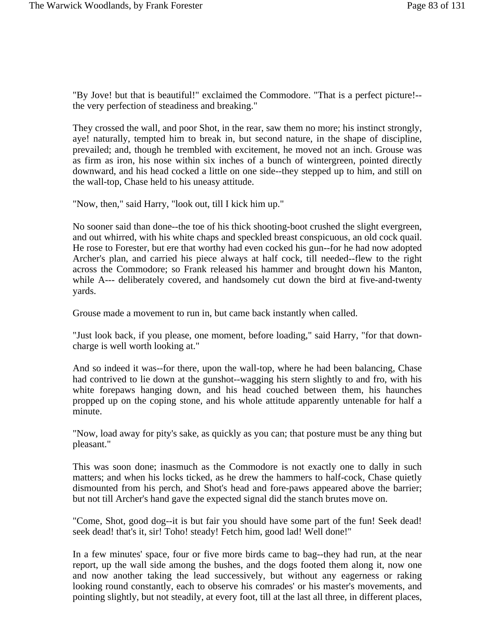"By Jove! but that is beautiful!" exclaimed the Commodore. "That is a perfect picture!- the very perfection of steadiness and breaking."

They crossed the wall, and poor Shot, in the rear, saw them no more; his instinct strongly, aye! naturally, tempted him to break in, but second nature, in the shape of discipline, prevailed; and, though he trembled with excitement, he moved not an inch. Grouse was as firm as iron, his nose within six inches of a bunch of wintergreen, pointed directly downward, and his head cocked a little on one side--they stepped up to him, and still on the wall-top, Chase held to his uneasy attitude.

"Now, then," said Harry, "look out, till I kick him up."

No sooner said than done--the toe of his thick shooting-boot crushed the slight evergreen, and out whirred, with his white chaps and speckled breast conspicuous, an old cock quail. He rose to Forester, but ere that worthy had even cocked his gun--for he had now adopted Archer's plan, and carried his piece always at half cock, till needed--flew to the right across the Commodore; so Frank released his hammer and brought down his Manton, while A--- deliberately covered, and handsomely cut down the bird at five-and-twenty yards.

Grouse made a movement to run in, but came back instantly when called.

"Just look back, if you please, one moment, before loading," said Harry, "for that downcharge is well worth looking at."

And so indeed it was--for there, upon the wall-top, where he had been balancing, Chase had contrived to lie down at the gunshot--wagging his stern slightly to and fro, with his white forepaws hanging down, and his head couched between them, his haunches propped up on the coping stone, and his whole attitude apparently untenable for half a minute.

"Now, load away for pity's sake, as quickly as you can; that posture must be any thing but pleasant."

This was soon done; inasmuch as the Commodore is not exactly one to dally in such matters; and when his locks ticked, as he drew the hammers to half-cock, Chase quietly dismounted from his perch, and Shot's head and fore-paws appeared above the barrier; but not till Archer's hand gave the expected signal did the stanch brutes move on.

"Come, Shot, good dog--it is but fair you should have some part of the fun! Seek dead! seek dead! that's it, sir! Toho! steady! Fetch him, good lad! Well done!"

In a few minutes' space, four or five more birds came to bag--they had run, at the near report, up the wall side among the bushes, and the dogs footed them along it, now one and now another taking the lead successively, but without any eagerness or raking looking round constantly, each to observe his comrades' or his master's movements, and pointing slightly, but not steadily, at every foot, till at the last all three, in different places,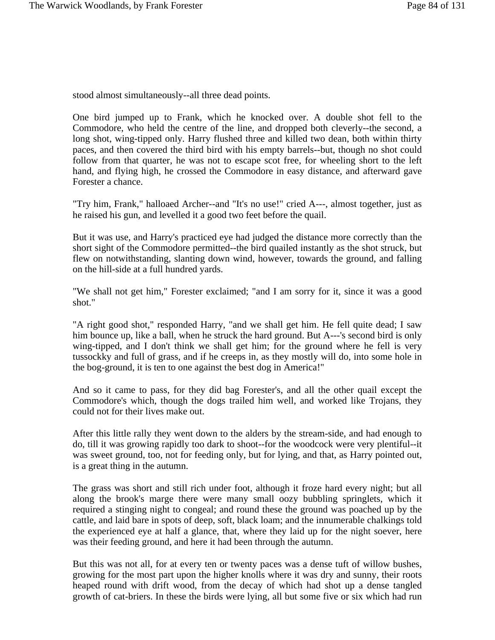stood almost simultaneously--all three dead points.

One bird jumped up to Frank, which he knocked over. A double shot fell to the Commodore, who held the centre of the line, and dropped both cleverly--the second, a long shot, wing-tipped only. Harry flushed three and killed two dean, both within thirty paces, and then covered the third bird with his empty barrels--but, though no shot could follow from that quarter, he was not to escape scot free, for wheeling short to the left hand, and flying high, he crossed the Commodore in easy distance, and afterward gave Forester a chance.

"Try him, Frank," halloaed Archer--and "It's no use!" cried A---, almost together, just as he raised his gun, and levelled it a good two feet before the quail.

But it was use, and Harry's practiced eye had judged the distance more correctly than the short sight of the Commodore permitted--the bird quailed instantly as the shot struck, but flew on notwithstanding, slanting down wind, however, towards the ground, and falling on the hill-side at a full hundred yards.

"We shall not get him," Forester exclaimed; "and I am sorry for it, since it was a good shot."

"A right good shot," responded Harry, "and we shall get him. He fell quite dead; I saw him bounce up, like a ball, when he struck the hard ground. But A---'s second bird is only wing-tipped, and I don't think we shall get him; for the ground where he fell is very tussockky and full of grass, and if he creeps in, as they mostly will do, into some hole in the bog-ground, it is ten to one against the best dog in America!"

And so it came to pass, for they did bag Forester's, and all the other quail except the Commodore's which, though the dogs trailed him well, and worked like Trojans, they could not for their lives make out.

After this little rally they went down to the alders by the stream-side, and had enough to do, till it was growing rapidly too dark to shoot--for the woodcock were very plentiful--it was sweet ground, too, not for feeding only, but for lying, and that, as Harry pointed out, is a great thing in the autumn.

The grass was short and still rich under foot, although it froze hard every night; but all along the brook's marge there were many small oozy bubbling springlets, which it required a stinging night to congeal; and round these the ground was poached up by the cattle, and laid bare in spots of deep, soft, black loam; and the innumerable chalkings told the experienced eye at half a glance, that, where they laid up for the night soever, here was their feeding ground, and here it had been through the autumn.

But this was not all, for at every ten or twenty paces was a dense tuft of willow bushes, growing for the most part upon the higher knolls where it was dry and sunny, their roots heaped round with drift wood, from the decay of which had shot up a dense tangled growth of cat-briers. In these the birds were lying, all but some five or six which had run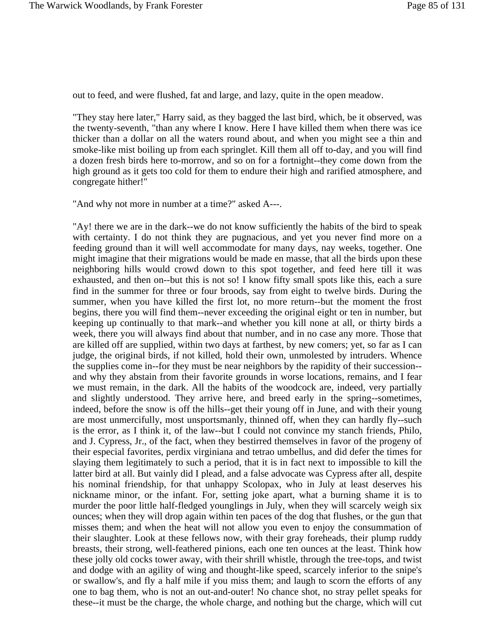out to feed, and were flushed, fat and large, and lazy, quite in the open meadow.

"They stay here later," Harry said, as they bagged the last bird, which, be it observed, was the twenty-seventh, "than any where I know. Here I have killed them when there was ice thicker than a dollar on all the waters round about, and when you might see a thin and smoke-like mist boiling up from each springlet. Kill them all off to-day, and you will find a dozen fresh birds here to-morrow, and so on for a fortnight--they come down from the high ground as it gets too cold for them to endure their high and rarified atmosphere, and congregate hither!"

"And why not more in number at a time?" asked A---.

"Ay! there we are in the dark--we do not know sufficiently the habits of the bird to speak with certainty. I do not think they are pugnacious, and yet you never find more on a feeding ground than it will well accommodate for many days, nay weeks, together. One might imagine that their migrations would be made en masse, that all the birds upon these neighboring hills would crowd down to this spot together, and feed here till it was exhausted, and then on--but this is not so! I know fifty small spots like this, each a sure find in the summer for three or four broods, say from eight to twelve birds. During the summer, when you have killed the first lot, no more return--but the moment the frost begins, there you will find them--never exceeding the original eight or ten in number, but keeping up continually to that mark--and whether you kill none at all, or thirty birds a week, there you will always find about that number, and in no case any more. Those that are killed off are supplied, within two days at farthest, by new comers; yet, so far as I can judge, the original birds, if not killed, hold their own, unmolested by intruders. Whence the supplies come in--for they must be near neighbors by the rapidity of their succession- and why they abstain from their favorite grounds in worse locations, remains, and I fear we must remain, in the dark. All the habits of the woodcock are, indeed, very partially and slightly understood. They arrive here, and breed early in the spring--sometimes, indeed, before the snow is off the hills--get their young off in June, and with their young are most unmercifully, most unsportsmanly, thinned off, when they can hardly fly--such is the error, as I think it, of the law--but I could not convince my stanch friends, Philo, and J. Cypress, Jr., of the fact, when they bestirred themselves in favor of the progeny of their especial favorites, perdix virginiana and tetrao umbellus, and did defer the times for slaying them legitimately to such a period, that it is in fact next to impossible to kill the latter bird at all. But vainly did I plead, and a false advocate was Cypress after all, despite his nominal friendship, for that unhappy Scolopax, who in July at least deserves his nickname minor, or the infant. For, setting joke apart, what a burning shame it is to murder the poor little half-fledged younglings in July, when they will scarcely weigh six ounces; when they will drop again within ten paces of the dog that flushes, or the gun that misses them; and when the heat will not allow you even to enjoy the consummation of their slaughter. Look at these fellows now, with their gray foreheads, their plump ruddy breasts, their strong, well-feathered pinions, each one ten ounces at the least. Think how these jolly old cocks tower away, with their shrill whistle, through the tree-tops, and twist and dodge with an agility of wing and thought-like speed, scarcely inferior to the snipe's or swallow's, and fly a half mile if you miss them; and laugh to scorn the efforts of any one to bag them, who is not an out-and-outer! No chance shot, no stray pellet speaks for these--it must be the charge, the whole charge, and nothing but the charge, which will cut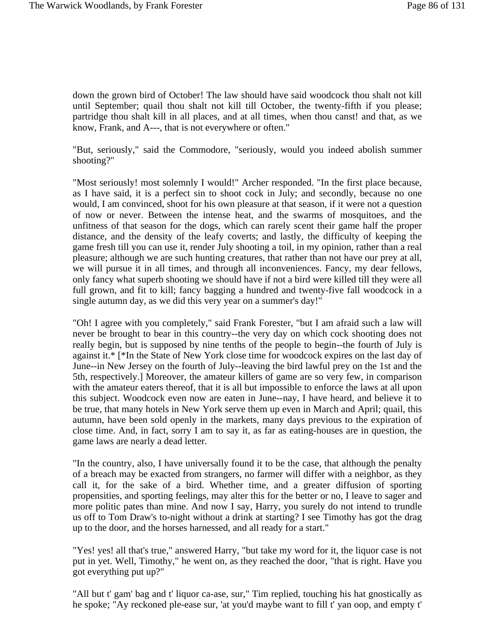down the grown bird of October! The law should have said woodcock thou shalt not kill until September; quail thou shalt not kill till October, the twenty-fifth if you please; partridge thou shalt kill in all places, and at all times, when thou canst! and that, as we know, Frank, and A---, that is not everywhere or often."

"But, seriously," said the Commodore, "seriously, would you indeed abolish summer shooting?"

"Most seriously! most solemnly I would!" Archer responded. "In the first place because, as I have said, it is a perfect sin to shoot cock in July; and secondly, because no one would, I am convinced, shoot for his own pleasure at that season, if it were not a question of now or never. Between the intense heat, and the swarms of mosquitoes, and the unfitness of that season for the dogs, which can rarely scent their game half the proper distance, and the density of the leafy coverts; and lastly, the difficulty of keeping the game fresh till you can use it, render July shooting a toil, in my opinion, rather than a real pleasure; although we are such hunting creatures, that rather than not have our prey at all, we will pursue it in all times, and through all inconveniences. Fancy, my dear fellows, only fancy what superb shooting we should have if not a bird were killed till they were all full grown, and fit to kill; fancy bagging a hundred and twenty-five fall woodcock in a single autumn day, as we did this very year on a summer's day!"

"Oh! I agree with you completely," said Frank Forester, "but I am afraid such a law will never be brought to bear in this country--the very day on which cock shooting does not really begin, but is supposed by nine tenths of the people to begin--the fourth of July is against it.\* [\*In the State of New York close time for woodcock expires on the last day of June--in New Jersey on the fourth of July--leaving the bird lawful prey on the 1st and the 5th, respectively.] Moreover, the amateur killers of game are so very few, in comparison with the amateur eaters thereof, that it is all but impossible to enforce the laws at all upon this subject. Woodcock even now are eaten in June--nay, I have heard, and believe it to be true, that many hotels in New York serve them up even in March and April; quail, this autumn, have been sold openly in the markets, many days previous to the expiration of close time. And, in fact, sorry I am to say it, as far as eating-houses are in question, the game laws are nearly a dead letter.

"In the country, also, I have universally found it to be the case, that although the penalty of a breach may be exacted from strangers, no farmer will differ with a neighbor, as they call it, for the sake of a bird. Whether time, and a greater diffusion of sporting propensities, and sporting feelings, may alter this for the better or no, I leave to sager and more politic pates than mine. And now I say, Harry, you surely do not intend to trundle us off to Tom Draw's to-night without a drink at starting? I see Timothy has got the drag up to the door, and the horses harnessed, and all ready for a start."

"Yes! yes! all that's true," answered Harry, "but take my word for it, the liquor case is not put in yet. Well, Timothy," he went on, as they reached the door, "that is right. Have you got everything put up?"

"All but t' gam' bag and t' liquor ca-ase, sur," Tim replied, touching his hat gnostically as he spoke; "Ay reckoned ple-ease sur, 'at you'd maybe want to fill t' yan oop, and empty t'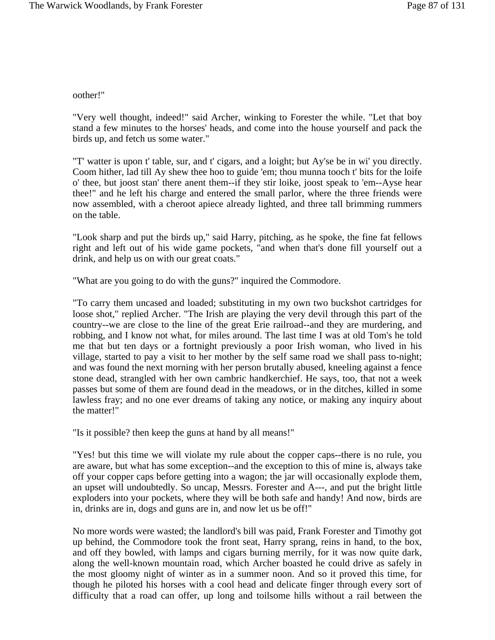oother!"

"Very well thought, indeed!" said Archer, winking to Forester the while. "Let that boy stand a few minutes to the horses' heads, and come into the house yourself and pack the birds up, and fetch us some water."

"T' watter is upon t' table, sur, and t' cigars, and a loight; but Ay'se be in wi' you directly. Coom hither, lad till Ay shew thee hoo to guide 'em; thou munna tooch t' bits for the loife o' thee, but joost stan' there anent them--if they stir loike, joost speak to 'em--Ayse hear thee!" and he left his charge and entered the small parlor, where the three friends were now assembled, with a cheroot apiece already lighted, and three tall brimming rummers on the table.

"Look sharp and put the birds up," said Harry, pitching, as he spoke, the fine fat fellows right and left out of his wide game pockets, "and when that's done fill yourself out a drink, and help us on with our great coats."

"What are you going to do with the guns?" inquired the Commodore.

"To carry them uncased and loaded; substituting in my own two buckshot cartridges for loose shot," replied Archer. "The Irish are playing the very devil through this part of the country--we are close to the line of the great Erie railroad--and they are murdering, and robbing, and I know not what, for miles around. The last time I was at old Tom's he told me that but ten days or a fortnight previously a poor Irish woman, who lived in his village, started to pay a visit to her mother by the self same road we shall pass to-night; and was found the next morning with her person brutally abused, kneeling against a fence stone dead, strangled with her own cambric handkerchief. He says, too, that not a week passes but some of them are found dead in the meadows, or in the ditches, killed in some lawless fray; and no one ever dreams of taking any notice, or making any inquiry about the matter!"

"Is it possible? then keep the guns at hand by all means!"

"Yes! but this time we will violate my rule about the copper caps--there is no rule, you are aware, but what has some exception--and the exception to this of mine is, always take off your copper caps before getting into a wagon; the jar will occasionally explode them, an upset will undoubtedly. So uncap, Messrs. Forester and A---, and put the bright little exploders into your pockets, where they will be both safe and handy! And now, birds are in, drinks are in, dogs and guns are in, and now let us be off!"

No more words were wasted; the landlord's bill was paid, Frank Forester and Timothy got up behind, the Commodore took the front seat, Harry sprang, reins in hand, to the box, and off they bowled, with lamps and cigars burning merrily, for it was now quite dark, along the well-known mountain road, which Archer boasted he could drive as safely in the most gloomy night of winter as in a summer noon. And so it proved this time, for though he piloted his horses with a cool head and delicate finger through every sort of difficulty that a road can offer, up long and toilsome hills without a rail between the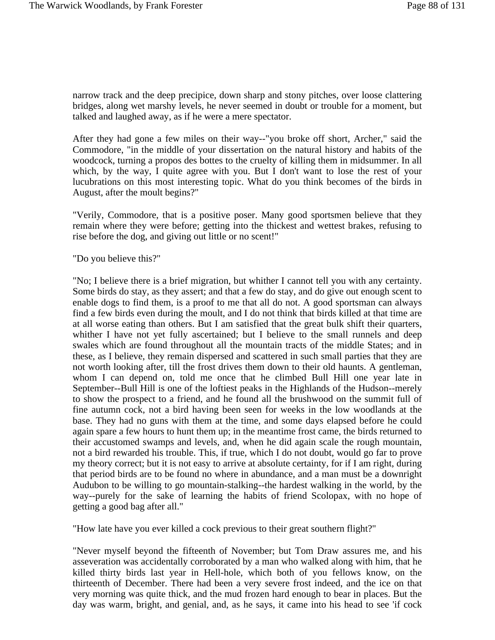narrow track and the deep precipice, down sharp and stony pitches, over loose clattering bridges, along wet marshy levels, he never seemed in doubt or trouble for a moment, but talked and laughed away, as if he were a mere spectator.

After they had gone a few miles on their way--"you broke off short, Archer," said the Commodore, "in the middle of your dissertation on the natural history and habits of the woodcock, turning a propos des bottes to the cruelty of killing them in midsummer. In all which, by the way, I quite agree with you. But I don't want to lose the rest of your lucubrations on this most interesting topic. What do you think becomes of the birds in August, after the moult begins?"

"Verily, Commodore, that is a positive poser. Many good sportsmen believe that they remain where they were before; getting into the thickest and wettest brakes, refusing to rise before the dog, and giving out little or no scent!"

"Do you believe this?"

"No; I believe there is a brief migration, but whither I cannot tell you with any certainty. Some birds do stay, as they assert; and that a few do stay, and do give out enough scent to enable dogs to find them, is a proof to me that all do not. A good sportsman can always find a few birds even during the moult, and I do not think that birds killed at that time are at all worse eating than others. But I am satisfied that the great bulk shift their quarters, whither I have not yet fully ascertained; but I believe to the small runnels and deep swales which are found throughout all the mountain tracts of the middle States; and in these, as I believe, they remain dispersed and scattered in such small parties that they are not worth looking after, till the frost drives them down to their old haunts. A gentleman, whom I can depend on, told me once that he climbed Bull Hill one year late in September--Bull Hill is one of the loftiest peaks in the Highlands of the Hudson--merely to show the prospect to a friend, and he found all the brushwood on the summit full of fine autumn cock, not a bird having been seen for weeks in the low woodlands at the base. They had no guns with them at the time, and some days elapsed before he could again spare a few hours to hunt them up; in the meantime frost came, the birds returned to their accustomed swamps and levels, and, when he did again scale the rough mountain, not a bird rewarded his trouble. This, if true, which I do not doubt, would go far to prove my theory correct; but it is not easy to arrive at absolute certainty, for if I am right, during that period birds are to be found no where in abundance, and a man must be a downright Audubon to be willing to go mountain-stalking--the hardest walking in the world, by the way--purely for the sake of learning the habits of friend Scolopax, with no hope of getting a good bag after all."

"How late have you ever killed a cock previous to their great southern flight?"

"Never myself beyond the fifteenth of November; but Tom Draw assures me, and his asseveration was accidentally corroborated by a man who walked along with him, that he killed thirty birds last year in Hell-hole, which both of you fellows know, on the thirteenth of December. There had been a very severe frost indeed, and the ice on that very morning was quite thick, and the mud frozen hard enough to bear in places. But the day was warm, bright, and genial, and, as he says, it came into his head to see 'if cock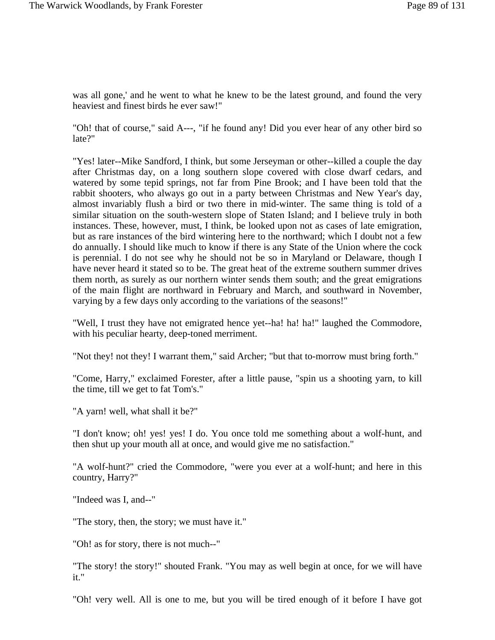was all gone,' and he went to what he knew to be the latest ground, and found the very heaviest and finest birds he ever saw!"

"Oh! that of course," said A---, "if he found any! Did you ever hear of any other bird so late?"

"Yes! later--Mike Sandford, I think, but some Jerseyman or other--killed a couple the day after Christmas day, on a long southern slope covered with close dwarf cedars, and watered by some tepid springs, not far from Pine Brook; and I have been told that the rabbit shooters, who always go out in a party between Christmas and New Year's day, almost invariably flush a bird or two there in mid-winter. The same thing is told of a similar situation on the south-western slope of Staten Island; and I believe truly in both instances. These, however, must, I think, be looked upon not as cases of late emigration, but as rare instances of the bird wintering here to the northward; which I doubt not a few do annually. I should like much to know if there is any State of the Union where the cock is perennial. I do not see why he should not be so in Maryland or Delaware, though I have never heard it stated so to be. The great heat of the extreme southern summer drives them north, as surely as our northern winter sends them south; and the great emigrations of the main flight are northward in February and March, and southward in November, varying by a few days only according to the variations of the seasons!"

"Well, I trust they have not emigrated hence yet--ha! ha! ha!" laughed the Commodore, with his peculiar hearty, deep-toned merriment.

"Not they! not they! I warrant them," said Archer; "but that to-morrow must bring forth."

"Come, Harry," exclaimed Forester, after a little pause, "spin us a shooting yarn, to kill the time, till we get to fat Tom's."

"A yarn! well, what shall it be?"

"I don't know; oh! yes! yes! I do. You once told me something about a wolf-hunt, and then shut up your mouth all at once, and would give me no satisfaction."

"A wolf-hunt?" cried the Commodore, "were you ever at a wolf-hunt; and here in this country, Harry?"

"Indeed was I, and--"

"The story, then, the story; we must have it."

"Oh! as for story, there is not much--"

"The story! the story!" shouted Frank. "You may as well begin at once, for we will have it."

"Oh! very well. All is one to me, but you will be tired enough of it before I have got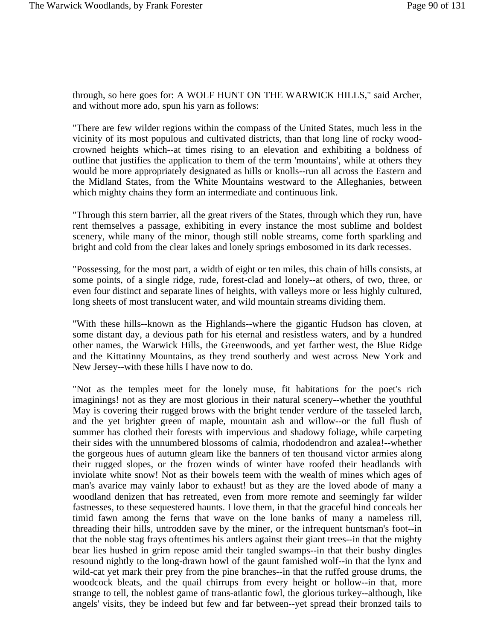through, so here goes for: A WOLF HUNT ON THE WARWICK HILLS," said Archer, and without more ado, spun his yarn as follows:

"There are few wilder regions within the compass of the United States, much less in the vicinity of its most populous and cultivated districts, than that long line of rocky woodcrowned heights which--at times rising to an elevation and exhibiting a boldness of outline that justifies the application to them of the term 'mountains', while at others they would be more appropriately designated as hills or knolls--run all across the Eastern and the Midland States, from the White Mountains westward to the Alleghanies, between which mighty chains they form an intermediate and continuous link.

"Through this stern barrier, all the great rivers of the States, through which they run, have rent themselves a passage, exhibiting in every instance the most sublime and boldest scenery, while many of the minor, though still noble streams, come forth sparkling and bright and cold from the clear lakes and lonely springs embosomed in its dark recesses.

"Possessing, for the most part, a width of eight or ten miles, this chain of hills consists, at some points, of a single ridge, rude, forest-clad and lonely--at others, of two, three, or even four distinct and separate lines of heights, with valleys more or less highly cultured, long sheets of most translucent water, and wild mountain streams dividing them.

"With these hills--known as the Highlands--where the gigantic Hudson has cloven, at some distant day, a devious path for his eternal and resistless waters, and by a hundred other names, the Warwick Hills, the Greenwoods, and yet farther west, the Blue Ridge and the Kittatinny Mountains, as they trend southerly and west across New York and New Jersey--with these hills I have now to do.

"Not as the temples meet for the lonely muse, fit habitations for the poet's rich imaginings! not as they are most glorious in their natural scenery--whether the youthful May is covering their rugged brows with the bright tender verdure of the tasseled larch, and the yet brighter green of maple, mountain ash and willow--or the full flush of summer has clothed their forests with impervious and shadowy foliage, while carpeting their sides with the unnumbered blossoms of calmia, rhododendron and azalea!--whether the gorgeous hues of autumn gleam like the banners of ten thousand victor armies along their rugged slopes, or the frozen winds of winter have roofed their headlands with inviolate white snow! Not as their bowels teem with the wealth of mines which ages of man's avarice may vainly labor to exhaust! but as they are the loved abode of many a woodland denizen that has retreated, even from more remote and seemingly far wilder fastnesses, to these sequestered haunts. I love them, in that the graceful hind conceals her timid fawn among the ferns that wave on the lone banks of many a nameless rill, threading their hills, untrodden save by the miner, or the infrequent huntsman's foot--in that the noble stag frays oftentimes his antlers against their giant trees--in that the mighty bear lies hushed in grim repose amid their tangled swamps--in that their bushy dingles resound nightly to the long-drawn howl of the gaunt famished wolf--in that the lynx and wild-cat yet mark their prey from the pine branches--in that the ruffed grouse drums, the woodcock bleats, and the quail chirrups from every height or hollow--in that, more strange to tell, the noblest game of trans-atlantic fowl, the glorious turkey--although, like angels' visits, they be indeed but few and far between--yet spread their bronzed tails to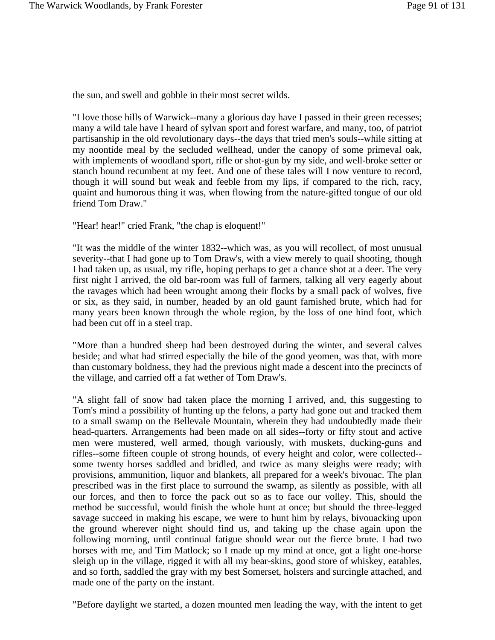the sun, and swell and gobble in their most secret wilds.

"I love those hills of Warwick--many a glorious day have I passed in their green recesses; many a wild tale have I heard of sylvan sport and forest warfare, and many, too, of patriot partisanship in the old revolutionary days--the days that tried men's souls--while sitting at my noontide meal by the secluded wellhead, under the canopy of some primeval oak, with implements of woodland sport, rifle or shot-gun by my side, and well-broke setter or stanch hound recumbent at my feet. And one of these tales will I now venture to record, though it will sound but weak and feeble from my lips, if compared to the rich, racy, quaint and humorous thing it was, when flowing from the nature-gifted tongue of our old friend Tom Draw."

"Hear! hear!" cried Frank, "the chap is eloquent!"

"It was the middle of the winter 1832--which was, as you will recollect, of most unusual severity--that I had gone up to Tom Draw's, with a view merely to quail shooting, though I had taken up, as usual, my rifle, hoping perhaps to get a chance shot at a deer. The very first night I arrived, the old bar-room was full of farmers, talking all very eagerly about the ravages which had been wrought among their flocks by a small pack of wolves, five or six, as they said, in number, headed by an old gaunt famished brute, which had for many years been known through the whole region, by the loss of one hind foot, which had been cut off in a steel trap.

"More than a hundred sheep had been destroyed during the winter, and several calves beside; and what had stirred especially the bile of the good yeomen, was that, with more than customary boldness, they had the previous night made a descent into the precincts of the village, and carried off a fat wether of Tom Draw's.

"A slight fall of snow had taken place the morning I arrived, and, this suggesting to Tom's mind a possibility of hunting up the felons, a party had gone out and tracked them to a small swamp on the Bellevale Mountain, wherein they had undoubtedly made their head-quarters. Arrangements had been made on all sides--forty or fifty stout and active men were mustered, well armed, though variously, with muskets, ducking-guns and rifles--some fifteen couple of strong hounds, of every height and color, were collected- some twenty horses saddled and bridled, and twice as many sleighs were ready; with provisions, ammunition, liquor and blankets, all prepared for a week's bivouac. The plan prescribed was in the first place to surround the swamp, as silently as possible, with all our forces, and then to force the pack out so as to face our volley. This, should the method be successful, would finish the whole hunt at once; but should the three-legged savage succeed in making his escape, we were to hunt him by relays, bivouacking upon the ground wherever night should find us, and taking up the chase again upon the following morning, until continual fatigue should wear out the fierce brute. I had two horses with me, and Tim Matlock; so I made up my mind at once, got a light one-horse sleigh up in the village, rigged it with all my bear-skins, good store of whiskey, eatables, and so forth, saddled the gray with my best Somerset, holsters and surcingle attached, and made one of the party on the instant.

"Before daylight we started, a dozen mounted men leading the way, with the intent to get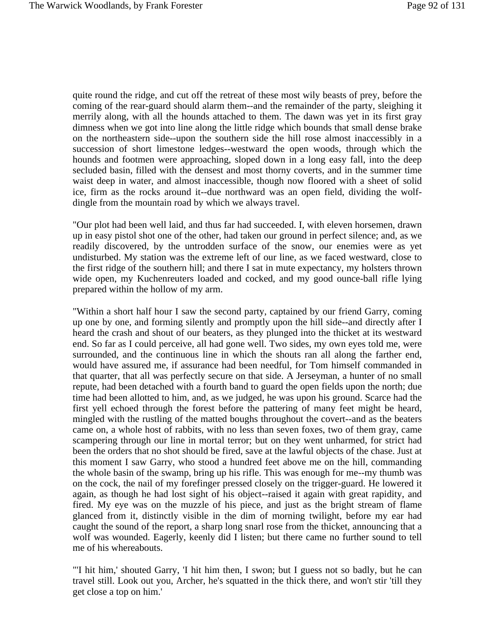quite round the ridge, and cut off the retreat of these most wily beasts of prey, before the coming of the rear-guard should alarm them--and the remainder of the party, sleighing it merrily along, with all the hounds attached to them. The dawn was yet in its first gray dimness when we got into line along the little ridge which bounds that small dense brake on the northeastern side--upon the southern side the hill rose almost inaccessibly in a succession of short limestone ledges--westward the open woods, through which the hounds and footmen were approaching, sloped down in a long easy fall, into the deep secluded basin, filled with the densest and most thorny coverts, and in the summer time waist deep in water, and almost inaccessible, though now floored with a sheet of solid ice, firm as the rocks around it--due northward was an open field, dividing the wolfdingle from the mountain road by which we always travel.

"Our plot had been well laid, and thus far had succeeded. I, with eleven horsemen, drawn up in easy pistol shot one of the other, had taken our ground in perfect silence; and, as we readily discovered, by the untrodden surface of the snow, our enemies were as yet undisturbed. My station was the extreme left of our line, as we faced westward, close to the first ridge of the southern hill; and there I sat in mute expectancy, my holsters thrown wide open, my Kuchenreuters loaded and cocked, and my good ounce-ball rifle lying prepared within the hollow of my arm.

"Within a short half hour I saw the second party, captained by our friend Garry, coming up one by one, and forming silently and promptly upon the hill side--and directly after I heard the crash and shout of our beaters, as they plunged into the thicket at its westward end. So far as I could perceive, all had gone well. Two sides, my own eyes told me, were surrounded, and the continuous line in which the shouts ran all along the farther end, would have assured me, if assurance had been needful, for Tom himself commanded in that quarter, that all was perfectly secure on that side. A Jerseyman, a hunter of no small repute, had been detached with a fourth band to guard the open fields upon the north; due time had been allotted to him, and, as we judged, he was upon his ground. Scarce had the first yell echoed through the forest before the pattering of many feet might be heard, mingled with the rustling of the matted boughs throughout the covert--and as the beaters came on, a whole host of rabbits, with no less than seven foxes, two of them gray, came scampering through our line in mortal terror; but on they went unharmed, for strict had been the orders that no shot should be fired, save at the lawful objects of the chase. Just at this moment I saw Garry, who stood a hundred feet above me on the hill, commanding the whole basin of the swamp, bring up his rifle. This was enough for me--my thumb was on the cock, the nail of my forefinger pressed closely on the trigger-guard. He lowered it again, as though he had lost sight of his object--raised it again with great rapidity, and fired. My eye was on the muzzle of his piece, and just as the bright stream of flame glanced from it, distinctly visible in the dim of morning twilight, before my ear had caught the sound of the report, a sharp long snarl rose from the thicket, announcing that a wolf was wounded. Eagerly, keenly did I listen; but there came no further sound to tell me of his whereabouts.

"'I hit him,' shouted Garry, 'I hit him then, I swon; but I guess not so badly, but he can travel still. Look out you, Archer, he's squatted in the thick there, and won't stir 'till they get close a top on him.'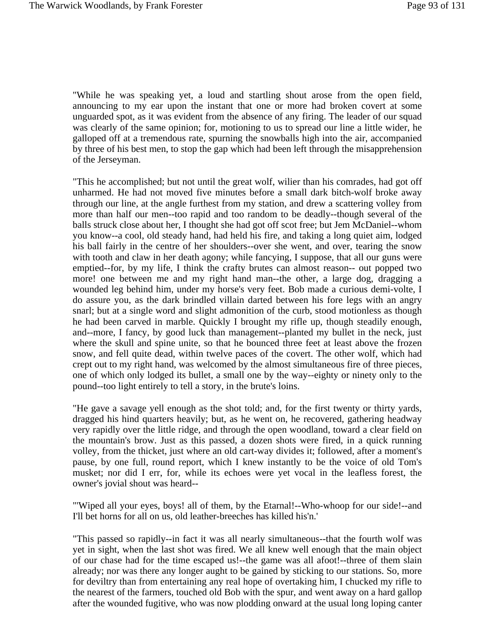"While he was speaking yet, a loud and startling shout arose from the open field, announcing to my ear upon the instant that one or more had broken covert at some unguarded spot, as it was evident from the absence of any firing. The leader of our squad was clearly of the same opinion; for, motioning to us to spread our line a little wider, he galloped off at a tremendous rate, spurning the snowballs high into the air, accompanied by three of his best men, to stop the gap which had been left through the misapprehension of the Jerseyman.

"This he accomplished; but not until the great wolf, wilier than his comrades, had got off unharmed. He had not moved five minutes before a small dark bitch-wolf broke away through our line, at the angle furthest from my station, and drew a scattering volley from more than half our men--too rapid and too random to be deadly--though several of the balls struck close about her, I thought she had got off scot free; but Jem McDaniel--whom you know--a cool, old steady hand, had held his fire, and taking a long quiet aim, lodged his ball fairly in the centre of her shoulders--over she went, and over, tearing the snow with tooth and claw in her death agony; while fancying, I suppose, that all our guns were emptied--for, by my life, I think the crafty brutes can almost reason-- out popped two more! one between me and my right hand man--the other, a large dog, dragging a wounded leg behind him, under my horse's very feet. Bob made a curious demi-volte, I do assure you, as the dark brindled villain darted between his fore legs with an angry snarl; but at a single word and slight admonition of the curb, stood motionless as though he had been carved in marble. Quickly I brought my rifle up, though steadily enough, and--more, I fancy, by good luck than management--planted my bullet in the neck, just where the skull and spine unite, so that he bounced three feet at least above the frozen snow, and fell quite dead, within twelve paces of the covert. The other wolf, which had crept out to my right hand, was welcomed by the almost simultaneous fire of three pieces, one of which only lodged its bullet, a small one by the way--eighty or ninety only to the pound--too light entirely to tell a story, in the brute's loins.

"He gave a savage yell enough as the shot told; and, for the first twenty or thirty yards, dragged his hind quarters heavily; but, as he went on, he recovered, gathering headway very rapidly over the little ridge, and through the open woodland, toward a clear field on the mountain's brow. Just as this passed, a dozen shots were fired, in a quick running volley, from the thicket, just where an old cart-way divides it; followed, after a moment's pause, by one full, round report, which I knew instantly to be the voice of old Tom's musket; nor did I err, for, while its echoes were yet vocal in the leafless forest, the owner's jovial shout was heard--

"'Wiped all your eyes, boys! all of them, by the Etarnal!--Who-whoop for our side!--and I'll bet horns for all on us, old leather-breeches has killed his'n.'

"This passed so rapidly--in fact it was all nearly simultaneous--that the fourth wolf was yet in sight, when the last shot was fired. We all knew well enough that the main object of our chase had for the time escaped us!--the game was all afoot!--three of them slain already; nor was there any longer aught to be gained by sticking to our stations. So, more for deviltry than from entertaining any real hope of overtaking him, I chucked my rifle to the nearest of the farmers, touched old Bob with the spur, and went away on a hard gallop after the wounded fugitive, who was now plodding onward at the usual long loping canter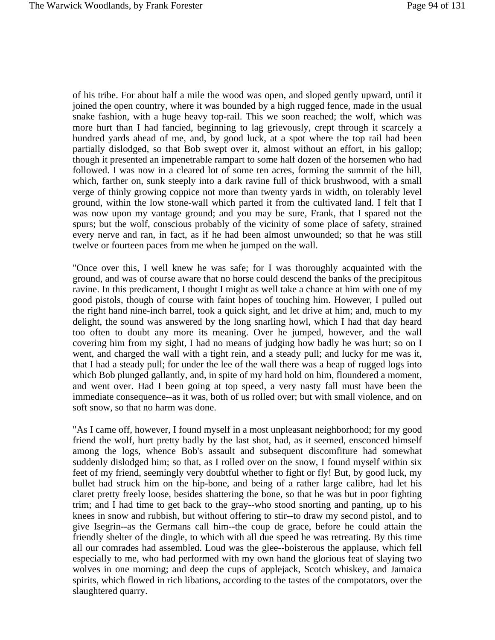of his tribe. For about half a mile the wood was open, and sloped gently upward, until it joined the open country, where it was bounded by a high rugged fence, made in the usual snake fashion, with a huge heavy top-rail. This we soon reached; the wolf, which was more hurt than I had fancied, beginning to lag grievously, crept through it scarcely a hundred yards ahead of me, and, by good luck, at a spot where the top rail had been partially dislodged, so that Bob swept over it, almost without an effort, in his gallop; though it presented an impenetrable rampart to some half dozen of the horsemen who had followed. I was now in a cleared lot of some ten acres, forming the summit of the hill, which, farther on, sunk steeply into a dark ravine full of thick brushwood, with a small verge of thinly growing coppice not more than twenty yards in width, on tolerably level ground, within the low stone-wall which parted it from the cultivated land. I felt that I was now upon my vantage ground; and you may be sure, Frank, that I spared not the spurs; but the wolf, conscious probably of the vicinity of some place of safety, strained every nerve and ran, in fact, as if he had been almost unwounded; so that he was still twelve or fourteen paces from me when he jumped on the wall.

"Once over this, I well knew he was safe; for I was thoroughly acquainted with the ground, and was of course aware that no horse could descend the banks of the precipitous ravine. In this predicament, I thought I might as well take a chance at him with one of my good pistols, though of course with faint hopes of touching him. However, I pulled out the right hand nine-inch barrel, took a quick sight, and let drive at him; and, much to my delight, the sound was answered by the long snarling howl, which I had that day heard too often to doubt any more its meaning. Over he jumped, however, and the wall covering him from my sight, I had no means of judging how badly he was hurt; so on I went, and charged the wall with a tight rein, and a steady pull; and lucky for me was it, that I had a steady pull; for under the lee of the wall there was a heap of rugged logs into which Bob plunged gallantly, and, in spite of my hard hold on him, floundered a moment, and went over. Had I been going at top speed, a very nasty fall must have been the immediate consequence--as it was, both of us rolled over; but with small violence, and on soft snow, so that no harm was done.

"As I came off, however, I found myself in a most unpleasant neighborhood; for my good friend the wolf, hurt pretty badly by the last shot, had, as it seemed, ensconced himself among the logs, whence Bob's assault and subsequent discomfiture had somewhat suddenly dislodged him; so that, as I rolled over on the snow, I found myself within six feet of my friend, seemingly very doubtful whether to fight or fly! But, by good luck, my bullet had struck him on the hip-bone, and being of a rather large calibre, had let his claret pretty freely loose, besides shattering the bone, so that he was but in poor fighting trim; and I had time to get back to the gray--who stood snorting and panting, up to his knees in snow and rubbish, but without offering to stir--to draw my second pistol, and to give Isegrin--as the Germans call him--the coup de grace, before he could attain the friendly shelter of the dingle, to which with all due speed he was retreating. By this time all our comrades had assembled. Loud was the glee--boisterous the applause, which fell especially to me, who had performed with my own hand the glorious feat of slaying two wolves in one morning; and deep the cups of applejack, Scotch whiskey, and Jamaica spirits, which flowed in rich libations, according to the tastes of the compotators, over the slaughtered quarry.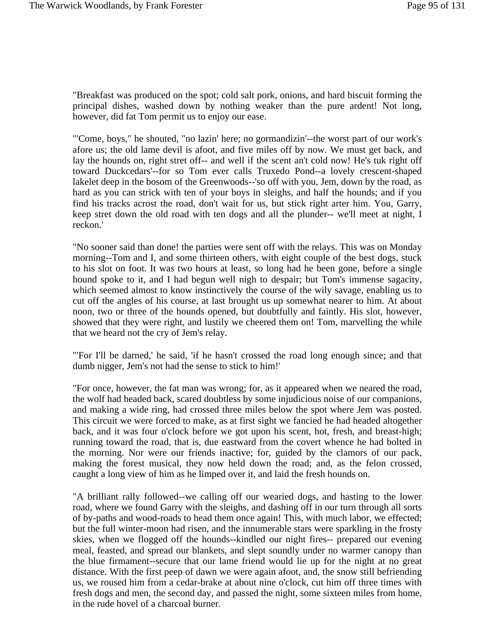"Breakfast was produced on the spot; cold salt pork, onions, and hard biscuit forming the principal dishes, washed down by nothing weaker than the pure ardent! Not long, however, did fat Tom permit us to enjoy our ease.

"'Come, boys," he shouted, "no lazin' here; no gormandizin'--the worst part of our work's afore us; the old lame devil is afoot, and five miles off by now. We must get back, and lay the hounds on, right stret off-- and well if the scent an't cold now! He's tuk right off toward Duckcedars'--for so Tom ever calls Truxedo Pond--a lovely crescent-shaped lakelet deep in the bosom of the Greenwoods--'so off with you, Jem, down by the road, as hard as you can strick with ten of your boys in sleighs, and half the hounds; and if you find his tracks acrost the road, don't wait for us, but stick right arter him. You, Garry, keep stret down the old road with ten dogs and all the plunder-- we'll meet at night, I reckon.'

"No sooner said than done! the parties were sent off with the relays. This was on Monday morning--Tom and I, and some thirteen others, with eight couple of the best dogs, stuck to his slot on foot. It was two hours at least, so long had he been gone, before a single hound spoke to it, and I had begun well nigh to despair; but Tom's immense sagacity, which seemed almost to know instinctively the course of the wily savage, enabling us to cut off the angles of his course, at last brought us up somewhat nearer to him. At about noon, two or three of the hounds opened, but doubtfully and faintly. His slot, however, showed that they were right, and lustily we cheered them on! Tom, marvelling the while that we heard not the cry of Jem's relay.

"'For I'll be darned,' he said, 'if he hasn't crossed the road long enough since; and that dumb nigger, Jem's not had the sense to stick to him!'

"For once, however, the fat man was wrong; for, as it appeared when we neared the road, the wolf had headed back, scared doubtless by some injudicious noise of our companions, and making a wide ring, had crossed three miles below the spot where Jem was posted. This circuit we were forced to make, as at first sight we fancied he had headed altogether back, and it was four o'clock before we got upon his scent, hot, fresh, and breast-high; running toward the road, that is, due eastward from the covert whence he had bolted in the morning. Nor were our friends inactive; for, guided by the clamors of our pack, making the forest musical, they now held down the road; and, as the felon crossed, caught a long view of him as he limped over it, and laid the fresh hounds on.

"A brilliant rally followed--we calling off our wearied dogs, and hasting to the lower road, where we found Garry with the sleighs, and dashing off in our turn through all sorts of by-paths and wood-roads to head them once again! This, with much labor, we effected; but the full winter-moon had risen, and the innumerable stars were sparkling in the frosty skies, when we flogged off the hounds--kindled our night fires-- prepared our evening meal, feasted, and spread our blankets, and slept soundly under no warmer canopy than the blue firmament--secure that our lame friend would lie up for the night at no great distance. With the first peep of dawn we were again afoot, and, the snow still befriending us, we roused him from a cedar-brake at about nine o'clock, cut him off three times with fresh dogs and men, the second day, and passed the night, some sixteen miles from home, in the rude hovel of a charcoal burner.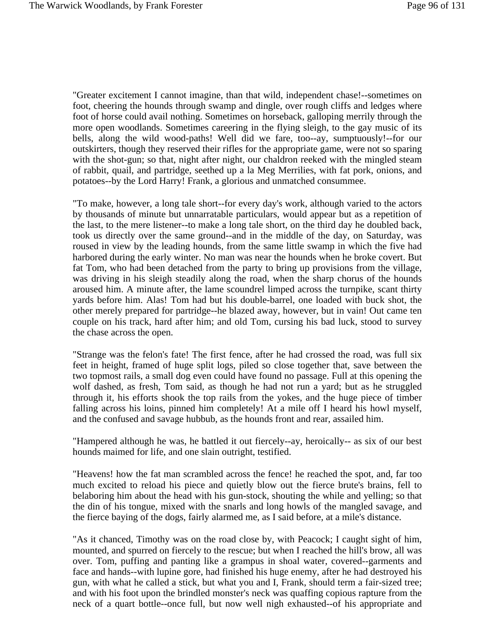"Greater excitement I cannot imagine, than that wild, independent chase!--sometimes on foot, cheering the hounds through swamp and dingle, over rough cliffs and ledges where foot of horse could avail nothing. Sometimes on horseback, galloping merrily through the more open woodlands. Sometimes careering in the flying sleigh, to the gay music of its bells, along the wild wood-paths! Well did we fare, too--ay, sumptuously!--for our outskirters, though they reserved their rifles for the appropriate game, were not so sparing with the shot-gun; so that, night after night, our chaldron reeked with the mingled steam of rabbit, quail, and partridge, seethed up a la Meg Merrilies, with fat pork, onions, and potatoes--by the Lord Harry! Frank, a glorious and unmatched consummee.

"To make, however, a long tale short--for every day's work, although varied to the actors by thousands of minute but unnarratable particulars, would appear but as a repetition of the last, to the mere listener--to make a long tale short, on the third day he doubled back, took us directly over the same ground--and in the middle of the day, on Saturday, was roused in view by the leading hounds, from the same little swamp in which the five had harbored during the early winter. No man was near the hounds when he broke covert. But fat Tom, who had been detached from the party to bring up provisions from the village, was driving in his sleigh steadily along the road, when the sharp chorus of the hounds aroused him. A minute after, the lame scoundrel limped across the turnpike, scant thirty yards before him. Alas! Tom had but his double-barrel, one loaded with buck shot, the other merely prepared for partridge--he blazed away, however, but in vain! Out came ten couple on his track, hard after him; and old Tom, cursing his bad luck, stood to survey the chase across the open.

"Strange was the felon's fate! The first fence, after he had crossed the road, was full six feet in height, framed of huge split logs, piled so close together that, save between the two topmost rails, a small dog even could have found no passage. Full at this opening the wolf dashed, as fresh, Tom said, as though he had not run a yard; but as he struggled through it, his efforts shook the top rails from the yokes, and the huge piece of timber falling across his loins, pinned him completely! At a mile off I heard his howl myself, and the confused and savage hubbub, as the hounds front and rear, assailed him.

"Hampered although he was, he battled it out fiercely--ay, heroically-- as six of our best hounds maimed for life, and one slain outright, testified.

"Heavens! how the fat man scrambled across the fence! he reached the spot, and, far too much excited to reload his piece and quietly blow out the fierce brute's brains, fell to belaboring him about the head with his gun-stock, shouting the while and yelling; so that the din of his tongue, mixed with the snarls and long howls of the mangled savage, and the fierce baying of the dogs, fairly alarmed me, as I said before, at a mile's distance.

"As it chanced, Timothy was on the road close by, with Peacock; I caught sight of him, mounted, and spurred on fiercely to the rescue; but when I reached the hill's brow, all was over. Tom, puffing and panting like a grampus in shoal water, covered--garments and face and hands--with lupine gore, had finished his huge enemy, after he had destroyed his gun, with what he called a stick, but what you and I, Frank, should term a fair-sized tree; and with his foot upon the brindled monster's neck was quaffing copious rapture from the neck of a quart bottle--once full, but now well nigh exhausted--of his appropriate and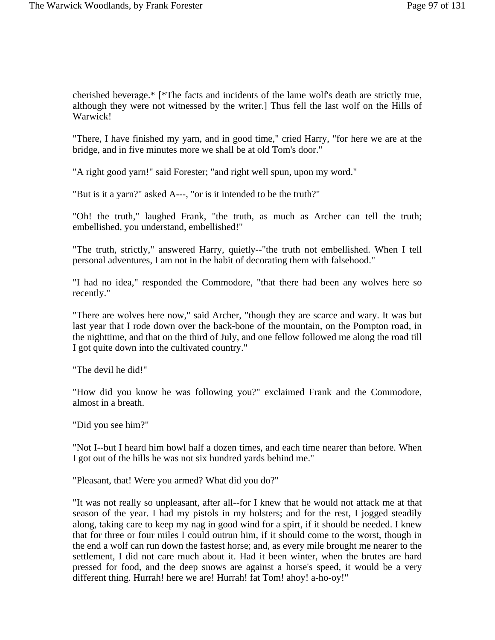cherished beverage.\* [\*The facts and incidents of the lame wolf's death are strictly true, although they were not witnessed by the writer.] Thus fell the last wolf on the Hills of Warwick!

"There, I have finished my yarn, and in good time," cried Harry, "for here we are at the bridge, and in five minutes more we shall be at old Tom's door."

"A right good yarn!" said Forester; "and right well spun, upon my word."

"But is it a yarn?" asked A---, "or is it intended to be the truth?"

"Oh! the truth," laughed Frank, "the truth, as much as Archer can tell the truth; embellished, you understand, embellished!"

"The truth, strictly," answered Harry, quietly--"the truth not embellished. When I tell personal adventures, I am not in the habit of decorating them with falsehood."

"I had no idea," responded the Commodore, "that there had been any wolves here so recently."

"There are wolves here now," said Archer, "though they are scarce and wary. It was but last year that I rode down over the back-bone of the mountain, on the Pompton road, in the nighttime, and that on the third of July, and one fellow followed me along the road till I got quite down into the cultivated country."

"The devil he did!"

"How did you know he was following you?" exclaimed Frank and the Commodore, almost in a breath.

"Did you see him?"

"Not I--but I heard him howl half a dozen times, and each time nearer than before. When I got out of the hills he was not six hundred yards behind me."

"Pleasant, that! Were you armed? What did you do?"

"It was not really so unpleasant, after all--for I knew that he would not attack me at that season of the year. I had my pistols in my holsters; and for the rest, I jogged steadily along, taking care to keep my nag in good wind for a spirt, if it should be needed. I knew that for three or four miles I could outrun him, if it should come to the worst, though in the end a wolf can run down the fastest horse; and, as every mile brought me nearer to the settlement, I did not care much about it. Had it been winter, when the brutes are hard pressed for food, and the deep snows are against a horse's speed, it would be a very different thing. Hurrah! here we are! Hurrah! fat Tom! ahoy! a-ho-oy!"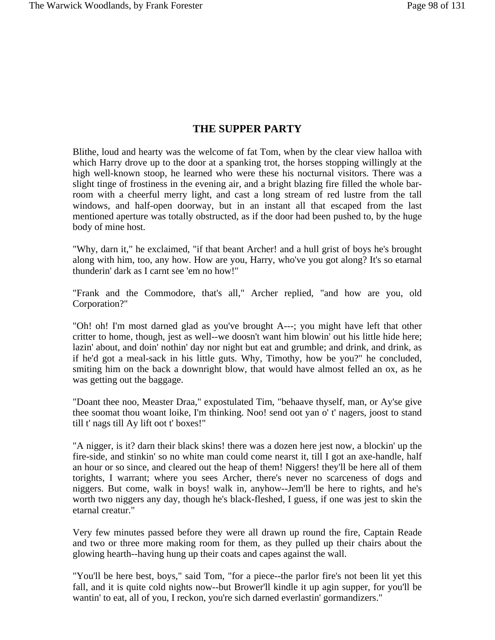## **THE SUPPER PARTY**

Blithe, loud and hearty was the welcome of fat Tom, when by the clear view halloa with which Harry drove up to the door at a spanking trot, the horses stopping willingly at the high well-known stoop, he learned who were these his nocturnal visitors. There was a slight tinge of frostiness in the evening air, and a bright blazing fire filled the whole barroom with a cheerful merry light, and cast a long stream of red lustre from the tall windows, and half-open doorway, but in an instant all that escaped from the last mentioned aperture was totally obstructed, as if the door had been pushed to, by the huge body of mine host.

"Why, darn it," he exclaimed, "if that beant Archer! and a hull grist of boys he's brought along with him, too, any how. How are you, Harry, who've you got along? It's so etarnal thunderin' dark as I carnt see 'em no how!"

"Frank and the Commodore, that's all," Archer replied, "and how are you, old Corporation?"

"Oh! oh! I'm most darned glad as you've brought A---; you might have left that other critter to home, though, jest as well--we doosn't want him blowin' out his little hide here; lazin' about, and doin' nothin' day nor night but eat and grumble; and drink, and drink, as if he'd got a meal-sack in his little guts. Why, Timothy, how be you?" he concluded, smiting him on the back a downright blow, that would have almost felled an ox, as he was getting out the baggage.

"Doant thee noo, Measter Draa," expostulated Tim, "behaave thyself, man, or Ay'se give thee soomat thou woant loike, I'm thinking. Noo! send oot yan o' t' nagers, joost to stand till t' nags till Ay lift oot t' boxes!"

"A nigger, is it? darn their black skins! there was a dozen here jest now, a blockin' up the fire-side, and stinkin' so no white man could come nearst it, till I got an axe-handle, half an hour or so since, and cleared out the heap of them! Niggers! they'll be here all of them torights, I warrant; where you sees Archer, there's never no scarceness of dogs and niggers. But come, walk in boys! walk in, anyhow--Jem'll be here to rights, and he's worth two niggers any day, though he's black-fleshed, I guess, if one was jest to skin the etarnal creatur."

Very few minutes passed before they were all drawn up round the fire, Captain Reade and two or three more making room for them, as they pulled up their chairs about the glowing hearth--having hung up their coats and capes against the wall.

"You'll be here best, boys," said Tom, "for a piece--the parlor fire's not been lit yet this fall, and it is quite cold nights now--but Brower'll kindle it up agin supper, for you'll be wantin' to eat, all of you, I reckon, you're sich darned everlastin' gormandizers."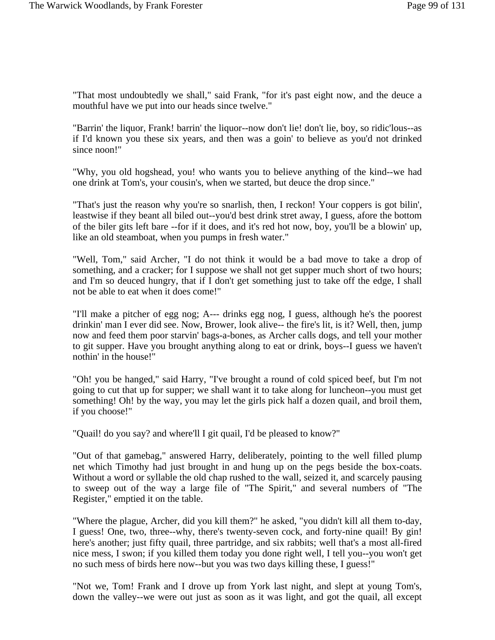"That most undoubtedly we shall," said Frank, "for it's past eight now, and the deuce a mouthful have we put into our heads since twelve."

"Barrin' the liquor, Frank! barrin' the liquor--now don't lie! don't lie, boy, so ridic'lous--as if I'd known you these six years, and then was a goin' to believe as you'd not drinked since noon!"

"Why, you old hogshead, you! who wants you to believe anything of the kind--we had one drink at Tom's, your cousin's, when we started, but deuce the drop since."

"That's just the reason why you're so snarlish, then, I reckon! Your coppers is got bilin', leastwise if they beant all biled out--you'd best drink stret away, I guess, afore the bottom of the biler gits left bare --for if it does, and it's red hot now, boy, you'll be a blowin' up, like an old steamboat, when you pumps in fresh water."

"Well, Tom," said Archer, "I do not think it would be a bad move to take a drop of something, and a cracker; for I suppose we shall not get supper much short of two hours; and I'm so deuced hungry, that if I don't get something just to take off the edge, I shall not be able to eat when it does come!"

"I'll make a pitcher of egg nog; A--- drinks egg nog, I guess, although he's the poorest drinkin' man I ever did see. Now, Brower, look alive-- the fire's lit, is it? Well, then, jump now and feed them poor starvin' bags-a-bones, as Archer calls dogs, and tell your mother to git supper. Have you brought anything along to eat or drink, boys--I guess we haven't nothin' in the house!"

"Oh! you be hanged," said Harry, "I've brought a round of cold spiced beef, but I'm not going to cut that up for supper; we shall want it to take along for luncheon--you must get something! Oh! by the way, you may let the girls pick half a dozen quail, and broil them, if you choose!"

"Quail! do you say? and where'll I git quail, I'd be pleased to know?"

"Out of that gamebag," answered Harry, deliberately, pointing to the well filled plump net which Timothy had just brought in and hung up on the pegs beside the box-coats. Without a word or syllable the old chap rushed to the wall, seized it, and scarcely pausing to sweep out of the way a large file of "The Spirit," and several numbers of "The Register," emptied it on the table.

"Where the plague, Archer, did you kill them?" he asked, "you didn't kill all them to-day, I guess! One, two, three--why, there's twenty-seven cock, and forty-nine quail! By gin! here's another; just fifty quail, three partridge, and six rabbits; well that's a most all-fired nice mess, I swon; if you killed them today you done right well, I tell you--you won't get no such mess of birds here now--but you was two days killing these, I guess!"

"Not we, Tom! Frank and I drove up from York last night, and slept at young Tom's, down the valley--we were out just as soon as it was light, and got the quail, all except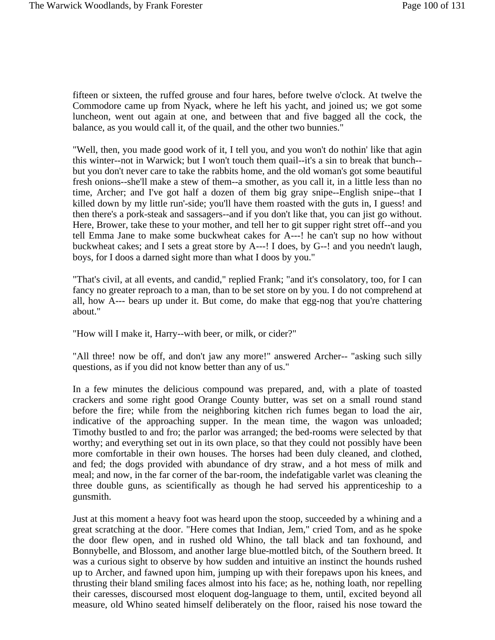fifteen or sixteen, the ruffed grouse and four hares, before twelve o'clock. At twelve the Commodore came up from Nyack, where he left his yacht, and joined us; we got some luncheon, went out again at one, and between that and five bagged all the cock, the balance, as you would call it, of the quail, and the other two bunnies."

"Well, then, you made good work of it, I tell you, and you won't do nothin' like that agin this winter--not in Warwick; but I won't touch them quail--it's a sin to break that bunch- but you don't never care to take the rabbits home, and the old woman's got some beautiful fresh onions--she'll make a stew of them--a smother, as you call it, in a little less than no time, Archer; and I've got half a dozen of them big gray snipe--English snipe--that I killed down by my little run'-side; you'll have them roasted with the guts in, I guess! and then there's a pork-steak and sassagers--and if you don't like that, you can jist go without. Here, Brower, take these to your mother, and tell her to git supper right stret off--and you tell Emma Jane to make some buckwheat cakes for A---! he can't sup no how without buckwheat cakes; and I sets a great store by A---! I does, by G--! and you needn't laugh, boys, for I doos a darned sight more than what I doos by you."

"That's civil, at all events, and candid," replied Frank; "and it's consolatory, too, for I can fancy no greater reproach to a man, than to be set store on by you. I do not comprehend at all, how A--- bears up under it. But come, do make that egg-nog that you're chattering about."

"How will I make it, Harry--with beer, or milk, or cider?"

"All three! now be off, and don't jaw any more!" answered Archer-- "asking such silly questions, as if you did not know better than any of us."

In a few minutes the delicious compound was prepared, and, with a plate of toasted crackers and some right good Orange County butter, was set on a small round stand before the fire; while from the neighboring kitchen rich fumes began to load the air, indicative of the approaching supper. In the mean time, the wagon was unloaded; Timothy bustled to and fro; the parlor was arranged; the bed-rooms were selected by that worthy; and everything set out in its own place, so that they could not possibly have been more comfortable in their own houses. The horses had been duly cleaned, and clothed, and fed; the dogs provided with abundance of dry straw, and a hot mess of milk and meal; and now, in the far corner of the bar-room, the indefatigable varlet was cleaning the three double guns, as scientifically as though he had served his apprenticeship to a gunsmith.

Just at this moment a heavy foot was heard upon the stoop, succeeded by a whining and a great scratching at the door. "Here comes that Indian, Jem," cried Tom, and as he spoke the door flew open, and in rushed old Whino, the tall black and tan foxhound, and Bonnybelle, and Blossom, and another large blue-mottled bitch, of the Southern breed. It was a curious sight to observe by how sudden and intuitive an instinct the hounds rushed up to Archer, and fawned upon him, jumping up with their forepaws upon his knees, and thrusting their bland smiling faces almost into his face; as he, nothing loath, nor repelling their caresses, discoursed most eloquent dog-language to them, until, excited beyond all measure, old Whino seated himself deliberately on the floor, raised his nose toward the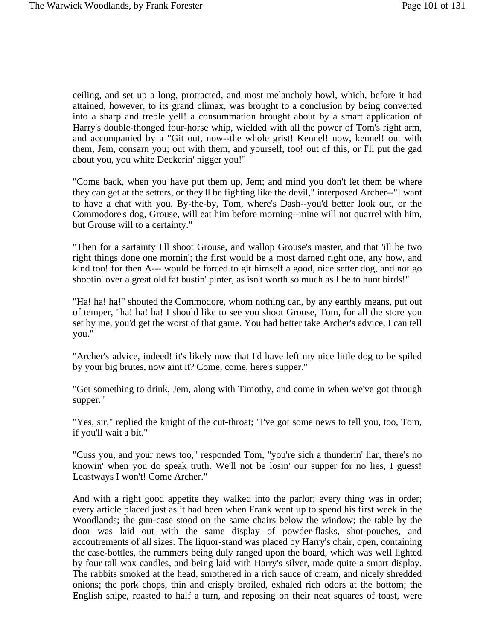ceiling, and set up a long, protracted, and most melancholy howl, which, before it had attained, however, to its grand climax, was brought to a conclusion by being converted into a sharp and treble yell! a consummation brought about by a smart application of Harry's double-thonged four-horse whip, wielded with all the power of Tom's right arm, and accompanied by a "Git out, now--the whole grist! Kennel! now, kennel! out with them, Jem, consarn you; out with them, and yourself, too! out of this, or I'll put the gad about you, you white Deckerin' nigger you!"

"Come back, when you have put them up, Jem; and mind you don't let them be where they can get at the setters, or they'll be fighting like the devil," interposed Archer--"I want to have a chat with you. By-the-by, Tom, where's Dash--you'd better look out, or the Commodore's dog, Grouse, will eat him before morning--mine will not quarrel with him, but Grouse will to a certainty."

"Then for a sartainty I'll shoot Grouse, and wallop Grouse's master, and that 'ill be two right things done one mornin'; the first would be a most darned right one, any how, and kind too! for then A--- would be forced to git himself a good, nice setter dog, and not go shootin' over a great old fat bustin' pinter, as isn't worth so much as I be to hunt birds!"

"Ha! ha! ha!" shouted the Commodore, whom nothing can, by any earthly means, put out of temper, "ha! ha! ha! I should like to see you shoot Grouse, Tom, for all the store you set by me, you'd get the worst of that game. You had better take Archer's advice, I can tell you."

"Archer's advice, indeed! it's likely now that I'd have left my nice little dog to be spiled by your big brutes, now aint it? Come, come, here's supper."

"Get something to drink, Jem, along with Timothy, and come in when we've got through supper."

"Yes, sir," replied the knight of the cut-throat; "I've got some news to tell you, too, Tom, if you'll wait a bit."

"Cuss you, and your news too," responded Tom, "you're sich a thunderin' liar, there's no knowin' when you do speak truth. We'll not be losin' our supper for no lies, I guess! Leastways I won't! Come Archer."

And with a right good appetite they walked into the parlor; every thing was in order; every article placed just as it had been when Frank went up to spend his first week in the Woodlands; the gun-case stood on the same chairs below the window; the table by the door was laid out with the same display of powder-flasks, shot-pouches, and accoutrements of all sizes. The liquor-stand was placed by Harry's chair, open, containing the case-bottles, the rummers being duly ranged upon the board, which was well lighted by four tall wax candles, and being laid with Harry's silver, made quite a smart display. The rabbits smoked at the head, smothered in a rich sauce of cream, and nicely shredded onions; the pork chops, thin and crisply broiled, exhaled rich odors at the bottom; the English snipe, roasted to half a turn, and reposing on their neat squares of toast, were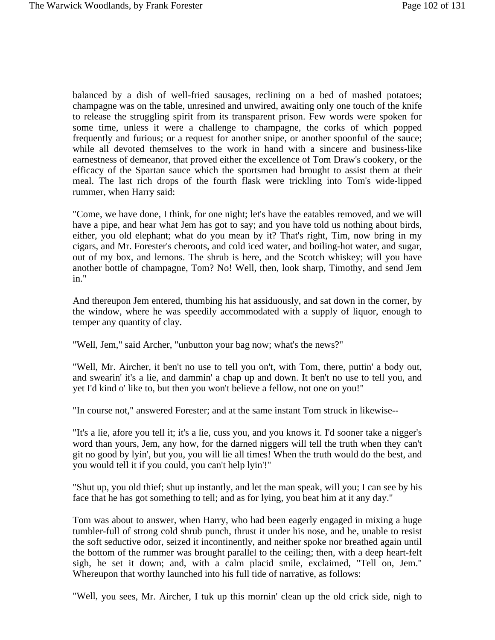balanced by a dish of well-fried sausages, reclining on a bed of mashed potatoes; champagne was on the table, unresined and unwired, awaiting only one touch of the knife to release the struggling spirit from its transparent prison. Few words were spoken for some time, unless it were a challenge to champagne, the corks of which popped frequently and furious; or a request for another snipe, or another spoonful of the sauce; while all devoted themselves to the work in hand with a sincere and business-like earnestness of demeanor, that proved either the excellence of Tom Draw's cookery, or the efficacy of the Spartan sauce which the sportsmen had brought to assist them at their meal. The last rich drops of the fourth flask were trickling into Tom's wide-lipped rummer, when Harry said:

"Come, we have done, I think, for one night; let's have the eatables removed, and we will have a pipe, and hear what Jem has got to say; and you have told us nothing about birds, either, you old elephant; what do you mean by it? That's right, Tim, now bring in my cigars, and Mr. Forester's cheroots, and cold iced water, and boiling-hot water, and sugar, out of my box, and lemons. The shrub is here, and the Scotch whiskey; will you have another bottle of champagne, Tom? No! Well, then, look sharp, Timothy, and send Jem in."

And thereupon Jem entered, thumbing his hat assiduously, and sat down in the corner, by the window, where he was speedily accommodated with a supply of liquor, enough to temper any quantity of clay.

"Well, Jem," said Archer, "unbutton your bag now; what's the news?"

"Well, Mr. Aircher, it ben't no use to tell you on't, with Tom, there, puttin' a body out, and swearin' it's a lie, and dammin' a chap up and down. It ben't no use to tell you, and yet I'd kind o' like to, but then you won't believe a fellow, not one on you!"

"In course not," answered Forester; and at the same instant Tom struck in likewise--

"It's a lie, afore you tell it; it's a lie, cuss you, and you knows it. I'd sooner take a nigger's word than yours, Jem, any how, for the darned niggers will tell the truth when they can't git no good by lyin', but you, you will lie all times! When the truth would do the best, and you would tell it if you could, you can't help lyin'!"

"Shut up, you old thief; shut up instantly, and let the man speak, will you; I can see by his face that he has got something to tell; and as for lying, you beat him at it any day."

Tom was about to answer, when Harry, who had been eagerly engaged in mixing a huge tumbler-full of strong cold shrub punch, thrust it under his nose, and he, unable to resist the soft seductive odor, seized it incontinently, and neither spoke nor breathed again until the bottom of the rummer was brought parallel to the ceiling; then, with a deep heart-felt sigh, he set it down; and, with a calm placid smile, exclaimed, "Tell on, Jem." Whereupon that worthy launched into his full tide of narrative, as follows:

"Well, you sees, Mr. Aircher, I tuk up this mornin' clean up the old crick side, nigh to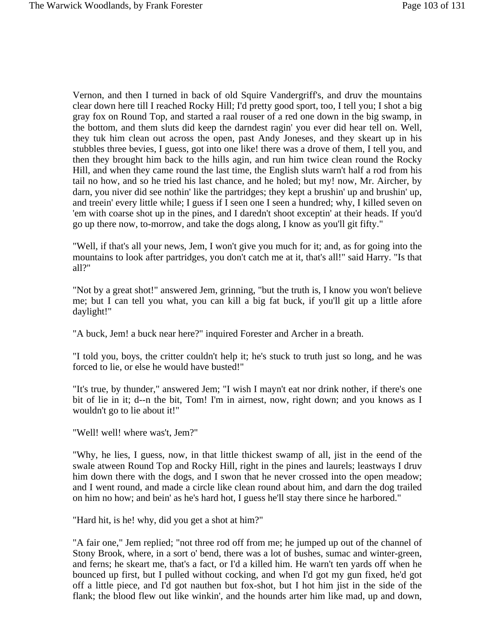Vernon, and then I turned in back of old Squire Vandergriff's, and druv the mountains clear down here till I reached Rocky Hill; I'd pretty good sport, too, I tell you; I shot a big gray fox on Round Top, and started a raal rouser of a red one down in the big swamp, in the bottom, and them sluts did keep the darndest ragin' you ever did hear tell on. Well, they tuk him clean out across the open, past Andy Joneses, and they skeart up in his stubbles three bevies, I guess, got into one like! there was a drove of them, I tell you, and then they brought him back to the hills agin, and run him twice clean round the Rocky Hill, and when they came round the last time, the English sluts warn't half a rod from his tail no how, and so he tried his last chance, and he holed; but my! now, Mr. Aircher, by darn, you niver did see nothin' like the partridges; they kept a brushin' up and brushin' up, and treein' every little while; I guess if I seen one I seen a hundred; why, I killed seven on 'em with coarse shot up in the pines, and I daredn't shoot exceptin' at their heads. If you'd go up there now, to-morrow, and take the dogs along, I know as you'll git fifty."

"Well, if that's all your news, Jem, I won't give you much for it; and, as for going into the mountains to look after partridges, you don't catch me at it, that's all!" said Harry. "Is that all?"

"Not by a great shot!" answered Jem, grinning, "but the truth is, I know you won't believe me; but I can tell you what, you can kill a big fat buck, if you'll git up a little afore daylight!"

"A buck, Jem! a buck near here?" inquired Forester and Archer in a breath.

"I told you, boys, the critter couldn't help it; he's stuck to truth just so long, and he was forced to lie, or else he would have busted!"

"It's true, by thunder," answered Jem; "I wish I mayn't eat nor drink nother, if there's one bit of lie in it; d--n the bit, Tom! I'm in airnest, now, right down; and you knows as I wouldn't go to lie about it!"

"Well! well! where was't, Jem?"

"Why, he lies, I guess, now, in that little thickest swamp of all, jist in the eend of the swale atween Round Top and Rocky Hill, right in the pines and laurels; leastways I druv him down there with the dogs, and I swon that he never crossed into the open meadow; and I went round, and made a circle like clean round about him, and darn the dog trailed on him no how; and bein' as he's hard hot, I guess he'll stay there since he harbored."

"Hard hit, is he! why, did you get a shot at him?"

"A fair one," Jem replied; "not three rod off from me; he jumped up out of the channel of Stony Brook, where, in a sort o' bend, there was a lot of bushes, sumac and winter-green, and ferns; he skeart me, that's a fact, or I'd a killed him. He warn't ten yards off when he bounced up first, but I pulled without cocking, and when I'd got my gun fixed, he'd got off a little piece, and I'd got nauthen but fox-shot, but I hot him jist in the side of the flank; the blood flew out like winkin', and the hounds arter him like mad, up and down,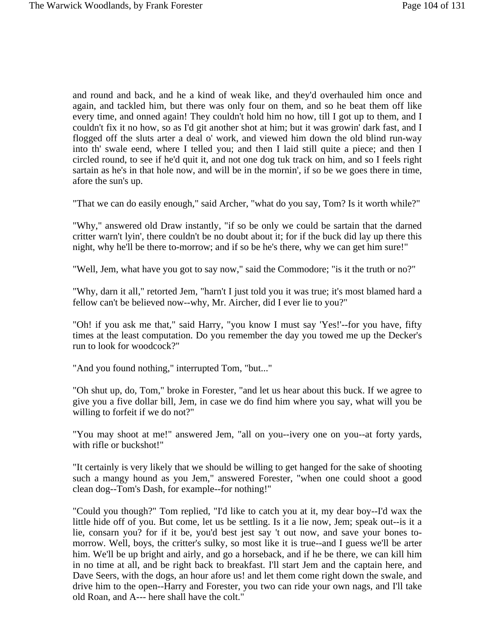and round and back, and he a kind of weak like, and they'd overhauled him once and again, and tackled him, but there was only four on them, and so he beat them off like every time, and onned again! They couldn't hold him no how, till I got up to them, and I couldn't fix it no how, so as I'd git another shot at him; but it was growin' dark fast, and I flogged off the sluts arter a deal o' work, and viewed him down the old blind run-way into th' swale eend, where I telled you; and then I laid still quite a piece; and then I circled round, to see if he'd quit it, and not one dog tuk track on him, and so I feels right sartain as he's in that hole now, and will be in the mornin', if so be we goes there in time, afore the sun's up.

"That we can do easily enough," said Archer, "what do you say, Tom? Is it worth while?"

"Why," answered old Draw instantly, "if so be only we could be sartain that the darned critter warn't lyin', there couldn't be no doubt about it; for if the buck did lay up there this night, why he'll be there to-morrow; and if so be he's there, why we can get him sure!"

"Well, Jem, what have you got to say now," said the Commodore; "is it the truth or no?"

"Why, darn it all," retorted Jem, "harn't I just told you it was true; it's most blamed hard a fellow can't be believed now--why, Mr. Aircher, did I ever lie to you?"

"Oh! if you ask me that," said Harry, "you know I must say 'Yes!'--for you have, fifty times at the least computation. Do you remember the day you towed me up the Decker's run to look for woodcock?"

"And you found nothing," interrupted Tom, "but..."

"Oh shut up, do, Tom," broke in Forester, "and let us hear about this buck. If we agree to give you a five dollar bill, Jem, in case we do find him where you say, what will you be willing to forfeit if we do not?"

"You may shoot at me!" answered Jem, "all on you--ivery one on you--at forty yards, with rifle or buckshot!"

"It certainly is very likely that we should be willing to get hanged for the sake of shooting such a mangy hound as you Jem," answered Forester, "when one could shoot a good clean dog--Tom's Dash, for example--for nothing!"

"Could you though?" Tom replied, "I'd like to catch you at it, my dear boy--I'd wax the little hide off of you. But come, let us be settling. Is it a lie now, Jem; speak out--is it a lie, consarn you? for if it be, you'd best jest say 't out now, and save your bones tomorrow. Well, boys, the critter's sulky, so most like it is true--and I guess we'll be arter him. We'll be up bright and airly, and go a horseback, and if he be there, we can kill him in no time at all, and be right back to breakfast. I'll start Jem and the captain here, and Dave Seers, with the dogs, an hour afore us! and let them come right down the swale, and drive him to the open--Harry and Forester, you two can ride your own nags, and I'll take old Roan, and A--- here shall have the colt."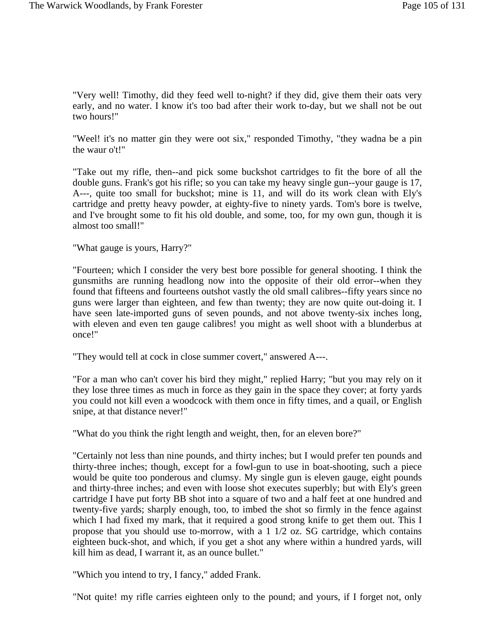"Very well! Timothy, did they feed well to-night? if they did, give them their oats very early, and no water. I know it's too bad after their work to-day, but we shall not be out two hours!"

"Weel! it's no matter gin they were oot six," responded Timothy, "they wadna be a pin the waur o't!"

"Take out my rifle, then--and pick some buckshot cartridges to fit the bore of all the double guns. Frank's got his rifle; so you can take my heavy single gun--your gauge is 17, A---, quite too small for buckshot; mine is 11, and will do its work clean with Ely's cartridge and pretty heavy powder, at eighty-five to ninety yards. Tom's bore is twelve, and I've brought some to fit his old double, and some, too, for my own gun, though it is almost too small!"

"What gauge is yours, Harry?"

"Fourteen; which I consider the very best bore possible for general shooting. I think the gunsmiths are running headlong now into the opposite of their old error--when they found that fifteens and fourteens outshot vastly the old small calibres--fifty years since no guns were larger than eighteen, and few than twenty; they are now quite out-doing it. I have seen late-imported guns of seven pounds, and not above twenty-six inches long, with eleven and even ten gauge calibres! you might as well shoot with a blunderbus at once!"

"They would tell at cock in close summer covert," answered A---.

"For a man who can't cover his bird they might," replied Harry; "but you may rely on it they lose three times as much in force as they gain in the space they cover; at forty yards you could not kill even a woodcock with them once in fifty times, and a quail, or English snipe, at that distance never!"

"What do you think the right length and weight, then, for an eleven bore?"

"Certainly not less than nine pounds, and thirty inches; but I would prefer ten pounds and thirty-three inches; though, except for a fowl-gun to use in boat-shooting, such a piece would be quite too ponderous and clumsy. My single gun is eleven gauge, eight pounds and thirty-three inches; and even with loose shot executes superbly; but with Ely's green cartridge I have put forty BB shot into a square of two and a half feet at one hundred and twenty-five yards; sharply enough, too, to imbed the shot so firmly in the fence against which I had fixed my mark, that it required a good strong knife to get them out. This I propose that you should use to-morrow, with a 1 1/2 oz. SG cartridge, which contains eighteen buck-shot, and which, if you get a shot any where within a hundred yards, will kill him as dead, I warrant it, as an ounce bullet."

"Which you intend to try, I fancy," added Frank.

"Not quite! my rifle carries eighteen only to the pound; and yours, if I forget not, only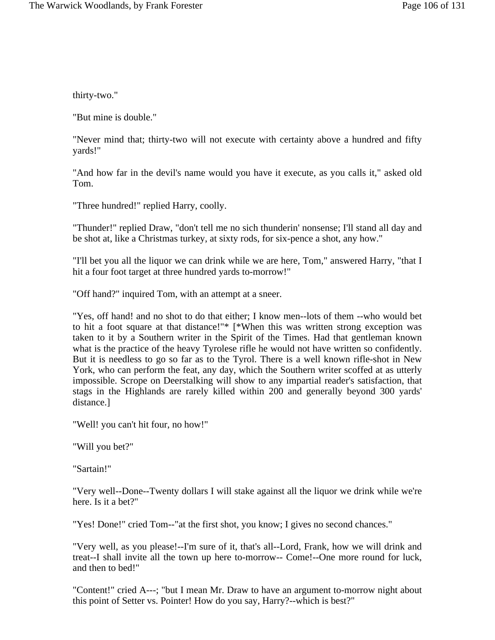thirty-two."

"But mine is double."

"Never mind that; thirty-two will not execute with certainty above a hundred and fifty yards!"

"And how far in the devil's name would you have it execute, as you calls it," asked old Tom.

"Three hundred!" replied Harry, coolly.

"Thunder!" replied Draw, "don't tell me no sich thunderin' nonsense; I'll stand all day and be shot at, like a Christmas turkey, at sixty rods, for six-pence a shot, any how."

"I'll bet you all the liquor we can drink while we are here, Tom," answered Harry, "that I hit a four foot target at three hundred yards to-morrow!"

"Off hand?" inquired Tom, with an attempt at a sneer.

"Yes, off hand! and no shot to do that either; I know men--lots of them --who would bet to hit a foot square at that distance!"\* [\*When this was written strong exception was taken to it by a Southern writer in the Spirit of the Times. Had that gentleman known what is the practice of the heavy Tyrolese rifle he would not have written so confidently. But it is needless to go so far as to the Tyrol. There is a well known rifle-shot in New York, who can perform the feat, any day, which the Southern writer scoffed at as utterly impossible. Scrope on Deerstalking will show to any impartial reader's satisfaction, that stags in the Highlands are rarely killed within 200 and generally beyond 300 yards' distance.]

"Well! you can't hit four, no how!"

"Will you bet?"

"Sartain!"

"Very well--Done--Twenty dollars I will stake against all the liquor we drink while we're here. Is it a bet?"

"Yes! Done!" cried Tom--"at the first shot, you know; I gives no second chances."

"Very well, as you please!--I'm sure of it, that's all--Lord, Frank, how we will drink and treat--I shall invite all the town up here to-morrow-- Come!--One more round for luck, and then to bed!"

"Content!" cried A---; "but I mean Mr. Draw to have an argument to-morrow night about this point of Setter vs. Pointer! How do you say, Harry?--which is best?"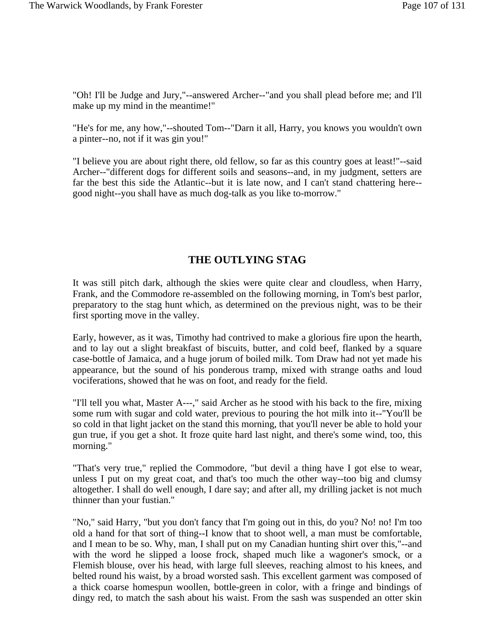"Oh! I'll be Judge and Jury,"--answered Archer--"and you shall plead before me; and I'll make up my mind in the meantime!"

"He's for me, any how,"--shouted Tom--"Darn it all, Harry, you knows you wouldn't own a pinter--no, not if it was gin you!"

"I believe you are about right there, old fellow, so far as this country goes at least!"--said Archer--"different dogs for different soils and seasons--and, in my judgment, setters are far the best this side the Atlantic--but it is late now, and I can't stand chattering here- good night--you shall have as much dog-talk as you like to-morrow."

## **THE OUTLYING STAG**

It was still pitch dark, although the skies were quite clear and cloudless, when Harry, Frank, and the Commodore re-assembled on the following morning, in Tom's best parlor, preparatory to the stag hunt which, as determined on the previous night, was to be their first sporting move in the valley.

Early, however, as it was, Timothy had contrived to make a glorious fire upon the hearth, and to lay out a slight breakfast of biscuits, butter, and cold beef, flanked by a square case-bottle of Jamaica, and a huge jorum of boiled milk. Tom Draw had not yet made his appearance, but the sound of his ponderous tramp, mixed with strange oaths and loud vociferations, showed that he was on foot, and ready for the field.

"I'll tell you what, Master A---," said Archer as he stood with his back to the fire, mixing some rum with sugar and cold water, previous to pouring the hot milk into it--"You'll be so cold in that light jacket on the stand this morning, that you'll never be able to hold your gun true, if you get a shot. It froze quite hard last night, and there's some wind, too, this morning."

"That's very true," replied the Commodore, "but devil a thing have I got else to wear, unless I put on my great coat, and that's too much the other way--too big and clumsy altogether. I shall do well enough, I dare say; and after all, my drilling jacket is not much thinner than your fustian."

"No," said Harry, "but you don't fancy that I'm going out in this, do you? No! no! I'm too old a hand for that sort of thing--I know that to shoot well, a man must be comfortable, and I mean to be so. Why, man, I shall put on my Canadian hunting shirt over this,"--and with the word he slipped a loose frock, shaped much like a wagoner's smock, or a Flemish blouse, over his head, with large full sleeves, reaching almost to his knees, and belted round his waist, by a broad worsted sash. This excellent garment was composed of a thick coarse homespun woollen, bottle-green in color, with a fringe and bindings of dingy red, to match the sash about his waist. From the sash was suspended an otter skin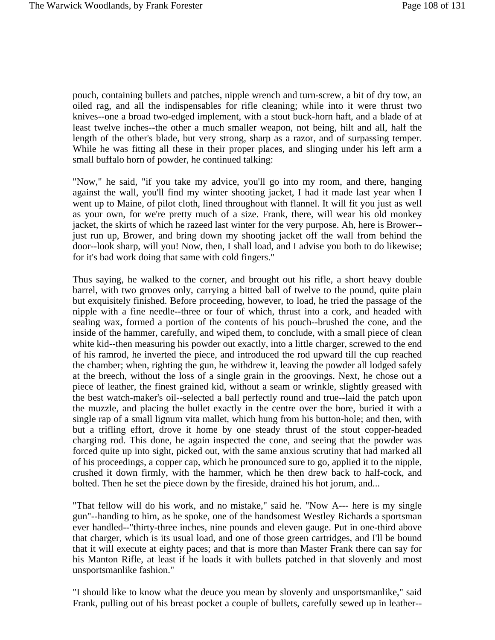pouch, containing bullets and patches, nipple wrench and turn-screw, a bit of dry tow, an oiled rag, and all the indispensables for rifle cleaning; while into it were thrust two knives--one a broad two-edged implement, with a stout buck-horn haft, and a blade of at least twelve inches--the other a much smaller weapon, not being, hilt and all, half the length of the other's blade, but very strong, sharp as a razor, and of surpassing temper. While he was fitting all these in their proper places, and slinging under his left arm a small buffalo horn of powder, he continued talking:

"Now," he said, "if you take my advice, you'll go into my room, and there, hanging against the wall, you'll find my winter shooting jacket, I had it made last year when I went up to Maine, of pilot cloth, lined throughout with flannel. It will fit you just as well as your own, for we're pretty much of a size. Frank, there, will wear his old monkey jacket, the skirts of which he razeed last winter for the very purpose. Ah, here is Brower- just run up, Brower, and bring down my shooting jacket off the wall from behind the door--look sharp, will you! Now, then, I shall load, and I advise you both to do likewise; for it's bad work doing that same with cold fingers."

Thus saying, he walked to the corner, and brought out his rifle, a short heavy double barrel, with two grooves only, carrying a bitted ball of twelve to the pound, quite plain but exquisitely finished. Before proceeding, however, to load, he tried the passage of the nipple with a fine needle--three or four of which, thrust into a cork, and headed with sealing wax, formed a portion of the contents of his pouch--brushed the cone, and the inside of the hammer, carefully, and wiped them, to conclude, with a small piece of clean white kid--then measuring his powder out exactly, into a little charger, screwed to the end of his ramrod, he inverted the piece, and introduced the rod upward till the cup reached the chamber; when, righting the gun, he withdrew it, leaving the powder all lodged safely at the breech, without the loss of a single grain in the groovings. Next, he chose out a piece of leather, the finest grained kid, without a seam or wrinkle, slightly greased with the best watch-maker's oil--selected a ball perfectly round and true--laid the patch upon the muzzle, and placing the bullet exactly in the centre over the bore, buried it with a single rap of a small lignum vita mallet, which hung from his button-hole; and then, with but a trifling effort, drove it home by one steady thrust of the stout copper-headed charging rod. This done, he again inspected the cone, and seeing that the powder was forced quite up into sight, picked out, with the same anxious scrutiny that had marked all of his proceedings, a copper cap, which he pronounced sure to go, applied it to the nipple, crushed it down firmly, with the hammer, which he then drew back to half-cock, and bolted. Then he set the piece down by the fireside, drained his hot jorum, and...

"That fellow will do his work, and no mistake," said he. "Now A--- here is my single gun"--handing to him, as he spoke, one of the handsomest Westley Richards a sportsman ever handled--"thirty-three inches, nine pounds and eleven gauge. Put in one-third above that charger, which is its usual load, and one of those green cartridges, and I'll be bound that it will execute at eighty paces; and that is more than Master Frank there can say for his Manton Rifle, at least if he loads it with bullets patched in that slovenly and most unsportsmanlike fashion."

"I should like to know what the deuce you mean by slovenly and unsportsmanlike," said Frank, pulling out of his breast pocket a couple of bullets, carefully sewed up in leather--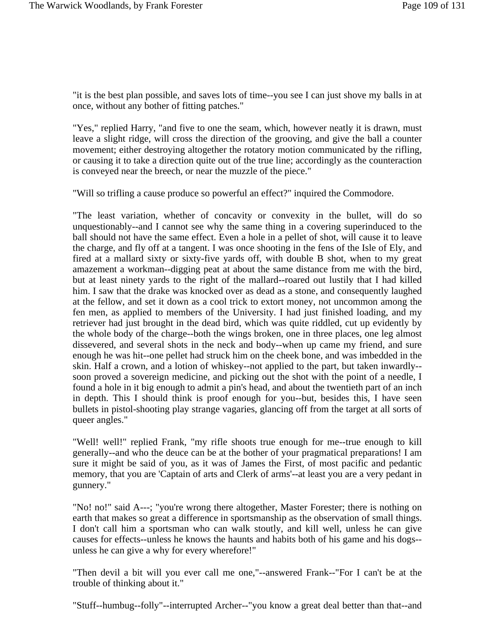"it is the best plan possible, and saves lots of time--you see I can just shove my balls in at once, without any bother of fitting patches."

"Yes," replied Harry, "and five to one the seam, which, however neatly it is drawn, must leave a slight ridge, will cross the direction of the grooving, and give the ball a counter movement; either destroying altogether the rotatory motion communicated by the rifling, or causing it to take a direction quite out of the true line; accordingly as the counteraction is conveyed near the breech, or near the muzzle of the piece."

"Will so trifling a cause produce so powerful an effect?" inquired the Commodore.

"The least variation, whether of concavity or convexity in the bullet, will do so unquestionably--and I cannot see why the same thing in a covering superinduced to the ball should not have the same effect. Even a hole in a pellet of shot, will cause it to leave the charge, and fly off at a tangent. I was once shooting in the fens of the Isle of Ely, and fired at a mallard sixty or sixty-five yards off, with double B shot, when to my great amazement a workman--digging peat at about the same distance from me with the bird, but at least ninety yards to the right of the mallard--roared out lustily that I had killed him. I saw that the drake was knocked over as dead as a stone, and consequently laughed at the fellow, and set it down as a cool trick to extort money, not uncommon among the fen men, as applied to members of the University. I had just finished loading, and my retriever had just brought in the dead bird, which was quite riddled, cut up evidently by the whole body of the charge--both the wings broken, one in three places, one leg almost dissevered, and several shots in the neck and body--when up came my friend, and sure enough he was hit--one pellet had struck him on the cheek bone, and was imbedded in the skin. Half a crown, and a lotion of whiskey--not applied to the part, but taken inwardly- soon proved a sovereign medicine, and picking out the shot with the point of a needle, I found a hole in it big enough to admit a pin's head, and about the twentieth part of an inch in depth. This I should think is proof enough for you--but, besides this, I have seen bullets in pistol-shooting play strange vagaries, glancing off from the target at all sorts of queer angles."

"Well! well!" replied Frank, "my rifle shoots true enough for me--true enough to kill generally--and who the deuce can be at the bother of your pragmatical preparations! I am sure it might be said of you, as it was of James the First, of most pacific and pedantic memory, that you are 'Captain of arts and Clerk of arms'--at least you are a very pedant in gunnery."

"No! no!" said A---; "you're wrong there altogether, Master Forester; there is nothing on earth that makes so great a difference in sportsmanship as the observation of small things. I don't call him a sportsman who can walk stoutly, and kill well, unless he can give causes for effects--unless he knows the haunts and habits both of his game and his dogs- unless he can give a why for every wherefore!"

"Then devil a bit will you ever call me one,"--answered Frank--"For I can't be at the trouble of thinking about it."

"Stuff--humbug--folly"--interrupted Archer--"you know a great deal better than that--and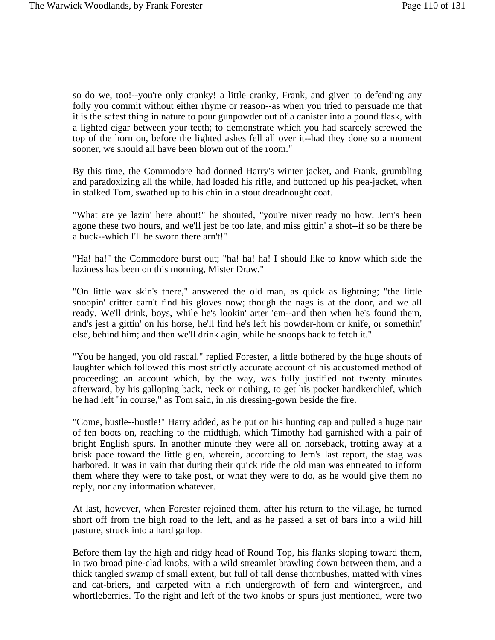so do we, too!--you're only cranky! a little cranky, Frank, and given to defending any folly you commit without either rhyme or reason--as when you tried to persuade me that it is the safest thing in nature to pour gunpowder out of a canister into a pound flask, with a lighted cigar between your teeth; to demonstrate which you had scarcely screwed the top of the horn on, before the lighted ashes fell all over it--had they done so a moment sooner, we should all have been blown out of the room."

By this time, the Commodore had donned Harry's winter jacket, and Frank, grumbling and paradoxizing all the while, had loaded his rifle, and buttoned up his pea-jacket, when in stalked Tom, swathed up to his chin in a stout dreadnought coat.

"What are ye lazin' here about!" he shouted, "you're niver ready no how. Jem's been agone these two hours, and we'll jest be too late, and miss gittin' a shot--if so be there be a buck--which I'll be sworn there arn't!"

"Ha! ha!" the Commodore burst out; "ha! ha! ha! I should like to know which side the laziness has been on this morning, Mister Draw."

"On little wax skin's there," answered the old man, as quick as lightning; "the little snoopin' critter carn't find his gloves now; though the nags is at the door, and we all ready. We'll drink, boys, while he's lookin' arter 'em--and then when he's found them, and's jest a gittin' on his horse, he'll find he's left his powder-horn or knife, or somethin' else, behind him; and then we'll drink agin, while he snoops back to fetch it."

"You be hanged, you old rascal," replied Forester, a little bothered by the huge shouts of laughter which followed this most strictly accurate account of his accustomed method of proceeding; an account which, by the way, was fully justified not twenty minutes afterward, by his galloping back, neck or nothing, to get his pocket handkerchief, which he had left "in course," as Tom said, in his dressing-gown beside the fire.

"Come, bustle--bustle!" Harry added, as he put on his hunting cap and pulled a huge pair of fen boots on, reaching to the midthigh, which Timothy had garnished with a pair of bright English spurs. In another minute they were all on horseback, trotting away at a brisk pace toward the little glen, wherein, according to Jem's last report, the stag was harbored. It was in vain that during their quick ride the old man was entreated to inform them where they were to take post, or what they were to do, as he would give them no reply, nor any information whatever.

At last, however, when Forester rejoined them, after his return to the village, he turned short off from the high road to the left, and as he passed a set of bars into a wild hill pasture, struck into a hard gallop.

Before them lay the high and ridgy head of Round Top, his flanks sloping toward them, in two broad pine-clad knobs, with a wild streamlet brawling down between them, and a thick tangled swamp of small extent, but full of tall dense thornbushes, matted with vines and cat-briers, and carpeted with a rich undergrowth of fern and wintergreen, and whortleberries. To the right and left of the two knobs or spurs just mentioned, were two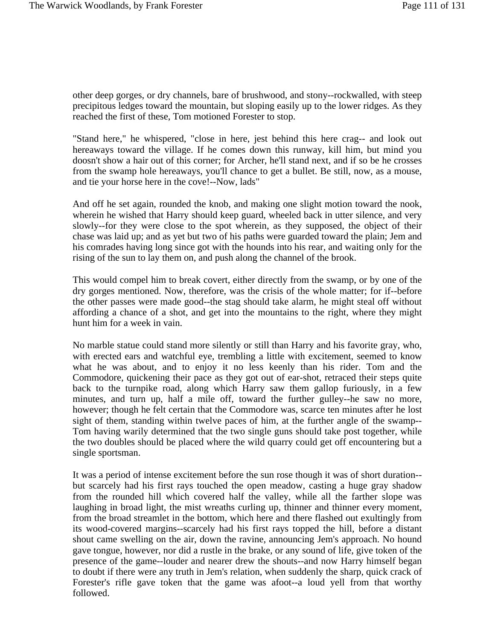other deep gorges, or dry channels, bare of brushwood, and stony--rockwalled, with steep precipitous ledges toward the mountain, but sloping easily up to the lower ridges. As they reached the first of these, Tom motioned Forester to stop.

"Stand here," he whispered, "close in here, jest behind this here crag-- and look out hereaways toward the village. If he comes down this runway, kill him, but mind you doosn't show a hair out of this corner; for Archer, he'll stand next, and if so be he crosses from the swamp hole hereaways, you'll chance to get a bullet. Be still, now, as a mouse, and tie your horse here in the cove!--Now, lads"

And off he set again, rounded the knob, and making one slight motion toward the nook, wherein he wished that Harry should keep guard, wheeled back in utter silence, and very slowly--for they were close to the spot wherein, as they supposed, the object of their chase was laid up; and as yet but two of his paths were guarded toward the plain; Jem and his comrades having long since got with the hounds into his rear, and waiting only for the rising of the sun to lay them on, and push along the channel of the brook.

This would compel him to break covert, either directly from the swamp, or by one of the dry gorges mentioned. Now, therefore, was the crisis of the whole matter; for if--before the other passes were made good--the stag should take alarm, he might steal off without affording a chance of a shot, and get into the mountains to the right, where they might hunt him for a week in vain.

No marble statue could stand more silently or still than Harry and his favorite gray, who, with erected ears and watchful eye, trembling a little with excitement, seemed to know what he was about, and to enjoy it no less keenly than his rider. Tom and the Commodore, quickening their pace as they got out of ear-shot, retraced their steps quite back to the turnpike road, along which Harry saw them gallop furiously, in a few minutes, and turn up, half a mile off, toward the further gulley--he saw no more, however; though he felt certain that the Commodore was, scarce ten minutes after he lost sight of them, standing within twelve paces of him, at the further angle of the swamp-- Tom having warily determined that the two single guns should take post together, while the two doubles should be placed where the wild quarry could get off encountering but a single sportsman.

It was a period of intense excitement before the sun rose though it was of short duration- but scarcely had his first rays touched the open meadow, casting a huge gray shadow from the rounded hill which covered half the valley, while all the farther slope was laughing in broad light, the mist wreaths curling up, thinner and thinner every moment, from the broad streamlet in the bottom, which here and there flashed out exultingly from its wood-covered margins--scarcely had his first rays topped the hill, before a distant shout came swelling on the air, down the ravine, announcing Jem's approach. No hound gave tongue, however, nor did a rustle in the brake, or any sound of life, give token of the presence of the game--louder and nearer drew the shouts--and now Harry himself began to doubt if there were any truth in Jem's relation, when suddenly the sharp, quick crack of Forester's rifle gave token that the game was afoot--a loud yell from that worthy followed.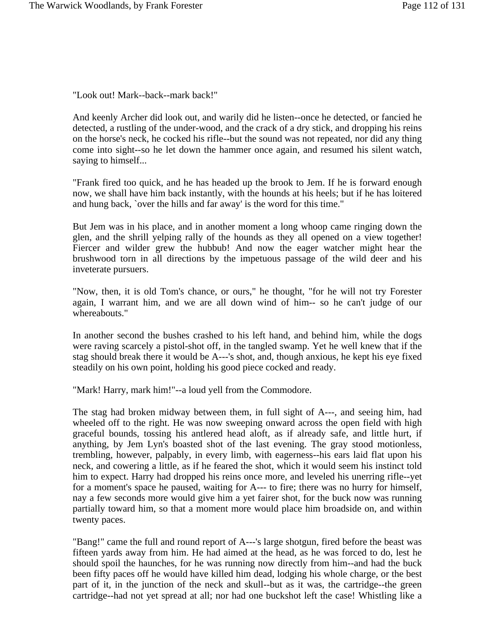"Look out! Mark--back--mark back!"

And keenly Archer did look out, and warily did he listen--once he detected, or fancied he detected, a rustling of the under-wood, and the crack of a dry stick, and dropping his reins on the horse's neck, he cocked his rifle--but the sound was not repeated, nor did any thing come into sight--so he let down the hammer once again, and resumed his silent watch, saying to himself...

"Frank fired too quick, and he has headed up the brook to Jem. If he is forward enough now, we shall have him back instantly, with the hounds at his heels; but if he has loitered and hung back, `over the hills and far away' is the word for this time."

But Jem was in his place, and in another moment a long whoop came ringing down the glen, and the shrill yelping rally of the hounds as they all opened on a view together! Fiercer and wilder grew the hubbub! And now the eager watcher might hear the brushwood torn in all directions by the impetuous passage of the wild deer and his inveterate pursuers.

"Now, then, it is old Tom's chance, or ours," he thought, "for he will not try Forester again, I warrant him, and we are all down wind of him-- so he can't judge of our whereabouts."

In another second the bushes crashed to his left hand, and behind him, while the dogs were raving scarcely a pistol-shot off, in the tangled swamp. Yet he well knew that if the stag should break there it would be A---'s shot, and, though anxious, he kept his eye fixed steadily on his own point, holding his good piece cocked and ready.

"Mark! Harry, mark him!"--a loud yell from the Commodore.

The stag had broken midway between them, in full sight of A---, and seeing him, had wheeled off to the right. He was now sweeping onward across the open field with high graceful bounds, tossing his antlered head aloft, as if already safe, and little hurt, if anything, by Jem Lyn's boasted shot of the last evening. The gray stood motionless, trembling, however, palpably, in every limb, with eagerness--his ears laid flat upon his neck, and cowering a little, as if he feared the shot, which it would seem his instinct told him to expect. Harry had dropped his reins once more, and leveled his unerring rifle--yet for a moment's space he paused, waiting for A--- to fire; there was no hurry for himself, nay a few seconds more would give him a yet fairer shot, for the buck now was running partially toward him, so that a moment more would place him broadside on, and within twenty paces.

"Bang!" came the full and round report of A---'s large shotgun, fired before the beast was fifteen yards away from him. He had aimed at the head, as he was forced to do, lest he should spoil the haunches, for he was running now directly from him--and had the buck been fifty paces off he would have killed him dead, lodging his whole charge, or the best part of it, in the junction of the neck and skull--but as it was, the cartridge--the green cartridge--had not yet spread at all; nor had one buckshot left the case! Whistling like a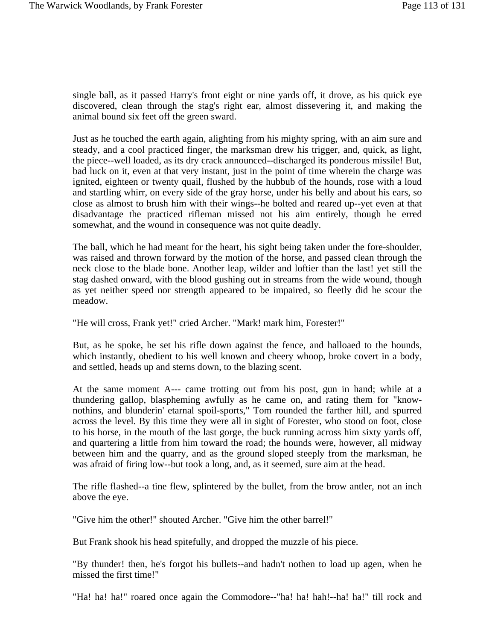single ball, as it passed Harry's front eight or nine yards off, it drove, as his quick eye discovered, clean through the stag's right ear, almost dissevering it, and making the animal bound six feet off the green sward.

Just as he touched the earth again, alighting from his mighty spring, with an aim sure and steady, and a cool practiced finger, the marksman drew his trigger, and, quick, as light, the piece--well loaded, as its dry crack announced--discharged its ponderous missile! But, bad luck on it, even at that very instant, just in the point of time wherein the charge was ignited, eighteen or twenty quail, flushed by the hubbub of the hounds, rose with a loud and startling whirr, on every side of the gray horse, under his belly and about his ears, so close as almost to brush him with their wings--he bolted and reared up--yet even at that disadvantage the practiced rifleman missed not his aim entirely, though he erred somewhat, and the wound in consequence was not quite deadly.

The ball, which he had meant for the heart, his sight being taken under the fore-shoulder, was raised and thrown forward by the motion of the horse, and passed clean through the neck close to the blade bone. Another leap, wilder and loftier than the last! yet still the stag dashed onward, with the blood gushing out in streams from the wide wound, though as yet neither speed nor strength appeared to be impaired, so fleetly did he scour the meadow.

"He will cross, Frank yet!" cried Archer. "Mark! mark him, Forester!"

But, as he spoke, he set his rifle down against the fence, and halloaed to the hounds, which instantly, obedient to his well known and cheery whoop, broke covert in a body, and settled, heads up and sterns down, to the blazing scent.

At the same moment A--- came trotting out from his post, gun in hand; while at a thundering gallop, blaspheming awfully as he came on, and rating them for "knownothins, and blunderin' etarnal spoil-sports," Tom rounded the farther hill, and spurred across the level. By this time they were all in sight of Forester, who stood on foot, close to his horse, in the mouth of the last gorge, the buck running across him sixty yards off, and quartering a little from him toward the road; the hounds were, however, all midway between him and the quarry, and as the ground sloped steeply from the marksman, he was afraid of firing low--but took a long, and, as it seemed, sure aim at the head.

The rifle flashed--a tine flew, splintered by the bullet, from the brow antler, not an inch above the eye.

"Give him the other!" shouted Archer. "Give him the other barrel!"

But Frank shook his head spitefully, and dropped the muzzle of his piece.

"By thunder! then, he's forgot his bullets--and hadn't nothen to load up agen, when he missed the first time!"

"Ha! ha! ha!" roared once again the Commodore--"ha! ha! hah!--ha! ha!" till rock and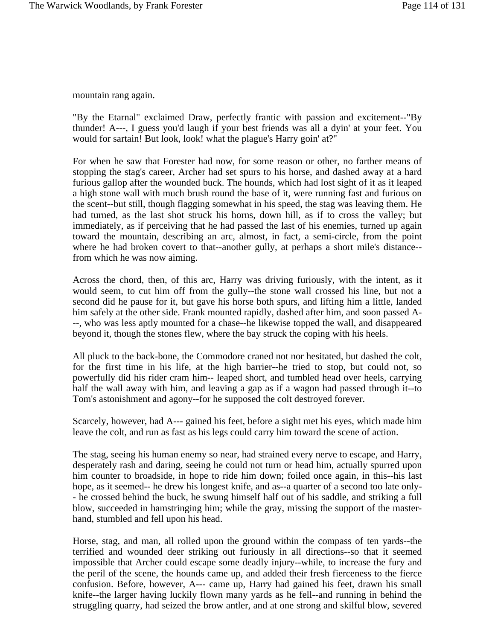mountain rang again.

"By the Etarnal" exclaimed Draw, perfectly frantic with passion and excitement--"By thunder! A---, I guess you'd laugh if your best friends was all a dyin' at your feet. You would for sartain! But look, look! what the plague's Harry goin' at?"

For when he saw that Forester had now, for some reason or other, no farther means of stopping the stag's career, Archer had set spurs to his horse, and dashed away at a hard furious gallop after the wounded buck. The hounds, which had lost sight of it as it leaped a high stone wall with much brush round the base of it, were running fast and furious on the scent--but still, though flagging somewhat in his speed, the stag was leaving them. He had turned, as the last shot struck his horns, down hill, as if to cross the valley; but immediately, as if perceiving that he had passed the last of his enemies, turned up again toward the mountain, describing an arc, almost, in fact, a semi-circle, from the point where he had broken covert to that--another gully, at perhaps a short mile's distance- from which he was now aiming.

Across the chord, then, of this arc, Harry was driving furiously, with the intent, as it would seem, to cut him off from the gully--the stone wall crossed his line, but not a second did he pause for it, but gave his horse both spurs, and lifting him a little, landed him safely at the other side. Frank mounted rapidly, dashed after him, and soon passed A- --, who was less aptly mounted for a chase--he likewise topped the wall, and disappeared beyond it, though the stones flew, where the bay struck the coping with his heels.

All pluck to the back-bone, the Commodore craned not nor hesitated, but dashed the colt, for the first time in his life, at the high barrier--he tried to stop, but could not, so powerfully did his rider cram him-- leaped short, and tumbled head over heels, carrying half the wall away with him, and leaving a gap as if a wagon had passed through it--to Tom's astonishment and agony--for he supposed the colt destroyed forever.

Scarcely, however, had A--- gained his feet, before a sight met his eyes, which made him leave the colt, and run as fast as his legs could carry him toward the scene of action.

The stag, seeing his human enemy so near, had strained every nerve to escape, and Harry, desperately rash and daring, seeing he could not turn or head him, actually spurred upon him counter to broadside, in hope to ride him down; foiled once again, in this--his last hope, as it seemed-- he drew his longest knife, and as--a quarter of a second too late only- - he crossed behind the buck, he swung himself half out of his saddle, and striking a full blow, succeeded in hamstringing him; while the gray, missing the support of the masterhand, stumbled and fell upon his head.

Horse, stag, and man, all rolled upon the ground within the compass of ten yards--the terrified and wounded deer striking out furiously in all directions--so that it seemed impossible that Archer could escape some deadly injury--while, to increase the fury and the peril of the scene, the hounds came up, and added their fresh fierceness to the fierce confusion. Before, however, A--- came up, Harry had gained his feet, drawn his small knife--the larger having luckily flown many yards as he fell--and running in behind the struggling quarry, had seized the brow antler, and at one strong and skilful blow, severed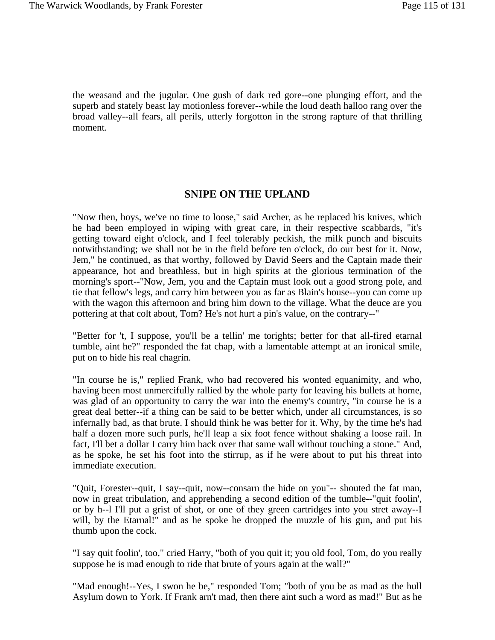the weasand and the jugular. One gush of dark red gore--one plunging effort, and the superb and stately beast lay motionless forever--while the loud death halloo rang over the broad valley--all fears, all perils, utterly forgotton in the strong rapture of that thrilling moment.

## **SNIPE ON THE UPLAND**

"Now then, boys, we've no time to loose," said Archer, as he replaced his knives, which he had been employed in wiping with great care, in their respective scabbards, "it's getting toward eight o'clock, and I feel tolerably peckish, the milk punch and biscuits notwithstanding; we shall not be in the field before ten o'clock, do our best for it. Now, Jem," he continued, as that worthy, followed by David Seers and the Captain made their appearance, hot and breathless, but in high spirits at the glorious termination of the morning's sport--"Now, Jem, you and the Captain must look out a good strong pole, and tie that fellow's legs, and carry him between you as far as Blain's house--you can come up with the wagon this afternoon and bring him down to the village. What the deuce are you pottering at that colt about, Tom? He's not hurt a pin's value, on the contrary--"

"Better for 't, I suppose, you'll be a tellin' me torights; better for that all-fired etarnal tumble, aint he?" responded the fat chap, with a lamentable attempt at an ironical smile, put on to hide his real chagrin.

"In course he is," replied Frank, who had recovered his wonted equanimity, and who, having been most unmercifully rallied by the whole party for leaving his bullets at home, was glad of an opportunity to carry the war into the enemy's country, "in course he is a great deal better--if a thing can be said to be better which, under all circumstances, is so infernally bad, as that brute. I should think he was better for it. Why, by the time he's had half a dozen more such purls, he'll leap a six foot fence without shaking a loose rail. In fact, I'll bet a dollar I carry him back over that same wall without touching a stone." And, as he spoke, he set his foot into the stirrup, as if he were about to put his threat into immediate execution.

"Quit, Forester--quit, I say--quit, now--consarn the hide on you"-- shouted the fat man, now in great tribulation, and apprehending a second edition of the tumble--"quit foolin', or by h--l I'll put a grist of shot, or one of they green cartridges into you stret away--I will, by the Etarnal!" and as he spoke he dropped the muzzle of his gun, and put his thumb upon the cock.

"I say quit foolin', too," cried Harry, "both of you quit it; you old fool, Tom, do you really suppose he is mad enough to ride that brute of yours again at the wall?"

"Mad enough!--Yes, I swon he be," responded Tom; "both of you be as mad as the hull Asylum down to York. If Frank arn't mad, then there aint such a word as mad!" But as he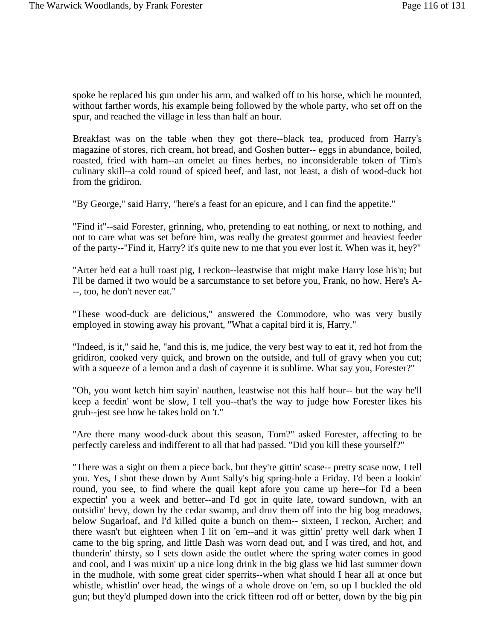spoke he replaced his gun under his arm, and walked off to his horse, which he mounted, without farther words, his example being followed by the whole party, who set off on the spur, and reached the village in less than half an hour.

Breakfast was on the table when they got there--black tea, produced from Harry's magazine of stores, rich cream, hot bread, and Goshen butter-- eggs in abundance, boiled, roasted, fried with ham--an omelet au fines herbes, no inconsiderable token of Tim's culinary skill--a cold round of spiced beef, and last, not least, a dish of wood-duck hot from the gridiron.

"By George," said Harry, "here's a feast for an epicure, and I can find the appetite."

"Find it"--said Forester, grinning, who, pretending to eat nothing, or next to nothing, and not to care what was set before him, was really the greatest gourmet and heaviest feeder of the party--"Find it, Harry? it's quite new to me that you ever lost it. When was it, hey?"

"Arter he'd eat a hull roast pig, I reckon--leastwise that might make Harry lose his'n; but I'll be darned if two would be a sarcumstance to set before you, Frank, no how. Here's A- --, too, he don't never eat."

"These wood-duck are delicious," answered the Commodore, who was very busily employed in stowing away his provant, "What a capital bird it is, Harry."

"Indeed, is it," said he, "and this is, me judice, the very best way to eat it, red hot from the gridiron, cooked very quick, and brown on the outside, and full of gravy when you cut; with a squeeze of a lemon and a dash of cayenne it is sublime. What say you, Forester?"

"Oh, you wont ketch him sayin' nauthen, leastwise not this half hour-- but the way he'll keep a feedin' wont be slow, I tell you--that's the way to judge how Forester likes his grub--jest see how he takes hold on 't."

"Are there many wood-duck about this season, Tom?" asked Forester, affecting to be perfectly careless and indifferent to all that had passed. "Did you kill these yourself?"

"There was a sight on them a piece back, but they're gittin' scase-- pretty scase now, I tell you. Yes, I shot these down by Aunt Sally's big spring-hole a Friday. I'd been a lookin' round, you see, to find where the quail kept afore you came up here--for I'd a been expectin' you a week and better--and I'd got in quite late, toward sundown, with an outsidin' bevy, down by the cedar swamp, and druv them off into the big bog meadows, below Sugarloaf, and I'd killed quite a bunch on them-- sixteen, I reckon, Archer; and there wasn't but eighteen when I lit on 'em--and it was gittin' pretty well dark when I came to the big spring, and little Dash was worn dead out, and I was tired, and hot, and thunderin' thirsty, so I sets down aside the outlet where the spring water comes in good and cool, and I was mixin' up a nice long drink in the big glass we hid last summer down in the mudhole, with some great cider sperrits--when what should I hear all at once but whistle, whistlin' over head, the wings of a whole drove on 'em, so up I buckled the old gun; but they'd plumped down into the crick fifteen rod off or better, down by the big pin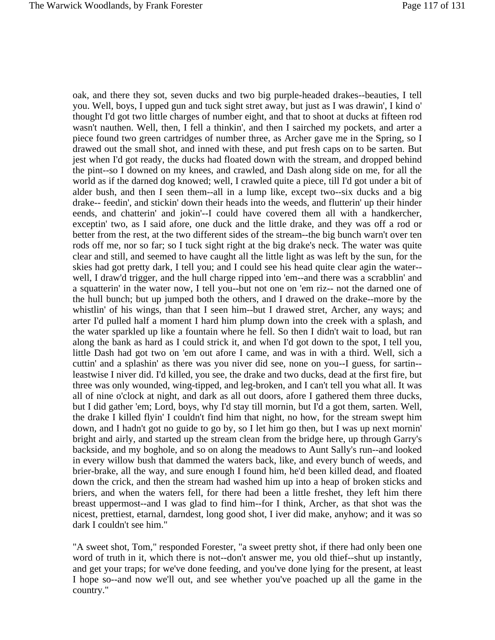oak, and there they sot, seven ducks and two big purple-headed drakes--beauties, I tell you. Well, boys, I upped gun and tuck sight stret away, but just as I was drawin', I kind o' thought I'd got two little charges of number eight, and that to shoot at ducks at fifteen rod wasn't nauthen. Well, then, I fell a thinkin', and then I sairched my pockets, and arter a piece found two green cartridges of number three, as Archer gave me in the Spring, so I drawed out the small shot, and inned with these, and put fresh caps on to be sarten. But jest when I'd got ready, the ducks had floated down with the stream, and dropped behind the pint--so I downed on my knees, and crawled, and Dash along side on me, for all the world as if the darned dog knowed; well, I crawled quite a piece, till I'd got under a bit of alder bush, and then I seen them--all in a lump like, except two--six ducks and a big drake-- feedin', and stickin' down their heads into the weeds, and flutterin' up their hinder eends, and chatterin' and jokin'--I could have covered them all with a handkercher, exceptin' two, as I said afore, one duck and the little drake, and they was off a rod or better from the rest, at the two different sides of the stream--the big bunch warn't over ten rods off me, nor so far; so I tuck sight right at the big drake's neck. The water was quite clear and still, and seemed to have caught all the little light as was left by the sun, for the skies had got pretty dark, I tell you; and I could see his head quite clear agin the water- well, I draw'd trigger, and the hull charge ripped into 'em--and there was a scrabblin' and a squatterin' in the water now, I tell you--but not one on 'em riz-- not the darned one of the hull bunch; but up jumped both the others, and I drawed on the drake--more by the whistlin' of his wings, than that I seen him--but I drawed stret, Archer, any ways; and arter I'd pulled half a moment I hard him plump down into the creek with a splash, and the water sparkled up like a fountain where he fell. So then I didn't wait to load, but ran along the bank as hard as I could strick it, and when I'd got down to the spot, I tell you, little Dash had got two on 'em out afore I came, and was in with a third. Well, sich a cuttin' and a splashin' as there was you niver did see, none on you--I guess, for sartin- leastwise I niver did. I'd killed, you see, the drake and two ducks, dead at the first fire, but three was only wounded, wing-tipped, and leg-broken, and I can't tell you what all. It was all of nine o'clock at night, and dark as all out doors, afore I gathered them three ducks, but I did gather 'em; Lord, boys, why I'd stay till mornin, but I'd a got them, sarten. Well, the drake I killed flyin' I couldn't find him that night, no how, for the stream swept him down, and I hadn't got no guide to go by, so I let him go then, but I was up next mornin' bright and airly, and started up the stream clean from the bridge here, up through Garry's backside, and my boghole, and so on along the meadows to Aunt Sally's run--and looked in every willow bush that dammed the waters back, like, and every bunch of weeds, and brier-brake, all the way, and sure enough I found him, he'd been killed dead, and floated down the crick, and then the stream had washed him up into a heap of broken sticks and briers, and when the waters fell, for there had been a little freshet, they left him there breast uppermost--and I was glad to find him--for I think, Archer, as that shot was the nicest, prettiest, etarnal, darndest, long good shot, I iver did make, anyhow; and it was so dark I couldn't see him."

"A sweet shot, Tom," responded Forester, "a sweet pretty shot, if there had only been one word of truth in it, which there is not--don't answer me, you old thief--shut up instantly, and get your traps; for we've done feeding, and you've done lying for the present, at least I hope so--and now we'll out, and see whether you've poached up all the game in the country."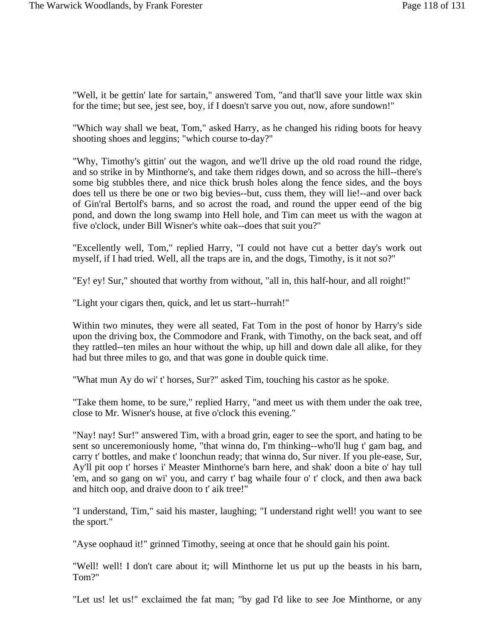"Well, it be gettin' late for sartain," answered Tom, "and that'll save your little wax skin for the time; but see, jest see, boy, if I doesn't sarve you out, now, afore sundown!"

"Which way shall we beat, Tom," asked Harry, as he changed his riding boots for heavy shooting shoes and leggins; "which course to-day?"

"Why, Timothy's gittin' out the wagon, and we'll drive up the old road round the ridge, and so strike in by Minthorne's, and take them ridges down, and so across the hill--there's some big stubbles there, and nice thick brush holes along the fence sides, and the boys does tell us there be one or two big bevies--but, cuss them, they will lie!--and over back of Gin'ral Bertolf's barns, and so acrost the road, and round the upper eend of the big pond, and down the long swamp into Hell hole, and Tim can meet us with the wagon at five o'clock, under Bill Wisner's white oak--does that suit you?"

"Excellently well, Tom," replied Harry, "I could not have cut a better day's work out myself, if I had tried. Well, all the traps are in, and the dogs, Timothy, is it not so?"

"Ey! ey! Sur," shouted that worthy from without, "all in, this half-hour, and all roight!"

"Light your cigars then, quick, and let us start--hurrah!"

Within two minutes, they were all seated, Fat Tom in the post of honor by Harry's side upon the driving box, the Commodore and Frank, with Timothy, on the back seat, and off they rattled--ten miles an hour without the whip, up hill and down dale all alike, for they had but three miles to go, and that was gone in double quick time.

"What mun Ay do wi' t' horses, Sur?" asked Tim, touching his castor as he spoke.

"Take them home, to be sure," replied Harry, "and meet us with them under the oak tree, close to Mr. Wisner's house, at five o'clock this evening."

"Nay! nay! Sur!" answered Tim, with a broad grin, eager to see the sport, and hating to be sent so unceremoniously home, "that winna do, I'm thinking--who'll hug t' gam bag, and carry t' bottles, and make t' loonchun ready; that winna do, Sur niver. If you ple-ease, Sur, Ay'll pit oop t' horses i' Measter Minthorne's barn here, and shak' doon a bite o' hay tull 'em, and so gang on wi' you, and carry t' bag whaile four o' t' clock, and then awa back and hitch oop, and draive doon to t' aik tree!"

"I understand, Tim," said his master, laughing; "I understand right well! you want to see the sport."

"Ayse oophaud it!" grinned Timothy, seeing at once that he should gain his point.

"Well! well! I don't care about it; will Minthorne let us put up the beasts in his barn, Tom?"

"Let us! let us!" exclaimed the fat man; "by gad I'd like to see Joe Minthorne, or any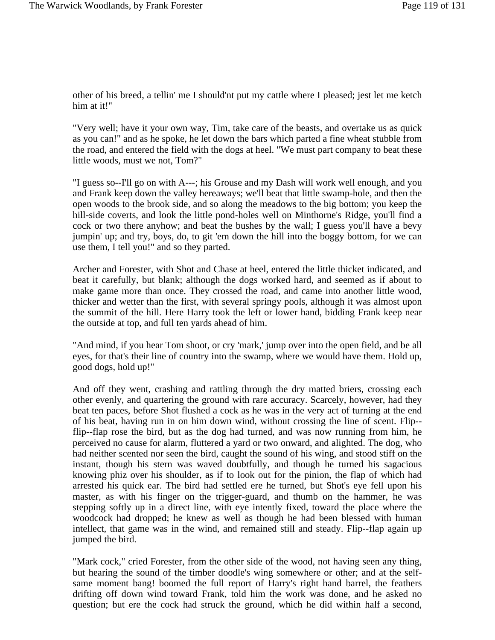other of his breed, a tellin' me I should'nt put my cattle where I pleased; jest let me ketch him at it!"

"Very well; have it your own way, Tim, take care of the beasts, and overtake us as quick as you can!" and as he spoke, he let down the bars which parted a fine wheat stubble from the road, and entered the field with the dogs at heel. "We must part company to beat these little woods, must we not, Tom?"

"I guess so--I'll go on with A---; his Grouse and my Dash will work well enough, and you and Frank keep down the valley hereaways; we'll beat that little swamp-hole, and then the open woods to the brook side, and so along the meadows to the big bottom; you keep the hill-side coverts, and look the little pond-holes well on Minthorne's Ridge, you'll find a cock or two there anyhow; and beat the bushes by the wall; I guess you'll have a bevy jumpin' up; and try, boys, do, to git 'em down the hill into the boggy bottom, for we can use them, I tell you!" and so they parted.

Archer and Forester, with Shot and Chase at heel, entered the little thicket indicated, and beat it carefully, but blank; although the dogs worked hard, and seemed as if about to make game more than once. They crossed the road, and came into another little wood, thicker and wetter than the first, with several springy pools, although it was almost upon the summit of the hill. Here Harry took the left or lower hand, bidding Frank keep near the outside at top, and full ten yards ahead of him.

"And mind, if you hear Tom shoot, or cry 'mark,' jump over into the open field, and be all eyes, for that's their line of country into the swamp, where we would have them. Hold up, good dogs, hold up!"

And off they went, crashing and rattling through the dry matted briers, crossing each other evenly, and quartering the ground with rare accuracy. Scarcely, however, had they beat ten paces, before Shot flushed a cock as he was in the very act of turning at the end of his beat, having run in on him down wind, without crossing the line of scent. Flip- flip--flap rose the bird, but as the dog had turned, and was now running from him, he perceived no cause for alarm, fluttered a yard or two onward, and alighted. The dog, who had neither scented nor seen the bird, caught the sound of his wing, and stood stiff on the instant, though his stern was waved doubtfully, and though he turned his sagacious knowing phiz over his shoulder, as if to look out for the pinion, the flap of which had arrested his quick ear. The bird had settled ere he turned, but Shot's eye fell upon his master, as with his finger on the trigger-guard, and thumb on the hammer, he was stepping softly up in a direct line, with eye intently fixed, toward the place where the woodcock had dropped; he knew as well as though he had been blessed with human intellect, that game was in the wind, and remained still and steady. Flip--flap again up jumped the bird.

"Mark cock," cried Forester, from the other side of the wood, not having seen any thing, but hearing the sound of the timber doodle's wing somewhere or other; and at the selfsame moment bang! boomed the full report of Harry's right hand barrel, the feathers drifting off down wind toward Frank, told him the work was done, and he asked no question; but ere the cock had struck the ground, which he did within half a second,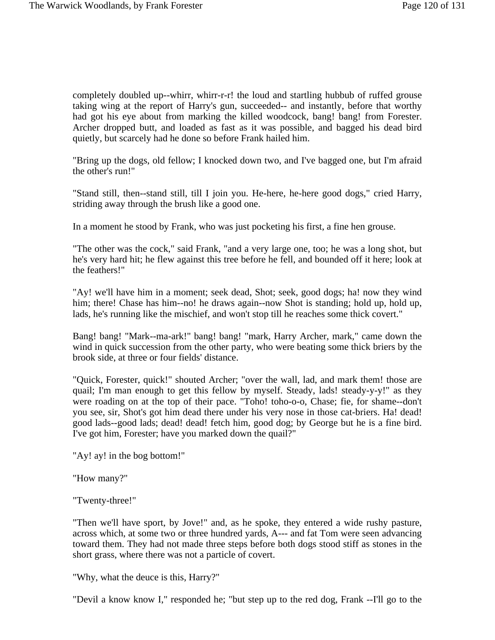completely doubled up--whirr, whirr-r-r! the loud and startling hubbub of ruffed grouse taking wing at the report of Harry's gun, succeeded-- and instantly, before that worthy had got his eye about from marking the killed woodcock, bang! bang! from Forester. Archer dropped butt, and loaded as fast as it was possible, and bagged his dead bird quietly, but scarcely had he done so before Frank hailed him.

"Bring up the dogs, old fellow; I knocked down two, and I've bagged one, but I'm afraid the other's run!"

"Stand still, then--stand still, till I join you. He-here, he-here good dogs," cried Harry, striding away through the brush like a good one.

In a moment he stood by Frank, who was just pocketing his first, a fine hen grouse.

"The other was the cock," said Frank, "and a very large one, too; he was a long shot, but he's very hard hit; he flew against this tree before he fell, and bounded off it here; look at the feathers!"

"Ay! we'll have him in a moment; seek dead, Shot; seek, good dogs; ha! now they wind him; there! Chase has him--no! he draws again--now Shot is standing; hold up, hold up, lads, he's running like the mischief, and won't stop till he reaches some thick covert."

Bang! bang! "Mark--ma-ark!" bang! bang! "mark, Harry Archer, mark," came down the wind in quick succession from the other party, who were beating some thick briers by the brook side, at three or four fields' distance.

"Quick, Forester, quick!" shouted Archer; "over the wall, lad, and mark them! those are quail; I'm man enough to get this fellow by myself. Steady, lads! steady-y-y!" as they were roading on at the top of their pace. "Toho! toho-o-o, Chase; fie, for shame--don't you see, sir, Shot's got him dead there under his very nose in those cat-briers. Ha! dead! good lads--good lads; dead! dead! fetch him, good dog; by George but he is a fine bird. I've got him, Forester; have you marked down the quail?"

"Ay! ay! in the bog bottom!"

"How many?"

"Twenty-three!"

"Then we'll have sport, by Jove!" and, as he spoke, they entered a wide rushy pasture, across which, at some two or three hundred yards, A--- and fat Tom were seen advancing toward them. They had not made three steps before both dogs stood stiff as stones in the short grass, where there was not a particle of covert.

"Why, what the deuce is this, Harry?"

"Devil a know know I," responded he; "but step up to the red dog, Frank --I'll go to the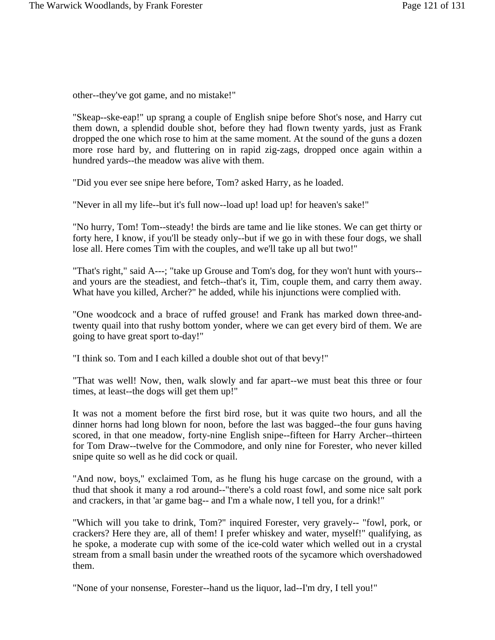other--they've got game, and no mistake!"

"Skeap--ske-eap!" up sprang a couple of English snipe before Shot's nose, and Harry cut them down, a splendid double shot, before they had flown twenty yards, just as Frank dropped the one which rose to him at the same moment. At the sound of the guns a dozen more rose hard by, and fluttering on in rapid zig-zags, dropped once again within a hundred yards--the meadow was alive with them.

"Did you ever see snipe here before, Tom? asked Harry, as he loaded.

"Never in all my life--but it's full now--load up! load up! for heaven's sake!"

"No hurry, Tom! Tom--steady! the birds are tame and lie like stones. We can get thirty or forty here, I know, if you'll be steady only--but if we go in with these four dogs, we shall lose all. Here comes Tim with the couples, and we'll take up all but two!"

"That's right," said A---; "take up Grouse and Tom's dog, for they won't hunt with yours- and yours are the steadiest, and fetch--that's it, Tim, couple them, and carry them away. What have you killed, Archer?" he added, while his injunctions were complied with.

"One woodcock and a brace of ruffed grouse! and Frank has marked down three-andtwenty quail into that rushy bottom yonder, where we can get every bird of them. We are going to have great sport to-day!"

"I think so. Tom and I each killed a double shot out of that bevy!"

"That was well! Now, then, walk slowly and far apart--we must beat this three or four times, at least--the dogs will get them up!"

It was not a moment before the first bird rose, but it was quite two hours, and all the dinner horns had long blown for noon, before the last was bagged--the four guns having scored, in that one meadow, forty-nine English snipe--fifteen for Harry Archer--thirteen for Tom Draw--twelve for the Commodore, and only nine for Forester, who never killed snipe quite so well as he did cock or quail.

"And now, boys," exclaimed Tom, as he flung his huge carcase on the ground, with a thud that shook it many a rod around--"there's a cold roast fowl, and some nice salt pork and crackers, in that 'ar game bag-- and I'm a whale now, I tell you, for a drink!"

"Which will you take to drink, Tom?" inquired Forester, very gravely-- "fowl, pork, or crackers? Here they are, all of them! I prefer whiskey and water, myself!" qualifying, as he spoke, a moderate cup with some of the ice-cold water which welled out in a crystal stream from a small basin under the wreathed roots of the sycamore which overshadowed them.

"None of your nonsense, Forester--hand us the liquor, lad--I'm dry, I tell you!"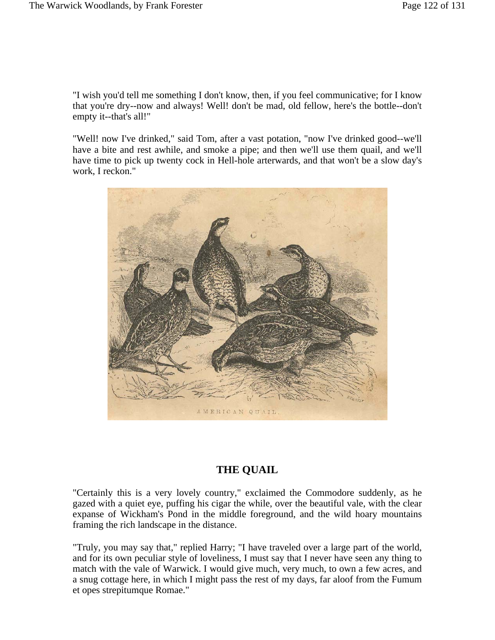"I wish you'd tell me something I don't know, then, if you feel communicative; for I know that you're dry--now and always! Well! don't be mad, old fellow, here's the bottle--don't empty it--that's all!"

"Well! now I've drinked," said Tom, after a vast potation, "now I've drinked good--we'll have a bite and rest awhile, and smoke a pipe; and then we'll use them quail, and we'll have time to pick up twenty cock in Hell-hole arterwards, and that won't be a slow day's work, I reckon."



## **THE QUAIL**

"Certainly this is a very lovely country," exclaimed the Commodore suddenly, as he gazed with a quiet eye, puffing his cigar the while, over the beautiful vale, with the clear expanse of Wickham's Pond in the middle foreground, and the wild hoary mountains framing the rich landscape in the distance.

"Truly, you may say that," replied Harry; "I have traveled over a large part of the world, and for its own peculiar style of loveliness, I must say that I never have seen any thing to match with the vale of Warwick. I would give much, very much, to own a few acres, and a snug cottage here, in which I might pass the rest of my days, far aloof from the Fumum et opes strepitumque Romae."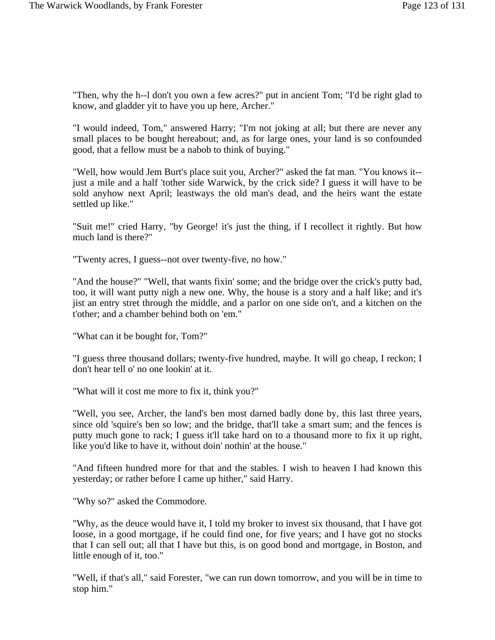"Then, why the h--l don't you own a few acres?" put in ancient Tom; "I'd be right glad to know, and gladder yit to have you up here, Archer."

"I would indeed, Tom," answered Harry; "I'm not joking at all; but there are never any small places to be bought hereabout; and, as for large ones, your land is so confounded good, that a fellow must be a nabob to think of buying."

"Well, how would Jem Burt's place suit you, Archer?" asked the fat man. "You knows it- just a mile and a half 'tother side Warwick, by the crick side? I guess it will have to be sold anyhow next April; leastways the old man's dead, and the heirs want the estate settled up like."

"Suit me!" cried Harry, "by George! it's just the thing, if I recollect it rightly. But how much land is there?"

"Twenty acres, I guess--not over twenty-five, no how."

"And the house?" "Well, that wants fixin' some; and the bridge over the crick's putty bad, too, it will want putty nigh a new one. Why, the house is a story and a half like; and it's jist an entry stret through the middle, and a parlor on one side on't, and a kitchen on the t'other; and a chamber behind both on 'em."

"What can it be bought for, Tom?"

"I guess three thousand dollars; twenty-five hundred, maybe. It will go cheap, I reckon; I don't hear tell o' no one lookin' at it.

"What will it cost me more to fix it, think you?"

"Well, you see, Archer, the land's ben most darned badly done by, this last three years, since old 'squire's ben so low; and the bridge, that'll take a smart sum; and the fences is putty much gone to rack; I guess it'll take hard on to a thousand more to fix it up right, like you'd like to have it, without doin' nothin' at the house."

"And fifteen hundred more for that and the stables. I wish to heaven I had known this yesterday; or rather before I came up hither," said Harry.

"Why so?" asked the Commodore.

"Why, as the deuce would have it, I told my broker to invest six thousand, that I have got loose, in a good mortgage, if he could find one, for five years; and I have got no stocks that I can sell out; all that I have but this, is on good bond and mortgage, in Boston, and little enough of it, too."

"Well, if that's all," said Forester, "we can run down tomorrow, and you will be in time to stop him."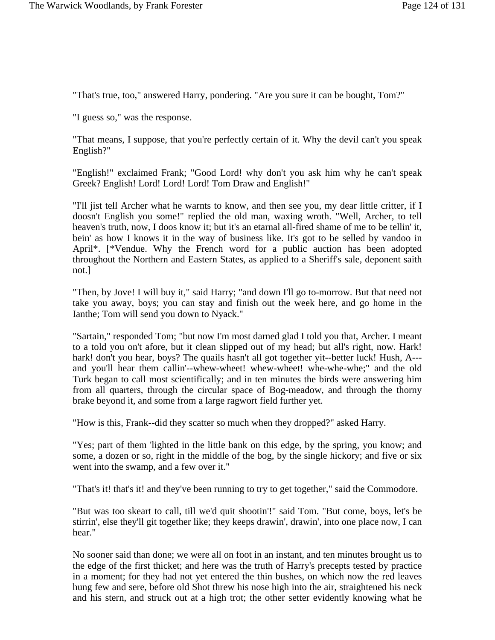"That's true, too," answered Harry, pondering. "Are you sure it can be bought, Tom?"

"I guess so," was the response.

"That means, I suppose, that you're perfectly certain of it. Why the devil can't you speak English?"

"English!" exclaimed Frank; "Good Lord! why don't you ask him why he can't speak Greek? English! Lord! Lord! Lord! Tom Draw and English!"

"I'll jist tell Archer what he warnts to know, and then see you, my dear little critter, if I doosn't English you some!" replied the old man, waxing wroth. "Well, Archer, to tell heaven's truth, now, I doos know it; but it's an etarnal all-fired shame of me to be tellin' it, bein' as how I knows it in the way of business like. It's got to be selled by vandoo in April\*. [\*Vendue. Why the French word for a public auction has been adopted throughout the Northern and Eastern States, as applied to a Sheriff's sale, deponent saith not.]

"Then, by Jove! I will buy it," said Harry; "and down I'll go to-morrow. But that need not take you away, boys; you can stay and finish out the week here, and go home in the Ianthe; Tom will send you down to Nyack."

"Sartain," responded Tom; "but now I'm most darned glad I told you that, Archer. I meant to a told you on't afore, but it clean slipped out of my head; but all's right, now. Hark! hark! don't you hear, boys? The quails hasn't all got together yit--better luck! Hush, A--and you'll hear them callin'--whew-wheet! whew-wheet! whe-whe-whe;" and the old Turk began to call most scientifically; and in ten minutes the birds were answering him from all quarters, through the circular space of Bog-meadow, and through the thorny brake beyond it, and some from a large ragwort field further yet.

"How is this, Frank--did they scatter so much when they dropped?" asked Harry.

"Yes; part of them 'lighted in the little bank on this edge, by the spring, you know; and some, a dozen or so, right in the middle of the bog, by the single hickory; and five or six went into the swamp, and a few over it."

"That's it! that's it! and they've been running to try to get together," said the Commodore.

"But was too skeart to call, till we'd quit shootin'!" said Tom. "But come, boys, let's be stirrin', else they'll git together like; they keeps drawin', drawin', into one place now, I can hear."

No sooner said than done; we were all on foot in an instant, and ten minutes brought us to the edge of the first thicket; and here was the truth of Harry's precepts tested by practice in a moment; for they had not yet entered the thin bushes, on which now the red leaves hung few and sere, before old Shot threw his nose high into the air, straightened his neck and his stern, and struck out at a high trot; the other setter evidently knowing what he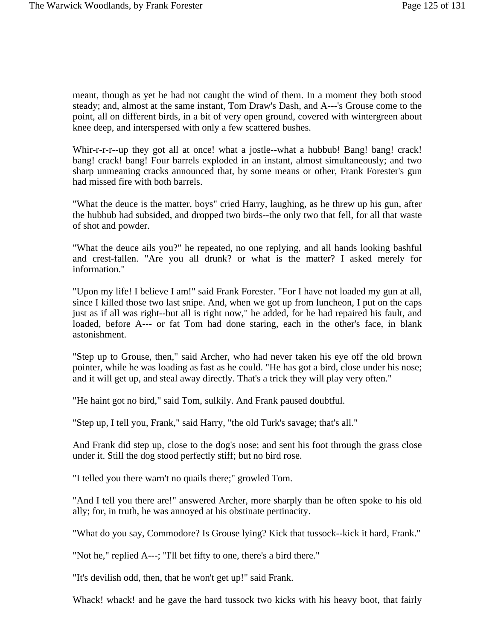meant, though as yet he had not caught the wind of them. In a moment they both stood steady; and, almost at the same instant, Tom Draw's Dash, and A---'s Grouse come to the point, all on different birds, in a bit of very open ground, covered with wintergreen about knee deep, and interspersed with only a few scattered bushes.

Whir-r-r-r--up they got all at once! what a jostle--what a hubbub! Bang! bang! crack! bang! crack! bang! Four barrels exploded in an instant, almost simultaneously; and two sharp unmeaning cracks announced that, by some means or other, Frank Forester's gun had missed fire with both barrels.

"What the deuce is the matter, boys" cried Harry, laughing, as he threw up his gun, after the hubbub had subsided, and dropped two birds--the only two that fell, for all that waste of shot and powder.

"What the deuce ails you?" he repeated, no one replying, and all hands looking bashful and crest-fallen. "Are you all drunk? or what is the matter? I asked merely for information."

"Upon my life! I believe I am!" said Frank Forester. "For I have not loaded my gun at all, since I killed those two last snipe. And, when we got up from luncheon, I put on the caps just as if all was right--but all is right now," he added, for he had repaired his fault, and loaded, before A--- or fat Tom had done staring, each in the other's face, in blank astonishment.

"Step up to Grouse, then," said Archer, who had never taken his eye off the old brown pointer, while he was loading as fast as he could. "He has got a bird, close under his nose; and it will get up, and steal away directly. That's a trick they will play very often."

"He haint got no bird," said Tom, sulkily. And Frank paused doubtful.

"Step up, I tell you, Frank," said Harry, "the old Turk's savage; that's all."

And Frank did step up, close to the dog's nose; and sent his foot through the grass close under it. Still the dog stood perfectly stiff; but no bird rose.

"I telled you there warn't no quails there;" growled Tom.

"And I tell you there are!" answered Archer, more sharply than he often spoke to his old ally; for, in truth, he was annoyed at his obstinate pertinacity.

"What do you say, Commodore? Is Grouse lying? Kick that tussock--kick it hard, Frank."

"Not he," replied A---; "I'll bet fifty to one, there's a bird there."

"It's devilish odd, then, that he won't get up!" said Frank.

Whack! whack! and he gave the hard tussock two kicks with his heavy boot, that fairly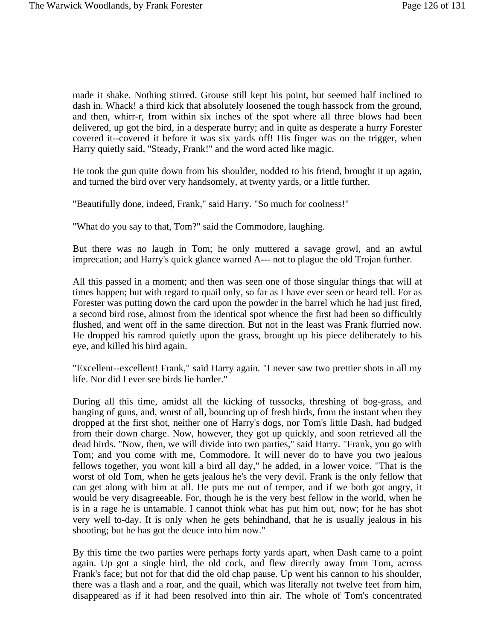made it shake. Nothing stirred. Grouse still kept his point, but seemed half inclined to dash in. Whack! a third kick that absolutely loosened the tough hassock from the ground, and then, whirr-r, from within six inches of the spot where all three blows had been delivered, up got the bird, in a desperate hurry; and in quite as desperate a hurry Forester covered it--covered it before it was six yards off! His finger was on the trigger, when Harry quietly said, "Steady, Frank!" and the word acted like magic.

He took the gun quite down from his shoulder, nodded to his friend, brought it up again, and turned the bird over very handsomely, at twenty yards, or a little further.

"Beautifully done, indeed, Frank," said Harry. "So much for coolness!"

"What do you say to that, Tom?" said the Commodore, laughing.

But there was no laugh in Tom; he only muttered a savage growl, and an awful imprecation; and Harry's quick glance warned A--- not to plague the old Trojan further.

All this passed in a moment; and then was seen one of those singular things that will at times happen; but with regard to quail only, so far as I have ever seen or heard tell. For as Forester was putting down the card upon the powder in the barrel which he had just fired, a second bird rose, almost from the identical spot whence the first had been so difficultly flushed, and went off in the same direction. But not in the least was Frank flurried now. He dropped his ramrod quietly upon the grass, brought up his piece deliberately to his eye, and killed his bird again.

"Excellent--excellent! Frank," said Harry again. "I never saw two prettier shots in all my life. Nor did I ever see birds lie harder."

During all this time, amidst all the kicking of tussocks, threshing of bog-grass, and banging of guns, and, worst of all, bouncing up of fresh birds, from the instant when they dropped at the first shot, neither one of Harry's dogs, nor Tom's little Dash, had budged from their down charge. Now, however, they got up quickly, and soon retrieved all the dead birds. "Now, then, we will divide into two parties," said Harry. "Frank, you go with Tom; and you come with me, Commodore. It will never do to have you two jealous fellows together, you wont kill a bird all day," he added, in a lower voice. "That is the worst of old Tom, when he gets jealous he's the very devil. Frank is the only fellow that can get along with him at all. He puts me out of temper, and if we both got angry, it would be very disagreeable. For, though he is the very best fellow in the world, when he is in a rage he is untamable. I cannot think what has put him out, now; for he has shot very well to-day. It is only when he gets behindhand, that he is usually jealous in his shooting; but he has got the deuce into him now."

By this time the two parties were perhaps forty yards apart, when Dash came to a point again. Up got a single bird, the old cock, and flew directly away from Tom, across Frank's face; but not for that did the old chap pause. Up went his cannon to his shoulder, there was a flash and a roar, and the quail, which was literally not twelve feet from him, disappeared as if it had been resolved into thin air. The whole of Tom's concentrated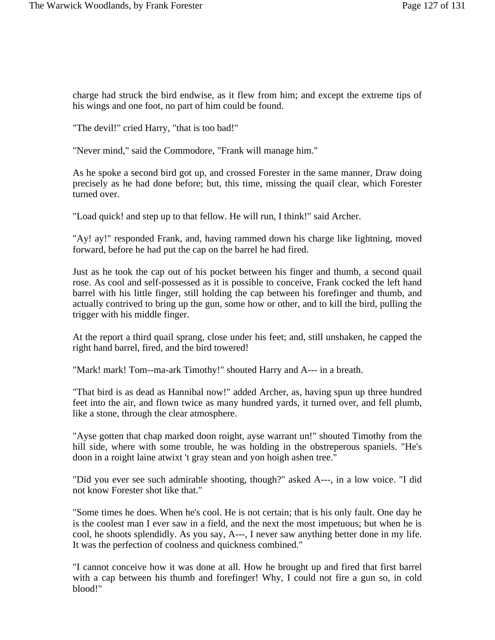charge had struck the bird endwise, as it flew from him; and except the extreme tips of his wings and one foot, no part of him could be found.

"The devil!" cried Harry, "that is too bad!"

"Never mind," said the Commodore, "Frank will manage him."

As he spoke a second bird got up, and crossed Forester in the same manner, Draw doing precisely as he had done before; but, this time, missing the quail clear, which Forester turned over.

"Load quick! and step up to that fellow. He will run, I think!" said Archer.

"Ay! ay!" responded Frank, and, having rammed down his charge like lightning, moved forward, before he had put the cap on the barrel he had fired.

Just as he took the cap out of his pocket between his finger and thumb, a second quail rose. As cool and self-possessed as it is possible to conceive, Frank cocked the left hand barrel with his little finger, still holding the cap between his forefinger and thumb, and actually contrived to bring up the gun, some how or other, and to kill the bird, pulling the trigger with his middle finger.

At the report a third quail sprang, close under his feet; and, still unshaken, he capped the right hand barrel, fired, and the bird towered!

"Mark! mark! Tom--ma-ark Timothy!" shouted Harry and A--- in a breath.

"That bird is as dead as Hannibal now!" added Archer, as, having spun up three hundred feet into the air, and flown twice as many hundred yards, it turned over, and fell plumb, like a stone, through the clear atmosphere.

"Ayse gotten that chap marked doon roight, ayse warrant un!" shouted Timothy from the hill side, where with some trouble, he was holding in the obstreperous spaniels. "He's doon in a roight laine atwixt 't gray stean and yon hoigh ashen tree."

"Did you ever see such admirable shooting, though?" asked A---, in a low voice. "I did not know Forester shot like that."

"Some times he does. When he's cool. He is not certain; that is his only fault. One day he is the coolest man I ever saw in a field, and the next the most impetuous; but when he is cool, he shoots splendidly. As you say, A---, I never saw anything better done in my life. It was the perfection of coolness and quickness combined."

"I cannot conceive how it was done at all. How he brought up and fired that first barrel with a cap between his thumb and forefinger! Why, I could not fire a gun so, in cold blood!"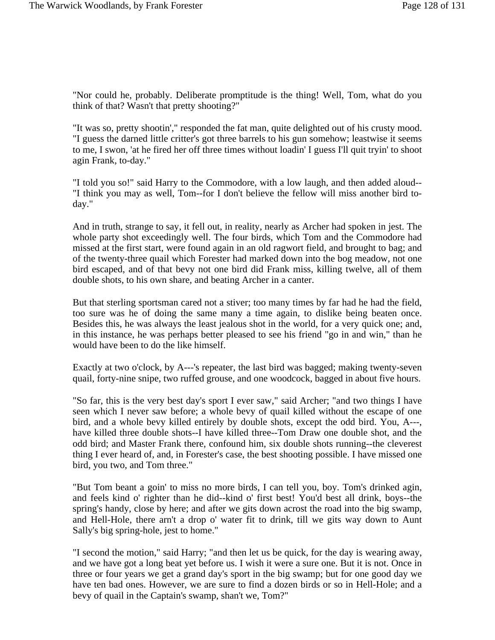"Nor could he, probably. Deliberate promptitude is the thing! Well, Tom, what do you think of that? Wasn't that pretty shooting?"

"It was so, pretty shootin'," responded the fat man, quite delighted out of his crusty mood. "I guess the darned little critter's got three barrels to his gun somehow; leastwise it seems to me, I swon, 'at he fired her off three times without loadin' I guess I'll quit tryin' to shoot agin Frank, to-day."

"I told you so!" said Harry to the Commodore, with a low laugh, and then added aloud-- "I think you may as well, Tom--for I don't believe the fellow will miss another bird today."

And in truth, strange to say, it fell out, in reality, nearly as Archer had spoken in jest. The whole party shot exceedingly well. The four birds, which Tom and the Commodore had missed at the first start, were found again in an old ragwort field, and brought to bag; and of the twenty-three quail which Forester had marked down into the bog meadow, not one bird escaped, and of that bevy not one bird did Frank miss, killing twelve, all of them double shots, to his own share, and beating Archer in a canter.

But that sterling sportsman cared not a stiver; too many times by far had he had the field, too sure was he of doing the same many a time again, to dislike being beaten once. Besides this, he was always the least jealous shot in the world, for a very quick one; and, in this instance, he was perhaps better pleased to see his friend "go in and win," than he would have been to do the like himself.

Exactly at two o'clock, by A---'s repeater, the last bird was bagged; making twenty-seven quail, forty-nine snipe, two ruffed grouse, and one woodcock, bagged in about five hours.

"So far, this is the very best day's sport I ever saw," said Archer; "and two things I have seen which I never saw before; a whole bevy of quail killed without the escape of one bird, and a whole bevy killed entirely by double shots, except the odd bird. You, A---, have killed three double shots--I have killed three--Tom Draw one double shot, and the odd bird; and Master Frank there, confound him, six double shots running--the cleverest thing I ever heard of, and, in Forester's case, the best shooting possible. I have missed one bird, you two, and Tom three."

"But Tom beant a goin' to miss no more birds, I can tell you, boy. Tom's drinked agin, and feels kind o' righter than he did--kind o' first best! You'd best all drink, boys--the spring's handy, close by here; and after we gits down acrost the road into the big swamp, and Hell-Hole, there arn't a drop o' water fit to drink, till we gits way down to Aunt Sally's big spring-hole, jest to home."

"I second the motion," said Harry; "and then let us be quick, for the day is wearing away, and we have got a long beat yet before us. I wish it were a sure one. But it is not. Once in three or four years we get a grand day's sport in the big swamp; but for one good day we have ten bad ones. However, we are sure to find a dozen birds or so in Hell-Hole; and a bevy of quail in the Captain's swamp, shan't we, Tom?"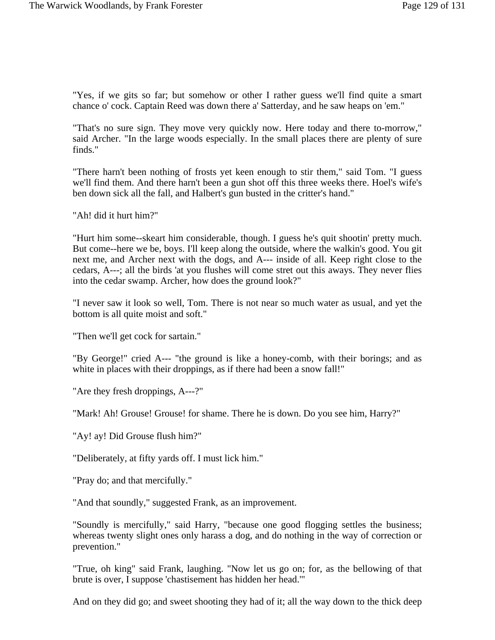"Yes, if we gits so far; but somehow or other I rather guess we'll find quite a smart chance o' cock. Captain Reed was down there a' Satterday, and he saw heaps on 'em."

"That's no sure sign. They move very quickly now. Here today and there to-morrow," said Archer. "In the large woods especially. In the small places there are plenty of sure finds."

"There harn't been nothing of frosts yet keen enough to stir them," said Tom. "I guess we'll find them. And there harn't been a gun shot off this three weeks there. Hoel's wife's ben down sick all the fall, and Halbert's gun busted in the critter's hand."

"Ah! did it hurt him?"

"Hurt him some--skeart him considerable, though. I guess he's quit shootin' pretty much. But come--here we be, boys. I'll keep along the outside, where the walkin's good. You git next me, and Archer next with the dogs, and A--- inside of all. Keep right close to the cedars, A---; all the birds 'at you flushes will come stret out this aways. They never flies into the cedar swamp. Archer, how does the ground look?"

"I never saw it look so well, Tom. There is not near so much water as usual, and yet the bottom is all quite moist and soft."

"Then we'll get cock for sartain."

"By George!" cried A--- "the ground is like a honey-comb, with their borings; and as white in places with their droppings, as if there had been a snow fall!"

"Are they fresh droppings, A---?"

"Mark! Ah! Grouse! Grouse! for shame. There he is down. Do you see him, Harry?"

"Ay! ay! Did Grouse flush him?"

"Deliberately, at fifty yards off. I must lick him."

"Pray do; and that mercifully."

"And that soundly," suggested Frank, as an improvement.

"Soundly is mercifully," said Harry, "because one good flogging settles the business; whereas twenty slight ones only harass a dog, and do nothing in the way of correction or prevention."

"True, oh king" said Frank, laughing. "Now let us go on; for, as the bellowing of that brute is over, I suppose 'chastisement has hidden her head.'"

And on they did go; and sweet shooting they had of it; all the way down to the thick deep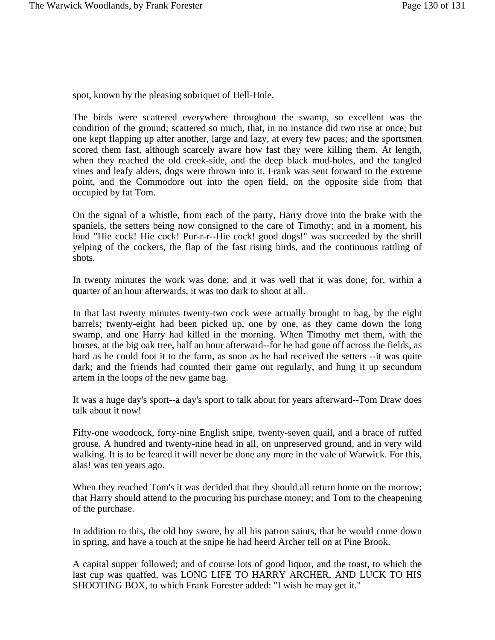spot, known by the pleasing sobriquet of Hell-Hole.

The birds were scattered everywhere throughout the swamp, so excellent was the condition of the ground; scattered so much, that, in no instance did two rise at once; but one kept flapping up after another, large and lazy, at every few paces; and the sportsmen scored them fast, although scarcely aware how fast they were killing them. At length, when they reached the old creek-side, and the deep black mud-holes, and the tangled vines and leafy alders, dogs were thrown into it, Frank was sent forward to the extreme point, and the Commodore out into the open field, on the opposite side from that occupied by fat Tom.

On the signal of a whistle, from each of the party, Harry drove into the brake with the spaniels, the setters being now consigned to the care of Timothy; and in a moment, his loud "Hie cock! Hie cock! Pur-r-r--Hie cock! good dogs!" was succeeded by the shrill yelping of the cockers, the flap of the fast rising birds, and the continuous rattling of shots.

In twenty minutes the work was done; and it was well that it was done; for, within a quarter of an hour afterwards, it was too dark to shoot at all.

In that last twenty minutes twenty-two cock were actually brought to bag, by the eight barrels; twenty-eight had been picked up, one by one, as they came down the long swamp, and one Harry had killed in the morning. When Timothy met them, with the horses, at the big oak tree, half an hour afterward--for he had gone off across the fields, as hard as he could foot it to the farm, as soon as he had received the setters --it was quite dark; and the friends had counted their game out regularly, and hung it up secundum artem in the loops of the new game bag.

It was a huge day's sport--a day's sport to talk about for years afterward--Tom Draw does talk about it now!

Fifty-one woodcock, forty-nine English snipe, twenty-seven quail, and a brace of ruffed grouse. A hundred and twenty-nine head in all, on unpreserved ground, and in very wild walking. It is to be feared it will never be done any more in the vale of Warwick. For this, alas! was ten years ago.

When they reached Tom's it was decided that they should all return home on the morrow; that Harry should attend to the procuring his purchase money; and Tom to the cheapening of the purchase.

In addition to this, the old boy swore, by all his patron saints, that he would come down in spring, and have a touch at the snipe he had heerd Archer tell on at Pine Brook.

A capital supper followed; and of course lots of good liquor, and the toast, to which the last cup was quaffed, was LONG LIFE TO HARRY ARCHER, AND LUCK TO HIS SHOOTING BOX, to which Frank Forester added: "I wish he may get it."